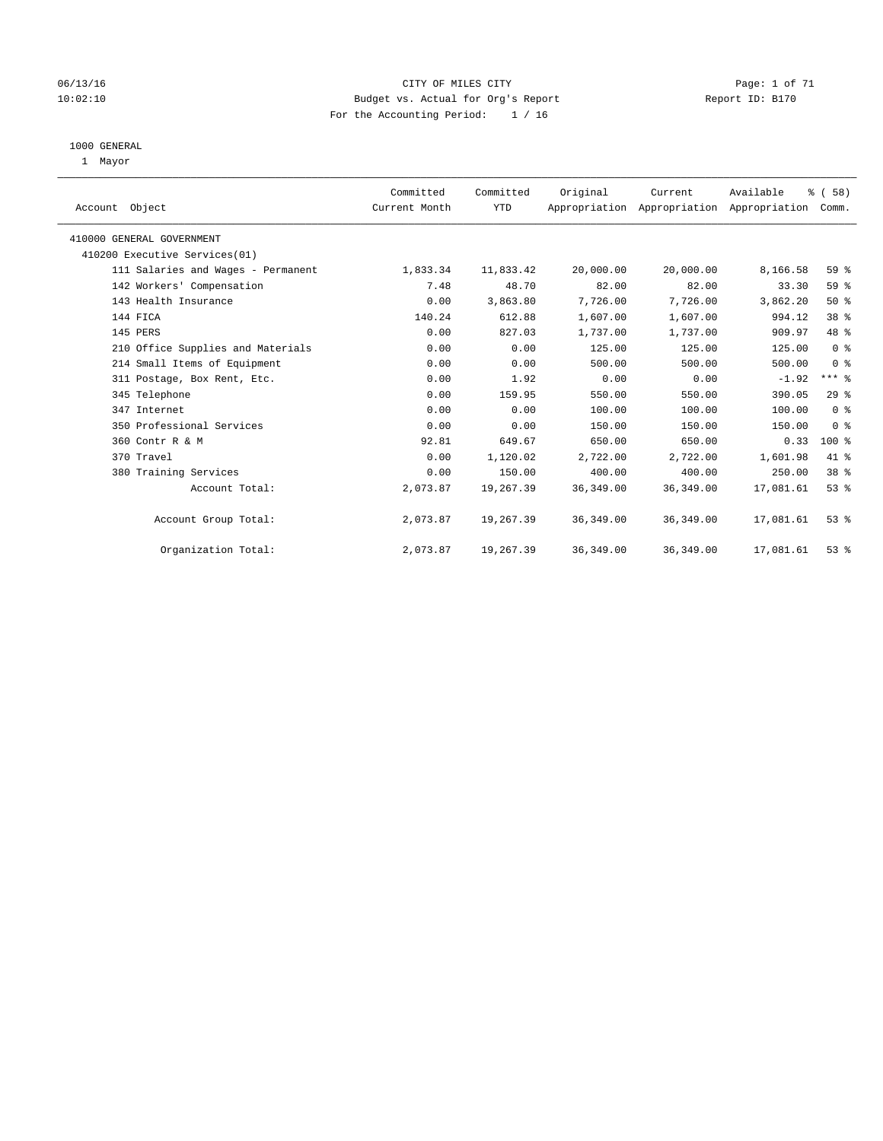### 06/13/16 CITY OF MILES CITY Page: 1 of 71 10:02:10 Budget vs. Actual for Org's Report Changer Report ID: B170 For the Accounting Period: 1 / 16

#### 1000 GENERAL

1 Mayor

| Account Object                     | Committed<br>Current Month | Committed<br><b>YTD</b> | Original   | Current<br>Appropriation Appropriation Appropriation Comm. | Available | % (58)          |
|------------------------------------|----------------------------|-------------------------|------------|------------------------------------------------------------|-----------|-----------------|
| 410000 GENERAL GOVERNMENT          |                            |                         |            |                                                            |           |                 |
| 410200 Executive Services(01)      |                            |                         |            |                                                            |           |                 |
| 111 Salaries and Wages - Permanent | 1,833.34                   | 11,833.42               | 20,000.00  | 20,000.00                                                  | 8,166.58  | 59 %            |
| 142 Workers' Compensation          | 7.48                       | 48.70                   | 82.00      | 82.00                                                      | 33.30     | 59 %            |
| 143 Health Insurance               | 0.00                       | 3,863.80                | 7,726.00   | 7,726.00                                                   | 3,862.20  | 50%             |
| 144 FICA                           | 140.24                     | 612.88                  | 1,607.00   | 1,607.00                                                   | 994.12    | 38 <sup>8</sup> |
| 145 PERS                           | 0.00                       | 827.03                  | 1,737.00   | 1,737.00                                                   | 909.97    | 48 %            |
| 210 Office Supplies and Materials  | 0.00                       | 0.00                    | 125.00     | 125.00                                                     | 125.00    | 0 <sup>8</sup>  |
| 214 Small Items of Equipment       | 0.00                       | 0.00                    | 500.00     | 500.00                                                     | 500.00    | 0 <sup>8</sup>  |
| 311 Postage, Box Rent, Etc.        | 0.00                       | 1.92                    | 0.00       | 0.00                                                       | $-1.92$   | $***$ $-$       |
| 345 Telephone                      | 0.00                       | 159.95                  | 550.00     | 550.00                                                     | 390.05    | 29%             |
| 347 Internet                       | 0.00                       | 0.00                    | 100.00     | 100.00                                                     | 100.00    | 0 <sup>8</sup>  |
| 350 Professional Services          | 0.00                       | 0.00                    | 150.00     | 150.00                                                     | 150.00    | 0 <sup>8</sup>  |
| 360 Contr R & M                    | 92.81                      | 649.67                  | 650.00     | 650.00                                                     | 0.33      | 100 %           |
| 370 Travel                         | 0.00                       | 1,120.02                | 2,722.00   | 2,722.00                                                   | 1,601.98  | 41 %            |
| 380 Training Services              | 0.00                       | 150.00                  | 400.00     | 400.00                                                     | 250.00    | 38 %            |
| Account Total:                     | 2,073.87                   | 19,267.39               | 36, 349.00 | 36, 349.00                                                 | 17,081.61 | 53%             |
| Account Group Total:               | 2,073.87                   | 19,267.39               | 36,349.00  | 36,349.00                                                  | 17,081.61 | $53$ $%$        |
| Organization Total:                | 2,073.87                   | 19,267.39               | 36, 349.00 | 36, 349.00                                                 | 17,081.61 | 53%             |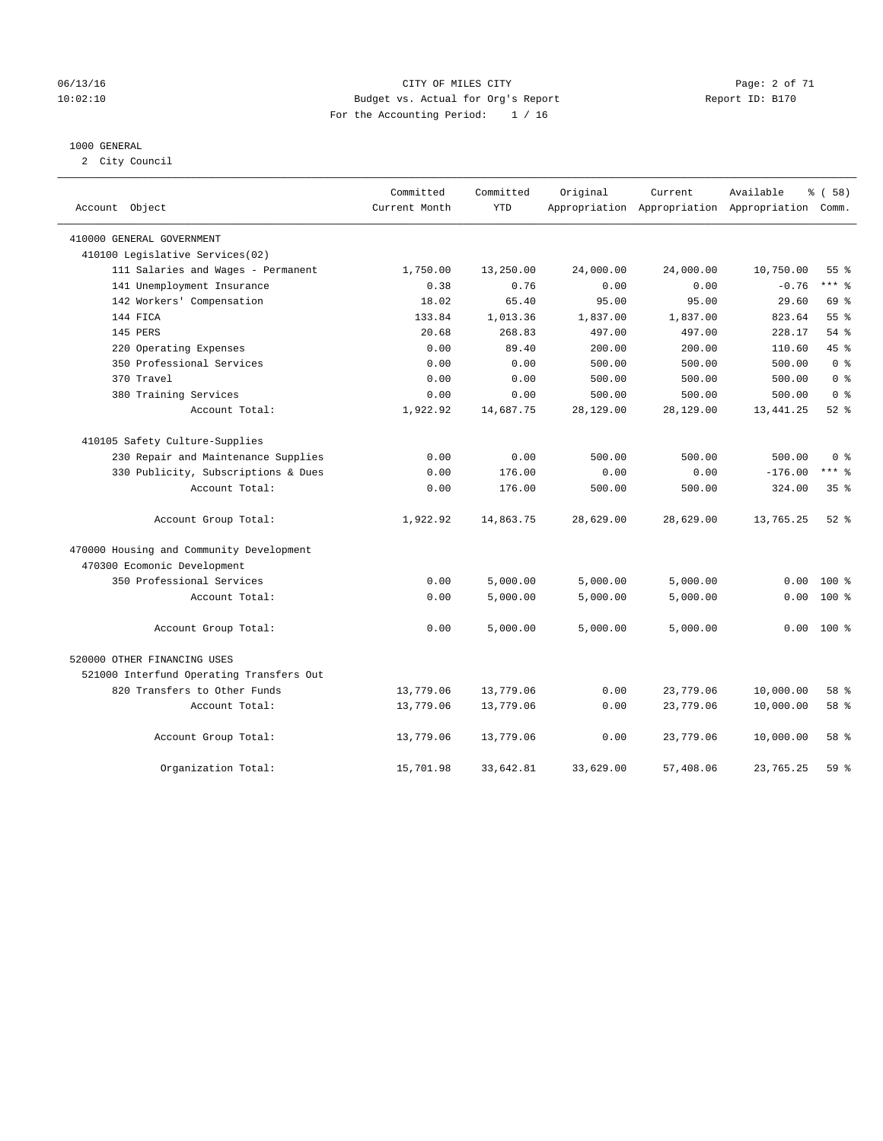### 06/13/16 CITY OF MILES CITY Page: 2 of 71 10:02:10 Budget vs. Actual for Org's Report Changer Report ID: B170 For the Accounting Period: 1 / 16

### 1000 GENERAL

2 City Council

| Account<br>Object                        | Committed<br>Current Month | Committed<br><b>YTD</b> | Original  | Current<br>Appropriation Appropriation Appropriation Comm. | Available  | % (58)          |
|------------------------------------------|----------------------------|-------------------------|-----------|------------------------------------------------------------|------------|-----------------|
| 410000 GENERAL GOVERNMENT                |                            |                         |           |                                                            |            |                 |
| 410100 Legislative Services(02)          |                            |                         |           |                                                            |            |                 |
| 111 Salaries and Wages - Permanent       | 1,750.00                   | 13,250.00               | 24,000.00 | 24,000.00                                                  | 10,750.00  | 55 <sup>8</sup> |
| 141 Unemployment Insurance               | 0.38                       | 0.76                    | 0.00      | 0.00                                                       | $-0.76$    | $***$ 8         |
| 142 Workers' Compensation                | 18.02                      | 65.40                   | 95.00     | 95.00                                                      | 29.60      | 69 %            |
| 144 FICA                                 | 133.84                     | 1,013.36                | 1,837.00  | 1,837.00                                                   | 823.64     | 55 <sup>8</sup> |
| 145 PERS                                 | 20.68                      | 268.83                  | 497.00    | 497.00                                                     | 228.17     | 54%             |
| 220 Operating Expenses                   | 0.00                       | 89.40                   | 200.00    | 200.00                                                     | 110.60     | 45%             |
| 350 Professional Services                | 0.00                       | 0.00                    | 500.00    | 500.00                                                     | 500.00     | 0 <sup>8</sup>  |
| 370 Travel                               | 0.00                       | 0.00                    | 500.00    | 500.00                                                     | 500.00     | 0 <sup>8</sup>  |
| 380 Training Services                    | 0.00                       | 0.00                    | 500.00    | 500.00                                                     | 500.00     | 0 <sup>8</sup>  |
| Account Total:                           | 1,922.92                   | 14,687.75               | 28,129.00 | 28,129.00                                                  | 13, 441.25 | $52$ $%$        |
| 410105 Safety Culture-Supplies           |                            |                         |           |                                                            |            |                 |
| 230 Repair and Maintenance Supplies      | 0.00                       | 0.00                    | 500.00    | 500.00                                                     | 500.00     | 0 <sup>8</sup>  |
| 330 Publicity, Subscriptions & Dues      | 0.00                       | 176.00                  | 0.00      | 0.00                                                       | $-176.00$  | $***$ 8         |
| Account Total:                           | 0.00                       | 176.00                  | 500.00    | 500.00                                                     | 324.00     | 35 <sup>8</sup> |
| Account Group Total:                     | 1,922.92                   | 14,863.75               | 28,629.00 | 28,629.00                                                  | 13,765.25  | $52$ $%$        |
| 470000 Housing and Community Development |                            |                         |           |                                                            |            |                 |
| 470300 Ecomonic Development              |                            |                         |           |                                                            |            |                 |
| 350 Professional Services                | 0.00                       | 5,000.00                | 5,000.00  | 5,000.00                                                   | 0.00       | $100*$          |
| Account Total:                           | 0.00                       | 5,000.00                | 5,000.00  | 5,000.00                                                   | 0.00       | $100*$          |
| Account Group Total:                     | 0.00                       | 5,000.00                | 5,000.00  | 5,000.00                                                   | 0.00       | $100*$          |
| 520000 OTHER FINANCING USES              |                            |                         |           |                                                            |            |                 |
| 521000 Interfund Operating Transfers Out |                            |                         |           |                                                            |            |                 |
| 820 Transfers to Other Funds             | 13,779.06                  | 13,779.06               | 0.00      | 23,779.06                                                  | 10,000.00  | 58 %            |
| Account Total:                           | 13,779.06                  | 13,779.06               | 0.00      | 23,779.06                                                  | 10,000.00  | 58 %            |
| Account Group Total:                     | 13,779.06                  | 13,779.06               | 0.00      | 23,779.06                                                  | 10,000.00  | 58 %            |
| Organization Total:                      | 15,701.98                  | 33,642.81               | 33,629.00 | 57,408.06                                                  | 23,765.25  | 59%             |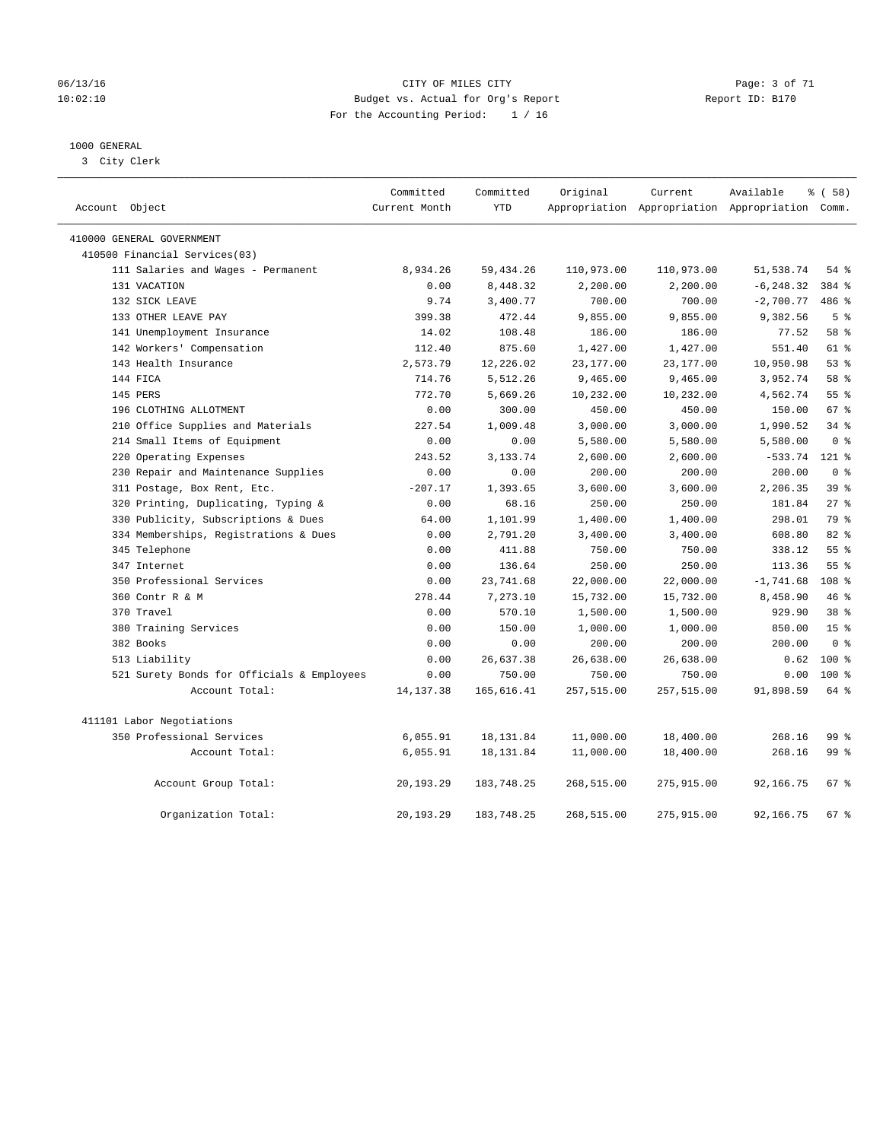### 06/13/16 CITY OF MILES CITY Page: 3 of 71 10:02:10 Budget vs. Actual for Org's Report Changer Report ID: B170 For the Accounting Period: 1 / 16

### 1000 GENERAL

3 City Clerk

| Account Object                             | Committed<br>Current Month | Committed<br><b>YTD</b> | Original   | Current    | Available<br>Appropriation Appropriation Appropriation Comm. | 8 ( 58 )         |
|--------------------------------------------|----------------------------|-------------------------|------------|------------|--------------------------------------------------------------|------------------|
| 410000 GENERAL GOVERNMENT                  |                            |                         |            |            |                                                              |                  |
| 410500 Financial Services(03)              |                            |                         |            |            |                                                              |                  |
| 111 Salaries and Wages - Permanent         | 8,934.26                   | 59, 434.26              | 110,973.00 | 110,973.00 | 51,538.74                                                    | $54$ %           |
| 131 VACATION                               | 0.00                       | 8,448.32                | 2,200.00   | 2,200.00   | $-6, 248.32$                                                 | 384 %            |
| 132 SICK LEAVE                             | 9.74                       | 3,400.77                | 700.00     | 700.00     | $-2,700.77$                                                  | 486 %            |
| 133 OTHER LEAVE PAY                        | 399.38                     | 472.44                  | 9,855.00   | 9,855.00   | 9,382.56                                                     | 5 <sup>8</sup>   |
| 141 Unemployment Insurance                 | 14.02                      | 108.48                  | 186.00     | 186.00     | 77.52                                                        | 58 %             |
| 142 Workers' Compensation                  | 112.40                     | 875.60                  | 1,427.00   | 1,427.00   | 551.40                                                       | 61 %             |
| 143 Health Insurance                       | 2,573.79                   | 12,226.02               | 23,177.00  | 23,177.00  | 10,950.98                                                    | 53%              |
| 144 FICA                                   | 714.76                     | 5,512.26                | 9,465.00   | 9,465.00   | 3,952.74                                                     | 58 %             |
| 145 PERS                                   | 772.70                     | 5,669.26                | 10,232.00  | 10,232.00  | 4,562.74                                                     | 55%              |
| 196 CLOTHING ALLOTMENT                     | 0.00                       | 300.00                  | 450.00     | 450.00     | 150.00                                                       | 67 %             |
| 210 Office Supplies and Materials          | 227.54                     | 1,009.48                | 3,000.00   | 3,000.00   | 1,990.52                                                     | 34%              |
| 214 Small Items of Equipment               | 0.00                       | 0.00                    | 5,580.00   | 5,580.00   | 5,580.00                                                     | 0 <sup>8</sup>   |
| 220 Operating Expenses                     | 243.52                     | 3,133.74                | 2,600.00   | 2,600.00   | $-533.74$                                                    | $121$ %          |
| 230 Repair and Maintenance Supplies        | 0.00                       | 0.00                    | 200.00     | 200.00     | 200.00                                                       | 0 <sup>8</sup>   |
| 311 Postage, Box Rent, Etc.                | $-207.17$                  | 1,393.65                | 3,600.00   | 3,600.00   | 2,206.35                                                     | 39 %             |
| 320 Printing, Duplicating, Typing &        | 0.00                       | 68.16                   | 250.00     | 250.00     | 181.84                                                       | $27$ %           |
| 330 Publicity, Subscriptions & Dues        | 64.00                      | 1,101.99                | 1,400.00   | 1,400.00   | 298.01                                                       | 79 %             |
| 334 Memberships, Registrations & Dues      | 0.00                       | 2,791.20                | 3,400.00   | 3,400.00   | 608.80                                                       | 82 %             |
| 345 Telephone                              | 0.00                       | 411.88                  | 750.00     | 750.00     | 338.12                                                       | $55$ $%$         |
| 347 Internet                               | 0.00                       | 136.64                  | 250.00     | 250.00     | 113.36                                                       | 55 %             |
| 350 Professional Services                  | 0.00                       | 23,741.68               | 22,000.00  | 22,000.00  | $-1,741.68$                                                  | 108 <sup>°</sup> |
| 360 Contr R & M                            | 278.44                     | 7,273.10                | 15,732.00  | 15,732.00  | 8,458.90                                                     | 46%              |
| 370 Travel                                 | 0.00                       | 570.10                  | 1,500.00   | 1,500.00   | 929.90                                                       | 38 <sup>8</sup>  |
| 380 Training Services                      | 0.00                       | 150.00                  | 1,000.00   | 1,000.00   | 850.00                                                       | 15 <sup>°</sup>  |
| 382 Books                                  | 0.00                       | 0.00                    | 200.00     | 200.00     | 200.00                                                       | 0 <sup>8</sup>   |
| 513 Liability                              | 0.00                       | 26,637.38               | 26,638.00  | 26,638.00  | 0.62                                                         | 100 %            |
| 521 Surety Bonds for Officials & Employees | 0.00                       | 750.00                  | 750.00     | 750.00     | 0.00                                                         | $100*$           |
| Account Total:                             | 14, 137.38                 | 165,616.41              | 257,515.00 | 257,515.00 | 91,898.59                                                    | 64 %             |
| 411101 Labor Negotiations                  |                            |                         |            |            |                                                              |                  |
| 350 Professional Services                  | 6,055.91                   | 18, 131.84              | 11,000.00  | 18,400.00  | 268.16                                                       | 99 %             |
| Account Total:                             | 6,055.91                   | 18, 131.84              | 11,000.00  | 18,400.00  | 268.16                                                       | 99 %             |
| Account Group Total:                       | 20,193.29                  | 183,748.25              | 268,515.00 | 275,915.00 | 92,166.75                                                    | 67 %             |
| Organization Total:                        | 20,193.29                  | 183,748.25              | 268,515.00 | 275,915.00 | 92,166.75                                                    | $67$ %           |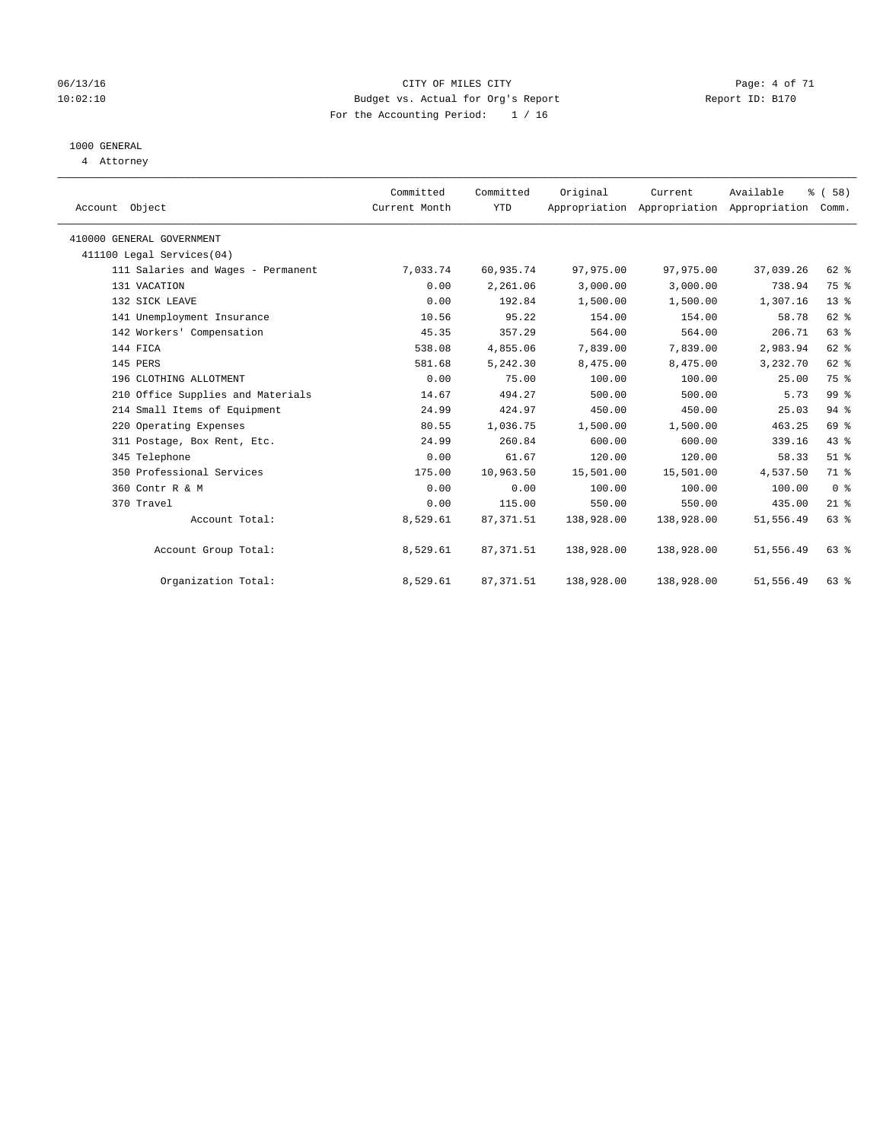### 06/13/16 CITY OF MILES CITY Page: 4 of 71 10:02:10 Budget vs. Actual for Org's Report Changer Report ID: B170 For the Accounting Period: 1 / 16

### 1000 GENERAL

4 Attorney

|                                    | Committed     | Committed  | Original   | Current                                         | Available | 8 ( 58 )       |
|------------------------------------|---------------|------------|------------|-------------------------------------------------|-----------|----------------|
| Account Object                     | Current Month | <b>YTD</b> |            | Appropriation Appropriation Appropriation Comm. |           |                |
| 410000 GENERAL GOVERNMENT          |               |            |            |                                                 |           |                |
| 411100 Legal Services(04)          |               |            |            |                                                 |           |                |
| 111 Salaries and Wages - Permanent | 7,033.74      | 60,935.74  | 97,975.00  | 97,975.00                                       | 37,039.26 | 62 %           |
| 131 VACATION                       | 0.00          | 2,261.06   | 3,000.00   | 3,000.00                                        | 738.94    | 75 %           |
| 132 SICK LEAVE                     | 0.00          | 192.84     | 1,500.00   | 1,500.00                                        | 1,307.16  | $13*$          |
| 141 Unemployment Insurance         | 10.56         | 95.22      | 154.00     | 154.00                                          | 58.78     | 62 %           |
| 142 Workers' Compensation          | 45.35         | 357.29     | 564.00     | 564.00                                          | 206.71    | 63%            |
| 144 FICA                           | 538.08        | 4,855.06   | 7,839.00   | 7,839.00                                        | 2,983.94  | 62 %           |
| 145 PERS                           | 581.68        | 5,242.30   | 8,475.00   | 8,475.00                                        | 3,232.70  | 62 %           |
| 196 CLOTHING ALLOTMENT             | 0.00          | 75.00      | 100.00     | 100.00                                          | 25.00     | 75 %           |
| 210 Office Supplies and Materials  | 14.67         | 494.27     | 500.00     | 500.00                                          | 5.73      | 99 %           |
| 214 Small Items of Equipment       | 24.99         | 424.97     | 450.00     | 450.00                                          | 25.03     | $94$ %         |
| 220 Operating Expenses             | 80.55         | 1,036.75   | 1,500.00   | 1,500.00                                        | 463.25    | 69 %           |
| 311 Postage, Box Rent, Etc.        | 24.99         | 260.84     | 600.00     | 600.00                                          | 339.16    | 43 %           |
| 345 Telephone                      | 0.00          | 61.67      | 120.00     | 120.00                                          | 58.33     | $51$ %         |
| 350 Professional Services          | 175.00        | 10,963.50  | 15,501.00  | 15,501.00                                       | 4,537.50  | 71 %           |
| 360 Contr R & M                    | 0.00          | 0.00       | 100.00     | 100.00                                          | 100.00    | 0 <sup>8</sup> |
| 370 Travel                         | 0.00          | 115.00     | 550.00     | 550.00                                          | 435.00    | $21$ %         |
| Account Total:                     | 8,529.61      | 87, 371.51 | 138,928.00 | 138,928.00                                      | 51,556.49 | 63 %           |
| Account Group Total:               | 8,529.61      | 87, 371.51 | 138,928.00 | 138,928.00                                      | 51,556.49 | $63$ $%$       |
| Organization Total:                | 8,529.61      | 87, 371.51 | 138,928.00 | 138,928.00                                      | 51,556.49 | 63%            |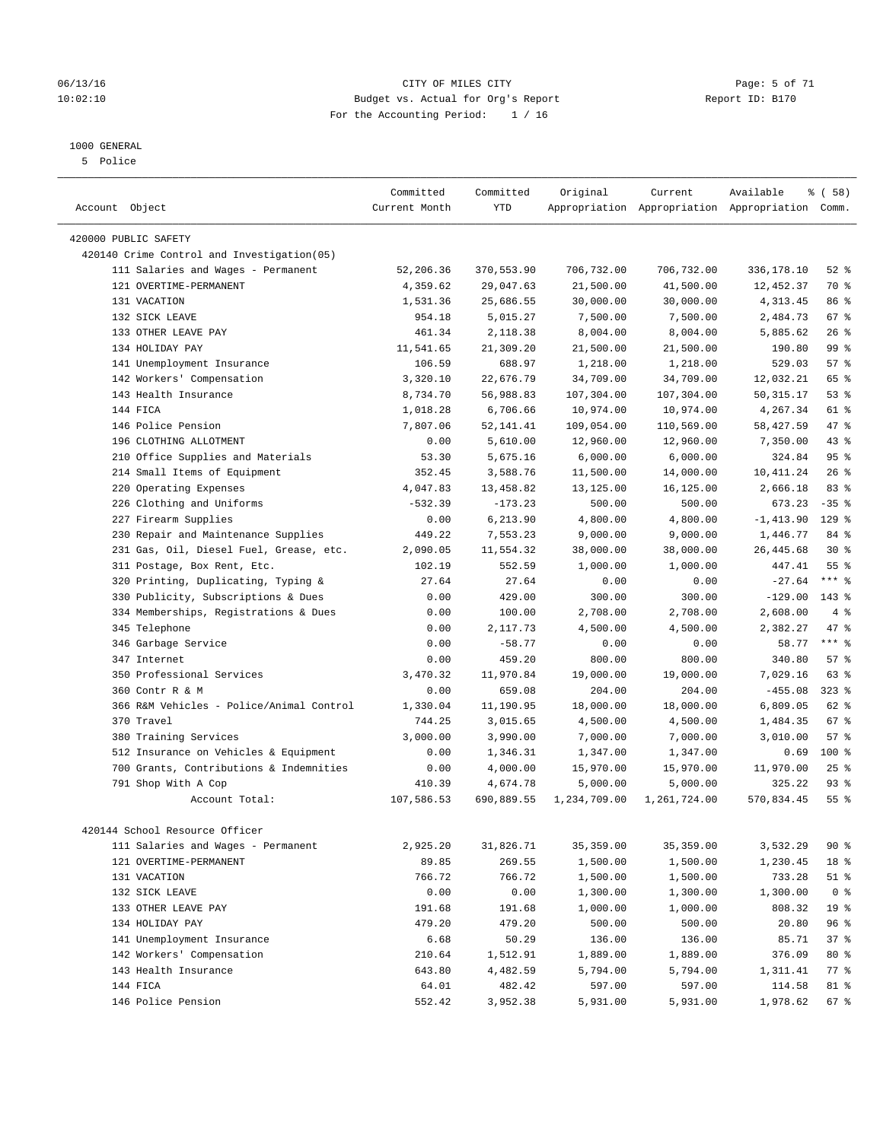### 06/13/16 CITY OF MILES CITY Page: 5 of 71 10:02:10 Budget vs. Actual for Org's Report Changer Report ID: B170 For the Accounting Period: 1 / 16

————————————————————————————————————————————————————————————————————————————————————————————————————————————————————————————————————

### 1000 GENERAL

5 Police

|                                                                                  | Committed           | Committed           | Original              | Current               | Available                                       | % ( 58 )        |
|----------------------------------------------------------------------------------|---------------------|---------------------|-----------------------|-----------------------|-------------------------------------------------|-----------------|
| Account Object                                                                   | Current Month       | <b>YTD</b>          |                       |                       | Appropriation Appropriation Appropriation Comm. |                 |
| 420000 PUBLIC SAFETY                                                             |                     |                     |                       |                       |                                                 |                 |
|                                                                                  |                     |                     |                       |                       |                                                 |                 |
| 420140 Crime Control and Investigation(05)<br>111 Salaries and Wages - Permanent | 52,206.36           | 370,553.90          | 706,732.00            | 706,732.00            |                                                 | $52$ $%$        |
| 121 OVERTIME-PERMANENT                                                           | 4,359.62            | 29,047.63           | 21,500.00             | 41,500.00             | 336,178.10<br>12,452.37                         | 70 %            |
| 131 VACATION                                                                     | 1,531.36            | 25,686.55           |                       | 30,000.00             | 4,313.45                                        | 86 %            |
| 132 SICK LEAVE                                                                   | 954.18              | 5,015.27            | 30,000.00<br>7,500.00 | 7,500.00              | 2,484.73                                        | $67$ %          |
| 133 OTHER LEAVE PAY                                                              | 461.34              | 2,118.38            | 8,004.00              |                       |                                                 | $26$ %          |
| 134 HOLIDAY PAY                                                                  |                     |                     |                       | 8,004.00              | 5,885.62                                        | 99%             |
| 141 Unemployment Insurance                                                       | 11,541.65<br>106.59 | 21,309.20<br>688.97 | 21,500.00<br>1,218.00 | 21,500.00<br>1,218.00 | 190.80<br>529.03                                | 57%             |
| 142 Workers' Compensation                                                        | 3,320.10            | 22,676.79           |                       | 34,709.00             | 12,032.21                                       | 65 %            |
| 143 Health Insurance                                                             |                     |                     | 34,709.00             |                       |                                                 | 53%             |
|                                                                                  | 8,734.70            | 56,988.83           | 107,304.00            | 107,304.00            | 50, 315.17                                      |                 |
| 144 FICA                                                                         | 1,018.28            | 6,706.66            | 10,974.00             | 10,974.00             | 4,267.34                                        | 61 %            |
| 146 Police Pension                                                               | 7,807.06            | 52, 141.41          | 109,054.00            | 110,569.00            | 58,427.59                                       | 47 %            |
| 196 CLOTHING ALLOTMENT                                                           | 0.00                | 5,610.00            | 12,960.00             | 12,960.00             | 7,350.00                                        | 43 %            |
| 210 Office Supplies and Materials                                                | 53.30               | 5,675.16            | 6,000.00              | 6,000.00              | 324.84                                          | 95%             |
| 214 Small Items of Equipment                                                     | 352.45              | 3,588.76            | 11,500.00             | 14,000.00             | 10, 411.24                                      | 26%             |
| 220 Operating Expenses                                                           | 4,047.83            | 13,458.82           | 13,125.00             | 16,125.00             | 2,666.18                                        | 83%             |
| 226 Clothing and Uniforms                                                        | $-532.39$           | $-173.23$           | 500.00                | 500.00                | 673.23                                          | $-35$ $%$       |
| 227 Firearm Supplies                                                             | 0.00                | 6,213.90            | 4,800.00              | 4,800.00              | $-1, 413.90$                                    | $129$ %         |
| 230 Repair and Maintenance Supplies                                              | 449.22              | 7,553.23            | 9,000.00              | 9,000.00              | 1,446.77                                        | 84 %            |
| 231 Gas, Oil, Diesel Fuel, Grease, etc.                                          | 2,090.05            | 11,554.32           | 38,000.00             | 38,000.00             | 26, 445.68                                      | $30*$           |
| 311 Postage, Box Rent, Etc.                                                      | 102.19              | 552.59              | 1,000.00              | 1,000.00              | 447.41                                          | 55 <sup>8</sup> |
| 320 Printing, Duplicating, Typing &                                              | 27.64               | 27.64               | 0.00                  | 0.00                  | $-27.64$                                        | $***$ 8         |
| 330 Publicity, Subscriptions & Dues                                              | 0.00                | 429.00              | 300.00                | 300.00                | $-129.00$                                       | $143$ %         |
| 334 Memberships, Registrations & Dues                                            | 0.00                | 100.00              | 2,708.00              | 2,708.00              | 2,608.00                                        | 4%              |
| 345 Telephone                                                                    | 0.00                | 2,117.73            | 4,500.00              | 4,500.00              | 2,382.27                                        | $47$ %          |
| 346 Garbage Service                                                              | 0.00                | $-58.77$            | 0.00                  | 0.00                  | 58.77                                           | $***$ $-$       |
| 347 Internet                                                                     | 0.00                | 459.20              | 800.00                | 800.00                | 340.80                                          | 57%             |
| 350 Professional Services                                                        | 3,470.32            | 11,970.84           | 19,000.00             | 19,000.00             | 7,029.16                                        | 63%             |
| 360 Contr R & M                                                                  | 0.00                | 659.08              | 204.00                | 204.00                | $-455.08$                                       | $323$ $%$       |
| 366 R&M Vehicles - Police/Animal Control                                         | 1,330.04            | 11,190.95           | 18,000.00             | 18,000.00             | 6,809.05                                        | 62 %            |
| 370 Travel                                                                       | 744.25              | 3,015.65            | 4,500.00              | 4,500.00              | 1,484.35                                        | 67%             |
| 380 Training Services                                                            | 3,000.00            | 3,990.00            | 7,000.00              | 7,000.00              | 3,010.00                                        | 57%             |
| 512 Insurance on Vehicles & Equipment                                            | 0.00                | 1,346.31            | 1,347.00              | 1,347.00              | 0.69                                            | 100 %           |
| 700 Grants, Contributions & Indemnities                                          | 0.00                | 4,000.00            | 15,970.00             | 15,970.00             | 11,970.00                                       | $25$ $%$        |
| 791 Shop With A Cop                                                              | 410.39              | 4,674.78            | 5,000.00              | 5,000.00              | 325.22                                          | $93$ $%$        |
| Account Total:                                                                   | 107,586.53          | 690,889.55          | 1,234,709.00          | 1,261,724.00          | 570,834.45                                      | 55 %            |
| 420144 School Resource Officer                                                   |                     |                     |                       |                       |                                                 |                 |
| 111 Salaries and Wages - Permanent                                               | 2,925.20            | 31,826.71           | 35, 359.00            | 35, 359.00            | 3,532.29                                        | $90*$           |
| 121 OVERTIME-PERMANENT                                                           | 89.85               | 269.55              | 1,500.00              | 1,500.00              | 1,230.45                                        | 18 %            |
| 131 VACATION                                                                     | 766.72              | 766.72              | 1,500.00              | 1,500.00              | 733.28                                          | $51$ %          |
| 132 SICK LEAVE                                                                   | 0.00                | 0.00                | 1,300.00              | 1,300.00              | 1,300.00                                        | 0 <sup>8</sup>  |
| 133 OTHER LEAVE PAY                                                              | 191.68              | 191.68              | 1,000.00              | 1,000.00              | 808.32                                          | 19 <sup>°</sup> |
| 134 HOLIDAY PAY                                                                  | 479.20              | 479.20              | 500.00                | 500.00                | 20.80                                           | 96 %            |
| 141 Unemployment Insurance                                                       | 6.68                | 50.29               | 136.00                | 136.00                | 85.71                                           | 37%             |
| 142 Workers' Compensation                                                        | 210.64              | 1,512.91            | 1,889.00              | 1,889.00              | 376.09                                          | 80 %            |
| 143 Health Insurance                                                             | 643.80              | 4,482.59            | 5,794.00              | 5,794.00              | 1,311.41                                        | $77$ $%$        |
| 144 FICA                                                                         | 64.01               | 482.42              | 597.00                | 597.00                | 114.58                                          | 81 %            |
| 146 Police Pension                                                               | 552.42              | 3,952.38            | 5,931.00              | 5,931.00              | 1,978.62                                        | 67 %            |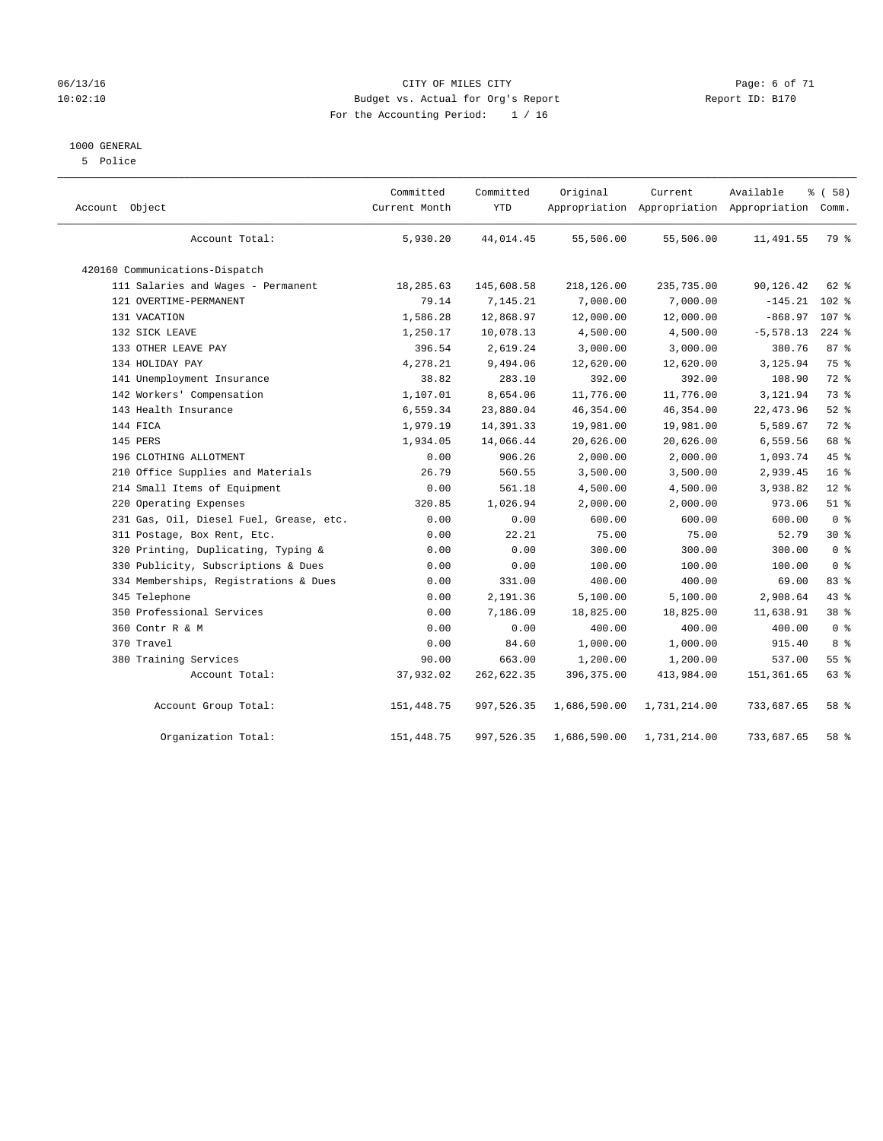### 06/13/16 CITY OF MILES CITY Page: 6 of 71 10:02:10 Budget vs. Actual for Org's Report Changer Report ID: B170 For the Accounting Period: 1 / 16

### 1000 GENERAL

5 Police

| Account Object                          | Committed<br>Current Month | Committed<br><b>YTD</b> | Original     | Current<br>Appropriation Appropriation Appropriation | Available    | 8 ( 58 )<br>Comm. |
|-----------------------------------------|----------------------------|-------------------------|--------------|------------------------------------------------------|--------------|-------------------|
| Account Total:                          | 5,930.20                   | 44,014.45               | 55,506.00    | 55,506.00                                            | 11,491.55    | 79 %              |
| 420160 Communications-Dispatch          |                            |                         |              |                                                      |              |                   |
| 111 Salaries and Wages - Permanent      | 18,285.63                  | 145,608.58              | 218,126.00   | 235,735.00                                           | 90,126.42    | 62 %              |
| 121 OVERTIME-PERMANENT                  | 79.14                      | 7,145.21                | 7,000.00     | 7,000.00                                             | $-145.21$    | 102 %             |
| 131 VACATION                            | 1,586.28                   | 12,868.97               | 12,000.00    | 12,000.00                                            | $-868.97$    | 107 %             |
| 132 SICK LEAVE                          | 1,250.17                   | 10,078.13               | 4,500.00     | 4,500.00                                             | $-5, 578.13$ | $224$ %           |
| 133 OTHER LEAVE PAY                     | 396.54                     | 2,619.24                | 3,000.00     | 3,000.00                                             | 380.76       | 87%               |
| 134 HOLIDAY PAY                         | 4,278.21                   | 9,494.06                | 12,620.00    | 12,620.00                                            | 3,125.94     | 75 %              |
| 141 Unemployment Insurance              | 38.82                      | 283.10                  | 392.00       | 392.00                                               | 108.90       | $72$ $%$          |
| 142 Workers' Compensation               | 1,107.01                   | 8,654.06                | 11,776.00    | 11,776.00                                            | 3,121.94     | 73 %              |
| 143 Health Insurance                    | 6,559.34                   | 23,880.04               | 46,354.00    | 46,354.00                                            | 22, 473.96   | $52$ %            |
| 144 FICA                                | 1,979.19                   | 14, 391.33              | 19,981.00    | 19,981.00                                            | 5,589.67     | 72 %              |
| 145 PERS                                | 1,934.05                   | 14,066.44               | 20,626.00    | 20,626.00                                            | 6,559.56     | 68 %              |
| 196 CLOTHING ALLOTMENT                  | 0.00                       | 906.26                  | 2,000.00     | 2,000.00                                             | 1,093.74     | 45 %              |
| 210 Office Supplies and Materials       | 26.79                      | 560.55                  | 3,500.00     | 3,500.00                                             | 2,939.45     | 16 <sup>°</sup>   |
| 214 Small Items of Equipment            | 0.00                       | 561.18                  | 4,500.00     | 4,500.00                                             | 3,938.82     | $12*$             |
| 220 Operating Expenses                  | 320.85                     | 1,026.94                | 2,000.00     | 2,000.00                                             | 973.06       | $51$ %            |
| 231 Gas, Oil, Diesel Fuel, Grease, etc. | 0.00                       | 0.00                    | 600.00       | 600.00                                               | 600.00       | 0 <sup>8</sup>    |
| 311 Postage, Box Rent, Etc.             | 0.00                       | 22.21                   | 75.00        | 75.00                                                | 52.79        | $30*$             |
| 320 Printing, Duplicating, Typing &     | 0.00                       | 0.00                    | 300.00       | 300.00                                               | 300.00       | 0 <sup>8</sup>    |
| 330 Publicity, Subscriptions & Dues     | 0.00                       | 0.00                    | 100.00       | 100.00                                               | 100.00       | 0 <sup>8</sup>    |
| 334 Memberships, Registrations & Dues   | 0.00                       | 331.00                  | 400.00       | 400.00                                               | 69.00        | 83%               |
| 345 Telephone                           | 0.00                       | 2,191.36                | 5,100.00     | 5,100.00                                             | 2,908.64     | 43 %              |
| 350 Professional Services               | 0.00                       | 7,186.09                | 18,825.00    | 18,825.00                                            | 11,638.91    | 38 %              |
| 360 Contr R & M                         | 0.00                       | 0.00                    | 400.00       | 400.00                                               | 400.00       | 0 <sup>8</sup>    |
| 370 Travel                              | 0.00                       | 84.60                   | 1,000.00     | 1,000.00                                             | 915.40       | 8 %               |
| 380 Training Services                   | 90.00                      | 663.00                  | 1,200.00     | 1,200.00                                             | 537.00       | 55 <sup>8</sup>   |
| Account Total:                          | 37,932.02                  | 262,622.35              | 396, 375.00  | 413,984.00                                           | 151, 361.65  | 63 %              |
| Account Group Total:                    | 151, 448.75                | 997,526.35              | 1,686,590.00 | 1,731,214.00                                         | 733,687.65   | 58 %              |
| Organization Total:                     | 151, 448.75                | 997,526.35              | 1,686,590.00 | 1,731,214.00                                         | 733,687.65   | 58 %              |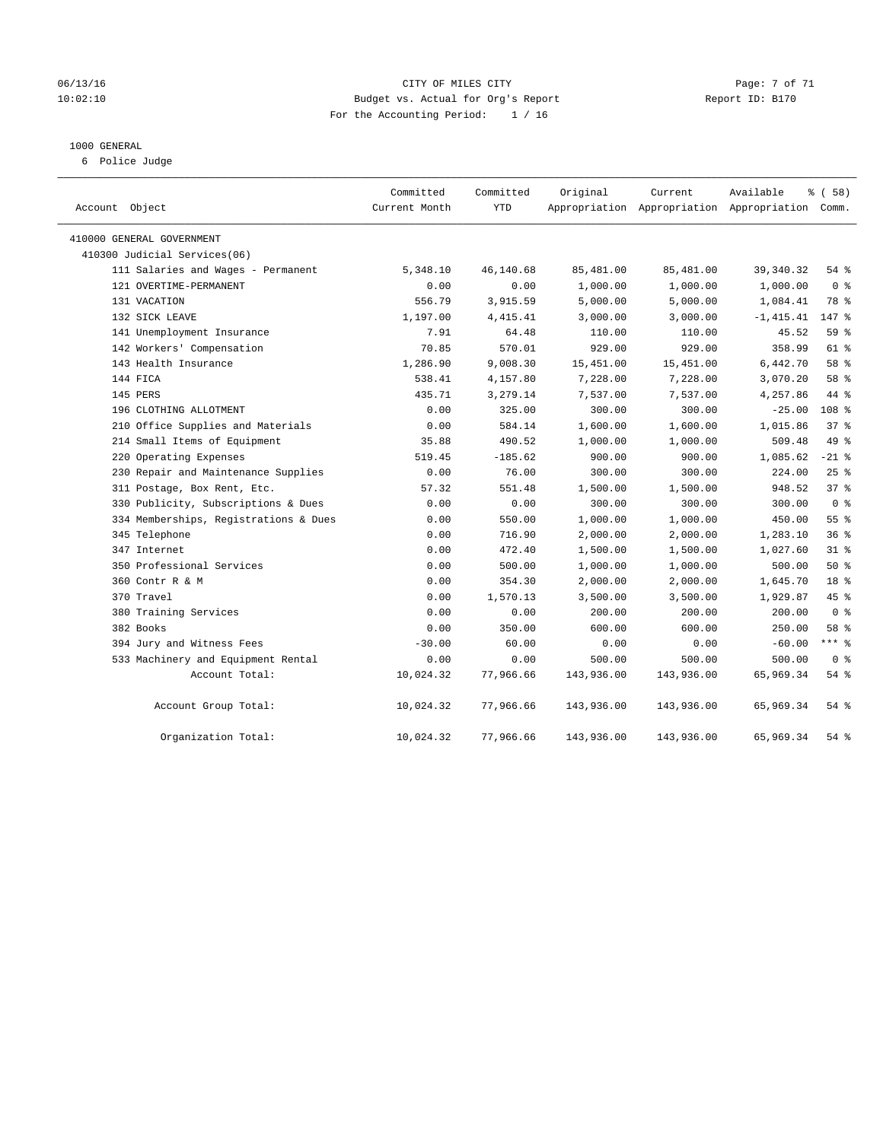### 06/13/16 CITY OF MILES CITY Page: 7 of 71 10:02:10 Budget vs. Actual for Org's Report Changer Report ID: B170 For the Accounting Period: 1 / 16

### 1000 GENERAL

6 Police Judge

| Account Object                        | Committed<br>Current Month | Committed<br><b>YTD</b> | Original   | Current    | Available<br>Appropriation Appropriation Appropriation Comm. | % (58)         |
|---------------------------------------|----------------------------|-------------------------|------------|------------|--------------------------------------------------------------|----------------|
| 410000 GENERAL GOVERNMENT             |                            |                         |            |            |                                                              |                |
| 410300 Judicial Services(06)          |                            |                         |            |            |                                                              |                |
| 111 Salaries and Wages - Permanent    | 5,348.10                   | 46,140.68               | 85,481.00  | 85,481.00  | 39, 340. 32                                                  | $54$ $%$       |
| 121 OVERTIME-PERMANENT                | 0.00                       | 0.00                    | 1,000.00   | 1,000.00   | 1,000.00                                                     | 0 <sup>8</sup> |
| 131 VACATION                          | 556.79                     | 3,915.59                | 5,000.00   | 5,000.00   | 1,084.41                                                     | 78 %           |
| 132 SICK LEAVE                        | 1,197.00                   | 4, 415.41               | 3,000.00   | 3,000.00   | $-1, 415.41$                                                 | 147 %          |
| 141 Unemployment Insurance            | 7.91                       | 64.48                   | 110.00     | 110.00     | 45.52                                                        | 59 %           |
| 142 Workers' Compensation             | 70.85                      | 570.01                  | 929.00     | 929.00     | 358.99                                                       | 61 %           |
| 143 Health Insurance                  | 1,286.90                   | 9,008.30                | 15,451.00  | 15,451.00  | 6,442.70                                                     | 58 %           |
| 144 FICA                              | 538.41                     | 4,157.80                | 7,228.00   | 7,228.00   | 3,070.20                                                     | 58 %           |
| 145 PERS                              | 435.71                     | 3,279.14                | 7,537.00   | 7,537.00   | 4,257.86                                                     | 44 %           |
| 196 CLOTHING ALLOTMENT                | 0.00                       | 325.00                  | 300.00     | 300.00     | $-25.00$                                                     | 108 %          |
| 210 Office Supplies and Materials     | 0.00                       | 584.14                  | 1,600.00   | 1,600.00   | 1,015.86                                                     | 37%            |
| 214 Small Items of Equipment          | 35.88                      | 490.52                  | 1,000.00   | 1,000.00   | 509.48                                                       | 49 %           |
| 220 Operating Expenses                | 519.45                     | $-185.62$               | 900.00     | 900.00     | 1,085.62                                                     | $-21$ %        |
| 230 Repair and Maintenance Supplies   | 0.00                       | 76.00                   | 300.00     | 300.00     | 224.00                                                       | 25%            |
| 311 Postage, Box Rent, Etc.           | 57.32                      | 551.48                  | 1,500.00   | 1,500.00   | 948.52                                                       | 37%            |
| 330 Publicity, Subscriptions & Dues   | 0.00                       | 0.00                    | 300.00     | 300.00     | 300.00                                                       | 0 <sup>8</sup> |
| 334 Memberships, Registrations & Dues | 0.00                       | 550.00                  | 1,000.00   | 1,000.00   | 450.00                                                       | 55%            |
| 345 Telephone                         | 0.00                       | 716.90                  | 2,000.00   | 2,000.00   | 1,283.10                                                     | 36%            |
| 347 Internet                          | 0.00                       | 472.40                  | 1,500.00   | 1,500.00   | 1,027.60                                                     | $31$ %         |
| 350 Professional Services             | 0.00                       | 500.00                  | 1,000.00   | 1,000.00   | 500.00                                                       | 50%            |
| 360 Contr R & M                       | 0.00                       | 354.30                  | 2,000.00   | 2,000.00   | 1,645.70                                                     | 18 %           |
| 370 Travel                            | 0.00                       | 1,570.13                | 3,500.00   | 3,500.00   | 1,929.87                                                     | 45 %           |
| 380 Training Services                 | 0.00                       | 0.00                    | 200.00     | 200.00     | 200.00                                                       | 0 <sup>8</sup> |
| 382 Books                             | 0.00                       | 350.00                  | 600.00     | 600.00     | 250.00                                                       | 58 %           |
| 394 Jury and Witness Fees             | $-30.00$                   | 60.00                   | 0.00       | 0.00       | $-60.00$                                                     | $***$ $_{8}$   |
| 533 Machinery and Equipment Rental    | 0.00                       | 0.00                    | 500.00     | 500.00     | 500.00                                                       | 0 <sup>8</sup> |
| Account Total:                        | 10,024.32                  | 77,966.66               | 143,936.00 | 143,936.00 | 65,969.34                                                    | $54$ %         |
| Account Group Total:                  | 10,024.32                  | 77,966.66               | 143,936.00 | 143,936.00 | 65,969.34                                                    | 54 %           |
| Organization Total:                   | 10,024.32                  | 77,966.66               | 143,936.00 | 143,936.00 | 65,969.34                                                    | $54$ %         |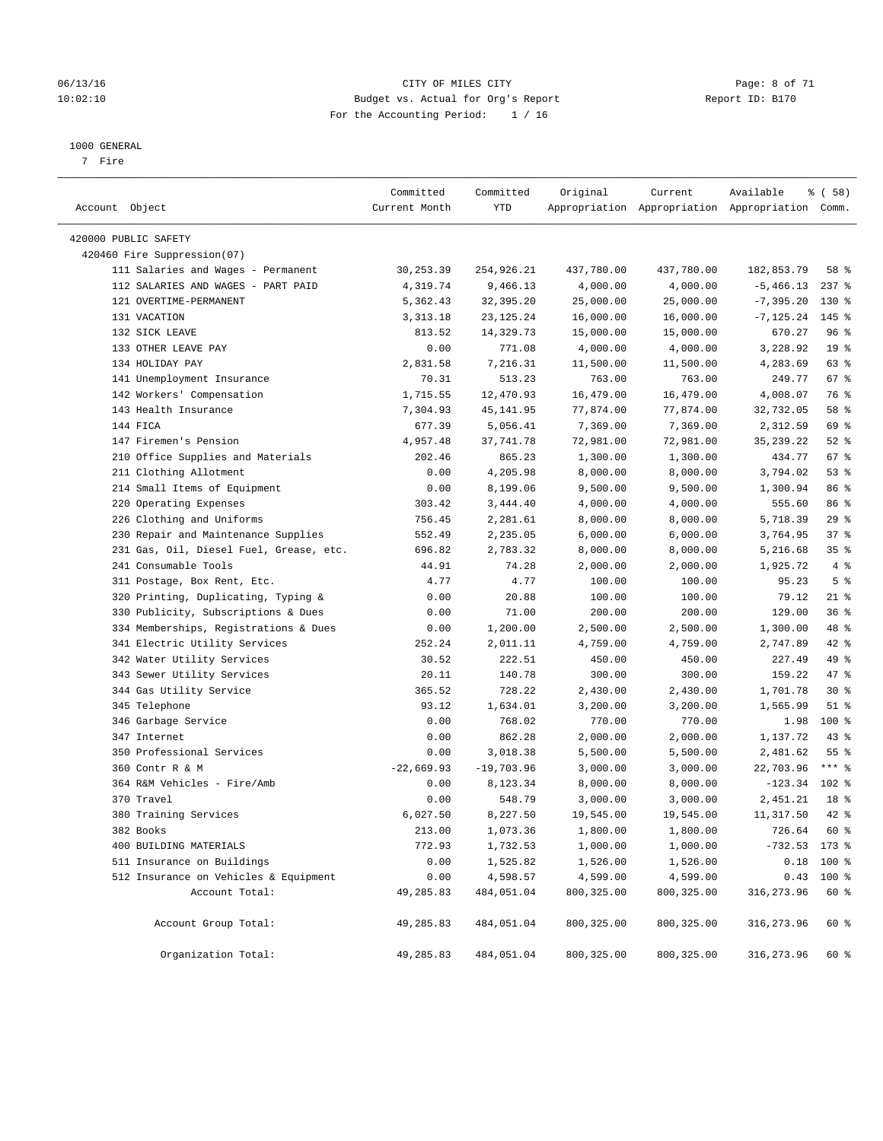### 06/13/16 CITY OF MILES CITY Page: 8 of 71 10:02:10 Budget vs. Actual for Org's Report Changer Report ID: B170 For the Accounting Period: 1 / 16

#### 1000 GENERAL

7 Fire

| Account Object                          | Committed<br>Current Month | Committed<br>YTD | Original              | Current     | Available<br>Appropriation Appropriation Appropriation Comm. | 8 ( 58 )        |
|-----------------------------------------|----------------------------|------------------|-----------------------|-------------|--------------------------------------------------------------|-----------------|
| 420000 PUBLIC SAFETY                    |                            |                  |                       |             |                                                              |                 |
| 420460 Fire Suppression(07)             |                            |                  |                       |             |                                                              |                 |
| 111 Salaries and Wages - Permanent      | 30,253.39                  | 254,926.21       | 437,780.00            | 437,780.00  | 182,853.79                                                   | 58 %            |
| 112 SALARIES AND WAGES - PART PAID      | 4,319.74                   | 9,466.13         | 4,000.00              | 4,000.00    | $-5,466.13$                                                  | $237$ %         |
| 121 OVERTIME-PERMANENT                  | 5,362.43                   | 32,395.20        | 25,000.00             | 25,000.00   | $-7, 395.20$                                                 | $130*$          |
| 131 VACATION                            | 3, 313. 18                 | 23, 125. 24      | 16,000.00             | 16,000.00   | $-7, 125.24$                                                 | $145$ %         |
| 132 SICK LEAVE                          | 813.52                     | 14,329.73        | 15,000.00             | 15,000.00   | 670.27                                                       | 96%             |
| 133 OTHER LEAVE PAY                     | 0.00                       | 771.08           | 4,000.00              | 4,000.00    | 3,228.92                                                     | 19 <sup>°</sup> |
| 134 HOLIDAY PAY                         | 2,831.58                   | 7,216.31         | 11,500.00             | 11,500.00   | 4,283.69                                                     | 63 %            |
| 141 Unemployment Insurance              | 70.31                      | 513.23           | 763.00                | 763.00      | 249.77                                                       | 67 %            |
| 142 Workers' Compensation               | 1,715.55                   | 12,470.93        | 16,479.00             | 16,479.00   | 4,008.07                                                     | 76 %            |
| 143 Health Insurance                    | 7,304.93                   | 45, 141.95       | 77,874.00             | 77,874.00   | 32,732.05                                                    | 58 %            |
| 144 FICA                                | 677.39                     | 5,056.41         | 7,369.00              | 7,369.00    | 2,312.59                                                     | 69 %            |
| 147 Firemen's Pension                   | 4,957.48                   | 37,741.78        |                       |             | 35, 239. 22                                                  | $52$ $%$        |
| 210 Office Supplies and Materials       | 202.46                     | 865.23           | 72,981.00<br>1,300.00 | 72,981.00   |                                                              | 67 %            |
|                                         |                            |                  | 8,000.00              | 1,300.00    | 434.77                                                       | 53%             |
| 211 Clothing Allotment                  | 0.00                       | 4,205.98         |                       | 8,000.00    | 3,794.02                                                     |                 |
| 214 Small Items of Equipment            | 0.00                       | 8,199.06         | 9,500.00              | 9,500.00    | 1,300.94                                                     | 86 %            |
| 220 Operating Expenses                  | 303.42                     | 3,444.40         | 4,000.00              | 4,000.00    | 555.60                                                       | 86 %            |
| 226 Clothing and Uniforms               | 756.45                     | 2,281.61         | 8,000.00              | 8,000.00    | 5,718.39                                                     | 29%             |
| 230 Repair and Maintenance Supplies     | 552.49                     | 2,235.05         | 6,000.00              | 6,000.00    | 3,764.95                                                     | 37%             |
| 231 Gas, Oil, Diesel Fuel, Grease, etc. | 696.82                     | 2,783.32         | 8,000.00              | 8,000.00    | 5,216.68                                                     | 35%             |
| 241 Consumable Tools                    | 44.91                      | 74.28            | 2,000.00              | 2,000.00    | 1,925.72                                                     | 4%              |
| 311 Postage, Box Rent, Etc.             | 4.77                       | 4.77             | 100.00                | 100.00      | 95.23                                                        | 5 <sup>°</sup>  |
| 320 Printing, Duplicating, Typing &     | 0.00                       | 20.88            | 100.00                | 100.00      | 79.12                                                        | $21$ %          |
| 330 Publicity, Subscriptions & Dues     | 0.00                       | 71.00            | 200.00                | 200.00      | 129.00                                                       | 36%             |
| 334 Memberships, Registrations & Dues   | 0.00                       | 1,200.00         | 2,500.00              | 2,500.00    | 1,300.00                                                     | 48 %            |
| 341 Electric Utility Services           | 252.24                     | 2,011.11         | 4,759.00              | 4,759.00    | 2,747.89                                                     | 42 %            |
| 342 Water Utility Services              | 30.52                      | 222.51           | 450.00                | 450.00      | 227.49                                                       | 49 %            |
| 343 Sewer Utility Services              | 20.11                      | 140.78           | 300.00                | 300.00      | 159.22                                                       | 47 %            |
| 344 Gas Utility Service                 | 365.52                     | 728.22           | 2,430.00              | 2,430.00    | 1,701.78                                                     | $30*$           |
| 345 Telephone                           | 93.12                      | 1,634.01         | 3,200.00              | 3,200.00    | 1,565.99                                                     | $51$ %          |
| 346 Garbage Service                     | 0.00                       | 768.02           | 770.00                | 770.00      | 1.98                                                         | 100 %           |
| 347 Internet                            | 0.00                       | 862.28           | 2,000.00              | 2,000.00    | 1,137.72                                                     | $43$ $%$        |
| 350 Professional Services               | 0.00                       | 3,018.38         | 5,500.00              | 5,500.00    | 2,481.62                                                     | 55 <sup>8</sup> |
| 360 Contr R & M                         | $-22,669.93$               | $-19,703.96$     | 3,000.00              | 3,000.00    | 22,703.96                                                    | $***$ 8         |
| 364 R&M Vehicles - Fire/Amb             | 0.00                       | 8,123.34         | 8,000.00              | 8,000.00    | $-123.34$                                                    | $102*$          |
| 370 Travel                              | 0.00                       | 548.79           | 3,000.00              | 3,000.00    | 2,451.21                                                     | 18 %            |
| 380 Training Services                   | 6,027.50                   | 8,227.50         | 19,545.00             | 19,545.00   | 11,317.50                                                    | 42 %            |
| 382 Books                               | 213.00                     | 1,073.36         | 1,800.00              | 1,800.00    | 726.64                                                       | 60 %            |
| 400 BUILDING MATERIALS                  | 772.93                     | 1,732.53         | 1,000.00              | 1,000.00    | $-732.53$ 173 %                                              |                 |
| 511 Insurance on Buildings              | 0.00                       | 1,525.82         | 1,526.00              | 1,526.00    | 0.18                                                         | 100 %           |
| 512 Insurance on Vehicles & Equipment   | 0.00                       | 4,598.57         | 4,599.00              | 4,599.00    |                                                              | $0.43$ 100 %    |
| Account Total:                          | 49,285.83                  | 484,051.04       | 800,325.00            | 800, 325.00 | 316, 273.96                                                  | 60 %            |
| Account Group Total:                    | 49,285.83                  | 484,051.04       | 800,325.00            | 800,325.00  | 316,273.96                                                   | 60 %            |
| Organization Total:                     | 49,285.83                  | 484,051.04       | 800, 325.00           | 800,325.00  | 316, 273.96                                                  | 60 %            |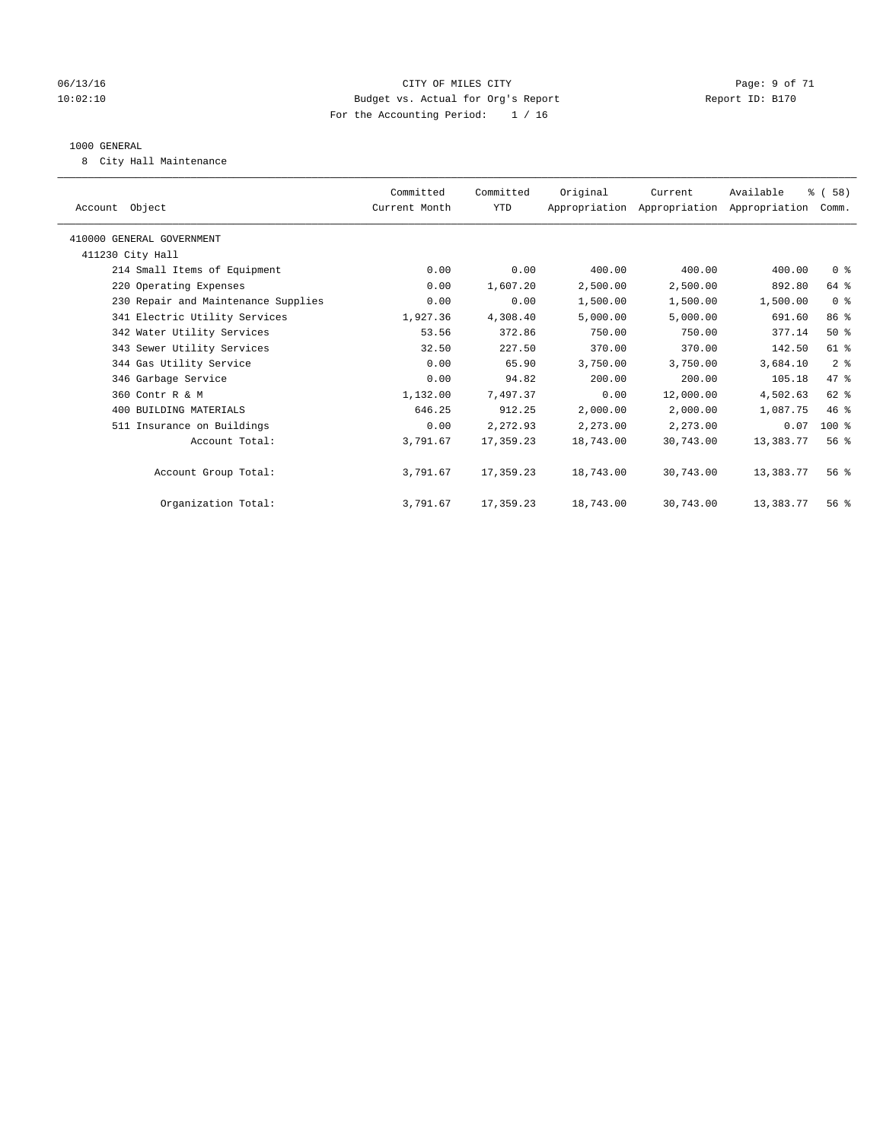### 06/13/16 CITY OF MILES CITY Page: 9 of 71 10:02:10 Budget vs. Actual for Org's Report Changer Report ID: B170 For the Accounting Period: 1 / 16

### 1000 GENERAL

8 City Hall Maintenance

| Committed<br>Current Month | Committed<br>YTD | Original  | Current   | Available | % (58)<br>Comm.                           |
|----------------------------|------------------|-----------|-----------|-----------|-------------------------------------------|
|                            |                  |           |           |           |                                           |
|                            |                  |           |           |           |                                           |
| 0.00                       | 0.00             | 400.00    | 400.00    | 400.00    | 0 <sup>8</sup>                            |
| 0.00                       | 1,607.20         | 2,500.00  | 2,500.00  | 892.80    | 64 %                                      |
| 0.00                       | 0.00             | 1,500.00  | 1,500.00  | 1,500.00  | 0 <sup>8</sup>                            |
| 1,927.36                   | 4,308.40         | 5,000.00  | 5,000.00  | 691.60    | 86 %                                      |
| 53.56                      | 372.86           | 750.00    | 750.00    | 377.14    | 50%                                       |
| 32.50                      | 227.50           | 370.00    | 370.00    | 142.50    | 61 %                                      |
| 0.00                       | 65.90            | 3,750.00  | 3,750.00  | 3,684.10  | 2 <sup>8</sup>                            |
| 0.00                       | 94.82            | 200.00    | 200.00    | 105.18    | 47 %                                      |
| 1,132.00                   | 7,497.37         | 0.00      | 12,000.00 | 4,502.63  | $62$ $%$                                  |
| 646.25                     | 912.25           | 2,000.00  | 2,000.00  | 1,087.75  | 46%                                       |
| 0.00                       | 2,272.93         | 2,273.00  | 2,273.00  | 0.07      | $100*$                                    |
| 3,791.67                   | 17,359.23        | 18,743.00 | 30,743.00 | 13,383.77 | 56 <sup>8</sup>                           |
| 3,791.67                   | 17,359.23        | 18,743.00 | 30,743.00 | 13,383.77 | 56 <sup>8</sup>                           |
| 3,791.67                   | 17,359.23        | 18,743.00 | 30,743.00 | 13,383.77 | 56%                                       |
|                            |                  |           |           |           | Appropriation Appropriation Appropriation |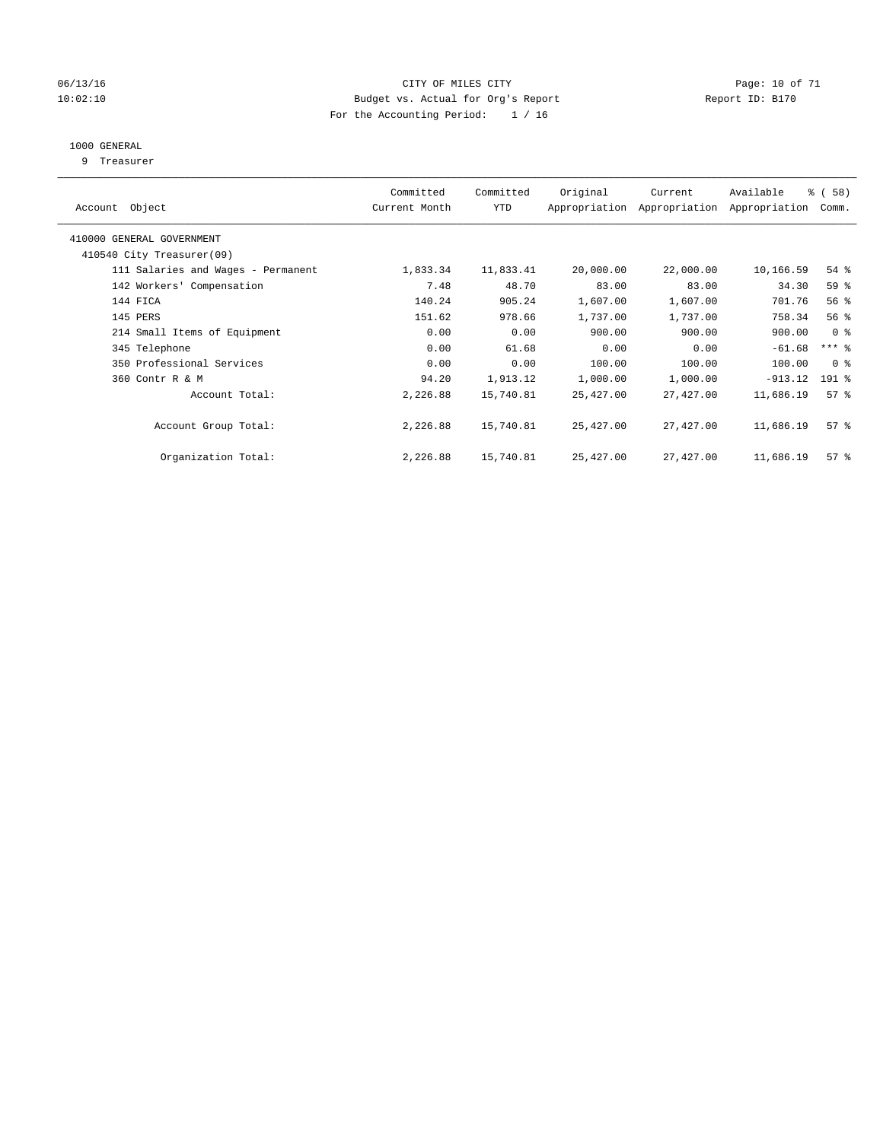### 06/13/16 Page: 10 of 71 10:02:10 Budget vs. Actual for Org's Report Changer Report ID: B170 For the Accounting Period: 1 / 16

### 1000 GENERAL

9 Treasurer

| Object<br>Account                  | Committed<br>Current Month | Committed<br><b>YTD</b> | Original  | Current<br>Appropriation Appropriation | Available<br>Appropriation | 8 ( 58 )<br>Comm.   |
|------------------------------------|----------------------------|-------------------------|-----------|----------------------------------------|----------------------------|---------------------|
| 410000 GENERAL GOVERNMENT          |                            |                         |           |                                        |                            |                     |
| 410540 City Treasurer(09)          |                            |                         |           |                                        |                            |                     |
| 111 Salaries and Wages - Permanent | 1,833.34                   | 11,833.41               | 20,000.00 | 22,000.00                              | 10,166.59                  | $54$ %              |
| 142 Workers' Compensation          | 7.48                       | 48.70                   | 83.00     | 83.00                                  | 34.30                      | 59 %                |
| 144 FICA                           | 140.24                     | 905.24                  | 1,607.00  | 1,607.00                               | 701.76                     | 56%                 |
| 145 PERS                           | 151.62                     | 978.66                  | 1,737.00  | 1,737.00                               | 758.34                     | 56%                 |
| 214 Small Items of Equipment       | 0.00                       | 0.00                    | 900.00    | 900.00                                 | 900.00                     | 0 <sup>8</sup>      |
| 345 Telephone                      | 0.00                       | 61.68                   | 0.00      | 0.00                                   | $-61.68$                   | $***$ $\frac{6}{5}$ |
| 350 Professional Services          | 0.00                       | 0.00                    | 100.00    | 100.00                                 | 100.00                     | 0 <sup>8</sup>      |
| 360 Contr R & M                    | 94.20                      | 1,913.12                | 1,000.00  | 1,000.00                               | $-913.12$                  | $191$ %             |
| Account Total:                     | 2,226.88                   | 15,740.81               | 25,427.00 | 27,427.00                              | 11,686.19                  | 57%                 |
| Account Group Total:               | 2,226.88                   | 15,740.81               | 25,427.00 | 27,427.00                              | 11,686.19                  | 57%                 |
| Organization Total:                | 2,226.88                   | 15,740.81               | 25,427.00 | 27,427.00                              | 11,686.19                  | 57 <sup>°</sup>     |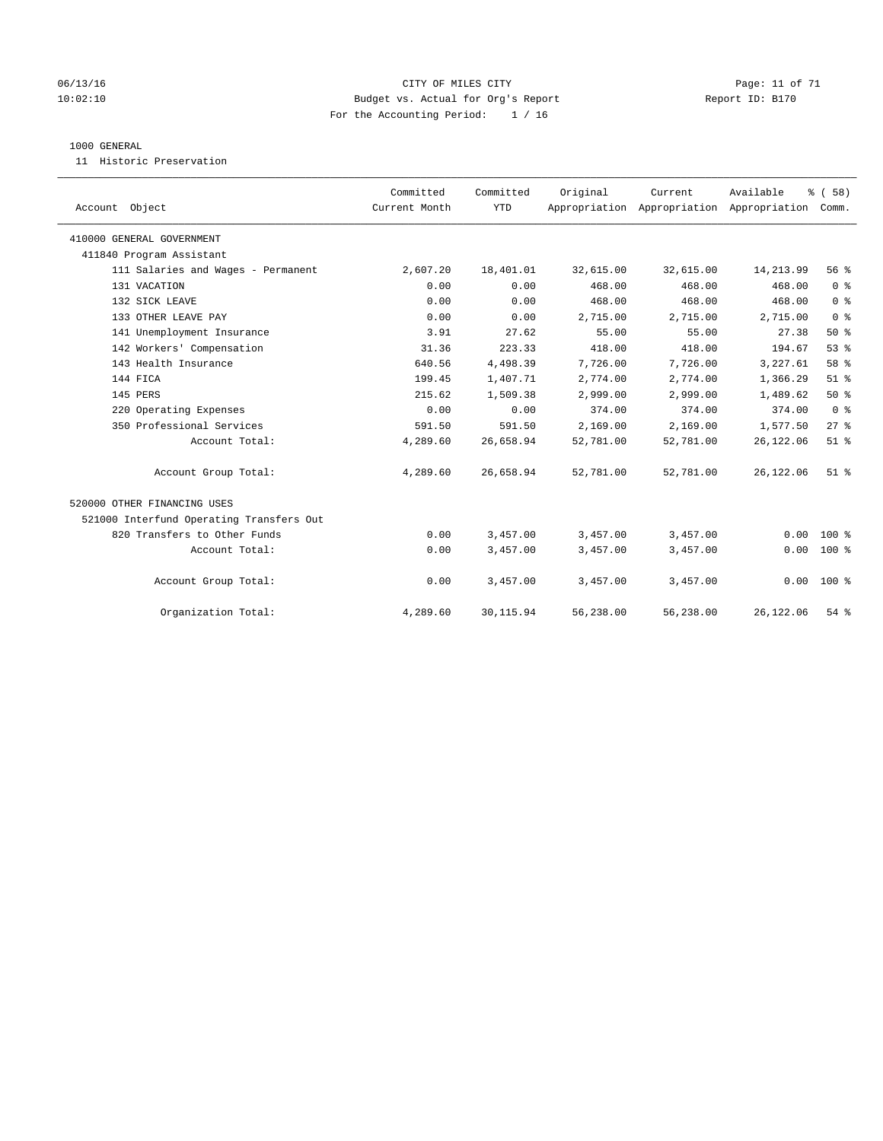### 06/13/16 Page: 11 of 71 10:02:10 Budget vs. Actual for Org's Report Changer Report ID: B170 For the Accounting Period: 1 / 16

### 1000 GENERAL

11 Historic Preservation

| Account Object                           | Committed<br>Current Month | Committed<br><b>YTD</b> | Original  | Current<br>Appropriation Appropriation Appropriation | Available  | % (58)<br>Comm. |
|------------------------------------------|----------------------------|-------------------------|-----------|------------------------------------------------------|------------|-----------------|
| 410000 GENERAL GOVERNMENT                |                            |                         |           |                                                      |            |                 |
| 411840 Program Assistant                 |                            |                         |           |                                                      |            |                 |
| 111 Salaries and Wages - Permanent       | 2,607.20                   | 18,401.01               | 32,615.00 | 32,615.00                                            | 14, 213.99 | 56%             |
| 131 VACATION                             | 0.00                       | 0.00                    | 468.00    | 468.00                                               | 468.00     | 0 <sup>8</sup>  |
| 132 SICK LEAVE                           | 0.00                       | 0.00                    | 468.00    | 468.00                                               | 468.00     | 0 <sup>8</sup>  |
| 133 OTHER LEAVE PAY                      | 0.00                       | 0.00                    | 2,715.00  | 2,715.00                                             | 2,715.00   | 0 <sup>8</sup>  |
| 141 Unemployment Insurance               | 3.91                       | 27.62                   | 55.00     | 55.00                                                | 27.38      | 50%             |
| 142 Workers' Compensation                | 31.36                      | 223.33                  | 418.00    | 418.00                                               | 194.67     | 53%             |
| 143 Health Insurance                     | 640.56                     | 4,498.39                | 7,726.00  | 7,726.00                                             | 3,227.61   | 58 %            |
| 144 FICA                                 | 199.45                     | 1,407.71                | 2,774.00  | 2,774.00                                             | 1,366.29   | $51$ %          |
| 145 PERS                                 | 215.62                     | 1,509.38                | 2,999.00  | 2,999.00                                             | 1,489.62   | 50%             |
| 220 Operating Expenses                   | 0.00                       | 0.00                    | 374.00    | 374.00                                               | 374.00     | 0 <sup>8</sup>  |
| 350 Professional Services                | 591.50                     | 591.50                  | 2,169.00  | 2,169.00                                             | 1,577.50   | $27$ $%$        |
| Account Total:                           | 4,289.60                   | 26,658.94               | 52,781.00 | 52,781.00                                            | 26, 122.06 | $51$ $%$        |
| Account Group Total:                     | 4,289.60                   | 26,658.94               | 52,781.00 | 52,781.00                                            | 26, 122.06 | $51$ %          |
| 520000 OTHER FINANCING USES              |                            |                         |           |                                                      |            |                 |
| 521000 Interfund Operating Transfers Out |                            |                         |           |                                                      |            |                 |
| 820 Transfers to Other Funds             | 0.00                       | 3,457.00                | 3,457.00  | 3,457.00                                             | 0.00       | $100*$          |
| Account Total:                           | 0.00                       | 3,457.00                | 3,457.00  | 3,457.00                                             | 0.00       | $100*$          |
| Account Group Total:                     | 0.00                       | 3,457.00                | 3,457.00  | 3,457.00                                             |            | $0.00 100$ %    |
| Organization Total:                      | 4,289.60                   | 30, 115.94              | 56,238.00 | 56,238.00                                            | 26, 122.06 | 54 %            |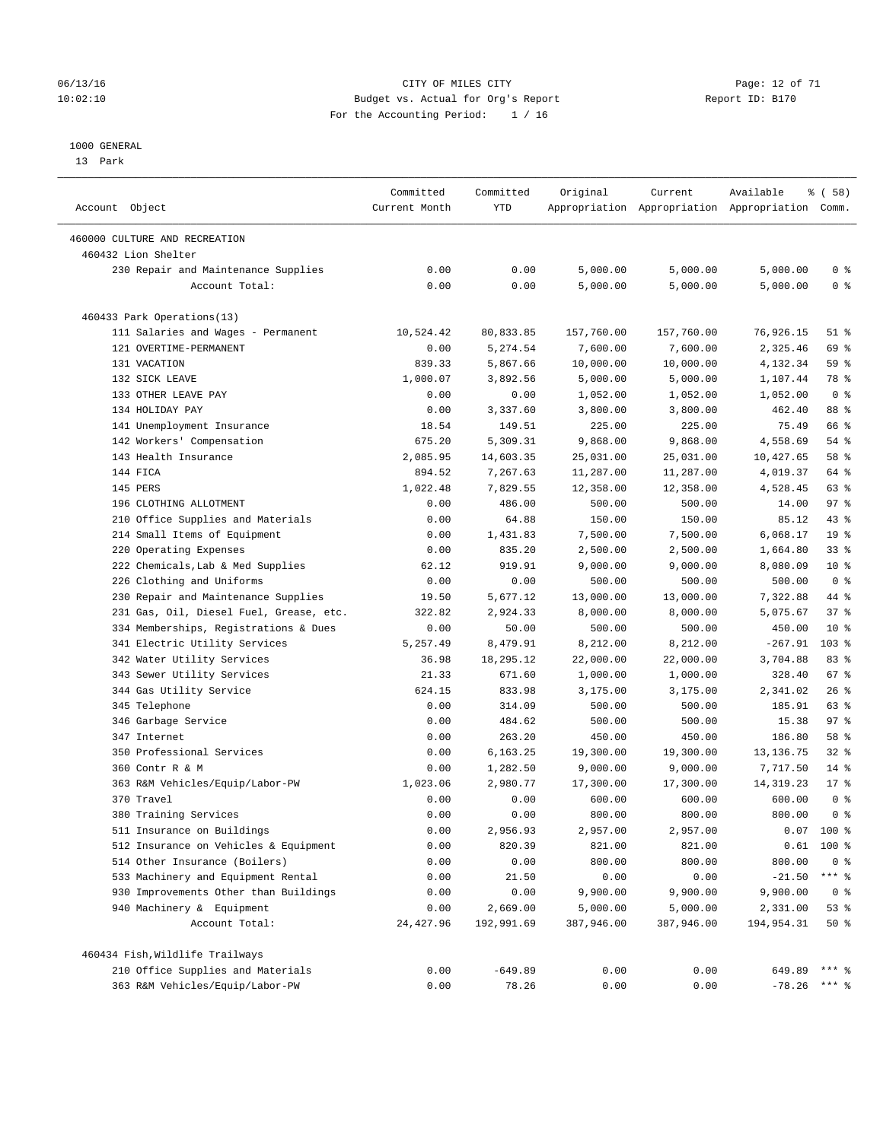### 06/13/16 Page: 12 of 71 10:02:10 Budget vs. Actual for Org's Report Changer Report ID: B170 For the Accounting Period: 1 / 16

#### 1000 GENERAL

13 Park

| Account Object                          | Committed<br>Current Month | Committed<br>YTD | Original             | Current              | Available<br>Appropriation Appropriation Appropriation Comm. | 8 ( 58 )                         |
|-----------------------------------------|----------------------------|------------------|----------------------|----------------------|--------------------------------------------------------------|----------------------------------|
| 460000 CULTURE AND RECREATION           |                            |                  |                      |                      |                                                              |                                  |
| 460432 Lion Shelter                     |                            |                  |                      |                      |                                                              |                                  |
| 230 Repair and Maintenance Supplies     |                            |                  |                      |                      | 5,000.00                                                     |                                  |
| Account Total:                          | 0.00<br>0.00               | 0.00<br>0.00     | 5,000.00<br>5,000.00 | 5,000.00<br>5,000.00 | 5,000.00                                                     | 0 <sup>8</sup><br>0 <sup>8</sup> |
|                                         |                            |                  |                      |                      |                                                              |                                  |
| 460433 Park Operations(13)              |                            |                  |                      |                      |                                                              |                                  |
| 111 Salaries and Wages - Permanent      | 10,524.42                  | 80,833.85        | 157,760.00           | 157,760.00           | 76,926.15                                                    | $51$ %                           |
| 121 OVERTIME-PERMANENT                  | 0.00                       | 5,274.54         | 7,600.00             | 7,600.00             | 2,325.46                                                     | 69 %                             |
| 131 VACATION                            | 839.33                     | 5,867.66         | 10,000.00            | 10,000.00            | 4,132.34                                                     | 59 %                             |
| 132 SICK LEAVE                          | 1,000.07                   | 3,892.56         | 5,000.00             | 5,000.00             | 1,107.44                                                     | 78 %                             |
| 133 OTHER LEAVE PAY                     | 0.00                       | 0.00             | 1,052.00             | 1,052.00             | 1,052.00                                                     | 0 <sup>8</sup>                   |
| 134 HOLIDAY PAY                         | 0.00                       | 3,337.60         | 3,800.00             | 3,800.00             | 462.40                                                       | 88 %                             |
| 141 Unemployment Insurance              | 18.54                      | 149.51           | 225.00               | 225.00               | 75.49                                                        | 66 %                             |
| 142 Workers' Compensation               | 675.20                     | 5,309.31         | 9,868.00             | 9,868.00             | 4,558.69                                                     | 54 %                             |
| 143 Health Insurance                    | 2,085.95                   | 14,603.35        | 25,031.00            | 25,031.00            | 10,427.65                                                    | 58 %                             |
| 144 FICA                                | 894.52                     | 7,267.63         | 11,287.00            | 11,287.00            | 4,019.37                                                     | 64 %                             |
| 145 PERS                                | 1,022.48                   | 7,829.55         | 12,358.00            | 12,358.00            | 4,528.45                                                     | 63 %                             |
| 196 CLOTHING ALLOTMENT                  | 0.00                       | 486.00           | 500.00               | 500.00               | 14.00                                                        | 97%                              |
| 210 Office Supplies and Materials       | 0.00                       | 64.88            | 150.00               | 150.00               | 85.12                                                        | 43 %                             |
| 214 Small Items of Equipment            | 0.00                       | 1,431.83         | 7,500.00             | 7,500.00             | 6,068.17                                                     | 19 <sup>°</sup>                  |
| 220 Operating Expenses                  | 0.00                       | 835.20           | 2,500.00             | 2,500.00             | 1,664.80                                                     | 33%                              |
| 222 Chemicals, Lab & Med Supplies       | 62.12                      | 919.91           | 9,000.00             | 9,000.00             | 8,080.09                                                     | $10*$                            |
| 226 Clothing and Uniforms               | 0.00                       | 0.00             | 500.00               | 500.00               | 500.00                                                       | 0 <sup>8</sup>                   |
| 230 Repair and Maintenance Supplies     | 19.50                      | 5,677.12         | 13,000.00            | 13,000.00            | 7,322.88                                                     | 44 %                             |
| 231 Gas, Oil, Diesel Fuel, Grease, etc. | 322.82                     | 2,924.33         | 8,000.00             | 8,000.00             | 5,075.67                                                     | 37%                              |
| 334 Memberships, Registrations & Dues   | 0.00                       | 50.00            | 500.00               | 500.00               | 450.00                                                       | $10*$                            |
| 341 Electric Utility Services           | 5,257.49                   | 8,479.91         | 8,212.00             | 8,212.00             | $-267.91$                                                    | 103 %                            |
| 342 Water Utility Services              | 36.98                      | 18,295.12        | 22,000.00            | 22,000.00            | 3,704.88                                                     | 83%                              |
| 343 Sewer Utility Services              | 21.33                      | 671.60           | 1,000.00             | 1,000.00             | 328.40                                                       | 67 %                             |
| 344 Gas Utility Service                 | 624.15                     | 833.98           | 3,175.00             | 3,175.00             | 2,341.02                                                     | 26%                              |
| 345 Telephone                           | 0.00                       | 314.09           | 500.00               | 500.00               | 185.91                                                       | 63 %                             |
| 346 Garbage Service                     | 0.00                       | 484.62           | 500.00               | 500.00               | 15.38                                                        | 97%                              |
| 347 Internet                            | 0.00                       | 263.20           | 450.00               | 450.00               | 186.80                                                       | 58 %                             |
| 350 Professional Services               | 0.00                       | 6,163.25         | 19,300.00            | 19,300.00            | 13, 136. 75                                                  | $32$ $%$                         |
| 360 Contr R & M                         | 0.00                       | 1,282.50         | 9,000.00             | 9,000.00             | 7,717.50                                                     | $14*$                            |
| 363 R&M Vehicles/Equip/Labor-PW         | 1,023.06                   | 2,980.77         | 17,300.00            | 17,300.00            | 14, 319.23                                                   | $17*$                            |
| 370 Travel                              | 0.00                       | 0.00             | 600.00               | 600.00               | 600.00                                                       | 0 <sup>8</sup>                   |
| 380 Training Services                   | 0.00                       | 0.00             | 800.00               | 800.00               | 800.00                                                       | 0 <sup>8</sup>                   |
| 511 Insurance on Buildings              | 0.00                       | 2,956.93         | 2,957.00             | 2,957.00             |                                                              | $0.07$ 100 %                     |
| 512 Insurance on Vehicles & Equipment   | 0.00                       | 820.39           | 821.00               | 821.00               | 0.61                                                         | 100 %                            |
| 514 Other Insurance (Boilers)           | 0.00                       | 0.00             | 800.00               | 800.00               | 800.00                                                       | 0 <sup>8</sup>                   |
| 533 Machinery and Equipment Rental      | 0.00                       | 21.50            | 0.00                 | 0.00                 | $-21.50$                                                     | $***$ $_{8}$                     |
| 930 Improvements Other than Buildings   | 0.00                       | 0.00             | 9,900.00             | 9,900.00             | 9,900.00                                                     | 0 <sub>8</sub>                   |
| 940 Machinery & Equipment               | 0.00                       | 2,669.00         | 5,000.00             | 5,000.00             | 2,331.00                                                     | 53%                              |
| Account Total:                          | 24, 427.96                 | 192,991.69       | 387,946.00           | 387,946.00           | 194,954.31                                                   | 50%                              |
|                                         |                            |                  |                      |                      |                                                              |                                  |
| 460434 Fish, Wildlife Trailways         |                            |                  |                      |                      |                                                              |                                  |
| 210 Office Supplies and Materials       | 0.00                       | $-649.89$        | 0.00                 | 0.00                 | 649.89                                                       | $***$ $%$                        |
| 363 R&M Vehicles/Equip/Labor-PW         | 0.00                       | 78.26            | 0.00                 | 0.00                 | $-78.26$                                                     | $***$ 2                          |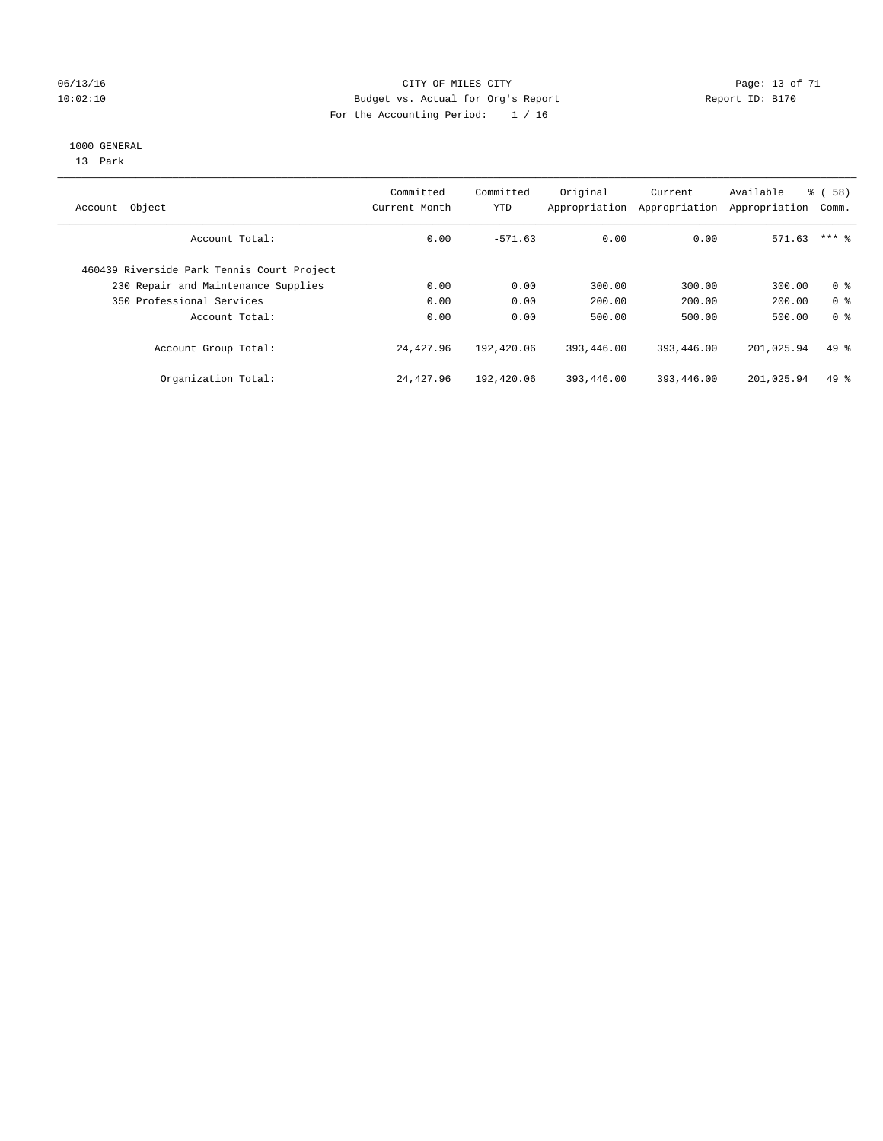### 06/13/16 Page: 13 of 71 10:02:10 Budget vs. Actual for Org's Report Changer Report ID: B170 For the Accounting Period: 1 / 16

#### 1000 GENERAL

13 Park

|                                            | Committed     | Committed  | Original      | Current       | Available     | 8 ( 58 )       |
|--------------------------------------------|---------------|------------|---------------|---------------|---------------|----------------|
| Account Object                             | Current Month | YTD        | Appropriation | Appropriation | Appropriation | Comm.          |
| Account Total:                             | 0.00          | $-571.63$  | 0.00          | 0.00          | 571.63        | $***$ 2        |
| 460439 Riverside Park Tennis Court Project |               |            |               |               |               |                |
| 230 Repair and Maintenance Supplies        | 0.00          | 0.00       | 300.00        | 300.00        | 300.00        | 0 <sup>8</sup> |
| 350 Professional Services                  | 0.00          | 0.00       | 200.00        | 200.00        | 200.00        | 0 <sup>8</sup> |
| Account Total:                             | 0.00          | 0.00       | 500.00        | 500.00        | 500.00        | 0 <sup>8</sup> |
| Account Group Total:                       | 24,427.96     | 192,420.06 | 393,446.00    | 393,446.00    | 201,025.94    | $49*$          |
| Organization Total:                        | 24,427.96     | 192,420.06 | 393,446.00    | 393,446.00    | 201,025.94    | $49*$          |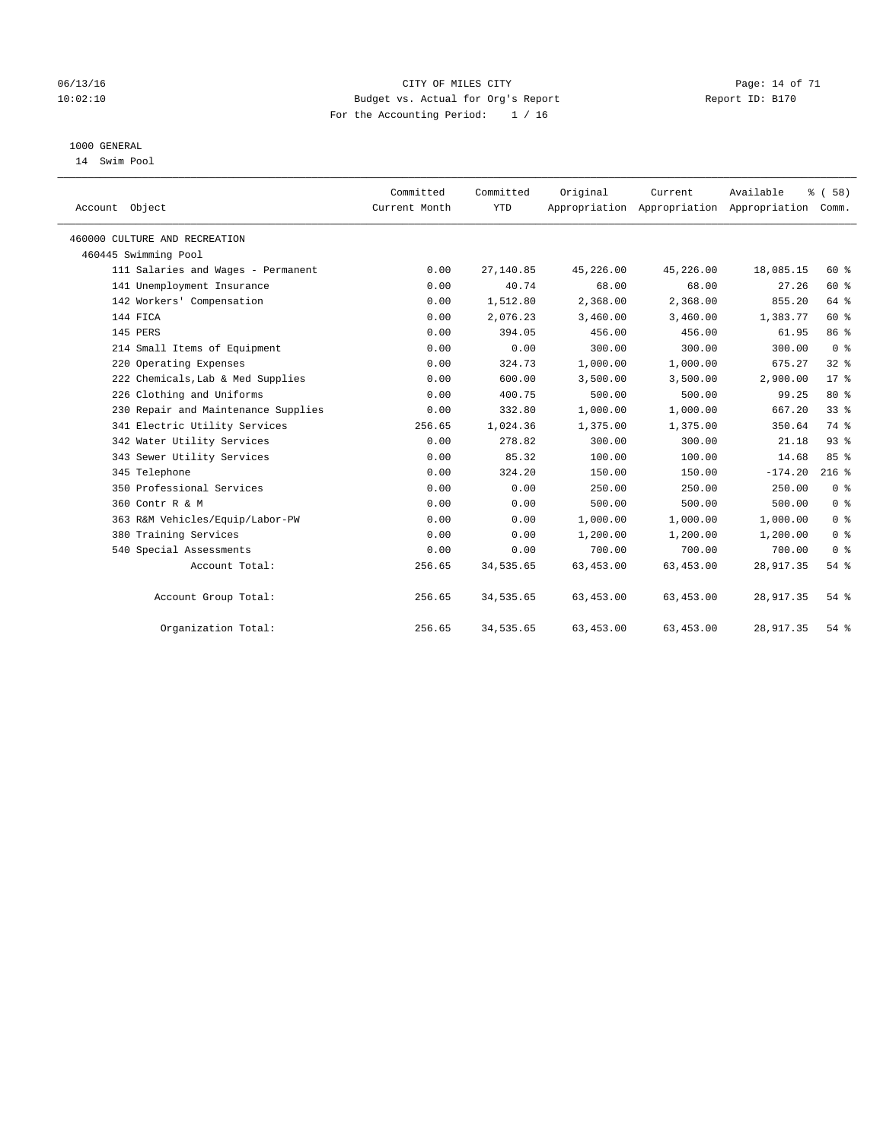### 06/13/16 Page: 14 of 71 10:02:10 Budget vs. Actual for Org's Report Changer Report ID: B170 For the Accounting Period: 1 / 16

### 1000 GENERAL

14 Swim Pool

| Account Object                      | Committed<br>Current Month | Committed<br><b>YTD</b> | Original   | Current<br>Appropriation Appropriation Appropriation Comm. | Available  | % (58)          |
|-------------------------------------|----------------------------|-------------------------|------------|------------------------------------------------------------|------------|-----------------|
| 460000 CULTURE AND RECREATION       |                            |                         |            |                                                            |            |                 |
| 460445 Swimming Pool                |                            |                         |            |                                                            |            |                 |
| 111 Salaries and Wages - Permanent  | 0.00                       | 27,140.85               | 45,226.00  | 45,226.00                                                  | 18,085.15  | 60 %            |
| 141 Unemployment Insurance          | 0.00                       | 40.74                   | 68.00      | 68.00                                                      | 27.26      | $60*$           |
| 142 Workers' Compensation           | 0.00                       | 1,512.80                | 2,368.00   | 2,368.00                                                   | 855.20     | 64 %            |
| 144 FICA                            | 0.00                       | 2,076.23                | 3,460.00   | 3,460.00                                                   | 1,383.77   | 60 %            |
| 145 PERS                            | 0.00                       | 394.05                  | 456.00     | 456.00                                                     | 61.95      | 86 %            |
| 214 Small Items of Equipment        | 0.00                       | 0.00                    | 300.00     | 300.00                                                     | 300.00     | 0 <sup>8</sup>  |
| 220 Operating Expenses              | 0.00                       | 324.73                  | 1,000.00   | 1,000.00                                                   | 675.27     | 32%             |
| 222 Chemicals, Lab & Med Supplies   | 0.00                       | 600.00                  | 3,500.00   | 3,500.00                                                   | 2,900.00   | $17*$           |
| 226 Clothing and Uniforms           | 0.00                       | 400.75                  | 500.00     | 500.00                                                     | 99.25      | $80*$           |
| 230 Repair and Maintenance Supplies | 0.00                       | 332.80                  | 1,000.00   | 1,000.00                                                   | 667.20     | 33 <sup>8</sup> |
| 341 Electric Utility Services       | 256.65                     | 1,024.36                | 1,375.00   | 1,375.00                                                   | 350.64     | 74 %            |
| 342 Water Utility Services          | 0.00                       | 278.82                  | 300.00     | 300.00                                                     | 21.18      | 93%             |
| 343 Sewer Utility Services          | 0.00                       | 85.32                   | 100.00     | 100.00                                                     | 14.68      | 85%             |
| 345 Telephone                       | 0.00                       | 324.20                  | 150.00     | 150.00                                                     | $-174.20$  | $216$ %         |
| 350 Professional Services           | 0.00                       | 0.00                    | 250.00     | 250.00                                                     | 250.00     | 0 <sup>8</sup>  |
| 360 Contr R & M                     | 0.00                       | 0.00                    | 500.00     | 500.00                                                     | 500.00     | 0 <sup>8</sup>  |
| 363 R&M Vehicles/Equip/Labor-PW     | 0.00                       | 0.00                    | 1,000.00   | 1,000.00                                                   | 1,000.00   | 0 <sup>8</sup>  |
| 380 Training Services               | 0.00                       | 0.00                    | 1,200.00   | 1,200.00                                                   | 1,200.00   | 0 <sup>8</sup>  |
| 540 Special Assessments             | 0.00                       | 0.00                    | 700.00     | 700.00                                                     | 700.00     | 0 <sup>8</sup>  |
| Account Total:                      | 256.65                     | 34,535.65               | 63,453.00  | 63,453.00                                                  | 28, 917.35 | 54 %            |
| Account Group Total:                | 256.65                     | 34,535.65               | 63, 453.00 | 63, 453.00                                                 | 28,917.35  | $54$ $%$        |
| Organization Total:                 | 256.65                     | 34,535.65               | 63, 453.00 | 63,453.00                                                  | 28, 917.35 | $54$ $%$        |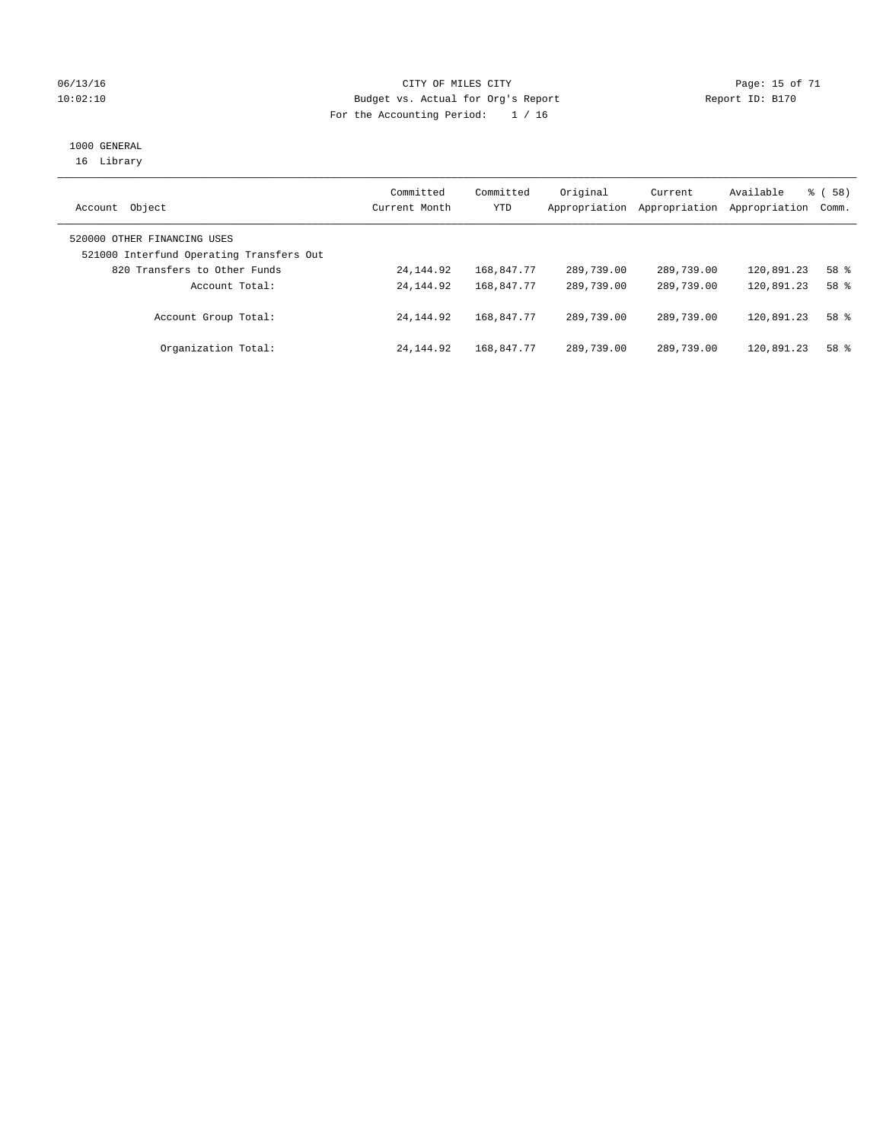### 06/13/16 Page: 15 of 71 10:02:10 Budget vs. Actual for Org's Report Changer Report ID: B170 For the Accounting Period: 1 / 16

# 1000 GENERAL

16 Library

| Object<br>Account                                                       | Committed<br>Current Month | Committed<br>YTD | Original<br>Appropriation | Current<br>Appropriation | Available<br>Appropriation | 8 ( 58 )<br>Comm. |
|-------------------------------------------------------------------------|----------------------------|------------------|---------------------------|--------------------------|----------------------------|-------------------|
| 520000 OTHER FINANCING USES<br>521000 Interfund Operating Transfers Out |                            |                  |                           |                          |                            |                   |
| 820 Transfers to Other Funds                                            | 24, 144, 92                | 168,847.77       | 289,739.00                | 289,739.00               | 120,891.23                 | 58 %              |
| Account Total:                                                          | 24, 144, 92                | 168,847.77       | 289,739.00                | 289,739.00               | 120,891.23                 | 58 %              |
| Account Group Total:                                                    | 24, 144, 92                | 168,847.77       | 289,739.00                | 289,739.00               | 120,891.23                 | 58 %              |
| Organization Total:                                                     | 24, 144, 92                | 168,847.77       | 289,739.00                | 289,739.00               | 120,891.23                 | 58 %              |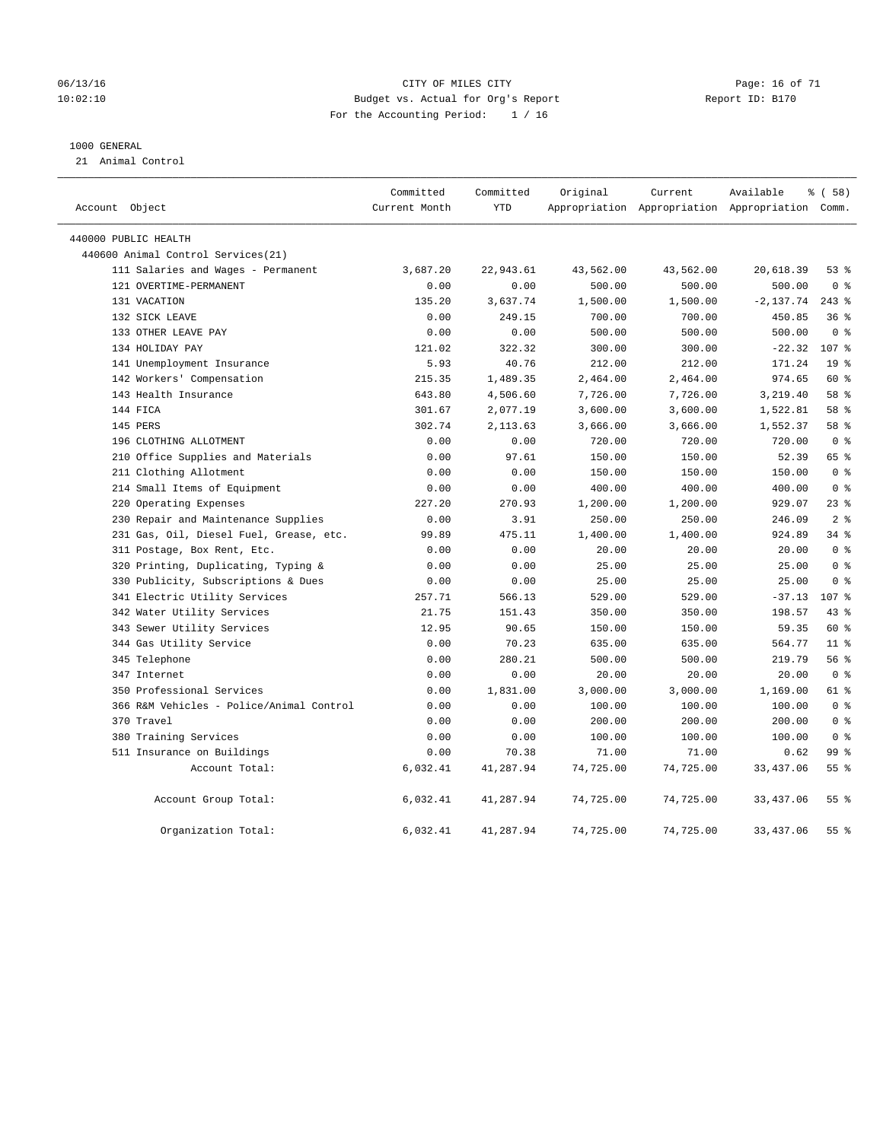### 06/13/16 Page: 16 of 71 10:02:10 Budget vs. Actual for Org's Report Changer Report ID: B170 For the Accounting Period: 1 / 16

### 1000 GENERAL

21 Animal Control

| Account Object |                                          | Committed<br>Current Month | Committed<br><b>YTD</b> | Original  | Current   | Available<br>Appropriation Appropriation Appropriation Comm. | % ( 58 )        |
|----------------|------------------------------------------|----------------------------|-------------------------|-----------|-----------|--------------------------------------------------------------|-----------------|
|                | 440000 PUBLIC HEALTH                     |                            |                         |           |           |                                                              |                 |
|                | 440600 Animal Control Services (21)      |                            |                         |           |           |                                                              |                 |
|                | 111 Salaries and Wages - Permanent       | 3,687.20                   | 22,943.61               | 43,562.00 | 43,562.00 | 20,618.39                                                    | 53%             |
|                | 121 OVERTIME-PERMANENT                   | 0.00                       | 0.00                    | 500.00    | 500.00    | 500.00                                                       | 0 <sup>8</sup>  |
|                | 131 VACATION                             | 135.20                     | 3,637.74                | 1,500.00  | 1,500.00  | $-2,137.74$                                                  | $243$ %         |
|                | 132 SICK LEAVE                           | 0.00                       | 249.15                  | 700.00    | 700.00    | 450.85                                                       | 36%             |
|                | 133 OTHER LEAVE PAY                      | 0.00                       | 0.00                    | 500.00    | 500.00    | 500.00                                                       | 0 <sup>8</sup>  |
|                | 134 HOLIDAY PAY                          | 121.02                     | 322.32                  | 300.00    | 300.00    | $-22.32$                                                     | 107 %           |
|                | 141 Unemployment Insurance               | 5.93                       | 40.76                   | 212.00    | 212.00    | 171.24                                                       | 19 <sup>°</sup> |
|                | 142 Workers' Compensation                | 215.35                     | 1,489.35                | 2,464.00  | 2,464.00  | 974.65                                                       | 60 %            |
|                | 143 Health Insurance                     | 643.80                     | 4,506.60                | 7,726.00  | 7,726.00  | 3,219.40                                                     | 58 %            |
|                | 144 FICA                                 | 301.67                     | 2,077.19                | 3,600.00  | 3,600.00  | 1,522.81                                                     | 58 %            |
|                | 145 PERS                                 | 302.74                     | 2, 113.63               | 3,666.00  | 3,666.00  | 1,552.37                                                     | 58 %            |
|                | 196 CLOTHING ALLOTMENT                   | 0.00                       | 0.00                    | 720.00    | 720.00    | 720.00                                                       | 0 <sup>8</sup>  |
|                | 210 Office Supplies and Materials        | 0.00                       | 97.61                   | 150.00    | 150.00    | 52.39                                                        | 65 %            |
|                | 211 Clothing Allotment                   | 0.00                       | 0.00                    | 150.00    | 150.00    | 150.00                                                       | 0 <sup>8</sup>  |
|                | 214 Small Items of Equipment             | 0.00                       | 0.00                    | 400.00    | 400.00    | 400.00                                                       | 0 <sup>8</sup>  |
|                | 220 Operating Expenses                   | 227.20                     | 270.93                  | 1,200.00  | 1,200.00  | 929.07                                                       | $23$ $%$        |
|                | 230 Repair and Maintenance Supplies      | 0.00                       | 3.91                    | 250.00    | 250.00    | 246.09                                                       | 2 <sup>8</sup>  |
|                | 231 Gas, Oil, Diesel Fuel, Grease, etc.  | 99.89                      | 475.11                  | 1,400.00  | 1,400.00  | 924.89                                                       | 34%             |
|                | 311 Postage, Box Rent, Etc.              | 0.00                       | 0.00                    | 20.00     | 20.00     | 20.00                                                        | 0 <sup>8</sup>  |
|                | 320 Printing, Duplicating, Typing &      | 0.00                       | 0.00                    | 25.00     | 25.00     | 25.00                                                        | 0 <sup>8</sup>  |
|                | 330 Publicity, Subscriptions & Dues      | 0.00                       | 0.00                    | 25.00     | 25.00     | 25.00                                                        | 0 <sup>8</sup>  |
|                | 341 Electric Utility Services            | 257.71                     | 566.13                  | 529.00    | 529.00    | $-37.13$                                                     | 107 %           |
|                | 342 Water Utility Services               | 21.75                      | 151.43                  | 350.00    | 350.00    | 198.57                                                       | 43.8            |
|                | 343 Sewer Utility Services               | 12.95                      | 90.65                   | 150.00    | 150.00    | 59.35                                                        | 60 %            |
|                | 344 Gas Utility Service                  | 0.00                       | 70.23                   | 635.00    | 635.00    | 564.77                                                       | 11 <sup>8</sup> |
|                | 345 Telephone                            | 0.00                       | 280.21                  | 500.00    | 500.00    | 219.79                                                       | 56%             |
|                | 347 Internet                             | 0.00                       | 0.00                    | 20.00     | 20.00     | 20.00                                                        | 0 <sup>8</sup>  |
|                | 350 Professional Services                | 0.00                       | 1,831.00                | 3,000.00  | 3,000.00  | 1,169.00                                                     | $61$ %          |
|                | 366 R&M Vehicles - Police/Animal Control | 0.00                       | 0.00                    | 100.00    | 100.00    | 100.00                                                       | 0 <sup>8</sup>  |
|                | 370 Travel                               | 0.00                       | 0.00                    | 200.00    | 200.00    | 200.00                                                       | 0 <sup>8</sup>  |
|                | 380 Training Services                    | 0.00                       | 0.00                    | 100.00    | 100.00    | 100.00                                                       | 0 <sup>8</sup>  |
|                | 511 Insurance on Buildings               | 0.00                       | 70.38                   | 71.00     | 71.00     | 0.62                                                         | 99 %            |
|                | Account Total:                           | 6,032.41                   | 41,287.94               | 74,725.00 | 74,725.00 | 33,437.06                                                    | 55%             |
|                | Account Group Total:                     | 6,032.41                   | 41,287.94               | 74,725.00 | 74,725.00 | 33,437.06                                                    | 55%             |
|                | Organization Total:                      | 6,032.41                   | 41,287.94               | 74,725.00 | 74,725.00 | 33, 437.06                                                   | 55 <sup>8</sup> |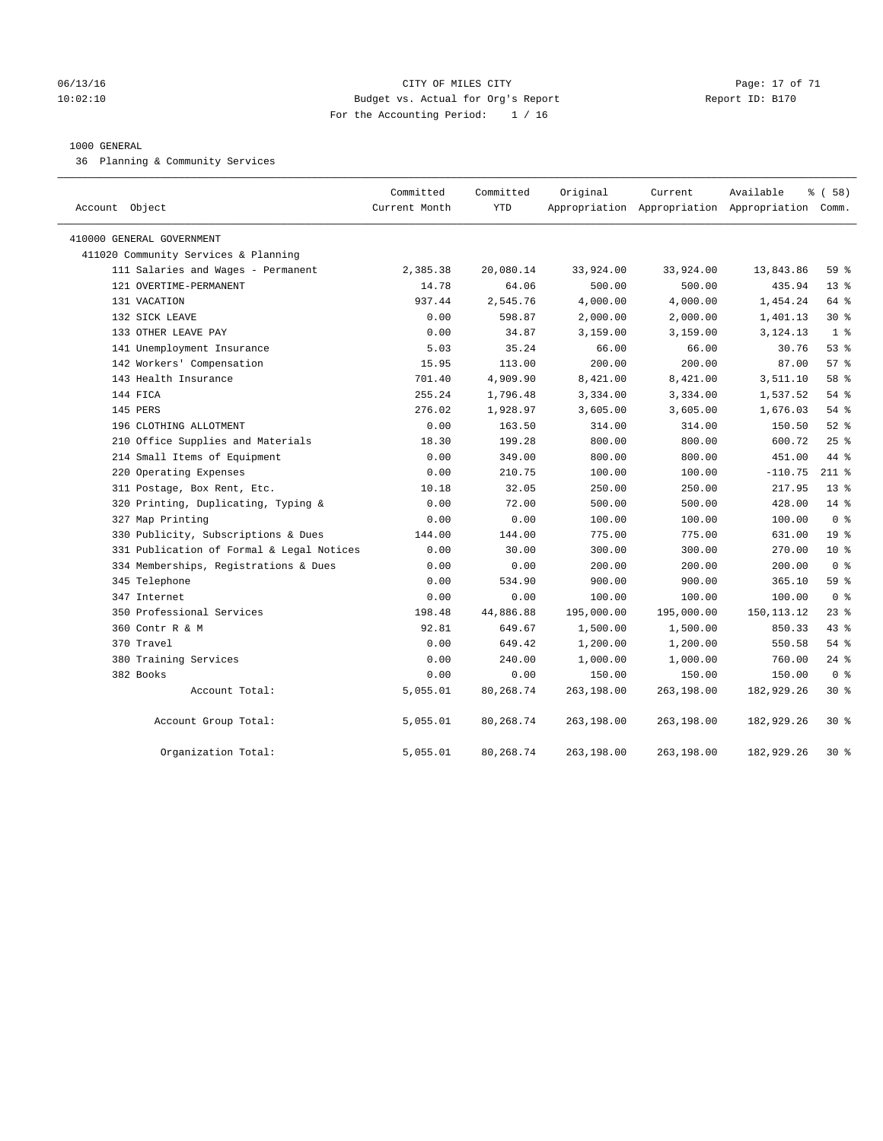### 06/13/16 Page: 17 of 71 CHTY OF MILES CITY 10:02:10 Budget vs. Actual for Org's Report Report ID: B170 For the Accounting Period: 1 / 16

### 1000 GENERAL

36 Planning & Community Services

| Account Object                            | Committed<br>Current Month | Committed<br><b>YTD</b> | Original   | Current    | Available<br>Appropriation Appropriation Appropriation Comm. | % (58)          |
|-------------------------------------------|----------------------------|-------------------------|------------|------------|--------------------------------------------------------------|-----------------|
| 410000 GENERAL GOVERNMENT                 |                            |                         |            |            |                                                              |                 |
| 411020 Community Services & Planning      |                            |                         |            |            |                                                              |                 |
| 111 Salaries and Wages - Permanent        | 2,385.38                   | 20,080.14               | 33,924.00  | 33,924.00  | 13,843.86                                                    | 59 %            |
| 121 OVERTIME-PERMANENT                    | 14.78                      | 64.06                   | 500.00     | 500.00     | 435.94                                                       | $13*$           |
| 131 VACATION                              | 937.44                     | 2,545.76                | 4,000.00   | 4,000.00   | 1,454.24                                                     | 64 %            |
| 132 SICK LEAVE                            | 0.00                       | 598.87                  | 2,000.00   | 2,000.00   | 1,401.13                                                     | $30*$           |
| 133 OTHER LEAVE PAY                       | 0.00                       | 34.87                   | 3,159.00   | 3,159.00   | 3,124.13                                                     | 1 <sup>8</sup>  |
| 141 Unemployment Insurance                | 5.03                       | 35.24                   | 66.00      | 66.00      | 30.76                                                        | 53%             |
| 142 Workers' Compensation                 | 15.95                      | 113.00                  | 200.00     | 200.00     | 87.00                                                        | 57%             |
| 143 Health Insurance                      | 701.40                     | 4,909.90                | 8,421.00   | 8,421.00   | 3,511.10                                                     | 58 %            |
| 144 FICA                                  | 255.24                     | 1,796.48                | 3,334.00   | 3,334.00   | 1,537.52                                                     | 54%             |
| 145 PERS                                  | 276.02                     | 1,928.97                | 3,605.00   | 3,605.00   | 1,676.03                                                     | 54%             |
| 196 CLOTHING ALLOTMENT                    | 0.00                       | 163.50                  | 314.00     | 314.00     | 150.50                                                       | $52$ $%$        |
| 210 Office Supplies and Materials         | 18.30                      | 199.28                  | 800.00     | 800.00     | 600.72                                                       | 25%             |
| 214 Small Items of Equipment              | 0.00                       | 349.00                  | 800.00     | 800.00     | 451.00                                                       | 44 %            |
| 220 Operating Expenses                    | 0.00                       | 210.75                  | 100.00     | 100.00     | $-110.75$                                                    | $211$ %         |
| 311 Postage, Box Rent, Etc.               | 10.18                      | 32.05                   | 250.00     | 250.00     | 217.95                                                       | $13*$           |
| 320 Printing, Duplicating, Typing &       | 0.00                       | 72.00                   | 500.00     | 500.00     | 428.00                                                       | $14*$           |
| 327 Map Printing                          | 0.00                       | 0.00                    | 100.00     | 100.00     | 100.00                                                       | 0 <sup>8</sup>  |
| 330 Publicity, Subscriptions & Dues       | 144.00                     | 144.00                  | 775.00     | 775.00     | 631.00                                                       | 19 <sup>°</sup> |
| 331 Publication of Formal & Legal Notices | 0.00                       | 30.00                   | 300.00     | 300.00     | 270.00                                                       | 10 <sup>8</sup> |
| 334 Memberships, Registrations & Dues     | 0.00                       | 0.00                    | 200.00     | 200.00     | 200.00                                                       | 0 <sup>8</sup>  |
| 345 Telephone                             | 0.00                       | 534.90                  | 900.00     | 900.00     | 365.10                                                       | 59%             |
| 347 Internet                              | 0.00                       | 0.00                    | 100.00     | 100.00     | 100.00                                                       | 0 <sup>8</sup>  |
| 350 Professional Services                 | 198.48                     | 44,886.88               | 195,000.00 | 195,000.00 | 150, 113. 12                                                 | 238             |
| 360 Contr R & M                           | 92.81                      | 649.67                  | 1,500.00   | 1,500.00   | 850.33                                                       | 43%             |
| 370 Travel                                | 0.00                       | 649.42                  | 1,200.00   | 1,200.00   | 550.58                                                       | 54%             |
| 380 Training Services                     | 0.00                       | 240.00                  | 1,000.00   | 1,000.00   | 760.00                                                       | $24$ %          |
| 382 Books                                 | 0.00                       | 0.00                    | 150.00     | 150.00     | 150.00                                                       | 0 <sup>8</sup>  |
| Account Total:                            | 5,055.01                   | 80,268.74               | 263,198.00 | 263,198.00 | 182,929.26                                                   | $30*$           |
| Account Group Total:                      | 5,055.01                   | 80,268.74               | 263,198.00 | 263,198.00 | 182,929.26                                                   | $30*$           |
| Organization Total:                       | 5,055.01                   | 80,268.74               | 263,198.00 | 263,198.00 | 182,929.26                                                   | $30*$           |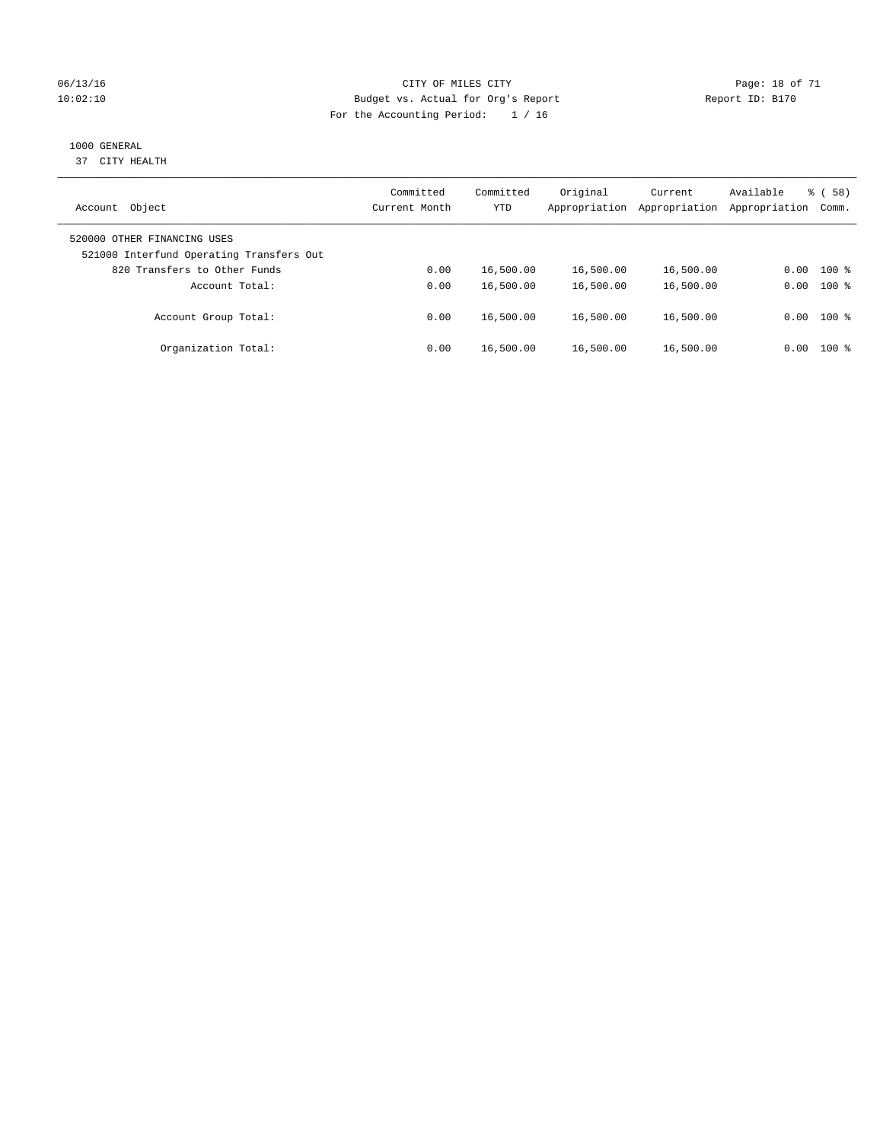### 06/13/16 Page: 18 of 71 10:02:10 Budget vs. Actual for Org's Report Changer Report ID: B170 For the Accounting Period: 1 / 16

### 1000 GENERAL

37 CITY HEALTH

| Object<br>Account                                                       | Committed<br>Current Month | Committed<br><b>YTD</b> | Original<br>Appropriation | Current<br>Appropriation | Available<br>Appropriation | 58)<br>ී (<br>Comm. |
|-------------------------------------------------------------------------|----------------------------|-------------------------|---------------------------|--------------------------|----------------------------|---------------------|
| 520000 OTHER FINANCING USES<br>521000 Interfund Operating Transfers Out |                            |                         |                           |                          |                            |                     |
| 820 Transfers to Other Funds                                            | 0.00                       | 16,500.00               | 16,500.00                 | 16,500.00                | 0.00                       | $100$ %             |
| Account Total:                                                          | 0.00                       | 16,500.00               | 16,500.00                 | 16,500.00                | 0.00                       | $100$ %             |
| Account Group Total:                                                    | 0.00                       | 16,500.00               | 16,500.00                 | 16,500.00                |                            | $0.00$ 100 %        |
| Organization Total:                                                     | 0.00                       | 16,500.00               | 16,500.00                 | 16,500.00                | 0.00                       | $100$ %             |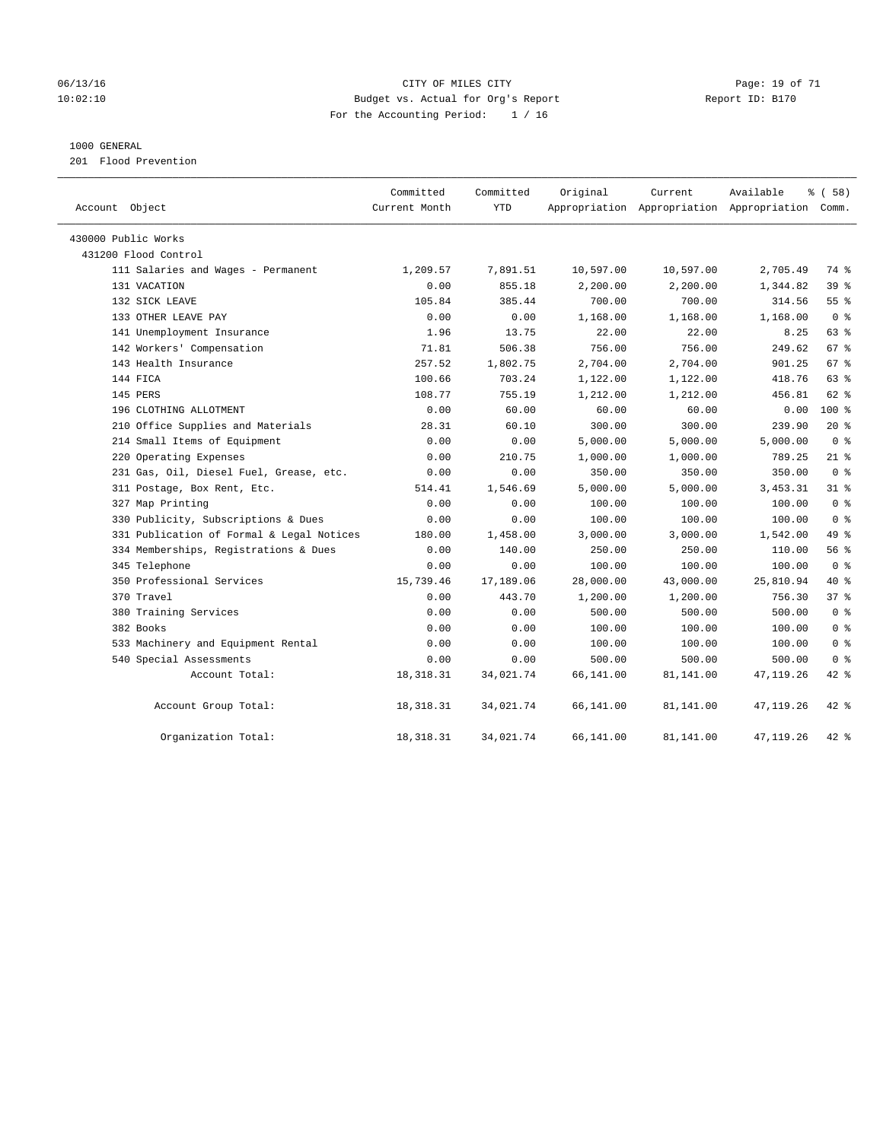### 06/13/16 Page: 19 of 71 10:02:10 Budget vs. Actual for Org's Report Changer Report ID: B170 For the Accounting Period: 1 / 16

### 1000 GENERAL

201 Flood Prevention

| Account Object                            | Committed<br>Current Month | Committed<br><b>YTD</b> | Original  | Current   | Available<br>Appropriation Appropriation Appropriation Comm. | % (58)          |
|-------------------------------------------|----------------------------|-------------------------|-----------|-----------|--------------------------------------------------------------|-----------------|
| 430000 Public Works                       |                            |                         |           |           |                                                              |                 |
| 431200 Flood Control                      |                            |                         |           |           |                                                              |                 |
| 111 Salaries and Wages - Permanent        | 1,209.57                   | 7,891.51                | 10,597.00 | 10,597.00 | 2,705.49                                                     | 74 %            |
| 131 VACATION                              | 0.00                       | 855.18                  | 2,200.00  | 2,200.00  | 1,344.82                                                     | 39%             |
| 132 SICK LEAVE                            | 105.84                     | 385.44                  | 700.00    | 700.00    | 314.56                                                       | 55 <sup>8</sup> |
| 133 OTHER LEAVE PAY                       | 0.00                       | 0.00                    | 1,168.00  | 1,168.00  | 1,168.00                                                     | 0 <sup>8</sup>  |
| 141 Unemployment Insurance                | 1.96                       | 13.75                   | 22.00     | 22.00     | 8.25                                                         | 63%             |
| 142 Workers' Compensation                 | 71.81                      | 506.38                  | 756.00    | 756.00    | 249.62                                                       | 67 %            |
| 143 Health Insurance                      | 257.52                     | 1,802.75                | 2,704.00  | 2,704.00  | 901.25                                                       | 67 %            |
| 144 FICA                                  | 100.66                     | 703.24                  | 1,122.00  | 1,122.00  | 418.76                                                       | 63 %            |
| 145 PERS                                  | 108.77                     | 755.19                  | 1,212.00  | 1,212.00  | 456.81                                                       | $62$ $%$        |
| 196 CLOTHING ALLOTMENT                    | 0.00                       | 60.00                   | 60.00     | 60.00     | 0.00                                                         | $100*$          |
| 210 Office Supplies and Materials         | 28.31                      | 60.10                   | 300.00    | 300.00    | 239.90                                                       | $20*$           |
| 214 Small Items of Equipment              | 0.00                       | 0.00                    | 5,000.00  | 5,000.00  | 5,000.00                                                     | 0 <sup>8</sup>  |
| 220 Operating Expenses                    | 0.00                       | 210.75                  | 1,000.00  | 1,000.00  | 789.25                                                       | 21 %            |
| 231 Gas, Oil, Diesel Fuel, Grease, etc.   | 0.00                       | 0.00                    | 350.00    | 350.00    | 350.00                                                       | 0 <sup>8</sup>  |
| 311 Postage, Box Rent, Etc.               | 514.41                     | 1,546.69                | 5,000.00  | 5,000.00  | 3, 453. 31                                                   | $31*$           |
| 327 Map Printing                          | 0.00                       | 0.00                    | 100.00    | 100.00    | 100.00                                                       | 0 <sup>8</sup>  |
| 330 Publicity, Subscriptions & Dues       | 0.00                       | 0.00                    | 100.00    | 100.00    | 100.00                                                       | 0 <sup>8</sup>  |
| 331 Publication of Formal & Legal Notices | 180.00                     | 1,458.00                | 3,000.00  | 3,000.00  | 1,542.00                                                     | 49 %            |
| 334 Memberships, Registrations & Dues     | 0.00                       | 140.00                  | 250.00    | 250.00    | 110.00                                                       | 56%             |
| 345 Telephone                             | 0.00                       | 0.00                    | 100.00    | 100.00    | 100.00                                                       | 0 <sup>8</sup>  |
| 350 Professional Services                 | 15,739.46                  | 17,189.06               | 28,000.00 | 43,000.00 | 25,810.94                                                    | $40*$           |
| 370 Travel                                | 0.00                       | 443.70                  | 1,200.00  | 1,200.00  | 756.30                                                       | 37%             |
| 380 Training Services                     | 0.00                       | 0.00                    | 500.00    | 500.00    | 500.00                                                       | 0 <sup>8</sup>  |
| 382 Books                                 | 0.00                       | 0.00                    | 100.00    | 100.00    | 100.00                                                       | 0 <sup>8</sup>  |
| 533 Machinery and Equipment Rental        | 0.00                       | 0.00                    | 100.00    | 100.00    | 100.00                                                       | 0 <sup>8</sup>  |
| 540 Special Assessments                   | 0.00                       | 0.00                    | 500.00    | 500.00    | 500.00                                                       | 0 <sup>8</sup>  |
| Account Total:                            | 18, 318. 31                | 34,021.74               | 66,141.00 | 81,141.00 | 47,119.26                                                    | $42$ %          |
| Account Group Total:                      | 18, 318. 31                | 34,021.74               | 66,141.00 | 81,141.00 | 47,119.26                                                    | $42$ %          |
| Organization Total:                       | 18, 318. 31                | 34,021.74               | 66,141.00 | 81,141.00 | 47, 119.26                                                   | $42$ %          |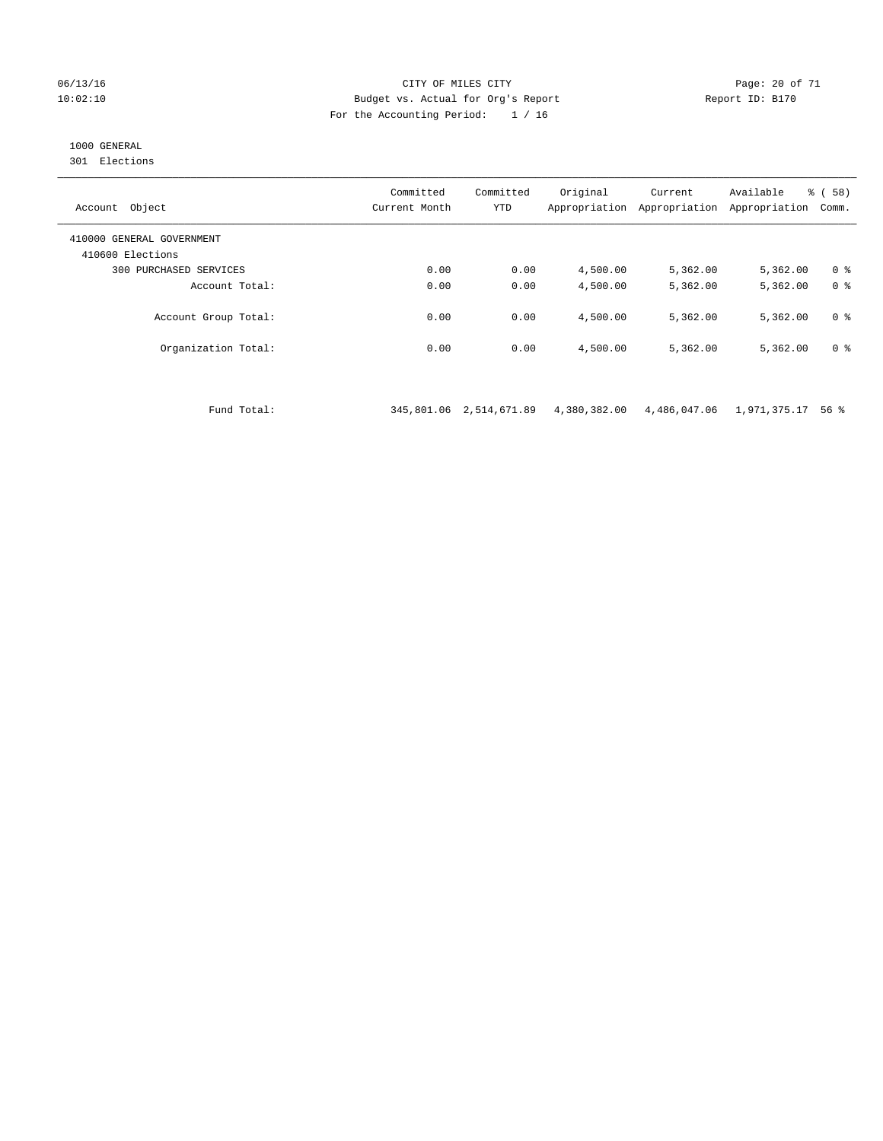### 06/13/16 Page: 20 of 71 10:02:10 Budget vs. Actual for Org's Report Report ID: B170 For the Accounting Period: 1 / 16

### 1000 GENERAL

301 Elections

| Object<br>Account                             | Committed<br>Current Month | Committed<br><b>YTD</b> | Original<br>Appropriation | Current<br>Appropriation | Available<br>Appropriation | % ( 58 )<br>Comm. |
|-----------------------------------------------|----------------------------|-------------------------|---------------------------|--------------------------|----------------------------|-------------------|
| 410000 GENERAL GOVERNMENT<br>410600 Elections |                            |                         |                           |                          |                            |                   |
| PURCHASED SERVICES<br>300                     | 0.00                       | 0.00                    | 4,500.00                  | 5,362.00                 | 5,362.00                   | 0 <sup>8</sup>    |
| Account Total:                                | 0.00                       | 0.00                    | 4,500.00                  | 5,362.00                 | 5,362.00                   | 0 <sup>8</sup>    |
| Account Group Total:                          | 0.00                       | 0.00                    | 4,500.00                  | 5,362.00                 | 5,362.00                   | 0 <sup>8</sup>    |
| Organization Total:                           | 0.00                       | 0.00                    | 4,500.00                  | 5,362.00                 | 5,362.00                   | 0 <sup>8</sup>    |

Fund Total: 345,801.06 2,514,671.89 4,380,382.00 4,486,047.06 1,971,375.17 56 %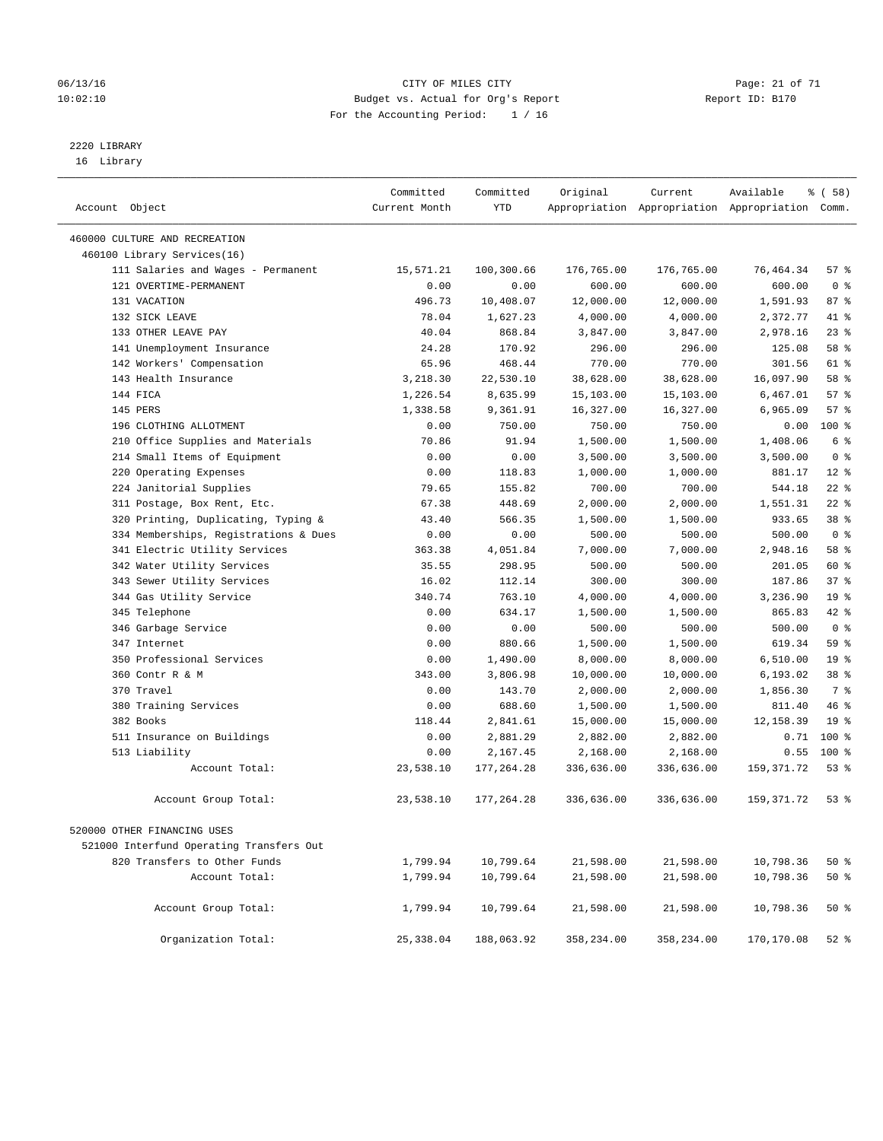### 06/13/16 Page: 21 of 71 10:02:10 Budget vs. Actual for Org's Report Changer Report ID: B170 For the Accounting Period: 1 / 16

# 2220 LIBRARY

16 Library

| Account Object                           | Committed<br>Current Month | Committed<br><b>YTD</b> | Original   | Current    | Available<br>Appropriation Appropriation Appropriation Comm. | 8 ( 58 )        |
|------------------------------------------|----------------------------|-------------------------|------------|------------|--------------------------------------------------------------|-----------------|
| 460000 CULTURE AND RECREATION            |                            |                         |            |            |                                                              |                 |
| 460100 Library Services(16)              |                            |                         |            |            |                                                              |                 |
| 111 Salaries and Wages - Permanent       | 15,571.21                  | 100,300.66              | 176,765.00 | 176,765.00 | 76,464.34                                                    | 57%             |
| 121 OVERTIME-PERMANENT                   | 0.00                       | 0.00                    | 600.00     | 600.00     | 600.00                                                       | 0 <sup>8</sup>  |
| 131 VACATION                             | 496.73                     | 10,408.07               | 12,000.00  | 12,000.00  | 1,591.93                                                     | 87%             |
| 132 STCK LEAVE                           | 78.04                      | 1,627.23                | 4,000.00   | 4,000.00   | 2,372.77                                                     | 41 %            |
| 133 OTHER LEAVE PAY                      | 40.04                      | 868.84                  | 3,847.00   | 3,847.00   | 2,978.16                                                     | 23%             |
| 141 Unemployment Insurance               | 24.28                      | 170.92                  | 296.00     | 296.00     | 125.08                                                       | 58 %            |
| 142 Workers' Compensation                | 65.96                      | 468.44                  | 770.00     | 770.00     | 301.56                                                       | $61$ %          |
| 143 Health Insurance                     | 3,218.30                   | 22,530.10               | 38,628.00  | 38,628.00  | 16,097.90                                                    | 58 %            |
| 144 FICA                                 | 1,226.54                   | 8,635.99                | 15,103.00  | 15,103.00  | 6,467.01                                                     | 57%             |
| 145 PERS                                 | 1,338.58                   | 9,361.91                | 16,327.00  | 16,327.00  | 6,965.09                                                     | 57%             |
| 196 CLOTHING ALLOTMENT                   | 0.00                       | 750.00                  | 750.00     | 750.00     | 0.00                                                         | 100 %           |
| 210 Office Supplies and Materials        | 70.86                      | 91.94                   | 1,500.00   | 1,500.00   | 1,408.06                                                     | 6 %             |
| 214 Small Items of Equipment             | 0.00                       | 0.00                    | 3,500.00   | 3,500.00   | 3,500.00                                                     | 0 <sup>8</sup>  |
| 220 Operating Expenses                   | 0.00                       | 118.83                  | 1,000.00   | 1,000.00   | 881.17                                                       | $12*$           |
| 224 Janitorial Supplies                  | 79.65                      | 155.82                  | 700.00     | 700.00     | 544.18                                                       | $22$ %          |
| 311 Postage, Box Rent, Etc.              | 67.38                      | 448.69                  | 2,000.00   | 2,000.00   | 1,551.31                                                     | $22$ %          |
| 320 Printing, Duplicating, Typing &      | 43.40                      | 566.35                  | 1,500.00   | 1,500.00   | 933.65                                                       | 38 %            |
| 334 Memberships, Registrations & Dues    | 0.00                       | 0.00                    | 500.00     | 500.00     | 500.00                                                       | 0 <sup>8</sup>  |
| 341 Electric Utility Services            | 363.38                     | 4,051.84                | 7,000.00   | 7,000.00   | 2,948.16                                                     | 58 %            |
| 342 Water Utility Services               | 35.55                      | 298.95                  | 500.00     | 500.00     | 201.05                                                       | 60 %            |
| 343 Sewer Utility Services               | 16.02                      | 112.14                  | 300.00     | 300.00     | 187.86                                                       | 37%             |
| 344 Gas Utility Service                  | 340.74                     | 763.10                  | 4,000.00   | 4,000.00   | 3,236.90                                                     | 19 <sup>°</sup> |
| 345 Telephone                            | 0.00                       | 634.17                  | 1,500.00   | 1,500.00   | 865.83                                                       | 42 %            |
| 346 Garbage Service                      | 0.00                       | 0.00                    | 500.00     | 500.00     | 500.00                                                       | 0 <sup>8</sup>  |
| 347 Internet                             | 0.00                       | 880.66                  | 1,500.00   | 1,500.00   | 619.34                                                       | 59 %            |
| 350 Professional Services                | 0.00                       | 1,490.00                | 8,000.00   | 8,000.00   | 6,510.00                                                     | 19 <sup>°</sup> |
| 360 Contr R & M                          | 343.00                     | 3,806.98                | 10,000.00  | 10,000.00  | 6,193.02                                                     | 38 %            |
| 370 Travel                               | 0.00                       | 143.70                  | 2,000.00   | 2,000.00   | 1,856.30                                                     | 7 %             |
| 380 Training Services                    | 0.00                       | 688.60                  | 1,500.00   | 1,500.00   | 811.40                                                       | 46%             |
| 382 Books                                | 118.44                     | 2,841.61                | 15,000.00  | 15,000.00  | 12,158.39                                                    | 19 <sup>°</sup> |
| 511 Insurance on Buildings               | 0.00                       | 2,881.29                | 2,882.00   | 2,882.00   | 0.71                                                         | 100 %           |
| 513 Liability                            | 0.00                       | 2,167.45                | 2,168.00   | 2,168.00   | 0.55                                                         | 100 %           |
| Account Total:                           | 23,538.10                  | 177,264.28              | 336,636.00 | 336,636.00 | 159, 371.72                                                  | 53%             |
| Account Group Total:                     | 23,538.10                  | 177,264.28              | 336,636.00 | 336,636.00 | 159, 371.72                                                  | 53%             |
| 520000 OTHER FINANCING USES              |                            |                         |            |            |                                                              |                 |
| 521000 Interfund Operating Transfers Out |                            |                         |            |            |                                                              |                 |
| 820 Transfers to Other Funds             | 1,799.94                   | 10,799.64               | 21,598.00  | 21,598.00  | 10,798.36                                                    | 50%             |
| Account Total:                           | 1,799.94                   | 10,799.64               | 21,598.00  | 21,598.00  | 10,798.36                                                    | 50%             |
| Account Group Total:                     | 1,799.94                   | 10,799.64               | 21,598.00  | 21,598.00  | 10,798.36                                                    | 50%             |
| Organization Total:                      | 25,338.04                  | 188,063.92              | 358,234.00 | 358,234.00 | 170,170.08                                                   | $52$ $%$        |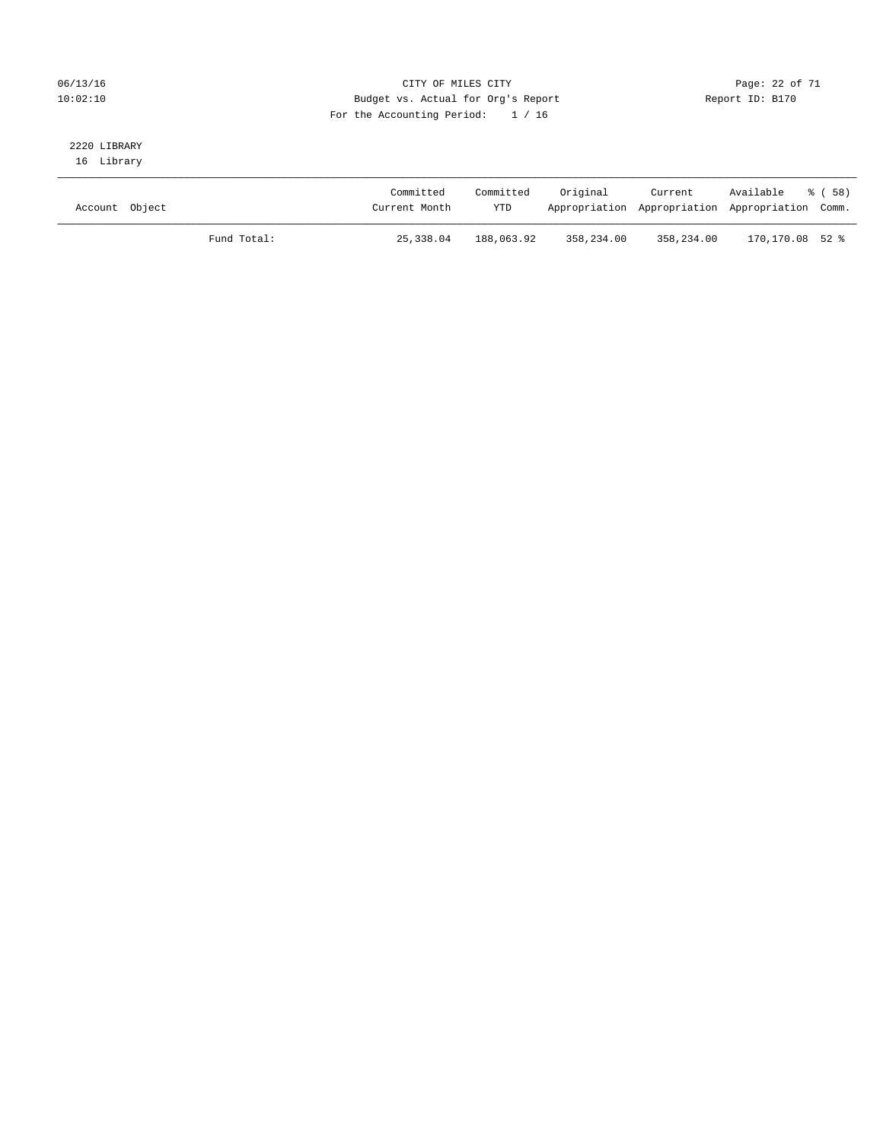### 06/13/16 Page: 22 of 71 10:02:10 Budget vs. Actual for Org's Report Changer Report ID: B170 For the Accounting Period: 1 / 16

# 2220 LIBRARY

16 Library

| Account Object |             | Committed<br>Current Month | Committed<br><b>YTD</b> | Original   | Current<br>Appropriation Appropriation Appropriation Comm. | Available       | - 8 ( 58 ) |
|----------------|-------------|----------------------------|-------------------------|------------|------------------------------------------------------------|-----------------|------------|
|                | Fund Total: | 25,338.04                  | 188,063.92              | 358,234.00 | 358,234.00                                                 | 170,170.08 52 % |            |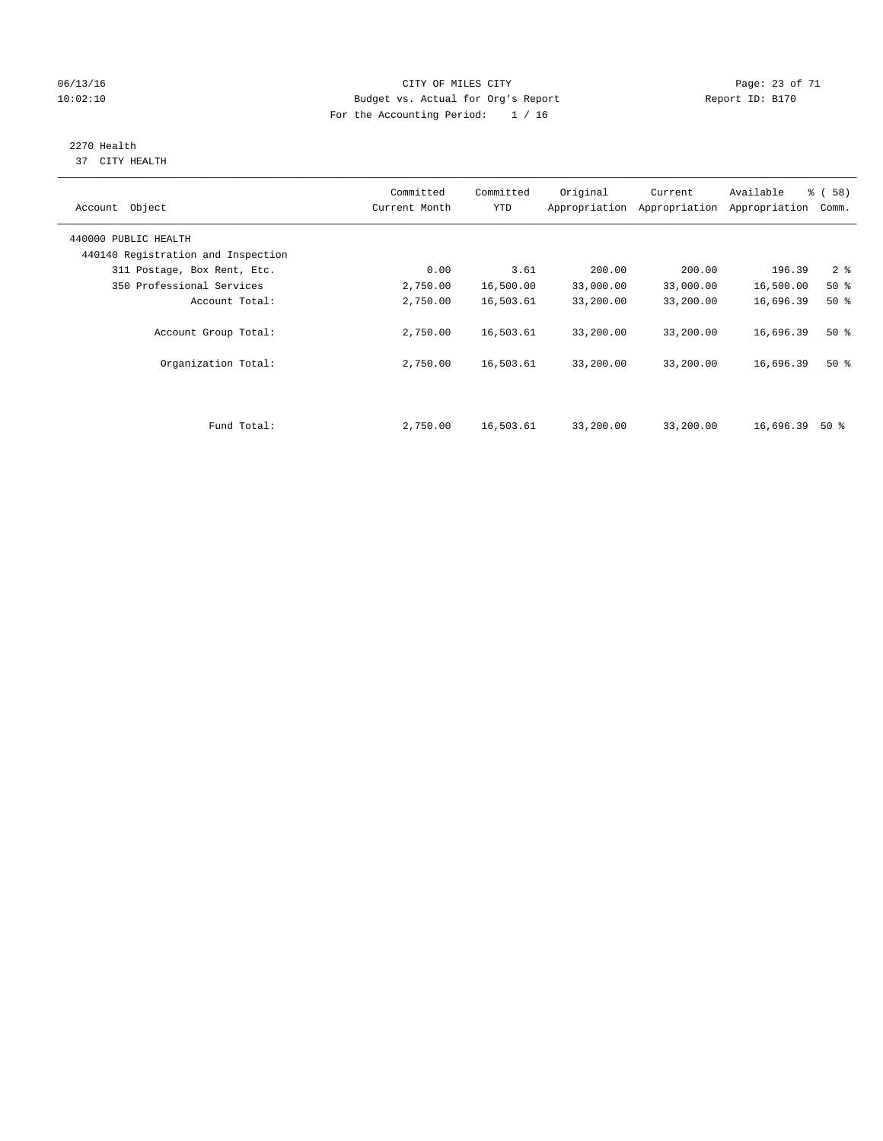### 06/13/16 Page: 23 of 71 10:02:10 Budget vs. Actual for Org's Report Changer Report ID: B170 For the Accounting Period: 1 / 16

#### 2270 Health 37 CITY HEALTH

| Account Object                     | Committed<br>Current Month | Committed<br><b>YTD</b> | Original  | Current<br>Appropriation Appropriation | Available<br>Appropriation | 8 ( 58 )<br>Comm. |
|------------------------------------|----------------------------|-------------------------|-----------|----------------------------------------|----------------------------|-------------------|
| 440000 PUBLIC HEALTH               |                            |                         |           |                                        |                            |                   |
| 440140 Registration and Inspection |                            |                         |           |                                        |                            |                   |
| 311 Postage, Box Rent, Etc.        | 0.00                       | 3.61                    | 200.00    | 200.00                                 | 196.39                     | 2 <sub>8</sub>    |
| 350 Professional Services          | 2,750.00                   | 16,500.00               | 33,000.00 | 33,000.00                              | 16,500.00                  | $50*$             |
| Account Total:                     | 2,750.00                   | 16,503.61               | 33,200.00 | 33,200.00                              | 16,696.39                  | $50*$             |
| Account Group Total:               | 2,750.00                   | 16,503.61               | 33,200.00 | 33,200.00                              | 16,696.39                  | $50*$             |
| Organization Total:                | 2,750.00                   | 16,503.61               | 33,200.00 | 33,200.00                              | 16,696.39                  | 50%               |
|                                    |                            |                         |           |                                        |                            |                   |
| Fund Total:                        | 2,750.00                   | 16,503.61               | 33,200.00 | 33,200.00                              | 16,696.39                  | 50 %              |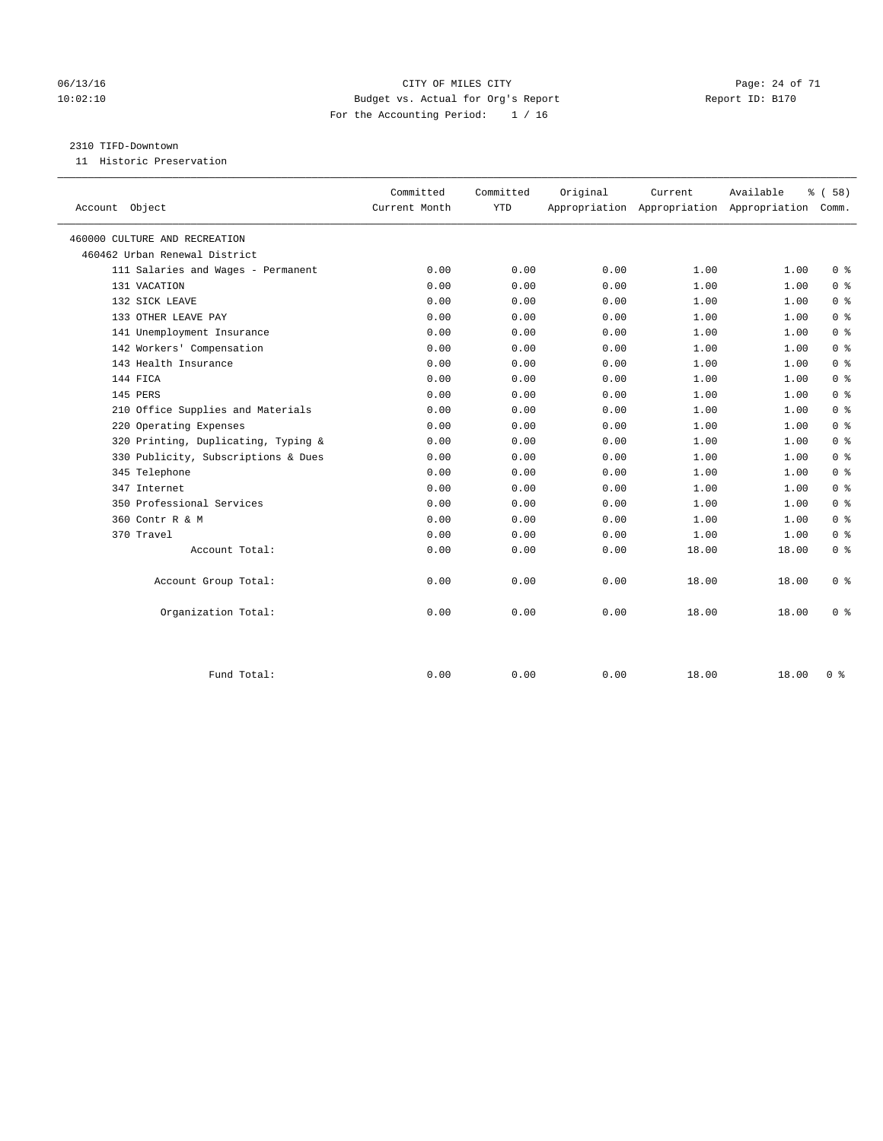### 06/13/16 Page: 24 of 71 10:02:10 Budget vs. Actual for Org's Report Changer Report ID: B170 For the Accounting Period: 1 / 16

### 2310 TIFD-Downtown

11 Historic Preservation

|                                     | Committed     | Committed  | Original | Current | Available                                       | <sub>ර</sub> ි (58) |
|-------------------------------------|---------------|------------|----------|---------|-------------------------------------------------|---------------------|
| Account Object                      | Current Month | <b>YTD</b> |          |         | Appropriation Appropriation Appropriation Comm. |                     |
| 460000 CULTURE AND RECREATION       |               |            |          |         |                                                 |                     |
| 460462 Urban Renewal District       |               |            |          |         |                                                 |                     |
| 111 Salaries and Wages - Permanent  | 0.00          | 0.00       | 0.00     | 1.00    | 1.00                                            | 0 <sup>8</sup>      |
| 131 VACATION                        | 0.00          | 0.00       | 0.00     | 1.00    | 1.00                                            | 0 <sup>8</sup>      |
| 132 SICK LEAVE                      | 0.00          | 0.00       | 0.00     | 1.00    | 1.00                                            | 0 <sup>8</sup>      |
| 133 OTHER LEAVE PAY                 | 0.00          | 0.00       | 0.00     | 1.00    | 1.00                                            | 0 <sup>8</sup>      |
| 141 Unemployment Insurance          | 0.00          | 0.00       | 0.00     | 1.00    | 1.00                                            | 0 <sup>8</sup>      |
| 142 Workers' Compensation           | 0.00          | 0.00       | 0.00     | 1.00    | 1.00                                            | 0 <sup>8</sup>      |
| 143 Health Insurance                | 0.00          | 0.00       | 0.00     | 1.00    | 1.00                                            | 0 <sup>8</sup>      |
| 144 FICA                            | 0.00          | 0.00       | 0.00     | 1.00    | 1.00                                            | 0 <sup>8</sup>      |
| 145 PERS                            | 0.00          | 0.00       | 0.00     | 1.00    | 1.00                                            | 0 <sup>8</sup>      |
| 210 Office Supplies and Materials   | 0.00          | 0.00       | 0.00     | 1.00    | 1.00                                            | 0 <sup>8</sup>      |
| 220 Operating Expenses              | 0.00          | 0.00       | 0.00     | 1.00    | 1.00                                            | 0 <sup>8</sup>      |
| 320 Printing, Duplicating, Typing & | 0.00          | 0.00       | 0.00     | 1.00    | 1.00                                            | 0 <sup>8</sup>      |
| 330 Publicity, Subscriptions & Dues | 0.00          | 0.00       | 0.00     | 1.00    | 1.00                                            | 0 <sup>8</sup>      |
| 345 Telephone                       | 0.00          | 0.00       | 0.00     | 1.00    | 1.00                                            | 0 <sup>8</sup>      |
| 347 Internet                        | 0.00          | 0.00       | 0.00     | 1.00    | 1.00                                            | 0 <sup>8</sup>      |
| 350 Professional Services           | 0.00          | 0.00       | 0.00     | 1.00    | 1.00                                            | 0 <sup>8</sup>      |
| 360 Contr R & M                     | 0.00          | 0.00       | 0.00     | 1.00    | 1.00                                            | 0 <sup>8</sup>      |
| 370 Travel                          | 0.00          | 0.00       | 0.00     | 1.00    | 1.00                                            | 0 <sup>8</sup>      |
| Account Total:                      | 0.00          | 0.00       | 0.00     | 18.00   | 18.00                                           | 0 <sup>8</sup>      |
| Account Group Total:                | 0.00          | 0.00       | 0.00     | 18.00   | 18.00                                           | 0 <sup>8</sup>      |
| Organization Total:                 | 0.00          | 0.00       | 0.00     | 18.00   | 18.00                                           | 0 <sup>8</sup>      |
|                                     |               |            |          |         |                                                 |                     |
| Fund Total:                         | 0.00          | 0.00       | 0.00     | 18.00   | 18.00                                           | 0 <sup>8</sup>      |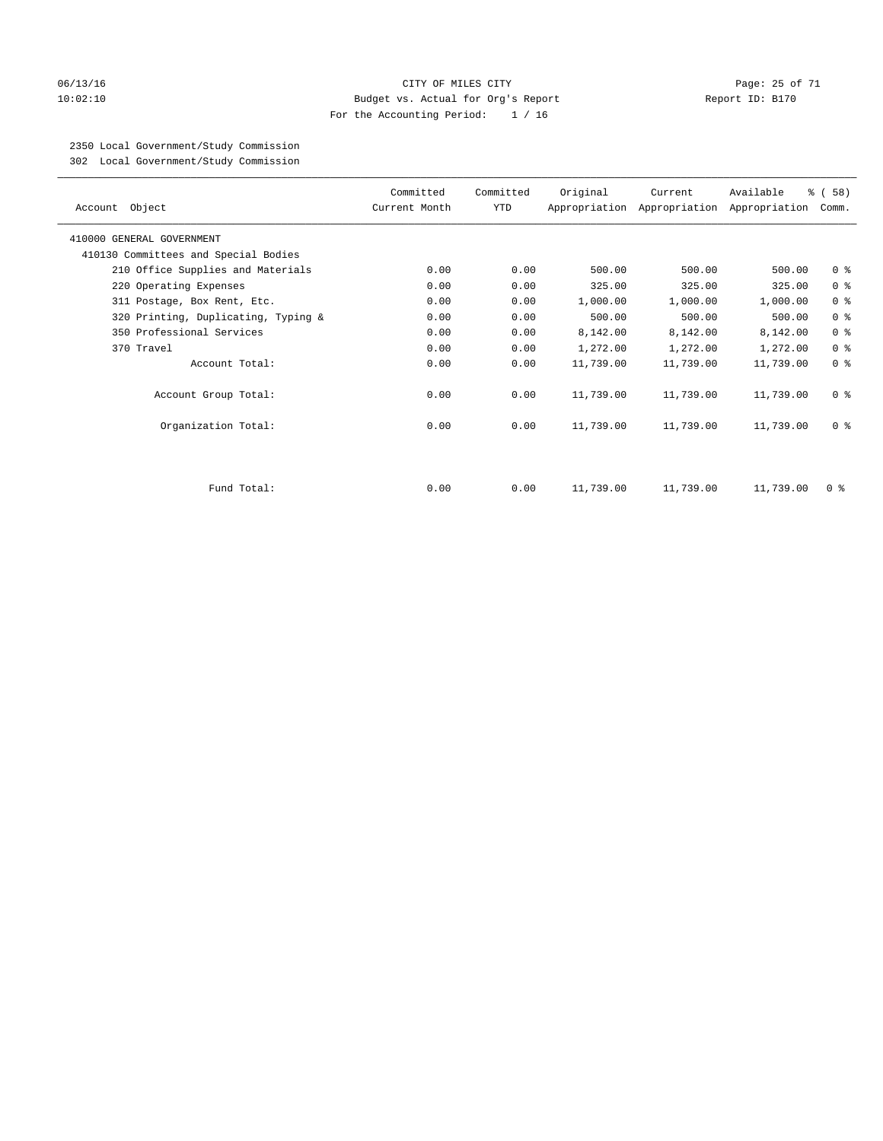### 06/13/16 Page: 25 of 71 10:02:10 Budget vs. Actual for Org's Report Report ID: B170 For the Accounting Period: 1 / 16

### 2350 Local Government/Study Commission

302 Local Government/Study Commission

| Account Object                       | Committed<br>Current Month | Committed<br>YTD | Original  | Current   | Available<br>Appropriation Appropriation Appropriation | % ( 58 )<br>Comm.                  |
|--------------------------------------|----------------------------|------------------|-----------|-----------|--------------------------------------------------------|------------------------------------|
| 410000 GENERAL GOVERNMENT            |                            |                  |           |           |                                                        |                                    |
| 410130 Committees and Special Bodies |                            |                  |           |           |                                                        |                                    |
| 210 Office Supplies and Materials    | 0.00                       | 0.00             | 500.00    | 500.00    | 500.00                                                 | 0 <sub>8</sub>                     |
| 220 Operating Expenses               | 0.00                       | 0.00             | 325.00    | 325.00    | 325.00                                                 | 0 <sup>8</sup>                     |
| 311 Postage, Box Rent, Etc.          | 0.00                       | 0.00             | 1,000.00  | 1,000.00  | 1,000.00                                               | 0 <sup>8</sup>                     |
| 320 Printing, Duplicating, Typing &  | 0.00                       | 0.00             | 500.00    | 500.00    | 500.00                                                 | 0 <sup>8</sup>                     |
| 350 Professional Services            | 0.00                       | 0.00             | 8,142.00  | 8,142.00  | 8,142.00                                               | 0 <sup>8</sup>                     |
| 370 Travel                           | 0.00                       | 0.00             | 1,272.00  | 1,272.00  | 1,272.00                                               | 0 <sup>8</sup>                     |
| Account Total:                       | 0.00                       | 0.00             | 11,739.00 | 11,739.00 | 11,739.00                                              | 0 <sup>8</sup>                     |
| Account Group Total:                 | 0.00                       | 0.00             | 11,739.00 | 11,739.00 | 11,739.00                                              | 0 <sup>8</sup>                     |
| Organization Total:                  | 0.00                       | 0.00             | 11,739.00 | 11,739.00 | 11,739.00                                              | 0 <sup>8</sup>                     |
|                                      |                            |                  |           |           |                                                        |                                    |
| Fund Total:                          | 0.00                       | 0.00             | 11,739.00 | 11,739.00 | 11,739.00                                              | $0 \text{ }$ $\text{ }$ $\text{ }$ |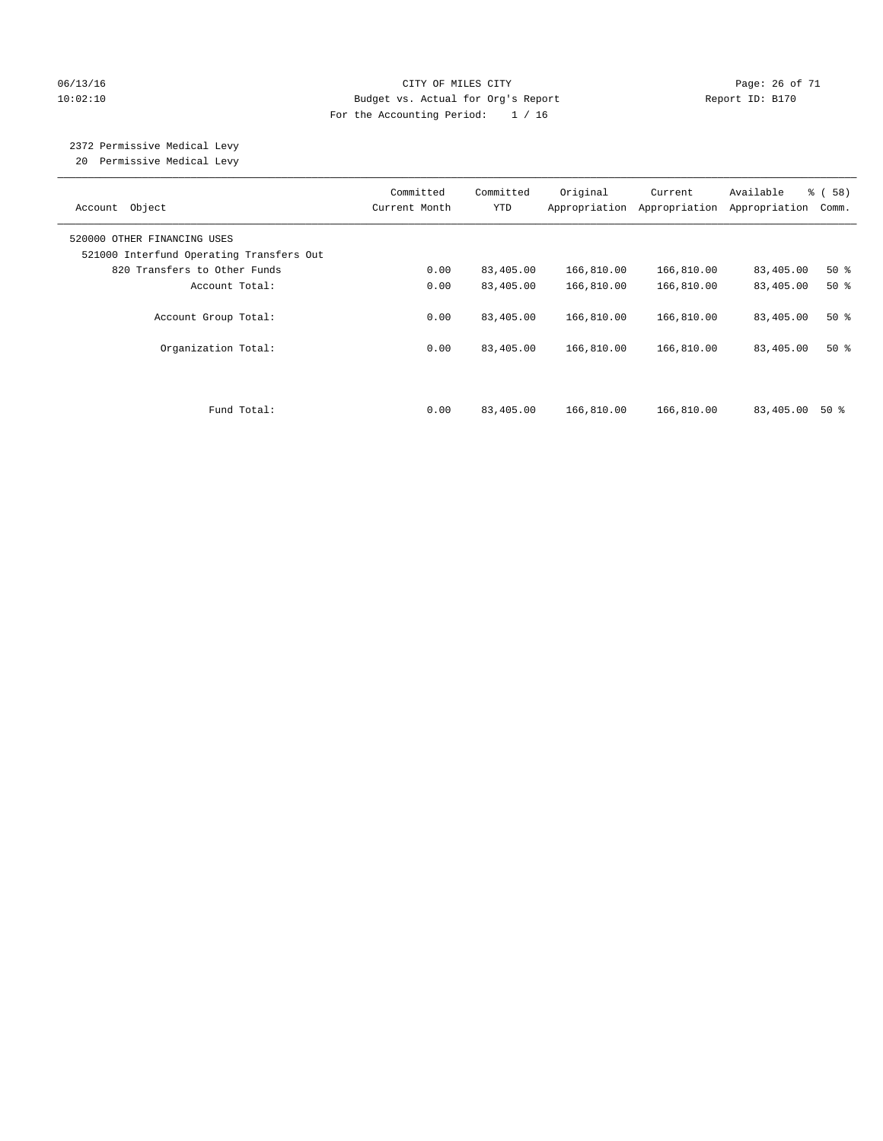### 06/13/16 Page: 26 of 71 10:02:10 Budget vs. Actual for Org's Report Changer Report ID: B170 For the Accounting Period: 1 / 16

# 2372 Permissive Medical Levy

20 Permissive Medical Levy

| Account Object                                                          | Committed<br>Current Month | Committed<br><b>YTD</b> | Original<br>Appropriation | Current<br>Appropriation | Available<br>Appropriation | % (58)<br>Comm. |
|-------------------------------------------------------------------------|----------------------------|-------------------------|---------------------------|--------------------------|----------------------------|-----------------|
| 520000 OTHER FINANCING USES<br>521000 Interfund Operating Transfers Out |                            |                         |                           |                          |                            |                 |
| 820 Transfers to Other Funds                                            | 0.00                       | 83,405.00               | 166,810.00                | 166,810.00               | 83,405.00                  | $50*$           |
| Account Total:                                                          | 0.00                       | 83,405.00               | 166,810.00                | 166,810.00               | 83,405.00                  | $50*$           |
| Account Group Total:                                                    | 0.00                       | 83,405.00               | 166,810.00                | 166,810.00               | 83,405.00                  | $50*$           |
| Organization Total:                                                     | 0.00                       | 83,405.00               | 166,810.00                | 166,810.00               | 83,405.00                  | $50*$           |
| Fund Total:                                                             | 0.00                       | 83,405.00               | 166,810.00                | 166,810.00               | 83,405.00                  | 50 %            |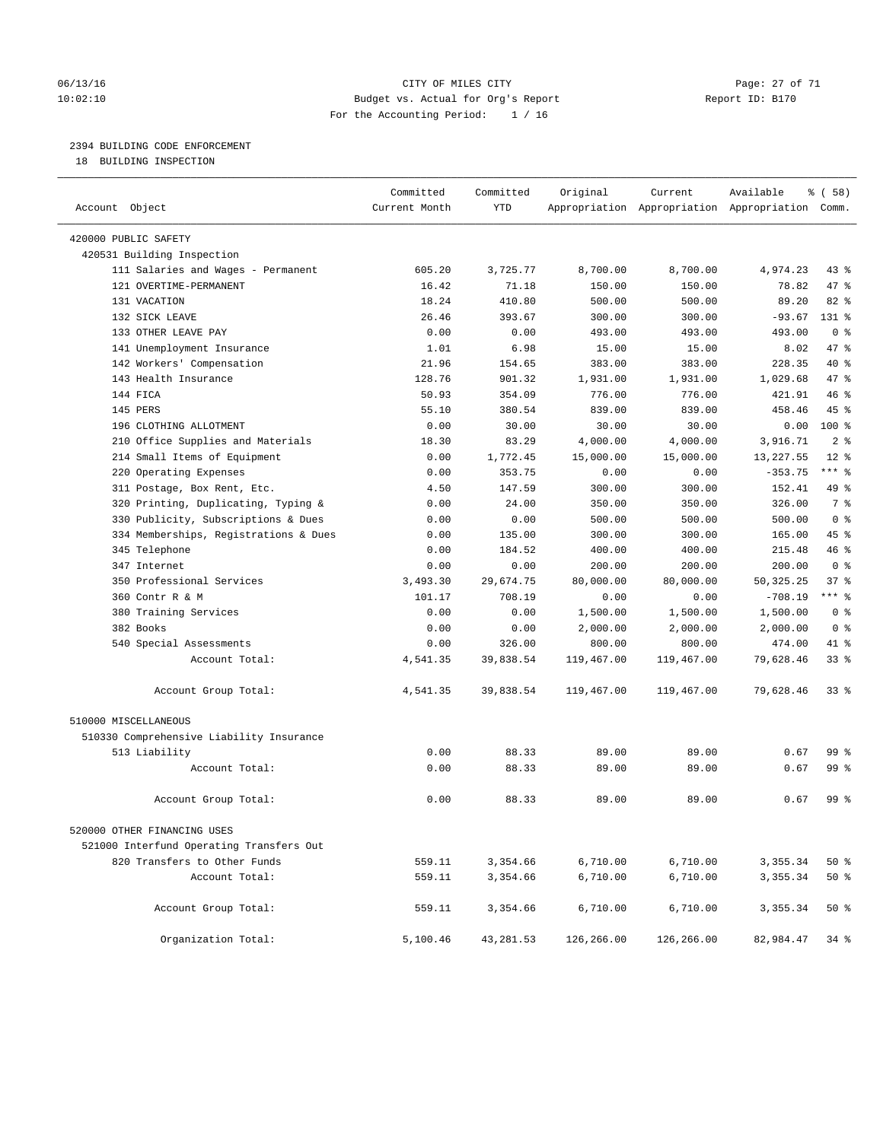### 06/13/16 Page: 27 of 71 10:02:10 Budget vs. Actual for Org's Report Report ID: B170 For the Accounting Period: 1 / 16

### 2394 BUILDING CODE ENFORCEMENT

18 BUILDING INSPECTION

| Account Object                           | Committed<br>Current Month | Committed<br><b>YTD</b> | Original   | Current    | Available<br>Appropriation Appropriation Appropriation Comm. | % ( 58 )        |
|------------------------------------------|----------------------------|-------------------------|------------|------------|--------------------------------------------------------------|-----------------|
|                                          |                            |                         |            |            |                                                              |                 |
| 420000 PUBLIC SAFETY                     |                            |                         |            |            |                                                              |                 |
| 420531 Building Inspection               |                            |                         |            |            |                                                              |                 |
| 111 Salaries and Wages - Permanent       | 605.20                     | 3,725.77                | 8,700.00   | 8,700.00   | 4,974.23                                                     | $43$ %          |
| 121 OVERTIME-PERMANENT                   | 16.42                      | 71.18                   | 150.00     | 150.00     | 78.82                                                        | 47 %            |
| 131 VACATION                             | 18.24                      | 410.80                  | 500.00     | 500.00     | 89.20                                                        | 82 %            |
| 132 STCK LEAVE                           | 26.46                      | 393.67                  | 300.00     | 300.00     | $-93.67$                                                     | $131*$          |
| 133 OTHER LEAVE PAY                      | 0.00                       | 0.00                    | 493.00     | 493.00     | 493.00                                                       | 0 <sup>8</sup>  |
| 141 Unemployment Insurance               | 1.01                       | 6.98                    | 15.00      | 15.00      | 8.02                                                         | 47 %            |
| 142 Workers' Compensation                | 21.96                      | 154.65                  | 383.00     | 383.00     | 228.35                                                       | 40 %            |
| 143 Health Insurance                     | 128.76                     | 901.32                  | 1,931.00   | 1,931.00   | 1,029.68                                                     | 47 %            |
| 144 FICA                                 | 50.93                      | 354.09                  | 776.00     | 776.00     | 421.91                                                       | 46%             |
| 145 PERS                                 | 55.10                      | 380.54                  | 839.00     | 839.00     | 458.46                                                       | 45 %            |
| 196 CLOTHING ALLOTMENT                   | 0.00                       | 30.00                   | 30.00      | 30.00      | 0.00                                                         | $100*$          |
| 210 Office Supplies and Materials        | 18.30                      | 83.29                   | 4,000.00   | 4,000.00   | 3,916.71                                                     | 2 <sup>8</sup>  |
| 214 Small Items of Equipment             | 0.00                       | 1,772.45                | 15,000.00  | 15,000.00  | 13, 227.55                                                   | $12*$           |
| 220 Operating Expenses                   | 0.00                       | 353.75                  | 0.00       | 0.00       | $-353.75$                                                    | *** 응           |
| 311 Postage, Box Rent, Etc.              | 4.50                       | 147.59                  | 300.00     | 300.00     | 152.41                                                       | 49 %            |
| 320 Printing, Duplicating, Typing &      | 0.00                       | 24.00                   | 350.00     | 350.00     | 326.00                                                       | 7 <sup>°</sup>  |
| 330 Publicity, Subscriptions & Dues      | 0.00                       | 0.00                    | 500.00     | 500.00     | 500.00                                                       | 0 <sup>8</sup>  |
| 334 Memberships, Registrations & Dues    | 0.00                       | 135.00                  | 300.00     | 300.00     | 165.00                                                       | 45 %            |
| 345 Telephone                            | 0.00                       | 184.52                  | 400.00     | 400.00     | 215.48                                                       | 46%             |
| 347 Internet                             | 0.00                       | 0.00                    | 200.00     | 200.00     | 200.00                                                       | 0 <sup>8</sup>  |
| 350 Professional Services                | 3,493.30                   | 29,674.75               | 80,000.00  | 80,000.00  | 50, 325. 25                                                  | 37%             |
| 360 Contr R & M                          | 101.17                     | 708.19                  | 0.00       | 0.00       | $-708.19$                                                    | $***$ 8         |
| 380 Training Services                    | 0.00                       | 0.00                    | 1,500.00   | 1,500.00   | 1,500.00                                                     | 0 <sup>8</sup>  |
| 382 Books                                | 0.00                       | 0.00                    | 2,000.00   | 2,000.00   | 2,000.00                                                     | 0 <sup>8</sup>  |
| 540 Special Assessments                  | 0.00                       | 326.00                  | 800.00     | 800.00     | 474.00                                                       | 41 %            |
| Account Total:                           | 4,541.35                   | 39,838.54               | 119,467.00 | 119,467.00 | 79,628.46                                                    | $33$ $%$        |
| Account Group Total:                     | 4,541.35                   | 39,838.54               | 119,467.00 | 119,467.00 | 79,628.46                                                    | 33 <sup>8</sup> |
| 510000 MISCELLANEOUS                     |                            |                         |            |            |                                                              |                 |
| 510330 Comprehensive Liability Insurance |                            |                         |            |            |                                                              |                 |
| 513 Liability                            | 0.00                       | 88.33                   | 89.00      | 89.00      | 0.67                                                         | 99 <sub>8</sub> |
| Account Total:                           | 0.00                       | 88.33                   | 89.00      | 89.00      | 0.67                                                         | 99 %            |
| Account Group Total:                     | 0.00                       | 88.33                   | 89.00      | 89.00      | 0.67                                                         | 99 <sub>8</sub> |
| 520000 OTHER FINANCING USES              |                            |                         |            |            |                                                              |                 |
| 521000 Interfund Operating Transfers Out |                            |                         |            |            |                                                              |                 |
| 820 Transfers to Other Funds             | 559.11                     | 3,354.66                | 6,710.00   | 6,710.00   | 3,355.34                                                     | 50%             |
| Account Total:                           | 559.11                     | 3,354.66                | 6,710.00   | 6,710.00   | 3,355.34                                                     | 50%             |
| Account Group Total:                     | 559.11                     | 3,354.66                | 6,710.00   | 6,710.00   | 3,355.34                                                     | 50%             |
| Organization Total:                      | 5,100.46                   | 43, 281.53              | 126,266.00 | 126,266.00 | 82,984.47                                                    | $34$ %          |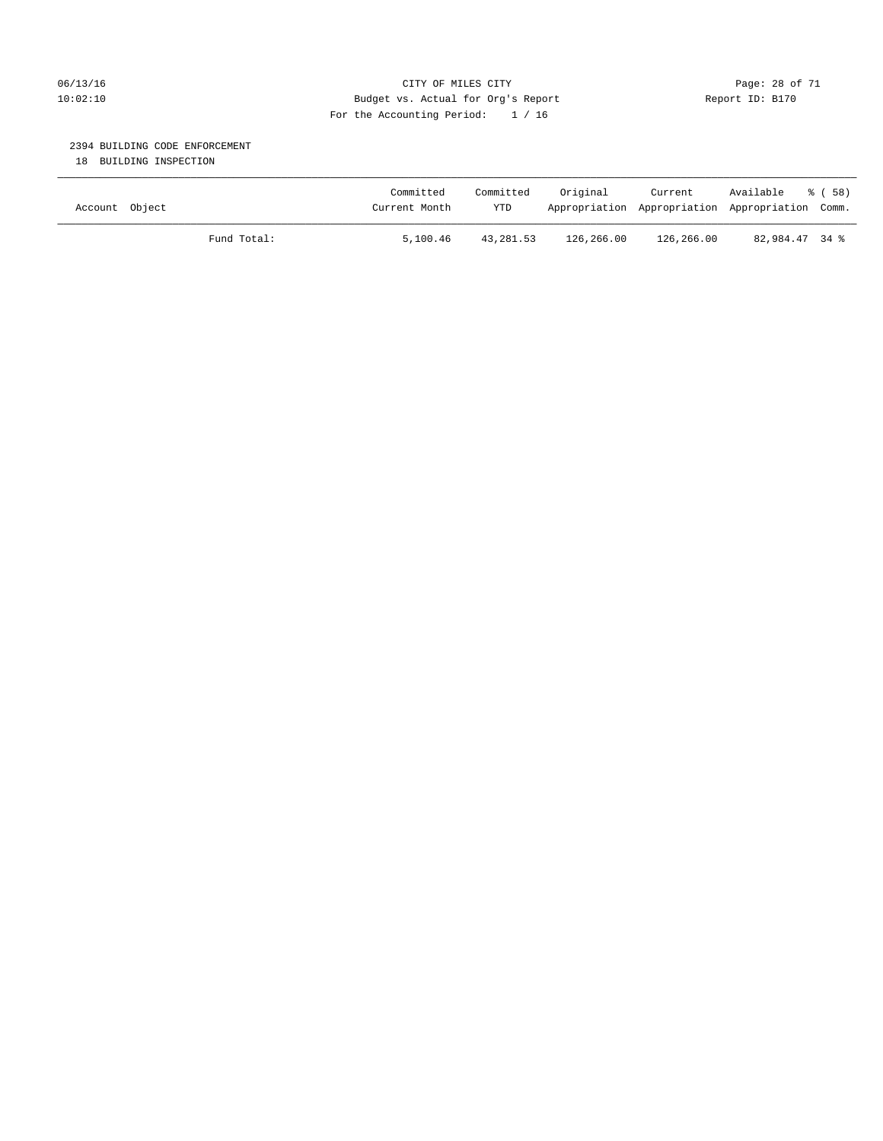### 06/13/16 Page: 28 of 71 10:02:10 Budget vs. Actual for Org's Report Changer Report ID: B170 For the Accounting Period: 1 / 16

### 2394 BUILDING CODE ENFORCEMENT

18 BUILDING INSPECTION

| Account Object |             | Committed<br>Current Month | Committed<br><b>YTD</b> | Original   | Current<br>Appropriation Appropriation Appropriation Comm. | Available      | ී ( 58 ) |
|----------------|-------------|----------------------------|-------------------------|------------|------------------------------------------------------------|----------------|----------|
|                | Fund Total: | 5,100.46                   | 43,281.53               | 126,266.00 | 126,266.00                                                 | 82,984.47 34 % |          |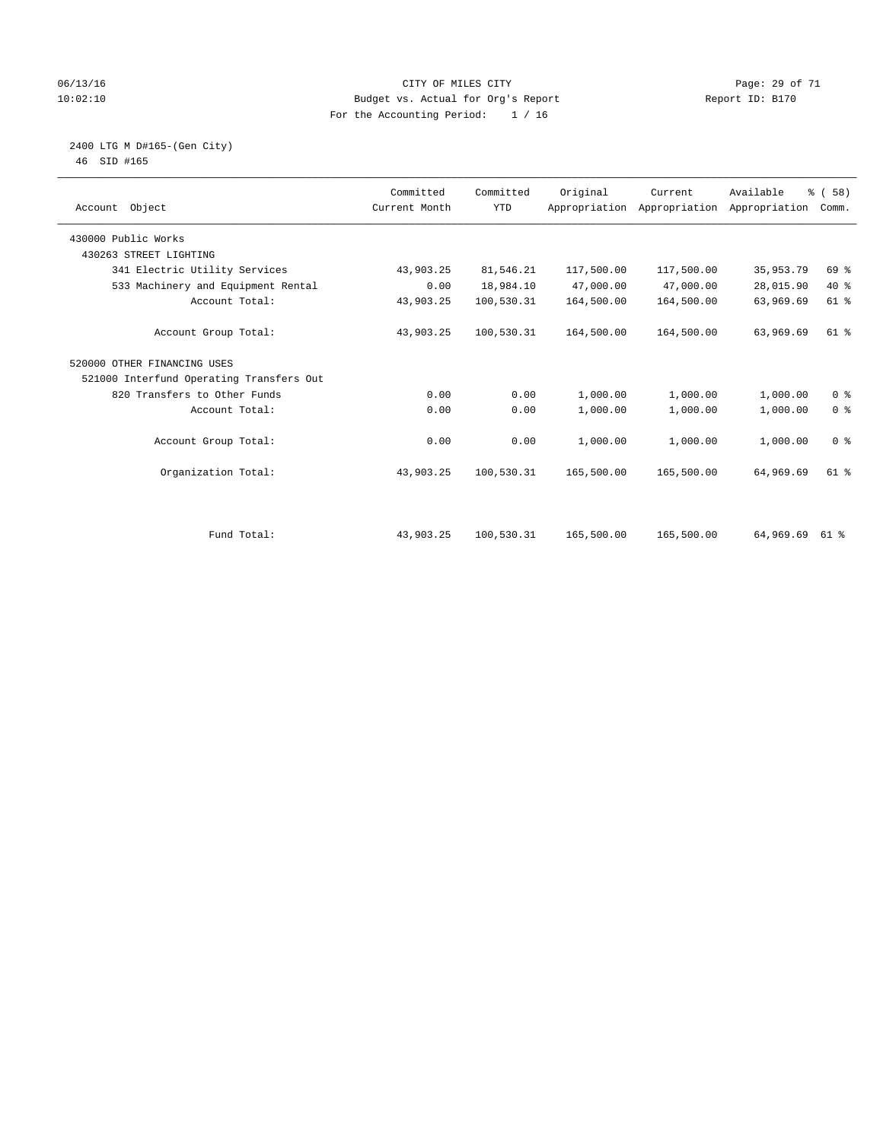### 06/13/16 Page: 29 of 71 10:02:10 Budget vs. Actual for Org's Report Report ID: B170 For the Accounting Period: 1 / 16

#### 2400 LTG M D#165-(Gen City) 46 SID #165

| Account Object                           | Committed<br>Current Month | Committed<br><b>YTD</b> | Original   | Current<br>Appropriation Appropriation | Available<br>Appropriation | % (58)<br>Comm. |
|------------------------------------------|----------------------------|-------------------------|------------|----------------------------------------|----------------------------|-----------------|
| 430000 Public Works                      |                            |                         |            |                                        |                            |                 |
| 430263 STREET LIGHTING                   |                            |                         |            |                                        |                            |                 |
| 341 Electric Utility Services            | 43,903.25                  | 81,546.21               | 117,500.00 | 117,500.00                             | 35,953.79                  | 69 %            |
| 533 Machinery and Equipment Rental       | 0.00                       | 18,984.10               | 47,000.00  | 47,000.00                              | 28,015.90                  | $40*$           |
| Account Total:                           | 43,903.25                  | 100,530.31              | 164,500.00 | 164,500.00                             | 63,969.69                  | $61$ %          |
| Account Group Total:                     | 43,903.25                  | 100,530.31              | 164,500.00 | 164,500.00                             | 63,969.69                  | $61$ %          |
| 520000 OTHER FINANCING USES              |                            |                         |            |                                        |                            |                 |
| 521000 Interfund Operating Transfers Out |                            |                         |            |                                        |                            |                 |
| 820 Transfers to Other Funds             | 0.00                       | 0.00                    | 1,000.00   | 1,000.00                               | 1,000.00                   | 0 <sup>8</sup>  |
| Account Total:                           | 0.00                       | 0.00                    | 1,000.00   | 1,000.00                               | 1,000.00                   | 0 <sup>8</sup>  |
| Account Group Total:                     | 0.00                       | 0.00                    | 1,000.00   | 1,000.00                               | 1,000.00                   | 0 <sup>8</sup>  |
| Organization Total:                      | 43,903.25                  | 100,530.31              | 165,500.00 | 165,500.00                             | 64,969.69                  | $61$ %          |
|                                          |                            |                         |            |                                        |                            |                 |
| Fund Total:                              | 43,903.25                  | 100,530.31              | 165,500.00 | 165,500.00                             | 64,969.69                  | 61 %            |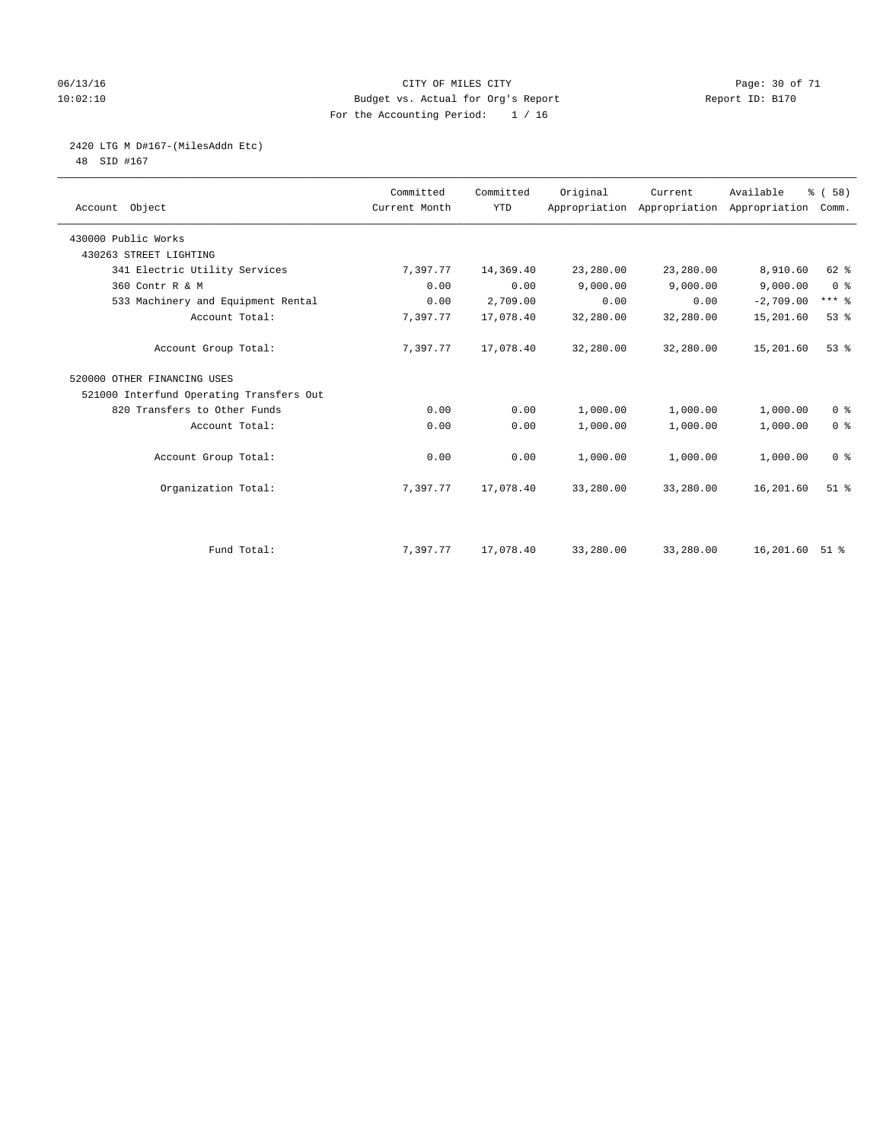### 06/13/16 Page: 30 of 71 10:02:10 Budget vs. Actual for Org's Report Changer Report ID: B170 For the Accounting Period: 1 / 16

# 2420 LTG M D#167-(MilesAddn Etc)

48 SID #167

| Account Object                           | Committed<br>Current Month | Committed<br><b>YTD</b> | Original  | Current   | Available<br>Appropriation Appropriation Appropriation | % (58)<br>Comm.     |
|------------------------------------------|----------------------------|-------------------------|-----------|-----------|--------------------------------------------------------|---------------------|
| 430000 Public Works                      |                            |                         |           |           |                                                        |                     |
| 430263 STREET LIGHTING                   |                            |                         |           |           |                                                        |                     |
| 341 Electric Utility Services            | 7,397.77                   | 14,369.40               | 23,280.00 | 23,280.00 | 8,910.60                                               | 62 %                |
| 360 Contr R & M                          | 0.00                       | 0.00                    | 9,000.00  | 9,000.00  | 9,000.00                                               | 0 <sup>8</sup>      |
| 533 Machinery and Equipment Rental       | 0.00                       | 2,709.00                | 0.00      | 0.00      | $-2,709.00$                                            | $***$ $\frac{6}{5}$ |
| Account Total:                           | 7,397.77                   | 17,078.40               | 32,280.00 | 32,280.00 | 15,201.60                                              | 53%                 |
| Account Group Total:                     | 7,397.77                   | 17,078.40               | 32,280.00 | 32,280.00 | 15,201.60                                              | 53%                 |
| 520000 OTHER FINANCING USES              |                            |                         |           |           |                                                        |                     |
| 521000 Interfund Operating Transfers Out |                            |                         |           |           |                                                        |                     |
| 820 Transfers to Other Funds             | 0.00                       | 0.00                    | 1,000.00  | 1,000.00  | 1,000.00                                               | 0 <sup>8</sup>      |
| Account Total:                           | 0.00                       | 0.00                    | 1,000.00  | 1,000.00  | 1,000.00                                               | 0 <sup>8</sup>      |
| Account Group Total:                     | 0.00                       | 0.00                    | 1,000.00  | 1,000.00  | 1,000.00                                               | 0 <sup>8</sup>      |
| Organization Total:                      | 7,397.77                   | 17,078.40               | 33,280.00 | 33,280.00 | 16,201.60                                              | $51$ $%$            |
|                                          |                            |                         |           |           |                                                        |                     |
| Fund Total:                              | 7,397.77                   | 17,078.40               | 33,280.00 | 33,280.00 | 16,201.60 51 %                                         |                     |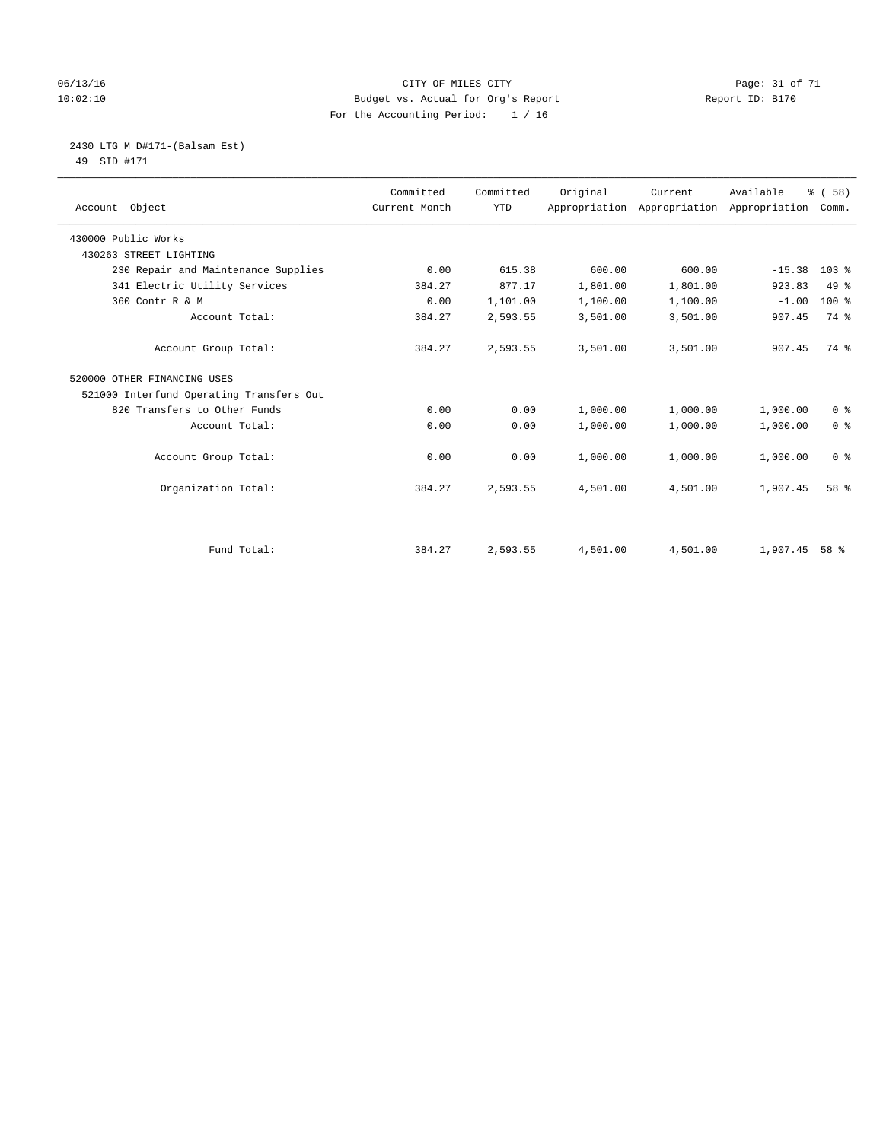### 06/13/16 Page: 31 of 71 10:02:10 Budget vs. Actual for Org's Report Report ID: B170 For the Accounting Period: 1 / 16

#### 2430 LTG M D#171-(Balsam Est) 49 SID #171

| Account Object                           | Committed<br>Current Month | Committed<br><b>YTD</b> | Original | Current  | Available<br>Appropriation Appropriation Appropriation | 8 ( 58 )<br>Comm. |
|------------------------------------------|----------------------------|-------------------------|----------|----------|--------------------------------------------------------|-------------------|
| 430000 Public Works                      |                            |                         |          |          |                                                        |                   |
| 430263 STREET LIGHTING                   |                            |                         |          |          |                                                        |                   |
| 230 Repair and Maintenance Supplies      | 0.00                       | 615.38                  | 600.00   | 600.00   | $-15.38$                                               | 103 <sup>8</sup>  |
| 341 Electric Utility Services            | 384.27                     | 877.17                  | 1,801.00 | 1,801.00 | 923.83                                                 | $49*$             |
| 360 Contr R & M                          | 0.00                       | 1,101.00                | 1,100.00 | 1,100.00 | $-1.00$                                                | $100*$            |
| Account Total:                           | 384.27                     | 2,593.55                | 3,501.00 | 3,501.00 | 907.45                                                 | 74 %              |
| Account Group Total:                     | 384.27                     | 2,593.55                | 3,501.00 | 3,501.00 | 907.45                                                 | 74 %              |
| 520000 OTHER FINANCING USES              |                            |                         |          |          |                                                        |                   |
| 521000 Interfund Operating Transfers Out |                            |                         |          |          |                                                        |                   |
| 820 Transfers to Other Funds             | 0.00                       | 0.00                    | 1,000.00 | 1,000.00 | 1,000.00                                               | 0 <sup>8</sup>    |
| Account Total:                           | 0.00                       | 0.00                    | 1,000.00 | 1,000.00 | 1,000.00                                               | 0 <sup>8</sup>    |
| Account Group Total:                     | 0.00                       | 0.00                    | 1,000.00 | 1,000.00 | 1,000.00                                               | 0 <sup>8</sup>    |
| Organization Total:                      | 384.27                     | 2,593.55                | 4,501.00 | 4,501.00 | 1,907.45                                               | 58 %              |
|                                          |                            |                         |          |          |                                                        |                   |
| Fund Total:                              | 384.27                     | 2,593.55                | 4,501.00 | 4,501.00 | 1,907.45                                               | 58 %              |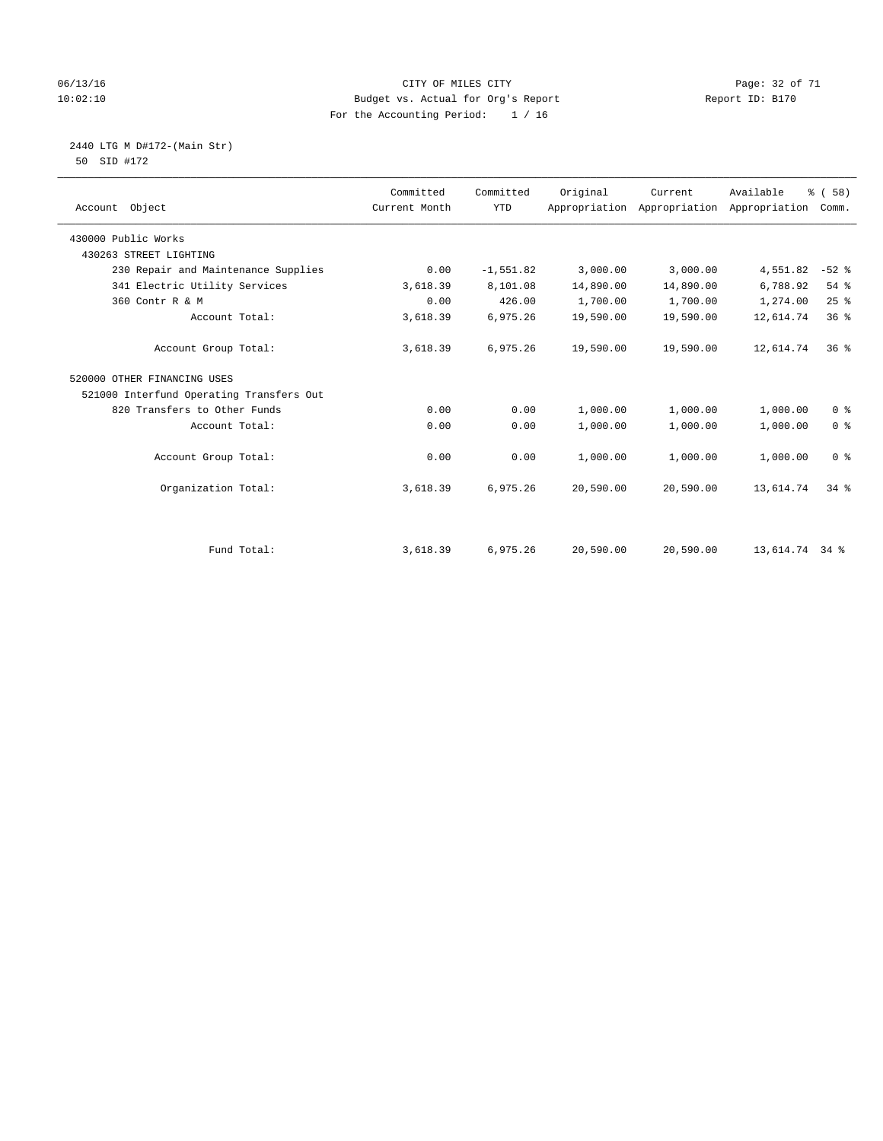### 06/13/16 Page: 32 of 71 10:02:10 Budget vs. Actual for Org's Report Report ID: B170 For the Accounting Period: 1 / 16

#### 2440 LTG M D#172-(Main Str) 50 SID #172

| Account Object                           | Committed<br>Current Month | Committed<br><b>YTD</b> | Original  | Current   | Available<br>Appropriation Appropriation Appropriation Comm. | 8 ( 58 )        |
|------------------------------------------|----------------------------|-------------------------|-----------|-----------|--------------------------------------------------------------|-----------------|
| 430000 Public Works                      |                            |                         |           |           |                                                              |                 |
| 430263 STREET LIGHTING                   |                            |                         |           |           |                                                              |                 |
| 230 Repair and Maintenance Supplies      | 0.00                       | $-1, 551.82$            | 3,000.00  | 3,000.00  | 4,551.82                                                     | $-52$ %         |
| 341 Electric Utility Services            | 3,618.39                   | 8,101.08                | 14,890.00 | 14,890.00 | 6,788.92                                                     | 54 %            |
| 360 Contr R & M                          | 0.00                       | 426.00                  | 1,700.00  | 1,700.00  | 1,274.00                                                     | 25%             |
| Account Total:                           | 3,618.39                   | 6,975.26                | 19,590.00 | 19,590.00 | 12,614.74                                                    | 36 <sup>8</sup> |
| Account Group Total:                     | 3,618.39                   | 6,975.26                | 19,590.00 | 19,590.00 | 12,614.74                                                    | 36 <sup>8</sup> |
| 520000 OTHER FINANCING USES              |                            |                         |           |           |                                                              |                 |
| 521000 Interfund Operating Transfers Out |                            |                         |           |           |                                                              |                 |
| 820 Transfers to Other Funds             | 0.00                       | 0.00                    | 1,000.00  | 1,000.00  | 1,000.00                                                     | 0 <sup>8</sup>  |
| Account Total:                           | 0.00                       | 0.00                    | 1,000.00  | 1,000.00  | 1,000.00                                                     | 0 <sup>8</sup>  |
| Account Group Total:                     | 0.00                       | 0.00                    | 1,000.00  | 1,000.00  | 1,000.00                                                     | 0 <sup>8</sup>  |
| Organization Total:                      | 3,618.39                   | 6,975.26                | 20,590.00 | 20,590.00 | 13,614.74                                                    | $34$ $%$        |
|                                          |                            |                         |           |           |                                                              |                 |
| Fund Total:                              | 3,618.39                   | 6,975.26                | 20,590.00 | 20,590.00 | 13,614.74 34 %                                               |                 |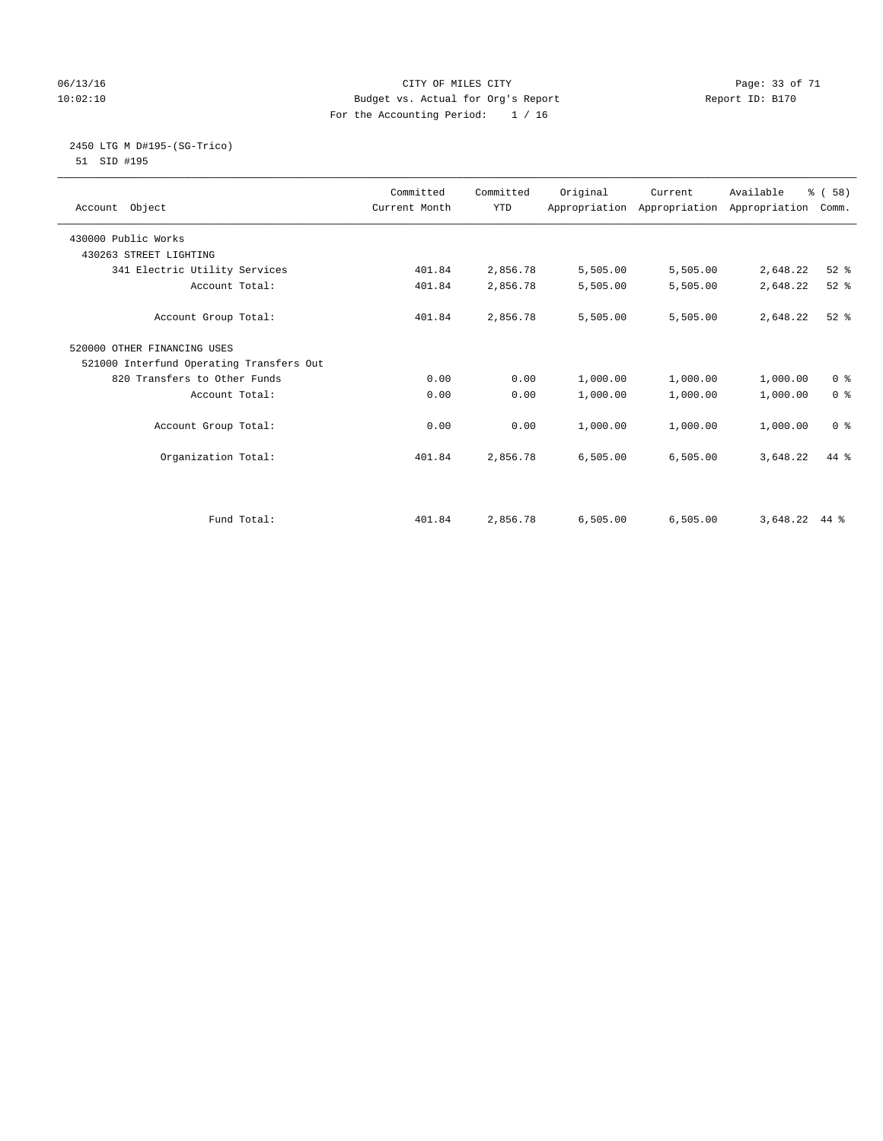### 06/13/16 Page: 33 of 71 10:02:10 Budget vs. Actual for Org's Report Report ID: B170 For the Accounting Period: 1 / 16

# 2450 LTG M D#195-(SG-Trico)

51 SID #195

| Account Object                           | Committed<br>Current Month | Committed<br><b>YTD</b> | Original | Current  | Available<br>Appropriation Appropriation Appropriation | % (58)<br>Comm. |
|------------------------------------------|----------------------------|-------------------------|----------|----------|--------------------------------------------------------|-----------------|
| 430000 Public Works                      |                            |                         |          |          |                                                        |                 |
| 430263 STREET LIGHTING                   |                            |                         |          |          |                                                        |                 |
| 341 Electric Utility Services            | 401.84                     | 2,856.78                | 5,505.00 | 5,505.00 | 2,648.22                                               | $52$ $%$        |
| Account Total:                           | 401.84                     | 2,856.78                | 5,505.00 | 5,505.00 | 2,648.22                                               | $52$ $%$        |
| Account Group Total:                     | 401.84                     | 2,856.78                | 5,505.00 | 5,505.00 | 2,648.22                                               | $52$ $%$        |
| 520000 OTHER FINANCING USES              |                            |                         |          |          |                                                        |                 |
| 521000 Interfund Operating Transfers Out |                            |                         |          |          |                                                        |                 |
| 820 Transfers to Other Funds             | 0.00                       | 0.00                    | 1,000.00 | 1,000.00 | 1,000.00                                               | 0 <sup>8</sup>  |
| Account Total:                           | 0.00                       | 0.00                    | 1,000.00 | 1,000.00 | 1,000.00                                               | 0 <sup>8</sup>  |
| Account Group Total:                     | 0.00                       | 0.00                    | 1,000.00 | 1,000.00 | 1,000.00                                               | 0 <sup>8</sup>  |
| Organization Total:                      | 401.84                     | 2,856.78                | 6,505.00 | 6,505.00 | 3,648.22                                               | $44*$           |
|                                          |                            |                         |          |          |                                                        |                 |
| Fund Total:                              | 401.84                     | 2,856.78                | 6,505.00 | 6,505.00 | 3,648.22                                               | $44*$           |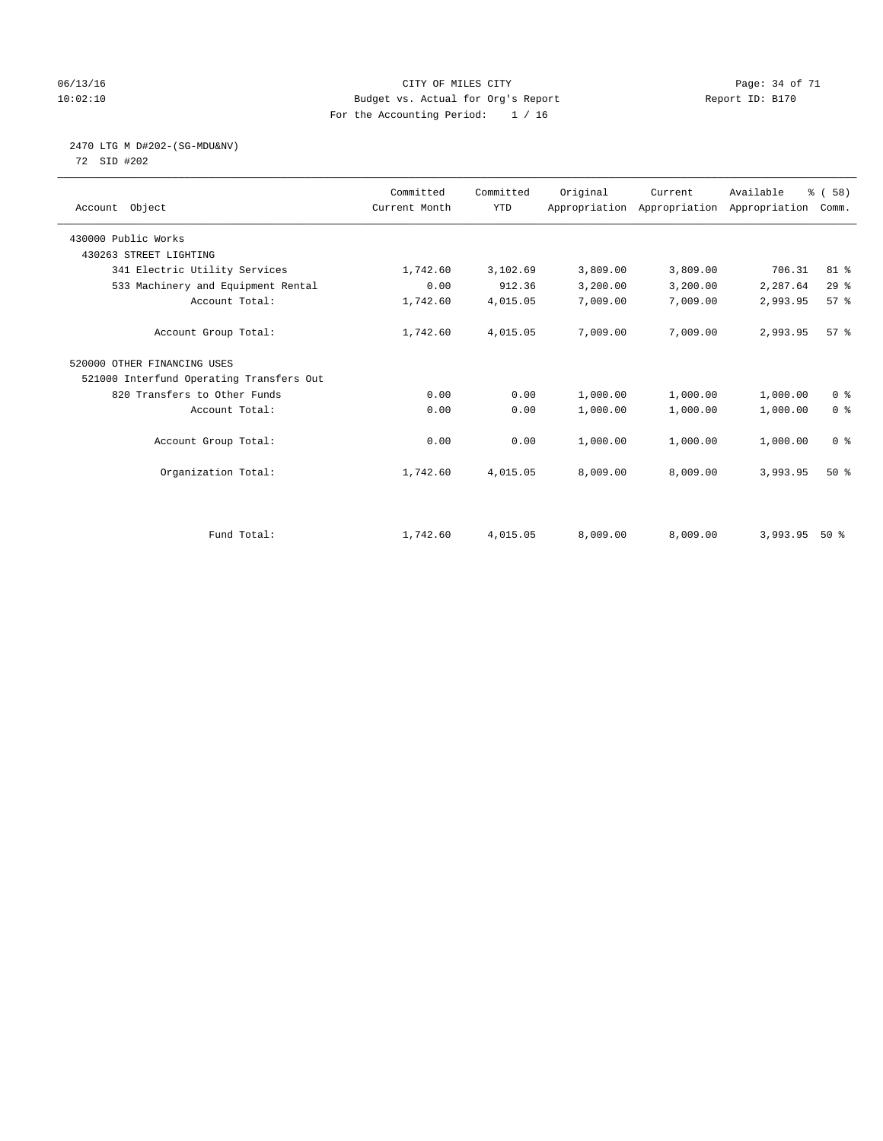### 06/13/16 Page: 34 of 71 10:02:10 Budget vs. Actual for Org's Report Changer Report ID: B170 For the Accounting Period: 1 / 16

# 2470 LTG M D#202-(SG-MDU&NV)

72 SID #202

| Account Object                           | Committed<br>Current Month | Committed<br><b>YTD</b> | Original | Current<br>Appropriation Appropriation Appropriation | Available | % (58)<br>Comm. |
|------------------------------------------|----------------------------|-------------------------|----------|------------------------------------------------------|-----------|-----------------|
| 430000 Public Works                      |                            |                         |          |                                                      |           |                 |
| 430263 STREET LIGHTING                   |                            |                         |          |                                                      |           |                 |
| 341 Electric Utility Services            | 1,742.60                   | 3,102.69                | 3,809.00 | 3,809.00                                             | 706.31    | $81 - 8$        |
| 533 Machinery and Equipment Rental       | 0.00                       | 912.36                  | 3,200.00 | 3,200.00                                             | 2,287.64  | 29%             |
| Account Total:                           | 1,742.60                   | 4,015.05                | 7,009.00 | 7,009.00                                             | 2,993.95  | 57 <sup>8</sup> |
| Account Group Total:                     | 1,742.60                   | 4,015.05                | 7,009.00 | 7,009.00                                             | 2,993.95  | 57 <sup>8</sup> |
| 520000 OTHER FINANCING USES              |                            |                         |          |                                                      |           |                 |
| 521000 Interfund Operating Transfers Out |                            |                         |          |                                                      |           |                 |
| 820 Transfers to Other Funds             | 0.00                       | 0.00                    | 1,000.00 | 1,000.00                                             | 1,000.00  | 0 <sup>8</sup>  |
| Account Total:                           | 0.00                       | 0.00                    | 1,000.00 | 1,000.00                                             | 1,000.00  | 0 <sup>8</sup>  |
| Account Group Total:                     | 0.00                       | 0.00                    | 1,000.00 | 1,000.00                                             | 1,000.00  | 0 <sup>8</sup>  |
| Organization Total:                      | 1,742.60                   | 4,015.05                | 8,009.00 | 8,009.00                                             | 3,993.95  | 50%             |
|                                          |                            |                         |          |                                                      |           |                 |
| Fund Total:                              | 1,742.60                   | 4,015.05                | 8,009.00 | 8,009.00                                             | 3,993.95  | $50*$           |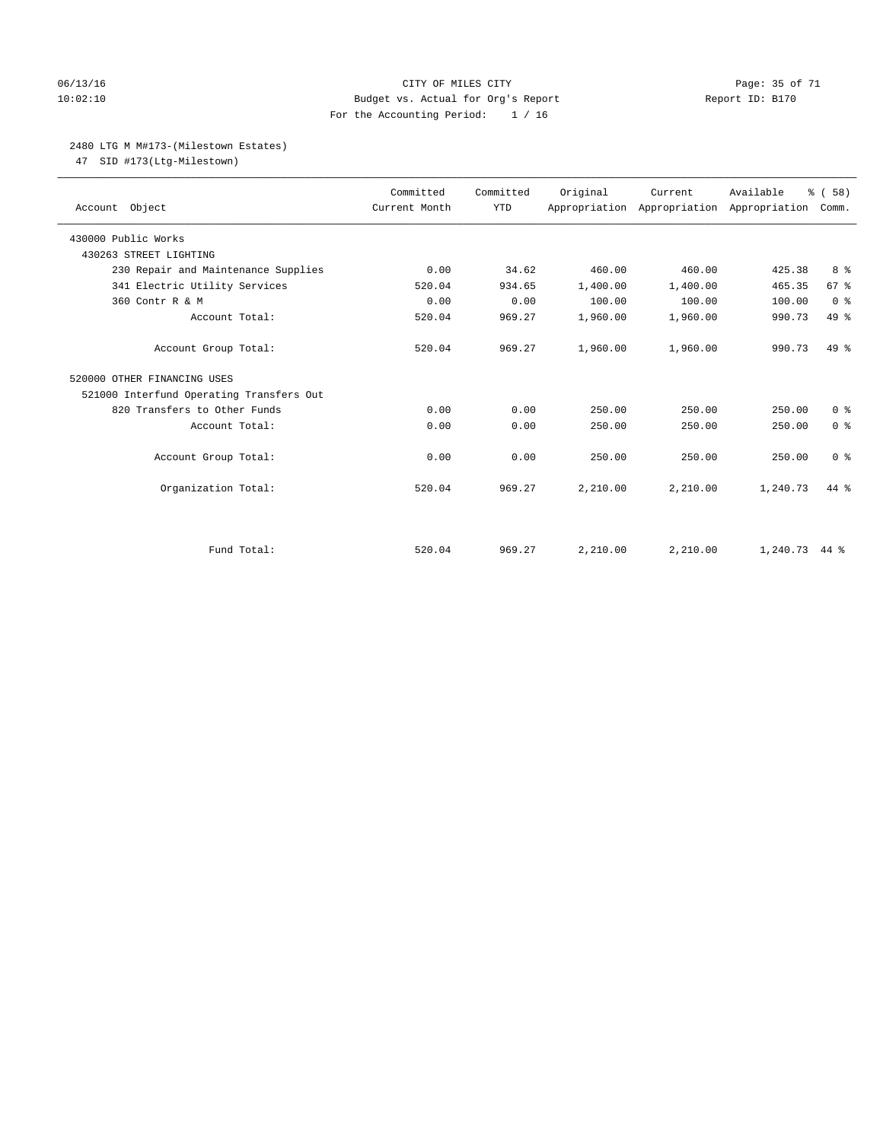### 06/13/16 Page: 35 of 71 10:02:10 Budget vs. Actual for Org's Report Report ID: B170 For the Accounting Period: 1 / 16

### 2480 LTG M M#173-(Milestown Estates)

47 SID #173(Ltg-Milestown)

| Account Object                           | Committed<br>Current Month | Committed<br><b>YTD</b> | Original | Current  | Available<br>Appropriation Appropriation Appropriation | % (58)<br>Comm. |
|------------------------------------------|----------------------------|-------------------------|----------|----------|--------------------------------------------------------|-----------------|
| 430000 Public Works                      |                            |                         |          |          |                                                        |                 |
| 430263 STREET LIGHTING                   |                            |                         |          |          |                                                        |                 |
| 230 Repair and Maintenance Supplies      | 0.00                       | 34.62                   | 460.00   | 460.00   | 425.38                                                 | 8 %             |
| 341 Electric Utility Services            | 520.04                     | 934.65                  | 1,400.00 | 1,400.00 | 465.35                                                 | 67 <sup>8</sup> |
| 360 Contr R & M                          | 0.00                       | 0.00                    | 100.00   | 100.00   | 100.00                                                 | 0 <sup>8</sup>  |
| Account Total:                           | 520.04                     | 969.27                  | 1,960.00 | 1,960.00 | 990.73                                                 | 49 %            |
| Account Group Total:                     | 520.04                     | 969.27                  | 1,960.00 | 1,960.00 | 990.73                                                 | $49*$           |
| 520000 OTHER FINANCING USES              |                            |                         |          |          |                                                        |                 |
| 521000 Interfund Operating Transfers Out |                            |                         |          |          |                                                        |                 |
| 820 Transfers to Other Funds             | 0.00                       | 0.00                    | 250.00   | 250.00   | 250.00                                                 | 0 <sup>8</sup>  |
| Account Total:                           | 0.00                       | 0.00                    | 250.00   | 250.00   | 250.00                                                 | 0 <sup>8</sup>  |
| Account Group Total:                     | 0.00                       | 0.00                    | 250.00   | 250.00   | 250.00                                                 | 0 <sup>8</sup>  |
| Organization Total:                      | 520.04                     | 969.27                  | 2,210.00 | 2,210.00 | 1,240.73                                               | 44 %            |
|                                          |                            |                         |          |          |                                                        |                 |
| Fund Total:                              | 520.04                     | 969.27                  | 2,210.00 | 2,210.00 | 1,240.73 44 %                                          |                 |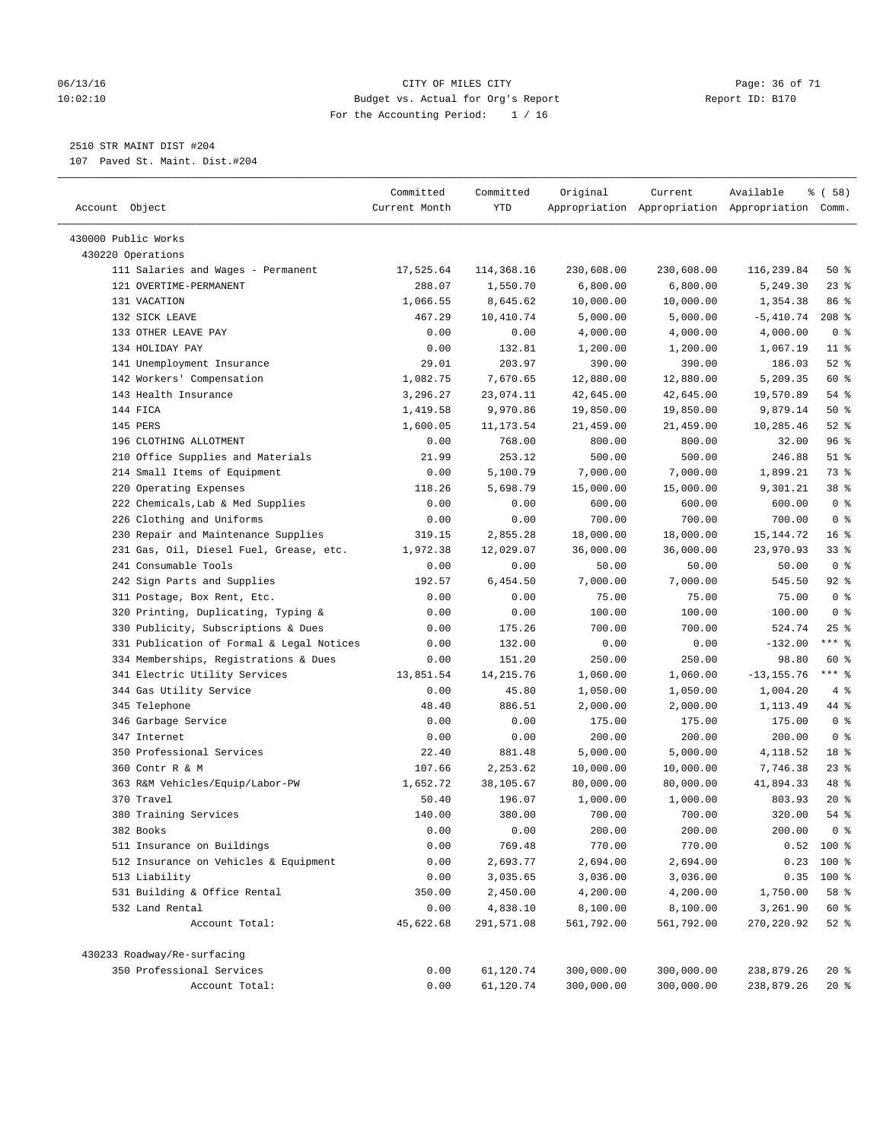### 06/13/16 Page: 36 of 71 10:02:10 Budget vs. Actual for Org's Report Report ID: B170 For the Accounting Period: 1 / 16

————————————————————————————————————————————————————————————————————————————————————————————————————————————————————————————————————

### 2510 STR MAINT DIST #204

107 Paved St. Maint. Dist.#204

|                                           | Committed     | Committed  | Original   | Current    | Available                                       | 8 ( 58 )        |
|-------------------------------------------|---------------|------------|------------|------------|-------------------------------------------------|-----------------|
| Account Object                            | Current Month | YTD        |            |            | Appropriation Appropriation Appropriation Comm. |                 |
| 430000 Public Works                       |               |            |            |            |                                                 |                 |
| 430220 Operations                         |               |            |            |            |                                                 |                 |
| 111 Salaries and Wages - Permanent        | 17,525.64     | 114,368.16 | 230,608.00 | 230,608.00 | 116,239.84                                      | 50%             |
| 121 OVERTIME-PERMANENT                    | 288.07        | 1,550.70   | 6,800.00   | 6,800.00   | 5,249.30                                        | $23$ %          |
| 131 VACATION                              | 1,066.55      | 8,645.62   | 10,000.00  | 10,000.00  | 1,354.38                                        | 86 %            |
| 132 SICK LEAVE                            | 467.29        | 10,410.74  | 5,000.00   | 5,000.00   | $-5,410.74$                                     | $208$ %         |
| 133 OTHER LEAVE PAY                       | 0.00          | 0.00       | 4,000.00   | 4,000.00   | 4,000.00                                        | 0 <sup>8</sup>  |
| 134 HOLIDAY PAY                           | 0.00          | 132.81     | 1,200.00   | 1,200.00   | 1,067.19                                        | $11$ %          |
| 141 Unemployment Insurance                | 29.01         | 203.97     | 390.00     | 390.00     | 186.03                                          | $52$ %          |
| 142 Workers' Compensation                 | 1,082.75      | 7,670.65   | 12,880.00  | 12,880.00  | 5,209.35                                        | 60 %            |
| 143 Health Insurance                      | 3,296.27      | 23,074.11  | 42,645.00  | 42,645.00  | 19,570.89                                       | 54 %            |
| 144 FICA                                  | 1,419.58      | 9,970.86   | 19,850.00  | 19,850.00  | 9,879.14                                        | 50%             |
| 145 PERS                                  | 1,600.05      | 11, 173.54 | 21,459.00  | 21,459.00  | 10,285.46                                       | $52$ $%$        |
| 196 CLOTHING ALLOTMENT                    | 0.00          | 768.00     | 800.00     | 800.00     | 32.00                                           | 96%             |
| 210 Office Supplies and Materials         | 21.99         | 253.12     | 500.00     | 500.00     | 246.88                                          | $51$ %          |
| 214 Small Items of Equipment              | 0.00          | 5,100.79   | 7,000.00   | 7,000.00   | 1,899.21                                        | 73 %            |
| 220 Operating Expenses                    | 118.26        | 5,698.79   | 15,000.00  | 15,000.00  | 9,301.21                                        | 38 %            |
| 222 Chemicals, Lab & Med Supplies         | 0.00          | 0.00       | 600.00     | 600.00     | 600.00                                          | 0 <sup>8</sup>  |
| 226 Clothing and Uniforms                 | 0.00          | 0.00       | 700.00     | 700.00     | 700.00                                          | 0 <sup>8</sup>  |
| 230 Repair and Maintenance Supplies       | 319.15        | 2,855.28   | 18,000.00  | 18,000.00  | 15,144.72                                       | 16 <sup>°</sup> |
| 231 Gas, Oil, Diesel Fuel, Grease, etc.   | 1,972.38      | 12,029.07  | 36,000.00  | 36,000.00  | 23,970.93                                       | 33%             |
| 241 Consumable Tools                      | 0.00          | 0.00       | 50.00      | 50.00      | 50.00                                           | 0 <sup>8</sup>  |
| 242 Sign Parts and Supplies               | 192.57        | 6,454.50   | 7,000.00   | 7,000.00   | 545.50                                          | $92$ %          |
| 311 Postage, Box Rent, Etc.               | 0.00          | 0.00       | 75.00      | 75.00      | 75.00                                           | 0 <sup>8</sup>  |
| 320 Printing, Duplicating, Typing &       | 0.00          | 0.00       | 100.00     | 100.00     | 100.00                                          | 0 <sup>8</sup>  |
| 330 Publicity, Subscriptions & Dues       | 0.00          | 175.26     | 700.00     | 700.00     | 524.74                                          | $25$ %          |
| 331 Publication of Formal & Legal Notices | 0.00          | 132.00     | 0.00       | 0.00       | $-132.00$                                       | $***$ $-$       |
| 334 Memberships, Registrations & Dues     | 0.00          | 151.20     | 250.00     | 250.00     | 98.80                                           | 60 %            |
| 341 Electric Utility Services             | 13,851.54     | 14, 215.76 | 1,060.00   | 1,060.00   | $-13, 155.76$                                   | $***$ $_{8}$    |
| 344 Gas Utility Service                   | 0.00          | 45.80      | 1,050.00   | 1,050.00   | 1,004.20                                        | 4%              |
| 345 Telephone                             | 48.40         | 886.51     | 2,000.00   | 2,000.00   | 1,113.49                                        | 44 %            |
| 346 Garbage Service                       | 0.00          | 0.00       | 175.00     | 175.00     | 175.00                                          | 0 <sup>8</sup>  |
| 347 Internet                              | 0.00          | 0.00       | 200.00     | 200.00     | 200.00                                          | 0 <sup>8</sup>  |
| 350 Professional Services                 | 22.40         | 881.48     | 5,000.00   | 5,000.00   | 4,118.52                                        | 18 %            |
| 360 Contr R & M                           | 107.66        | 2,253.62   | 10,000.00  | 10,000.00  | 7,746.38                                        | $23$ $%$        |
| 363 R&M Vehicles/Equip/Labor-PW           | 1,652.72      | 38,105.67  | 80,000.00  | 80,000.00  | 41,894.33                                       | 48 %            |
| 370 Travel                                | 50.40         | 196.07     | 1,000.00   | 1,000.00   | 803.93                                          | $20*$           |
| 380 Training Services                     | 140.00        | 380.00     | 700.00     | 700.00     | 320.00                                          | 54 %            |
| 382 Books                                 | 0.00          | 0.00       | 200.00     | 200.00     | 200.00                                          | 0 <sup>8</sup>  |
| 511 Insurance on Buildings                | 0.00          | 769.48     | 770.00     | 770.00     |                                                 | $0.52$ 100 %    |
| 512 Insurance on Vehicles & Equipment     | 0.00          | 2,693.77   | 2,694.00   | 2,694.00   | 0.23                                            | 100 %           |
| 513 Liability                             | 0.00          | 3,035.65   | 3,036.00   | 3,036.00   | 0.35                                            | $100*$          |
| 531 Building & Office Rental              | 350.00        | 2,450.00   | 4,200.00   | 4,200.00   | 1,750.00                                        | 58 %            |
| 532 Land Rental                           | 0.00          | 4,838.10   | 8,100.00   | 8,100.00   | 3,261.90                                        | 60 %            |
| Account Total:                            | 45,622.68     | 291,571.08 | 561,792.00 | 561,792.00 | 270,220.92                                      | $52$ $%$        |
| 430233 Roadway/Re-surfacing               |               |            |            |            |                                                 |                 |
| 350 Professional Services                 | 0.00          | 61,120.74  | 300,000.00 | 300,000.00 | 238,879.26                                      | 20%             |
| Account Total:                            | 0.00          | 61,120.74  | 300,000.00 | 300,000.00 | 238,879.26                                      | $20*$           |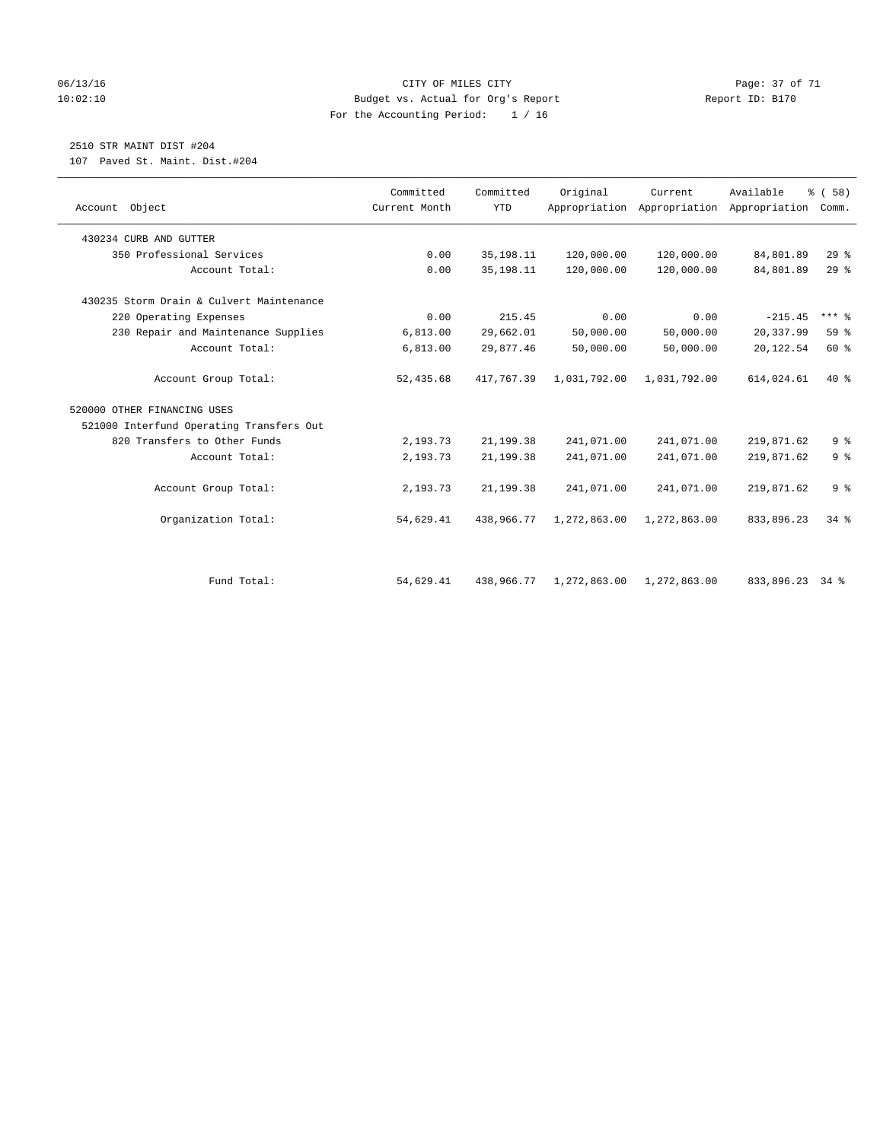### 06/13/16 Page: 37 of 71 10:02:10 Budget vs. Actual for Org's Report Report ID: B170 For the Accounting Period: 1 / 16

### 2510 STR MAINT DIST #204

107 Paved St. Maint. Dist.#204

| Account Object                           | Committed<br>Current Month | Committed<br><b>YTD</b> | Original     | Current<br>Appropriation Appropriation | Available<br>Appropriation | % (58)<br>Comm. |
|------------------------------------------|----------------------------|-------------------------|--------------|----------------------------------------|----------------------------|-----------------|
| 430234 CURB AND GUTTER                   |                            |                         |              |                                        |                            |                 |
| 350 Professional Services                | 0.00                       | 35, 198. 11             | 120,000.00   | 120,000.00                             | 84,801.89                  | $29$ $%$        |
| Account Total:                           | 0.00                       | 35, 198. 11             | 120,000.00   | 120,000.00                             | 84,801.89                  | $29$ $%$        |
| 430235 Storm Drain & Culvert Maintenance |                            |                         |              |                                        |                            |                 |
| 220 Operating Expenses                   | 0.00                       | 215.45                  | 0.00         | 0.00                                   | $-215.45$                  | $***$ $%$       |
| 230 Repair and Maintenance Supplies      | 6,813.00                   | 29,662.01               | 50,000.00    | 50,000.00                              | 20,337.99                  | 59 %            |
| Account Total:                           | 6,813.00                   | 29,877.46               | 50,000.00    | 50,000.00                              | 20, 122.54                 | 60 %            |
| Account Group Total:                     | 52,435.68                  | 417.767.39              | 1,031,792.00 | 1,031,792.00                           | 614,024.61                 | $40*$           |
| 520000 OTHER FINANCING USES              |                            |                         |              |                                        |                            |                 |
| 521000 Interfund Operating Transfers Out |                            |                         |              |                                        |                            |                 |
| 820 Transfers to Other Funds             | 2,193.73                   | 21, 199. 38             | 241,071.00   | 241,071.00                             | 219,871.62                 | 9 <sup>°</sup>  |
| Account Total:                           | 2,193.73                   | 21, 199. 38             | 241,071.00   | 241,071.00                             | 219,871.62                 | 9 <sup>°</sup>  |
| Account Group Total:                     | 2,193.73                   | 21, 199. 38             | 241,071.00   | 241,071.00                             | 219,871.62                 | 9 <sup>°</sup>  |
| Organization Total:                      | 54,629.41                  | 438,966.77              | 1,272,863.00 | 1,272,863.00                           | 833,896.23                 | 34.8            |
|                                          |                            |                         |              |                                        |                            |                 |
| Fund Total:                              | 54,629.41                  | 438,966.77              | 1,272,863.00 | 1,272,863.00                           | 833,896.23 34 %            |                 |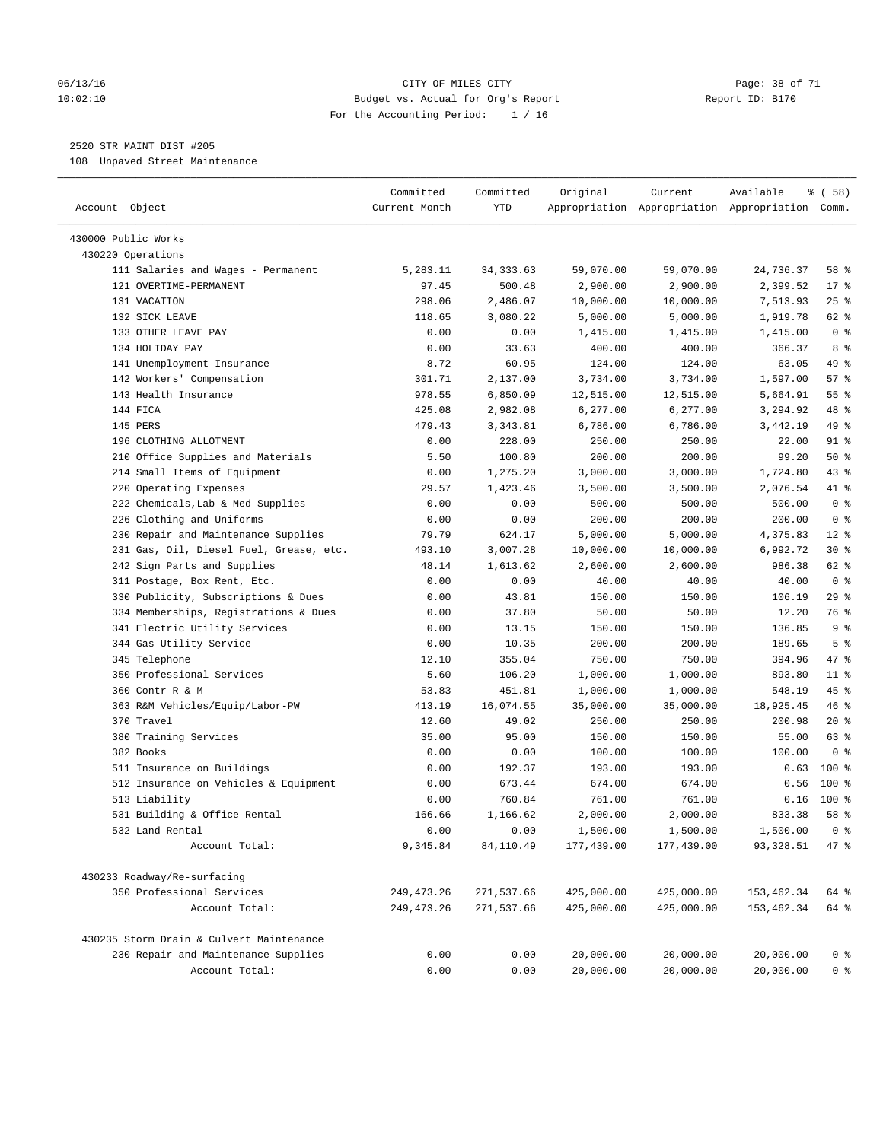### 06/13/16 Page: 38 of 71 10:02:10 Budget vs. Actual for Org's Report Changer Report ID: B170 For the Accounting Period: 1 / 16

————————————————————————————————————————————————————————————————————————————————————————————————————————————————————————————————————

### 2520 STR MAINT DIST #205

108 Unpaved Street Maintenance

|                                          | Committed     | Committed  | Original   | Current                                         | Available   | % ( 58 )       |
|------------------------------------------|---------------|------------|------------|-------------------------------------------------|-------------|----------------|
| Account Object                           | Current Month | YTD        |            | Appropriation Appropriation Appropriation Comm. |             |                |
| 430000 Public Works                      |               |            |            |                                                 |             |                |
| 430220 Operations                        |               |            |            |                                                 |             |                |
| 111 Salaries and Wages - Permanent       | 5,283.11      | 34, 333.63 | 59,070.00  | 59,070.00                                       | 24,736.37   | 58 %           |
| 121 OVERTIME-PERMANENT                   | 97.45         | 500.48     | 2,900.00   | 2,900.00                                        | 2,399.52    | $17*$          |
| 131 VACATION                             | 298.06        | 2,486.07   | 10,000.00  | 10,000.00                                       | 7,513.93    | $25$ %         |
| 132 SICK LEAVE                           | 118.65        | 3,080.22   | 5,000.00   | 5,000.00                                        | 1,919.78    | 62 %           |
| 133 OTHER LEAVE PAY                      | 0.00          | 0.00       | 1,415.00   | 1,415.00                                        | 1,415.00    | 0 <sup>8</sup> |
| 134 HOLIDAY PAY                          | 0.00          | 33.63      | 400.00     | 400.00                                          | 366.37      | 8 %            |
| 141 Unemployment Insurance               | 8.72          | 60.95      | 124.00     | 124.00                                          | 63.05       | 49 %           |
| 142 Workers' Compensation                | 301.71        | 2,137.00   | 3,734.00   | 3,734.00                                        | 1,597.00    | 57%            |
| 143 Health Insurance                     | 978.55        | 6,850.09   | 12,515.00  | 12,515.00                                       | 5,664.91    | 55 %           |
| 144 FICA                                 | 425.08        | 2,982.08   | 6,277.00   | 6,277.00                                        | 3,294.92    | 48 %           |
| 145 PERS                                 | 479.43        | 3,343.81   | 6,786.00   | 6,786.00                                        | 3,442.19    | 49 %           |
| 196 CLOTHING ALLOTMENT                   | 0.00          | 228.00     | 250.00     | 250.00                                          | 22.00       | $91$ %         |
| 210 Office Supplies and Materials        | 5.50          | 100.80     | 200.00     | 200.00                                          | 99.20       | 50%            |
| 214 Small Items of Equipment             | 0.00          | 1,275.20   | 3,000.00   | 3,000.00                                        | 1,724.80    | 43 %           |
| 220 Operating Expenses                   | 29.57         | 1,423.46   | 3,500.00   | 3,500.00                                        | 2,076.54    | 41 %           |
| 222 Chemicals, Lab & Med Supplies        | 0.00          | 0.00       | 500.00     | 500.00                                          | 500.00      | 0 <sup>8</sup> |
| 226 Clothing and Uniforms                | 0.00          | 0.00       | 200.00     | 200.00                                          | 200.00      | 0 <sup>8</sup> |
| 230 Repair and Maintenance Supplies      | 79.79         | 624.17     | 5,000.00   | 5,000.00                                        | 4,375.83    | $12*$          |
| 231 Gas, Oil, Diesel Fuel, Grease, etc.  | 493.10        | 3,007.28   | 10,000.00  | 10,000.00                                       | 6,992.72    | $30*$          |
| 242 Sign Parts and Supplies              | 48.14         | 1,613.62   | 2,600.00   | 2,600.00                                        | 986.38      | 62 %           |
| 311 Postage, Box Rent, Etc.              | 0.00          | 0.00       | 40.00      | 40.00                                           | 40.00       | 0 <sup>8</sup> |
| 330 Publicity, Subscriptions & Dues      | 0.00          | 43.81      | 150.00     | 150.00                                          | 106.19      | 29 %           |
| 334 Memberships, Registrations & Dues    | 0.00          | 37.80      | 50.00      | 50.00                                           | 12.20       | 76 %           |
| 341 Electric Utility Services            | 0.00          | 13.15      | 150.00     | 150.00                                          | 136.85      | 9 <sup>°</sup> |
| 344 Gas Utility Service                  | 0.00          | 10.35      | 200.00     | 200.00                                          | 189.65      | 5 <sup>°</sup> |
| 345 Telephone                            | 12.10         | 355.04     | 750.00     | 750.00                                          | 394.96      | 47 %           |
| 350 Professional Services                | 5.60          | 106.20     | 1,000.00   | 1,000.00                                        | 893.80      | $11$ %         |
| 360 Contr R & M                          | 53.83         | 451.81     | 1,000.00   | 1,000.00                                        | 548.19      | 45 %           |
| 363 R&M Vehicles/Equip/Labor-PW          | 413.19        | 16,074.55  | 35,000.00  | 35,000.00                                       | 18,925.45   | 46 %           |
| 370 Travel                               | 12.60         | 49.02      | 250.00     | 250.00                                          | 200.98      | $20*$          |
| 380 Training Services                    | 35.00         | 95.00      | 150.00     | 150.00                                          | 55.00       | 63 %           |
| 382 Books                                | 0.00          | 0.00       | 100.00     | 100.00                                          | 100.00      | 0 <sup>8</sup> |
| 511 Insurance on Buildings               | 0.00          | 192.37     | 193.00     | 193.00                                          | 0.63        | $100*$         |
| 512 Insurance on Vehicles & Equipment    | 0.00          | 673.44     | 674.00     | 674.00                                          | 0.56        | $100*$         |
| 513 Liability                            | 0.00          | 760.84     | 761.00     | 761.00                                          | 0.16        | $100*$         |
| 531 Building & Office Rental             | 166.66        | 1,166.62   | 2,000.00   | 2,000.00                                        | 833.38      | 58 %           |
| 532 Land Rental                          | 0.00          | 0.00       | 1,500.00   | 1,500.00                                        | 1,500.00    | $0$ %          |
| Account Total:                           | 9,345.84      | 84,110.49  | 177,439.00 | 177,439.00                                      | 93,328.51   | 47 %           |
| 430233 Roadway/Re-surfacing              |               |            |            |                                                 |             |                |
| 350 Professional Services                | 249, 473. 26  | 271,537.66 | 425,000.00 | 425,000.00                                      | 153, 462.34 | 64 %           |
| Account Total:                           | 249, 473. 26  | 271,537.66 | 425,000.00 | 425,000.00                                      | 153,462.34  | 64 %           |
| 430235 Storm Drain & Culvert Maintenance |               |            |            |                                                 |             |                |
| 230 Repair and Maintenance Supplies      | 0.00          | 0.00       | 20,000.00  | 20,000.00                                       | 20,000.00   | 0 <sup>8</sup> |
| Account Total:                           | 0.00          | 0.00       | 20,000.00  | 20,000.00                                       | 20,000.00   | 0 <sup>8</sup> |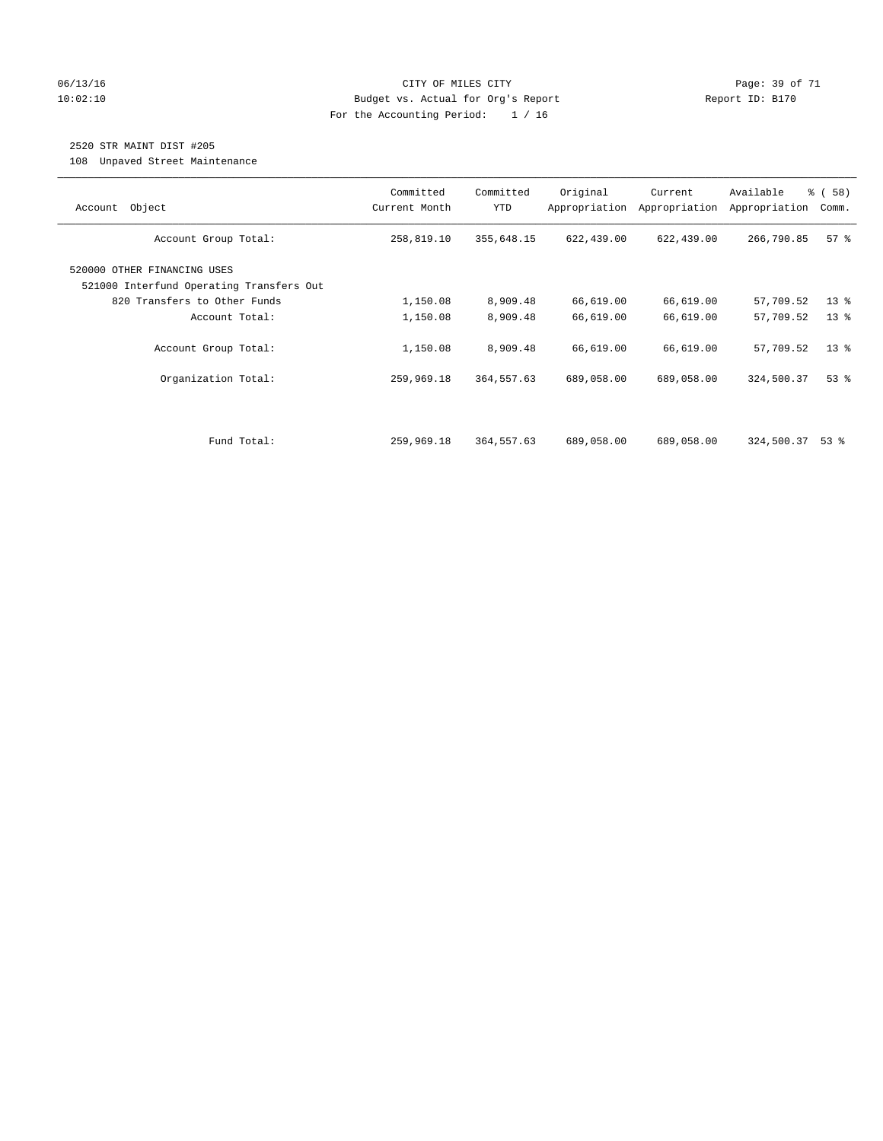### 06/13/16 Page: 39 of 71 10:02:10 Budget vs. Actual for Org's Report Changer Report ID: B170 For the Accounting Period: 1 / 16

### 2520 STR MAINT DIST #205

108 Unpaved Street Maintenance

| Object<br>Account                                                                                       | Committed<br>Current Month | Committed<br><b>YTD</b> | Original<br>Appropriation | Current<br>Appropriation | Available<br>Appropriation | 8 ( 58 )<br>Comm. |
|---------------------------------------------------------------------------------------------------------|----------------------------|-------------------------|---------------------------|--------------------------|----------------------------|-------------------|
| Account Group Total:                                                                                    | 258,819.10                 | 355,648.15              | 622,439.00                | 622,439.00               | 266,790.85                 | 57%               |
| 520000 OTHER FINANCING USES<br>521000 Interfund Operating Transfers Out<br>820 Transfers to Other Funds | 1,150.08                   | 8,909.48                | 66,619.00                 | 66,619.00                | 57,709.52                  | $13*$             |
| Account Total:                                                                                          | 1,150.08                   | 8,909.48                | 66,619.00                 | 66,619.00                | 57,709.52                  | 13 <sup>°</sup>   |
| Account Group Total:                                                                                    | 1,150.08                   | 8,909.48                | 66,619.00                 | 66,619.00                | 57,709.52                  | $13*$             |
| Organization Total:                                                                                     | 259,969.18                 | 364,557.63              | 689,058.00                | 689,058.00               | 324,500.37                 | $53$ $%$          |
|                                                                                                         |                            |                         |                           |                          |                            |                   |
| Fund Total:                                                                                             | 259,969.18                 | 364,557.63              | 689,058.00                | 689,058.00               | 324,500.37                 | 53 %              |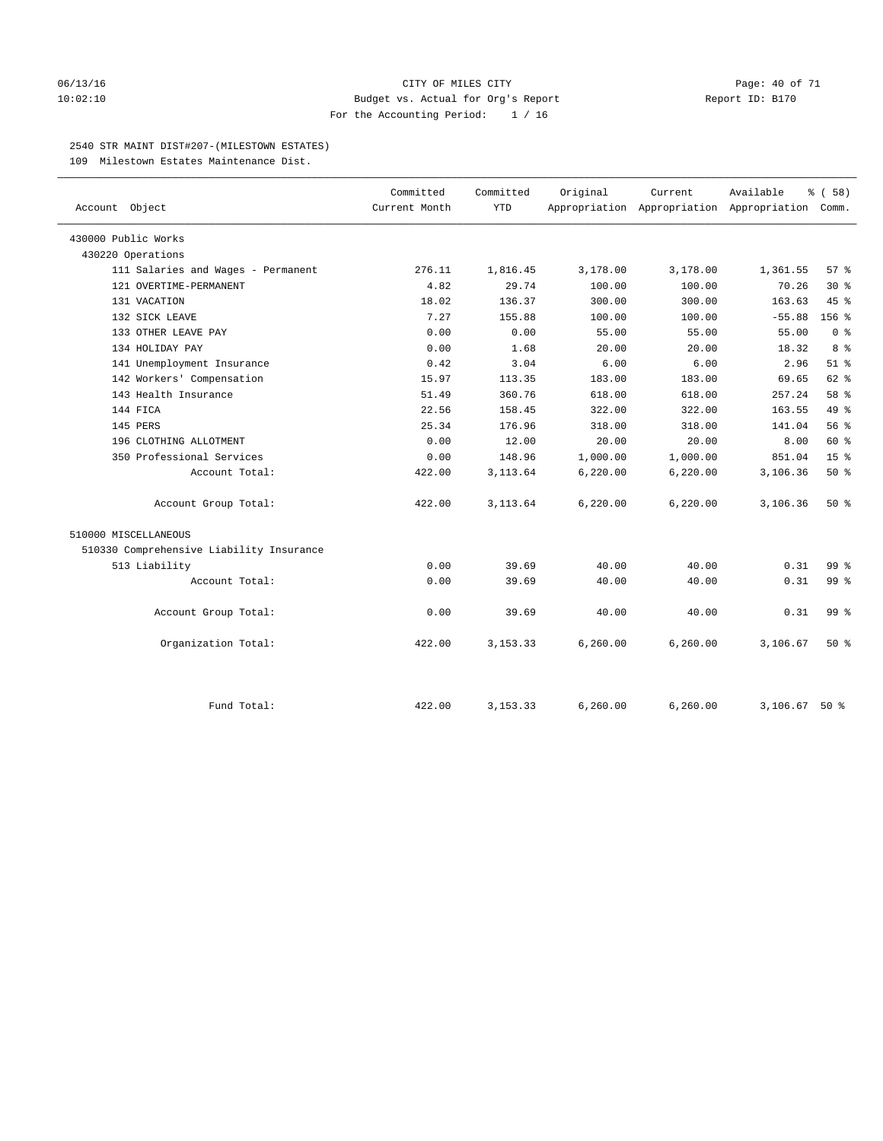### 06/13/16 CITY OF MILES CITY Page: 40 of 71 10:02:10 Budget vs. Actual for Org's Report Report ID: B170 For the Accounting Period: 1 / 16

### 2540 STR MAINT DIST#207-(MILESTOWN ESTATES)

109 Milestown Estates Maintenance Dist.

|                                          | Committed     | Committed  | Original | Current                                         | Available | % (58)           |
|------------------------------------------|---------------|------------|----------|-------------------------------------------------|-----------|------------------|
| Account Object                           | Current Month | <b>YTD</b> |          | Appropriation Appropriation Appropriation Comm. |           |                  |
| 430000 Public Works                      |               |            |          |                                                 |           |                  |
| 430220 Operations                        |               |            |          |                                                 |           |                  |
| 111 Salaries and Wages - Permanent       | 276.11        | 1,816.45   | 3,178.00 | 3,178.00                                        | 1,361.55  | 57%              |
| 121 OVERTIME-PERMANENT                   | 4.82          | 29.74      | 100.00   | 100.00                                          | 70.26     | $30*$            |
| 131 VACATION                             | 18.02         | 136.37     | 300.00   | 300.00                                          | 163.63    | 45%              |
| 132 SICK LEAVE                           | 7.27          | 155.88     | 100.00   | 100.00                                          | $-55.88$  | 156 <sub>8</sub> |
| 133 OTHER LEAVE PAY                      | 0.00          | 0.00       | 55.00    | 55.00                                           | 55.00     | 0 <sup>8</sup>   |
| 134 HOLIDAY PAY                          | 0.00          | 1.68       | 20.00    | 20.00                                           | 18.32     | 8 %              |
| 141 Unemployment Insurance               | 0.42          | 3.04       | 6.00     | 6.00                                            | 2.96      | $51$ %           |
| 142 Workers' Compensation                | 15.97         | 113.35     | 183.00   | 183.00                                          | 69.65     | $62$ $%$         |
| 143 Health Insurance                     | 51.49         | 360.76     | 618.00   | 618.00                                          | 257.24    | 58 %             |
| 144 FICA                                 | 22.56         | 158.45     | 322.00   | 322.00                                          | 163.55    | 49 %             |
| 145 PERS                                 | 25.34         | 176.96     | 318.00   | 318.00                                          | 141.04    | 56%              |
| 196 CLOTHING ALLOTMENT                   | 0.00          | 12.00      | 20.00    | 20.00                                           | 8.00      | 60 %             |
| 350 Professional Services                | 0.00          | 148.96     | 1,000.00 | 1,000.00                                        | 851.04    | 15 <sup>°</sup>  |
| Account Total:                           | 422.00        | 3, 113.64  | 6,220.00 | 6,220.00                                        | 3,106.36  | 50%              |
| Account Group Total:                     | 422.00        | 3, 113.64  | 6,220.00 | 6,220.00                                        | 3,106.36  | 50%              |
| 510000 MISCELLANEOUS                     |               |            |          |                                                 |           |                  |
| 510330 Comprehensive Liability Insurance |               |            |          |                                                 |           |                  |
| 513 Liability                            | 0.00          | 39.69      | 40.00    | 40.00                                           | 0.31      | 99.8             |
| Account Total:                           | 0.00          | 39.69      | 40.00    | 40.00                                           | 0.31      | 99 <sub>8</sub>  |
| Account Group Total:                     | 0.00          | 39.69      | 40.00    | 40.00                                           | 0.31      | 99 <sup>8</sup>  |
| Organization Total:                      | 422.00        | 3, 153. 33 | 6,260.00 | 6,260.00                                        | 3,106.67  | 50%              |
|                                          |               |            |          |                                                 |           |                  |
| Fund Total:                              | 422.00        | 3, 153. 33 | 6,260.00 | 6,260.00                                        | 3,106.67  | $50*$            |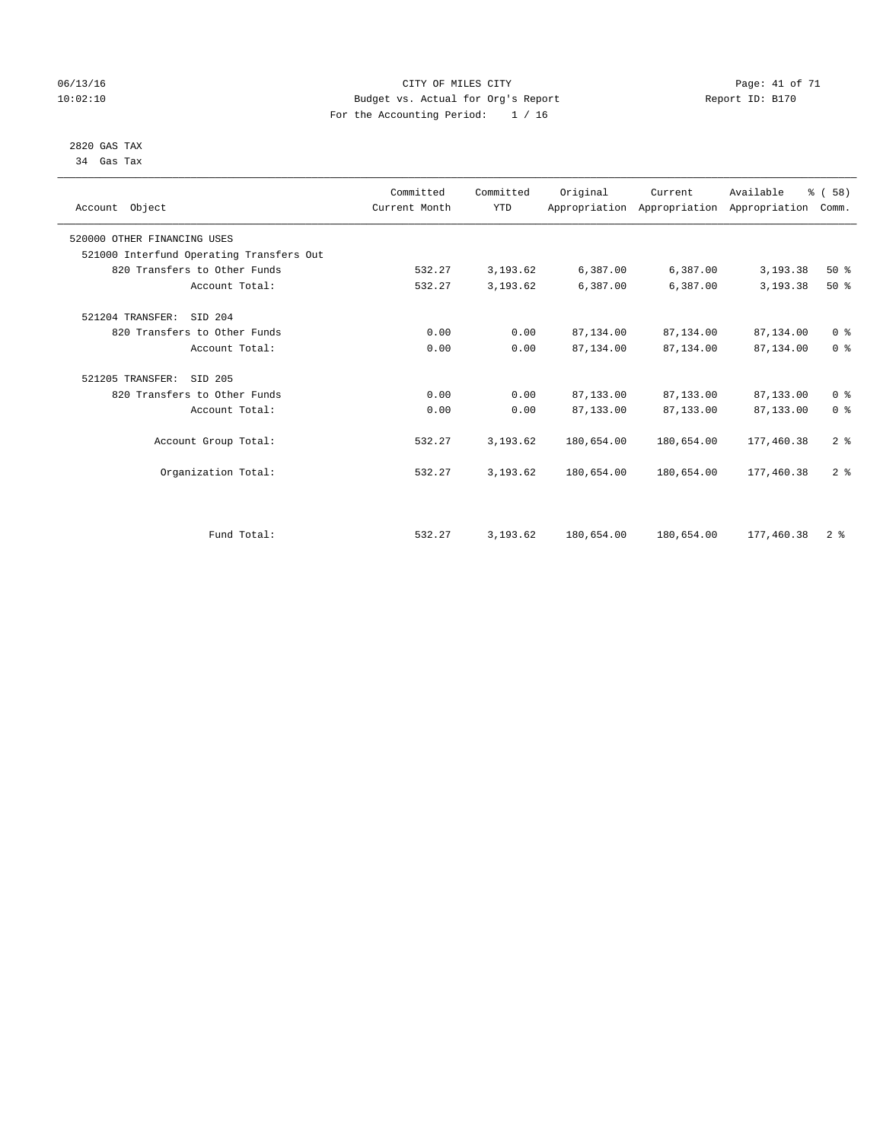### 06/13/16 Page: 41 of 71 10:02:10 Budget vs. Actual for Org's Report Changer Report ID: B170 For the Accounting Period: 1 / 16

 2820 GAS TAX 34 Gas Tax

| Account Object                           | Committed<br>Current Month | Committed<br><b>YTD</b> | Original   | Current    | Available<br>Appropriation Appropriation Appropriation | % (58)<br>Comm. |
|------------------------------------------|----------------------------|-------------------------|------------|------------|--------------------------------------------------------|-----------------|
| 520000 OTHER FINANCING USES              |                            |                         |            |            |                                                        |                 |
| 521000 Interfund Operating Transfers Out |                            |                         |            |            |                                                        |                 |
| 820 Transfers to Other Funds             | 532.27                     | 3,193.62                | 6,387.00   | 6,387.00   | 3,193.38                                               | 50%             |
| Account Total:                           | 532.27                     | 3,193.62                | 6,387.00   | 6,387.00   | 3,193.38                                               | 50%             |
| 521204 TRANSFER:<br>SID 204              |                            |                         |            |            |                                                        |                 |
| 820 Transfers to Other Funds             | 0.00                       | 0.00                    | 87,134.00  | 87,134.00  | 87,134.00                                              | 0 <sup>8</sup>  |
| Account Total:                           | 0.00                       | 0.00                    | 87,134.00  | 87,134.00  | 87,134.00                                              | 0 <sup>8</sup>  |
| 521205 TRANSFER:<br>SID 205              |                            |                         |            |            |                                                        |                 |
| 820 Transfers to Other Funds             | 0.00                       | 0.00                    | 87,133.00  | 87,133.00  | 87,133.00                                              | 0 <sup>8</sup>  |
| Account Total:                           | 0.00                       | 0.00                    | 87,133.00  | 87,133.00  | 87,133.00                                              | 0 <sup>8</sup>  |
| Account Group Total:                     | 532.27                     | 3,193.62                | 180,654.00 | 180,654.00 | 177,460.38                                             | 2 <sup>°</sup>  |
| Organization Total:                      | 532.27                     | 3,193.62                | 180,654.00 | 180,654.00 | 177,460.38                                             | 2 <sup>°</sup>  |
|                                          |                            |                         |            |            |                                                        |                 |
| Fund Total:                              | 532.27                     | 3,193.62                | 180,654.00 | 180,654.00 | 177,460.38                                             | 2 <sup>8</sup>  |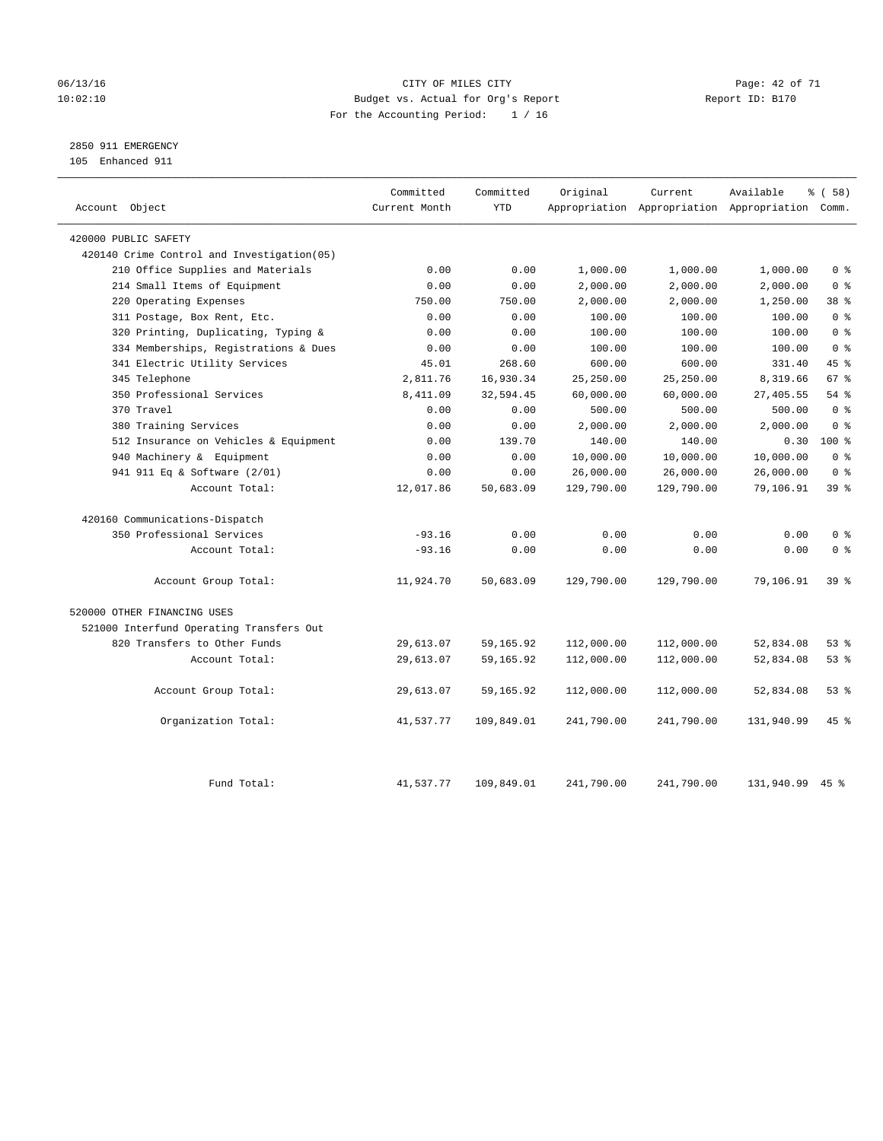### 06/13/16 Page: 42 of 71 10:02:10 Budget vs. Actual for Org's Report Changer Report ID: B170 For the Accounting Period: 1 / 16

### 2850 911 EMERGENCY

105 Enhanced 911

| Account Object                             | Committed<br>Current Month | Committed<br><b>YTD</b> | Original   | Current<br>Appropriation Appropriation Appropriation Comm. | Available  | % (58)          |
|--------------------------------------------|----------------------------|-------------------------|------------|------------------------------------------------------------|------------|-----------------|
| 420000 PUBLIC SAFETY                       |                            |                         |            |                                                            |            |                 |
| 420140 Crime Control and Investigation(05) |                            |                         |            |                                                            |            |                 |
| 210 Office Supplies and Materials          | 0.00                       | 0.00                    | 1,000.00   | 1,000.00                                                   | 1,000.00   | 0 <sup>8</sup>  |
| 214 Small Items of Equipment               | 0.00                       | 0.00                    | 2,000.00   | 2,000.00                                                   | 2,000.00   | 0 <sup>8</sup>  |
| 220 Operating Expenses                     | 750.00                     | 750.00                  | 2,000.00   | 2,000.00                                                   | 1,250.00   | 38 <sup>8</sup> |
| 311 Postage, Box Rent, Etc.                | 0.00                       | 0.00                    | 100.00     | 100.00                                                     | 100.00     | 0 <sup>8</sup>  |
| 320 Printing, Duplicating, Typing &        | 0.00                       | 0.00                    | 100.00     | 100.00                                                     | 100.00     | 0 <sup>8</sup>  |
| 334 Memberships, Registrations & Dues      | 0.00                       | 0.00                    | 100.00     | 100.00                                                     | 100.00     | 0 <sup>8</sup>  |
| 341 Electric Utility Services              | 45.01                      | 268.60                  | 600.00     | 600.00                                                     | 331.40     | 45 %            |
| 345 Telephone                              | 2,811.76                   | 16,930.34               | 25,250.00  | 25,250.00                                                  | 8,319.66   | 67 <sup>8</sup> |
| 350 Professional Services                  | 8,411.09                   | 32,594.45               | 60,000.00  | 60,000.00                                                  | 27,405.55  | 54%             |
| 370 Travel                                 | 0.00                       | 0.00                    | 500.00     | 500.00                                                     | 500.00     | 0 <sup>8</sup>  |
| 380 Training Services                      | 0.00                       | 0.00                    | 2,000.00   | 2,000.00                                                   | 2,000.00   | 0 <sup>8</sup>  |
| 512 Insurance on Vehicles & Equipment      | 0.00                       | 139.70                  | 140.00     | 140.00                                                     | 0.30       | 100 %           |
| 940 Machinery & Equipment                  | 0.00                       | 0.00                    | 10,000.00  | 10,000.00                                                  | 10,000.00  | 0 <sup>8</sup>  |
| 941 911 Eq & Software (2/01)               | 0.00                       | 0.00                    | 26,000.00  | 26,000.00                                                  | 26,000.00  | 0 <sup>8</sup>  |
| Account Total:                             | 12,017.86                  | 50,683.09               | 129,790.00 | 129,790.00                                                 | 79,106.91  | 39 %            |
| 420160 Communications-Dispatch             |                            |                         |            |                                                            |            |                 |
| 350 Professional Services                  | $-93.16$                   | 0.00                    | 0.00       | 0.00                                                       | 0.00       | 0 <sup>8</sup>  |
| Account Total:                             | $-93.16$                   | 0.00                    | 0.00       | 0.00                                                       | 0.00       | 0 <sup>8</sup>  |
| Account Group Total:                       | 11,924.70                  | 50,683.09               | 129,790.00 | 129,790.00                                                 | 79,106.91  | 39 <sup>8</sup> |
| 520000 OTHER FINANCING USES                |                            |                         |            |                                                            |            |                 |
| 521000 Interfund Operating Transfers Out   |                            |                         |            |                                                            |            |                 |
| 820 Transfers to Other Funds               | 29,613.07                  | 59, 165. 92             | 112,000.00 | 112,000.00                                                 | 52,834.08  | 53%             |
| Account Total:                             | 29,613.07                  | 59,165.92               | 112,000.00 | 112,000.00                                                 | 52,834.08  | 53%             |
| Account Group Total:                       | 29,613.07                  | 59,165.92               | 112,000.00 | 112,000.00                                                 | 52,834.08  | 53%             |
| Organization Total:                        | 41,537.77                  | 109,849.01              | 241,790.00 | 241,790.00                                                 | 131,940.99 | 45%             |
| Fund Total:                                | 41,537.77                  | 109,849.01              | 241,790.00 | 241,790.00                                                 | 131,940.99 | $45$ %          |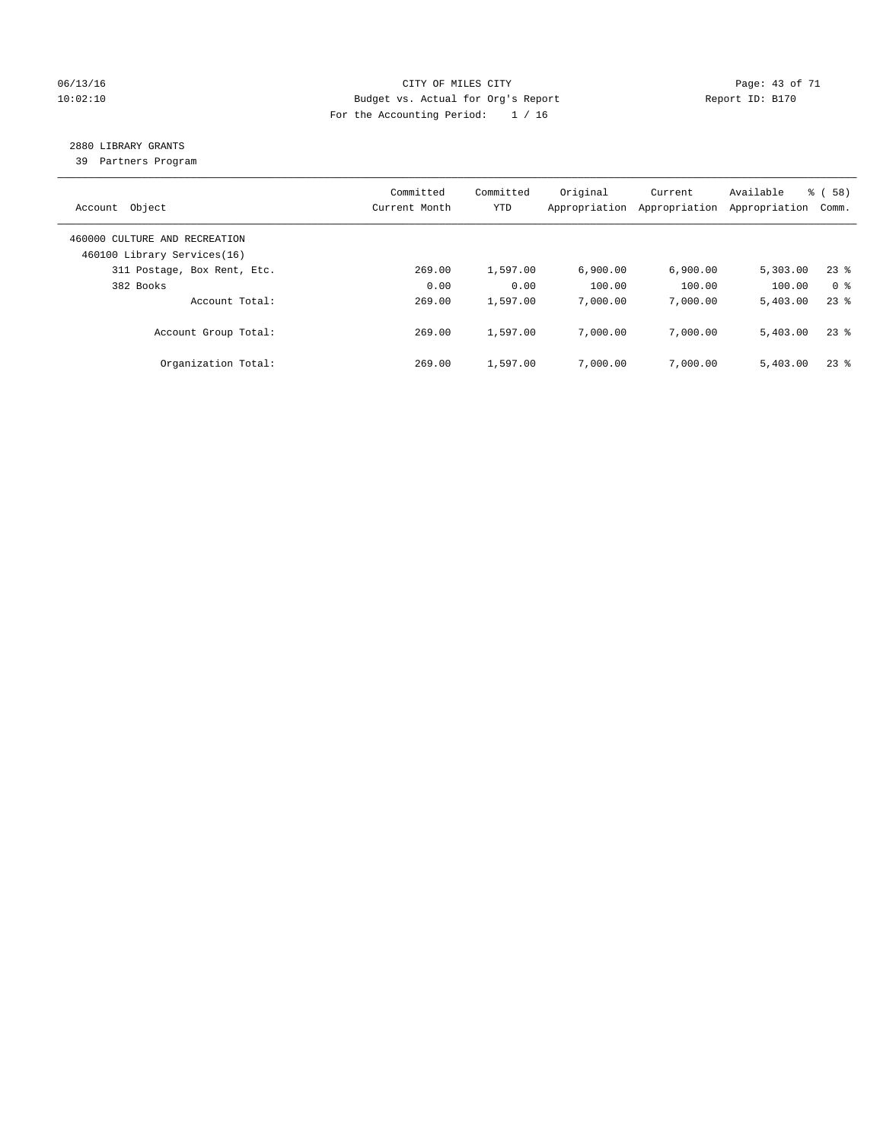### 06/13/16 Page: 43 of 71 10:02:10 Budget vs. Actual for Org's Report Changer Report ID: B170 For the Accounting Period: 1 / 16

### 2880 LIBRARY GRANTS

39 Partners Program

| Account Object                                               | Committed<br>Current Month | Committed<br>YTD | Original<br>Appropriation | Current<br>Appropriation | Available<br>Appropriation | % ( 58 )<br>Comm. |
|--------------------------------------------------------------|----------------------------|------------------|---------------------------|--------------------------|----------------------------|-------------------|
| 460000 CULTURE AND RECREATION<br>460100 Library Services(16) |                            |                  |                           |                          |                            |                   |
| 311 Postage, Box Rent, Etc.                                  | 269.00                     | 1,597.00         | 6.900.00                  | 6.900.00                 | 5,303.00                   | 238               |
| 382 Books                                                    | 0.00                       | 0.00             | 100.00                    | 100.00                   | 100.00                     | 0 %               |
| Account Total:                                               | 269.00                     | 1,597.00         | 7,000.00                  | 7,000.00                 | 5,403.00                   | $23$ $%$          |
| Account Group Total:                                         | 269.00                     | 1,597.00         | 7,000.00                  | 7,000.00                 | 5,403.00                   | 238               |
| Organization Total:                                          | 269.00                     | 1,597.00         | 7,000.00                  | 7,000.00                 | 5.403.00                   | 238               |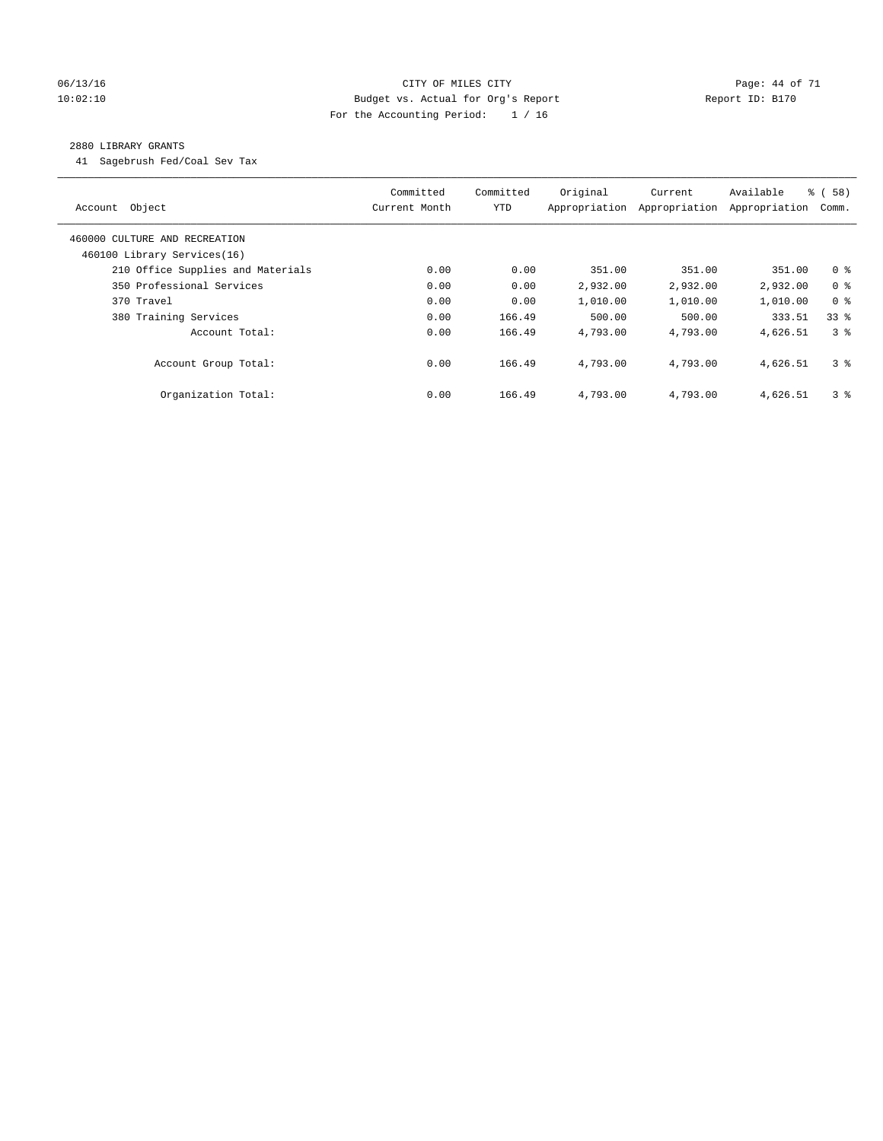### 06/13/16 Page: 44 of 71 10:02:10 Budget vs. Actual for Org's Report Changer Report ID: B170 For the Accounting Period: 1 / 16

### 2880 LIBRARY GRANTS

41 Sagebrush Fed/Coal Sev Tax

| Object<br>Account                                            | Committed<br>Current Month | Committed<br><b>YTD</b> | Original<br>Appropriation | Current<br>Appropriation | Available<br>Appropriation | 8 ( 58 )<br>Comm. |
|--------------------------------------------------------------|----------------------------|-------------------------|---------------------------|--------------------------|----------------------------|-------------------|
| 460000 CULTURE AND RECREATION<br>460100 Library Services(16) |                            |                         |                           |                          |                            |                   |
| 210 Office Supplies and Materials                            | 0.00                       | 0.00                    | 351.00                    | 351.00                   | 351.00                     | 0 <sup>8</sup>    |
| 350 Professional Services                                    | 0.00                       | 0.00                    | 2,932.00                  | 2,932.00                 | 2,932.00                   | 0 <sup>8</sup>    |
| 370 Travel                                                   | 0.00                       | 0.00                    | 1,010.00                  | 1,010.00                 | 1,010.00                   | 0 <sup>8</sup>    |
| 380 Training Services                                        | 0.00                       | 166.49                  | 500.00                    | 500.00                   | 333.51                     | 338               |
| Account Total:                                               | 0.00                       | 166.49                  | 4,793.00                  | 4,793.00                 | 4,626.51                   | 38                |
| Account Group Total:                                         | 0.00                       | 166.49                  | 4,793.00                  | 4,793.00                 | 4,626.51                   | 3 <sup>8</sup>    |
| Organization Total:                                          | 0.00                       | 166.49                  | 4,793.00                  | 4,793.00                 | 4,626.51                   | 3 <sup>8</sup>    |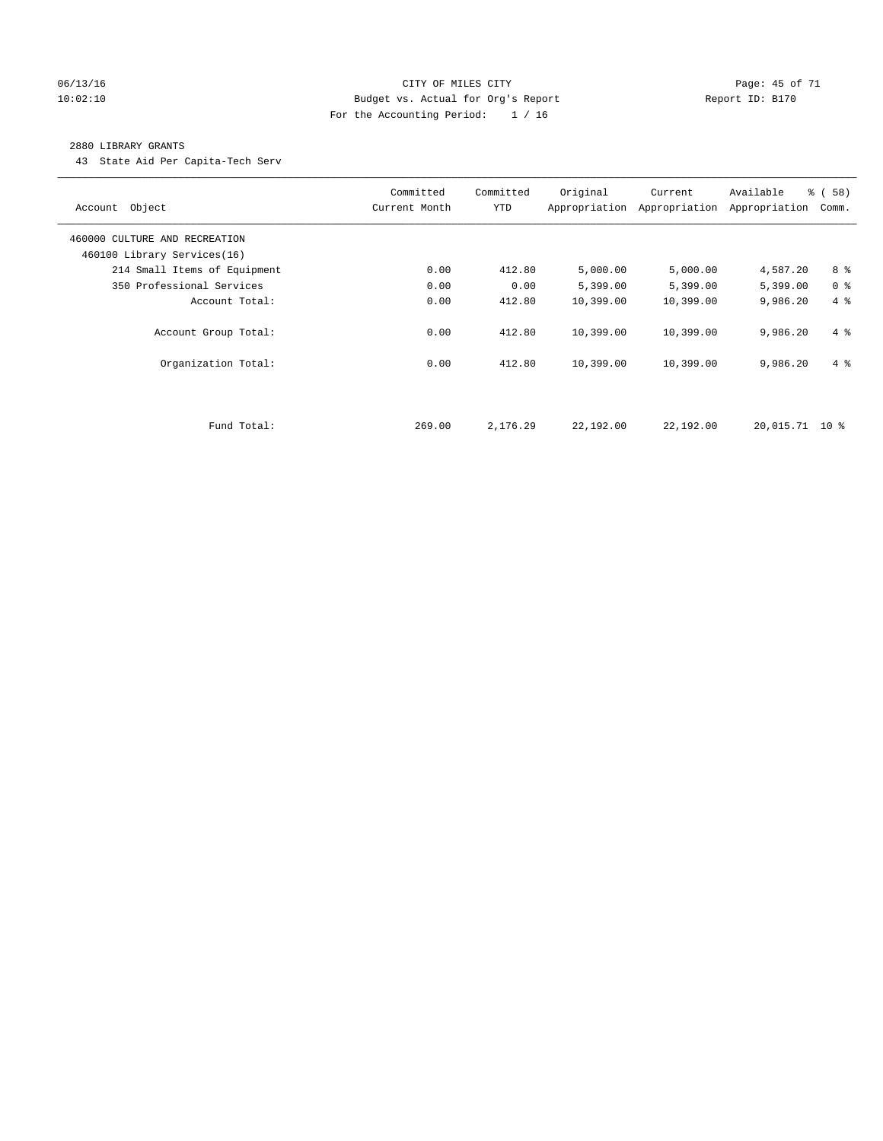### 06/13/16 Page: 45 of 71 10:02:10 Budget vs. Actual for Org's Report Changer Report ID: B170 For the Accounting Period: 1 / 16

#### 2880 LIBRARY GRANTS

43 State Aid Per Capita-Tech Serv

| Account Object                | Committed<br>Current Month | Committed<br><b>YTD</b> | Original  | Current<br>Appropriation Appropriation | Available<br>Appropriation | % ( 58 )<br>Comm. |
|-------------------------------|----------------------------|-------------------------|-----------|----------------------------------------|----------------------------|-------------------|
| 460000 CULTURE AND RECREATION |                            |                         |           |                                        |                            |                   |
| 460100 Library Services(16)   |                            |                         |           |                                        |                            |                   |
| 214 Small Items of Equipment  | 0.00                       | 412.80                  | 5,000.00  | 5,000.00                               | 4,587.20                   | 8 %               |
| 350 Professional Services     | 0.00                       | 0.00                    | 5,399.00  | 5,399.00                               | 5,399.00                   | 0 <sup>8</sup>    |
| Account Total:                | 0.00                       | 412.80                  | 10,399.00 | 10,399.00                              | 9,986.20                   | 4%                |
| Account Group Total:          | 0.00                       | 412.80                  | 10,399.00 | 10,399.00                              | 9,986.20                   | $4\degree$        |
| Organization Total:           | 0.00                       | 412.80                  | 10,399.00 | 10,399.00                              | 9,986.20                   | $4\degree$        |
|                               |                            |                         |           |                                        |                            |                   |
| Fund Total:                   | 269.00                     | 2,176.29                | 22,192.00 | 22,192.00                              | 20,015.71 10 %             |                   |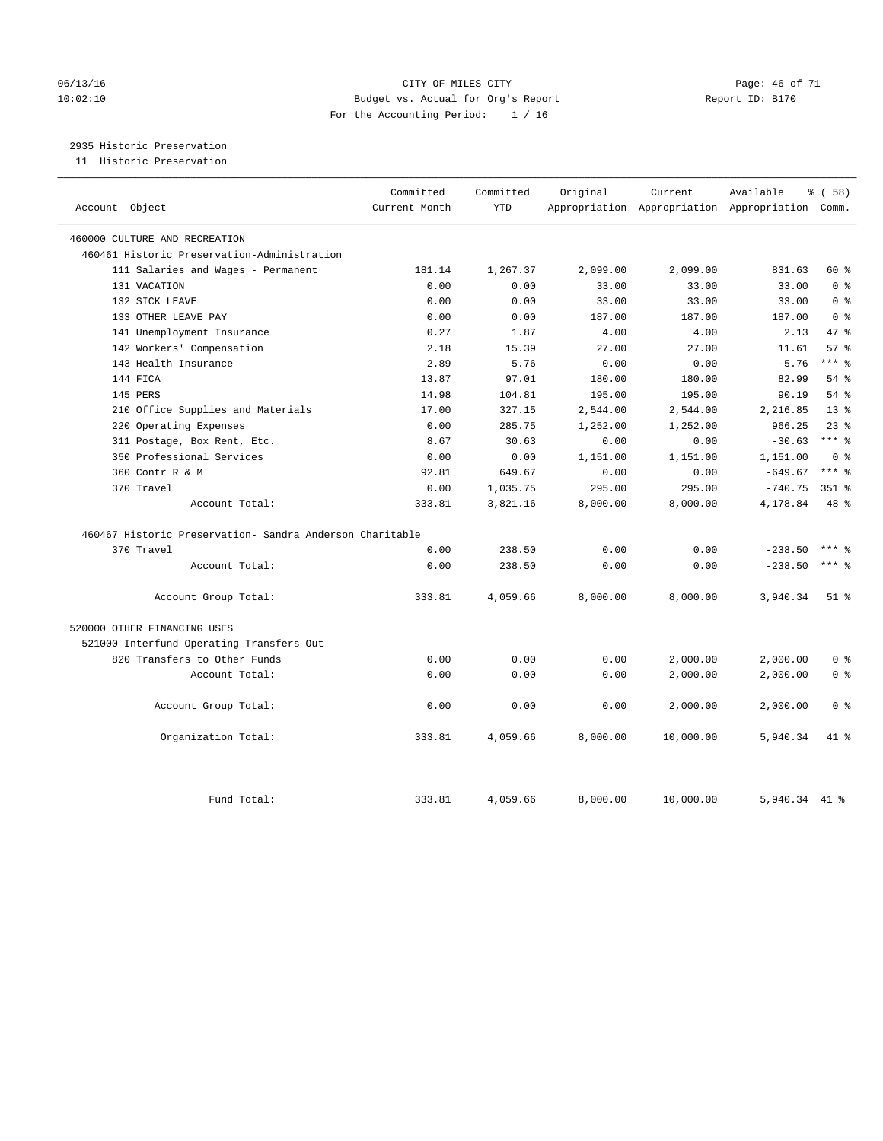### 06/13/16 Page: 46 of 71 10:02:10 Budget vs. Actual for Org's Report Report ID: B170 For the Accounting Period: 1 / 16

# 2935 Historic Preservation

11 Historic Preservation

| Account Object                                           | Committed<br>Current Month | Committed<br><b>YTD</b> | Original | Current   | Available<br>Appropriation Appropriation Appropriation Comm. | 8 ( 58 )        |
|----------------------------------------------------------|----------------------------|-------------------------|----------|-----------|--------------------------------------------------------------|-----------------|
| 460000 CULTURE AND RECREATION                            |                            |                         |          |           |                                                              |                 |
| 460461 Historic Preservation-Administration              |                            |                         |          |           |                                                              |                 |
| 111 Salaries and Wages - Permanent                       | 181.14                     | 1,267.37                | 2,099.00 | 2,099.00  | 831.63                                                       | 60 %            |
| 131 VACATION                                             | 0.00                       | 0.00                    | 33.00    | 33.00     | 33.00                                                        | 0 <sup>8</sup>  |
| 132 SICK LEAVE                                           | 0.00                       | 0.00                    | 33.00    | 33.00     | 33.00                                                        | 0 <sup>8</sup>  |
| 133 OTHER LEAVE PAY                                      | 0.00                       | 0.00                    | 187.00   | 187.00    | 187.00                                                       | 0 <sup>8</sup>  |
| 141 Unemployment Insurance                               | 0.27                       | 1.87                    | 4.00     | 4.00      | 2.13                                                         | 47.8            |
| 142 Workers' Compensation                                | 2.18                       | 15.39                   | 27.00    | 27.00     | 11.61                                                        | 57%             |
| 143 Health Insurance                                     | 2.89                       | 5.76                    | 0.00     | 0.00      | $-5.76$                                                      | *** 응           |
| 144 FICA                                                 | 13.87                      | 97.01                   | 180.00   | 180.00    | 82.99                                                        | $54$ $%$        |
| 145 PERS                                                 | 14.98                      | 104.81                  | 195.00   | 195.00    | 90.19                                                        | 54 %            |
| 210 Office Supplies and Materials                        | 17.00                      | 327.15                  | 2,544.00 | 2,544.00  | 2,216.85                                                     | 13 <sup>8</sup> |
| 220 Operating Expenses                                   | 0.00                       | 285.75                  | 1,252.00 | 1,252.00  | 966.25                                                       | $23$ $%$        |
| 311 Postage, Box Rent, Etc.                              | 8.67                       | 30.63                   | 0.00     | 0.00      | $-30.63$                                                     | $***$ $_{8}$    |
| 350 Professional Services                                | 0.00                       | 0.00                    | 1,151.00 | 1,151.00  | 1,151.00                                                     | 0 <sup>8</sup>  |
| 360 Contr R & M                                          | 92.81                      | 649.67                  | 0.00     | 0.00      | $-649.67$                                                    | $***$ $%$       |
| 370 Travel                                               | 0.00                       | 1,035.75                | 295.00   | 295.00    | $-740.75$                                                    | 351 %           |
| Account Total:                                           | 333.81                     | 3,821.16                | 8,000.00 | 8,000.00  | 4,178.84                                                     | 48 %            |
| 460467 Historic Preservation- Sandra Anderson Charitable |                            |                         |          |           |                                                              |                 |
| 370 Travel                                               | 0.00                       | 238.50                  | 0.00     | 0.00      | $-238.50$                                                    | $***$ $_{8}$    |
| Account Total:                                           | 0.00                       | 238.50                  | 0.00     | 0.00      | $-238.50$                                                    | $***$ 8         |
| Account Group Total:                                     | 333.81                     | 4,059.66                | 8,000.00 | 8,000.00  | 3,940.34                                                     | $51$ %          |
| 520000 OTHER FINANCING USES                              |                            |                         |          |           |                                                              |                 |
| 521000 Interfund Operating Transfers Out                 |                            |                         |          |           |                                                              |                 |
| 820 Transfers to Other Funds                             | 0.00                       | 0.00                    | 0.00     | 2,000.00  | 2,000.00                                                     | 0 <sup>8</sup>  |
| Account Total:                                           | 0.00                       | 0.00                    | 0.00     | 2,000.00  | 2,000.00                                                     | 0 <sup>8</sup>  |
| Account Group Total:                                     | 0.00                       | 0.00                    | 0.00     | 2,000.00  | 2,000.00                                                     | 0 <sup>8</sup>  |
| Organization Total:                                      | 333.81                     | 4,059.66                | 8,000.00 | 10,000.00 | 5,940.34                                                     | 41.8            |
| Fund Total:                                              | 333.81                     | 4,059.66                | 8,000.00 | 10,000.00 | 5,940.34 41 %                                                |                 |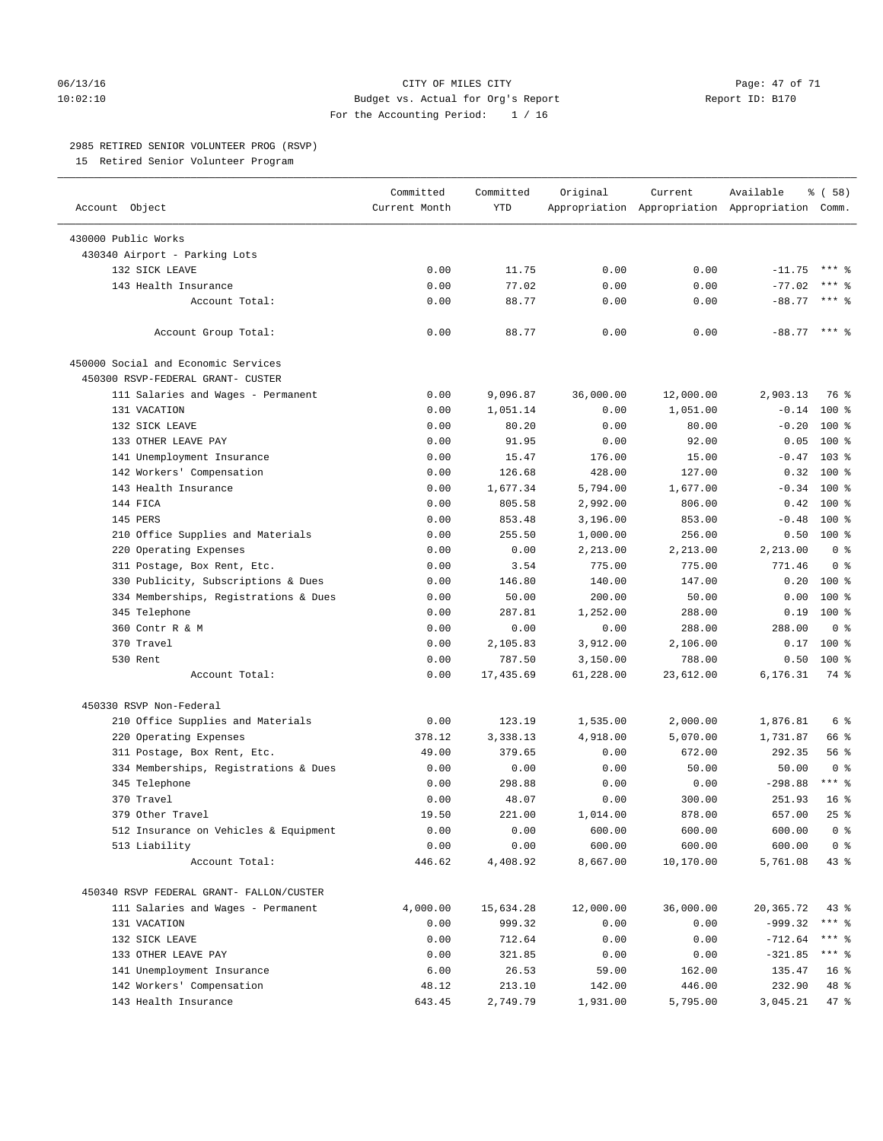### 06/13/16 CITY OF MILES CITY Page: 47 of 71 10:02:10 Budget vs. Actual for Org's Report Report ID: B170 For the Accounting Period: 1 / 16

————————————————————————————————————————————————————————————————————————————————————————————————————————————————————————————————————

### 2985 RETIRED SENIOR VOLUNTEER PROG (RSVP)

15 Retired Senior Volunteer Program

|                                          | Committed     | Committed | Original  | Current   | Available                                       | % ( 58 )        |
|------------------------------------------|---------------|-----------|-----------|-----------|-------------------------------------------------|-----------------|
| Account Object                           | Current Month | YTD       |           |           | Appropriation Appropriation Appropriation Comm. |                 |
| 430000 Public Works                      |               |           |           |           |                                                 |                 |
| 430340 Airport - Parking Lots            |               |           |           |           |                                                 |                 |
| 132 SICK LEAVE                           | 0.00          | 11.75     | 0.00      | 0.00      | $-11.75$                                        | $***$ $%$       |
| 143 Health Insurance                     | 0.00          | 77.02     | 0.00      | 0.00      | $-77.02$                                        | *** 응           |
| Account Total:                           | 0.00          | 88.77     | 0.00      | 0.00      | $-88.77$ *** \$                                 |                 |
|                                          |               |           |           |           |                                                 |                 |
| Account Group Total:                     | 0.00          | 88.77     | 0.00      | 0.00      | $-88.77$ *** $%$                                |                 |
| 450000 Social and Economic Services      |               |           |           |           |                                                 |                 |
| 450300 RSVP-FEDERAL GRANT- CUSTER        |               |           |           |           |                                                 |                 |
| 111 Salaries and Wages - Permanent       | 0.00          | 9,096.87  | 36,000.00 | 12,000.00 | 2,903.13                                        | 76 %            |
| 131 VACATION                             | 0.00          | 1,051.14  | 0.00      | 1,051.00  | $-0.14$                                         | 100 %           |
| 132 SICK LEAVE                           | 0.00          | 80.20     | 0.00      | 80.00     | $-0.20$                                         | $100*$          |
| 133 OTHER LEAVE PAY                      | 0.00          | 91.95     | 0.00      | 92.00     | 0.05                                            | $100*$          |
| 141 Unemployment Insurance               | 0.00          | 15.47     | 176.00    | 15.00     |                                                 | $-0.47$ 103 %   |
| 142 Workers' Compensation                | 0.00          | 126.68    | 428.00    | 127.00    | 0.32                                            | $100*$          |
| 143 Health Insurance                     | 0.00          | 1,677.34  | 5,794.00  | 1,677.00  | $-0.34$                                         | $100*$          |
| 144 FICA                                 | 0.00          | 805.58    | 2,992.00  | 806.00    | 0.42                                            | $100*$          |
| 145 PERS                                 | 0.00          | 853.48    | 3,196.00  | 853.00    | $-0.48$                                         | $100*$          |
| 210 Office Supplies and Materials        | 0.00          | 255.50    | 1,000.00  | 256.00    |                                                 | $0.50$ 100 %    |
| 220 Operating Expenses                   | 0.00          | 0.00      | 2,213.00  | 2,213.00  | 2,213.00                                        | 0 <sup>8</sup>  |
| 311 Postage, Box Rent, Etc.              | 0.00          | 3.54      | 775.00    | 775.00    | 771.46                                          | 0 <sup>8</sup>  |
| 330 Publicity, Subscriptions & Dues      | 0.00          | 146.80    | 140.00    | 147.00    | 0.20                                            | $100*$          |
| 334 Memberships, Registrations & Dues    | 0.00          | 50.00     | 200.00    | 50.00     | 0.00                                            | $100$ %         |
| 345 Telephone                            | 0.00          | 287.81    | 1,252.00  | 288.00    | 0.19                                            | $100*$          |
| 360 Contr R & M                          | 0.00          | 0.00      | 0.00      | 288.00    | 288.00                                          | 0 <sup>8</sup>  |
| 370 Travel                               | 0.00          | 2,105.83  | 3,912.00  | 2,106.00  | 0.17                                            | $100*$          |
| 530 Rent                                 | 0.00          | 787.50    | 3,150.00  | 788.00    | 0.50                                            | $100$ %         |
| Account Total:                           | 0.00          | 17,435.69 | 61,228.00 | 23,612.00 | 6,176.31                                        | 74 %            |
| 450330 RSVP Non-Federal                  |               |           |           |           |                                                 |                 |
| 210 Office Supplies and Materials        | 0.00          | 123.19    | 1,535.00  | 2,000.00  | 1,876.81                                        | 6 %             |
| 220 Operating Expenses                   | 378.12        | 3,338.13  | 4,918.00  | 5,070.00  | 1,731.87                                        | 66 %            |
| 311 Postage, Box Rent, Etc.              | 49.00         | 379.65    | 0.00      | 672.00    | 292.35                                          | 56%             |
| 334 Memberships, Registrations & Dues    | 0.00          | 0.00      | 0.00      | 50.00     | 50.00                                           | 0 <sup>8</sup>  |
| 345 Telephone                            | 0.00          | 298.88    | 0.00      | 0.00      | $-298.88$                                       | $***$ $%$       |
| 370 Travel                               | 0.00          | 48.07     | 0.00      | 300.00    | 251.93                                          | 16 <sup>°</sup> |
| 379 Other Travel                         | 19.50         | 221.00    | 1,014.00  | 878.00    | 657.00                                          | $25$ %          |
| 512 Insurance on Vehicles & Equipment    | 0.00          | 0.00      | 600.00    | 600.00    | 600.00                                          | 0 <sup>8</sup>  |
| 513 Liability                            | 0.00          | 0.00      | 600.00    | 600.00    | 600.00                                          | 0 <sup>8</sup>  |
| Account Total:                           | 446.62        | 4,408.92  | 8,667.00  | 10,170.00 | 5,761.08                                        | $43$ %          |
|                                          |               |           |           |           |                                                 |                 |
| 450340 RSVP FEDERAL GRANT- FALLON/CUSTER |               |           |           |           |                                                 |                 |
| 111 Salaries and Wages - Permanent       | 4,000.00      | 15,634.28 | 12,000.00 | 36,000.00 | 20,365.72                                       | $43$ %          |
| 131 VACATION                             | 0.00          | 999.32    | 0.00      | 0.00      | $-999.32$                                       | $***$ $_{8}$    |
| 132 SICK LEAVE                           | 0.00          | 712.64    | 0.00      | 0.00      | $-712.64$                                       | *** 응           |
| 133 OTHER LEAVE PAY                      | 0.00          | 321.85    | 0.00      | 0.00      | $-321.85$                                       | $***$ $-$       |
| 141 Unemployment Insurance               | 6.00          | 26.53     | 59.00     | 162.00    | 135.47                                          | 16 <sup>8</sup> |
| 142 Workers' Compensation                | 48.12         | 213.10    | 142.00    | 446.00    | 232.90                                          | 48 %            |
| 143 Health Insurance                     | 643.45        | 2,749.79  | 1,931.00  | 5,795.00  | 3,045.21                                        | 47 %            |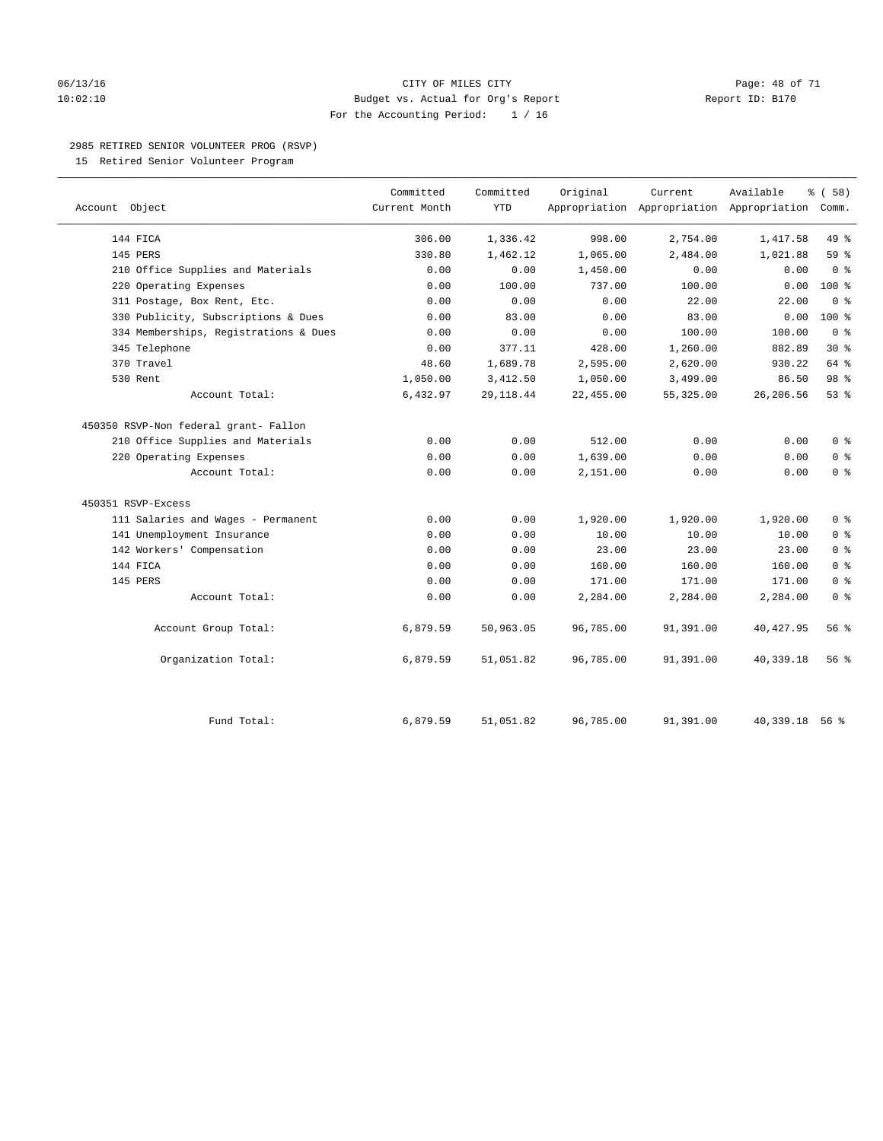### 06/13/16 CITY OF MILES CITY Page: 48 of 71 10:02:10 Budget vs. Actual for Org's Report Report ID: B170 For the Accounting Period: 1 / 16

### 2985 RETIRED SENIOR VOLUNTEER PROG (RSVP)

15 Retired Senior Volunteer Program

|                                       | Committed     | Committed  | Original  | Current    | Available                                       | % (58)         |
|---------------------------------------|---------------|------------|-----------|------------|-------------------------------------------------|----------------|
| Account Object                        | Current Month | <b>YTD</b> |           |            | Appropriation Appropriation Appropriation Comm. |                |
| 144 FICA                              | 306.00        | 1,336.42   | 998.00    | 2,754.00   | 1,417.58                                        | 49 %           |
| 145 PERS                              | 330.80        | 1,462.12   | 1,065.00  | 2,484.00   | 1,021.88                                        | 59%            |
| 210 Office Supplies and Materials     | 0.00          | 0.00       | 1,450.00  | 0.00       | 0.00                                            | 0 <sup>°</sup> |
| 220 Operating Expenses                | 0.00          | 100.00     | 737.00    | 100.00     | 0.00                                            | 100 %          |
| 311 Postage, Box Rent, Etc.           | 0.00          | 0.00       | 0.00      | 22.00      | 22.00                                           | 0 <sup>8</sup> |
| 330 Publicity, Subscriptions & Dues   | 0.00          | 83.00      | 0.00      | 83.00      | 0.00                                            | 100 %          |
| 334 Memberships, Registrations & Dues | 0.00          | 0.00       | 0.00      | 100.00     | 100.00                                          | 0 <sup>8</sup> |
| 345 Telephone                         | 0.00          | 377.11     | 428.00    | 1,260.00   | 882.89                                          | $30*$          |
| 370 Travel                            | 48.60         | 1,689.78   | 2,595.00  | 2,620.00   | 930.22                                          | 64 %           |
| 530 Rent                              | 1,050.00      | 3,412.50   | 1,050.00  | 3,499.00   | 86.50                                           | 98 %           |
| Account Total:                        | 6,432.97      | 29, 118.44 | 22,455.00 | 55, 325.00 | 26,206.56                                       | $53$ $%$       |
| 450350 RSVP-Non federal grant- Fallon |               |            |           |            |                                                 |                |
| 210 Office Supplies and Materials     | 0.00          | 0.00       | 512.00    | 0.00       | 0.00                                            | 0 <sup>8</sup> |
| 220 Operating Expenses                | 0.00          | 0.00       | 1,639.00  | 0.00       | 0.00                                            | 0 <sup>8</sup> |
| Account Total:                        | 0.00          | 0.00       | 2,151.00  | 0.00       | 0.00                                            | 0 <sup>8</sup> |
| 450351 RSVP-Excess                    |               |            |           |            |                                                 |                |
| 111 Salaries and Wages - Permanent    | 0.00          | 0.00       | 1,920.00  | 1,920.00   | 1,920.00                                        | 0 <sup>8</sup> |
| 141 Unemployment Insurance            | 0.00          | 0.00       | 10.00     | 10.00      | 10.00                                           | 0 <sup>8</sup> |
| 142 Workers' Compensation             | 0.00          | 0.00       | 23.00     | 23.00      | 23.00                                           | 0 <sup>8</sup> |
| 144 FICA                              | 0.00          | 0.00       | 160.00    | 160.00     | 160.00                                          | 0 <sup>8</sup> |
| 145 PERS                              | 0.00          | 0.00       | 171.00    | 171.00     | 171.00                                          | 0 <sup>8</sup> |
| Account Total:                        | 0.00          | 0.00       | 2,284.00  | 2,284.00   | 2,284.00                                        | 0 <sup>8</sup> |
| Account Group Total:                  | 6,879.59      | 50,963.05  | 96,785.00 | 91,391.00  | 40, 427.95                                      | 56 %           |
| Organization Total:                   | 6,879.59      | 51,051.82  | 96,785.00 | 91,391.00  | 40,339.18                                       | 56 %           |
| Fund Total:                           | 6,879.59      | 51,051.82  | 96,785.00 | 91,391.00  | 40,339.18 56 %                                  |                |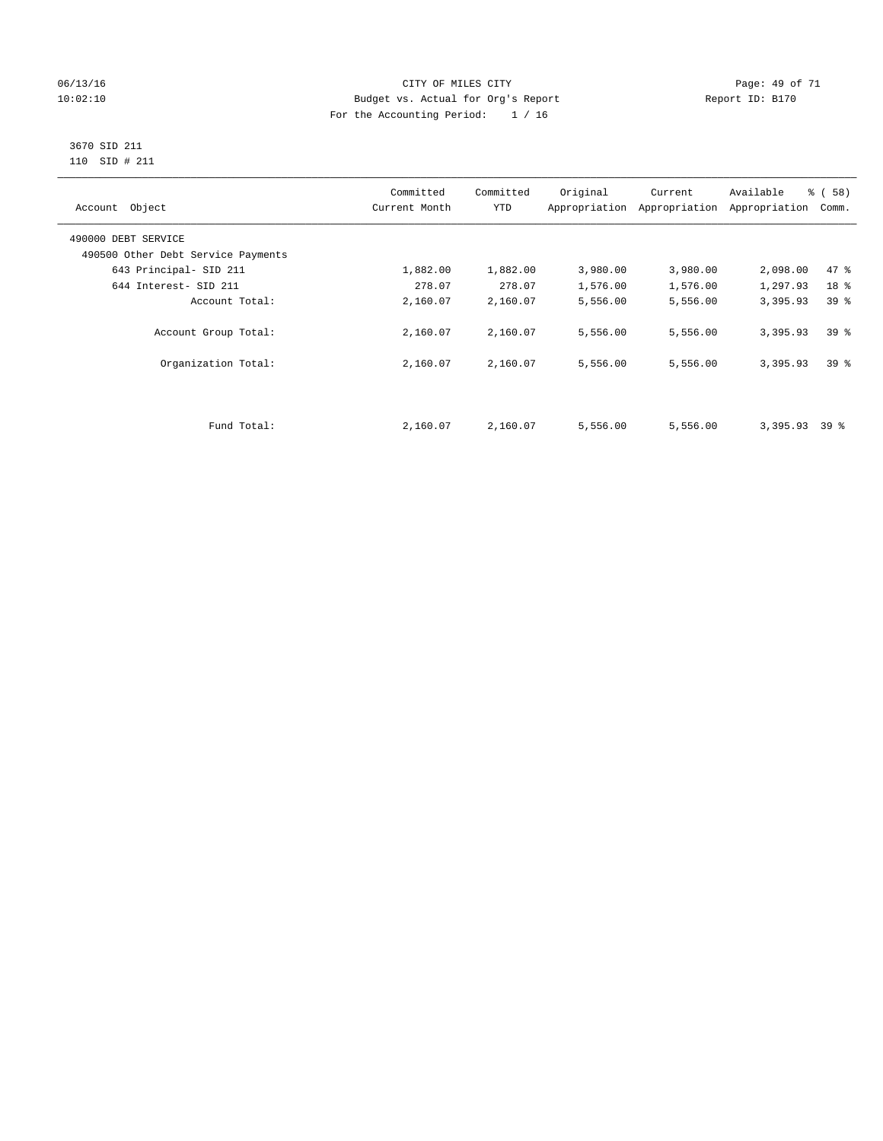### 06/13/16 Page: 49 of 71 10:02:10 Budget vs. Actual for Org's Report Changer Report ID: B170 For the Accounting Period: 1 / 16

### 3670 SID 211 110 SID # 211

| Account Object                     | Committed<br>Current Month | Committed<br><b>YTD</b> | Original | Current<br>Appropriation Appropriation | Available<br>Appropriation | % (58)<br>Comm. |
|------------------------------------|----------------------------|-------------------------|----------|----------------------------------------|----------------------------|-----------------|
| 490000 DEBT SERVICE                |                            |                         |          |                                        |                            |                 |
| 490500 Other Debt Service Payments |                            |                         |          |                                        |                            |                 |
| 643 Principal- SID 211             | 1,882.00                   | 1,882.00                | 3,980.00 | 3,980.00                               | 2,098.00                   | 47.8            |
| 644 Interest- SID 211              | 278.07                     | 278.07                  | 1,576.00 | 1,576.00                               | 1,297.93                   | 18 %            |
| Account Total:                     | 2,160.07                   | 2,160.07                | 5,556.00 | 5,556.00                               | 3,395.93                   | 39 <sup>8</sup> |
| Account Group Total:               | 2,160.07                   | 2,160.07                | 5,556.00 | 5,556.00                               | 3,395.93                   | 39 <sup>8</sup> |
| Organization Total:                | 2,160.07                   | 2,160.07                | 5,556.00 | 5,556.00                               | 3,395.93                   | 39 <sup>8</sup> |
|                                    |                            |                         |          |                                        |                            |                 |
| Fund Total:                        | 2,160.07                   | 2,160.07                | 5,556.00 | 5,556.00                               | 3,395.93                   | 39 %            |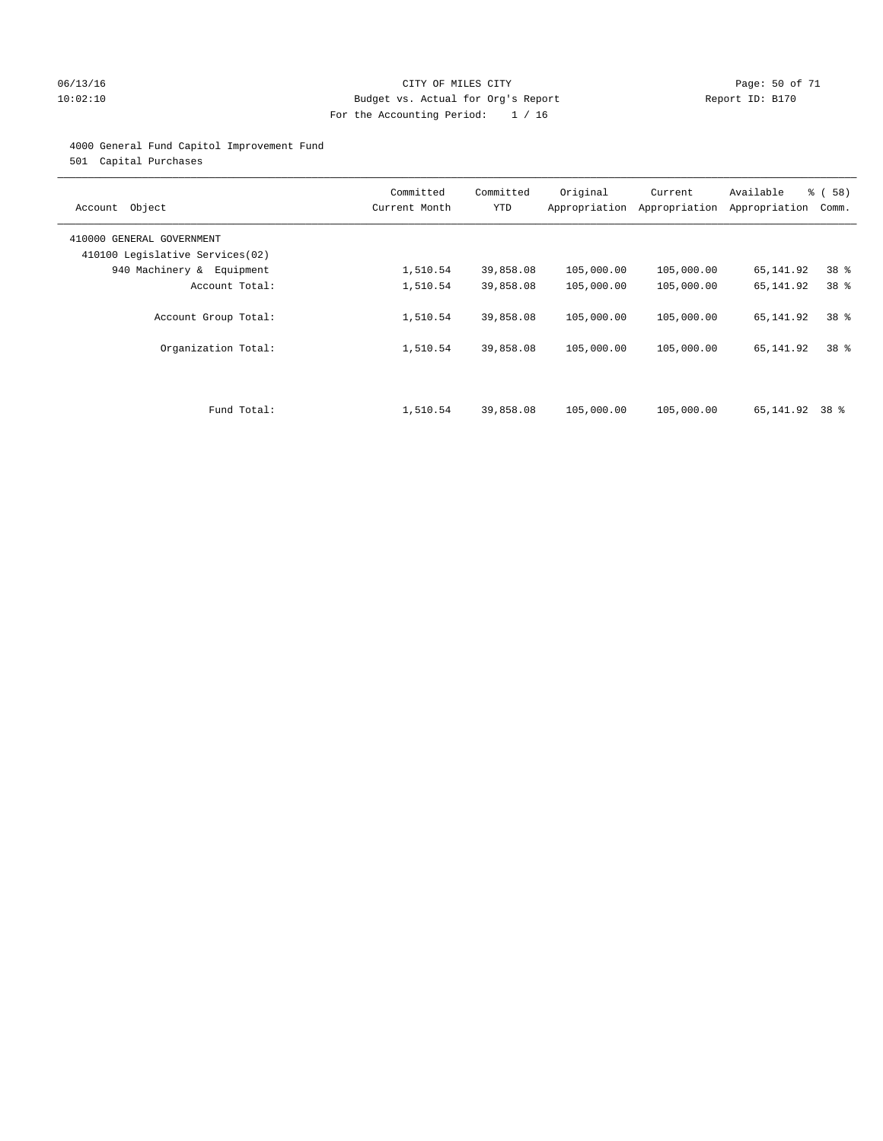### 06/13/16 CITY OF MILES CITY Page: 50 of 71 10:02:10 Budget vs. Actual for Org's Report Changer Report ID: B170 For the Accounting Period: 1 / 16

### 4000 General Fund Capitol Improvement Fund

501 Capital Purchases

| Account Object                                               | Committed<br>Current Month | Committed<br><b>YTD</b> | Original   | Current<br>Appropriation Appropriation | Available<br>Appropriation | % ( 58 )<br>Comm. |
|--------------------------------------------------------------|----------------------------|-------------------------|------------|----------------------------------------|----------------------------|-------------------|
| 410000 GENERAL GOVERNMENT<br>410100 Legislative Services(02) |                            |                         |            |                                        |                            |                   |
| 940 Machinery & Equipment                                    | 1,510.54                   | 39,858.08               | 105,000.00 | 105,000.00                             | 65,141.92                  | 38 <sup>8</sup>   |
| Account Total:                                               | 1,510.54                   | 39,858.08               | 105,000.00 | 105,000.00                             | 65,141.92                  | 38 %              |
| Account Group Total:                                         | 1,510.54                   | 39,858.08               | 105,000.00 | 105,000.00                             | 65,141.92                  | 38 <sup>8</sup>   |
| Organization Total:                                          | 1,510.54                   | 39,858.08               | 105,000.00 | 105,000.00                             | 65,141.92                  | 38 <sup>8</sup>   |
|                                                              |                            |                         |            |                                        |                            |                   |
| Fund Total:                                                  | 1,510.54                   | 39,858.08               | 105,000.00 | 105,000.00                             | 65,141.92                  | 38 %              |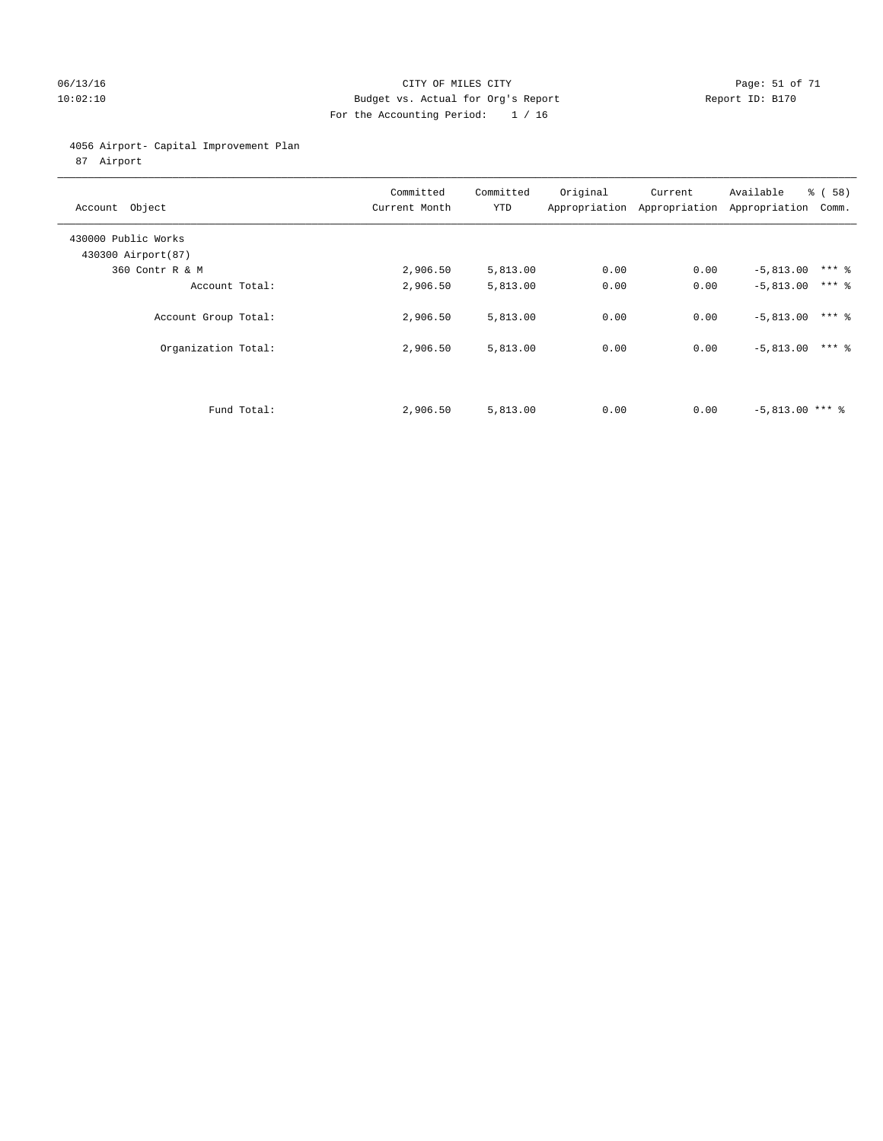### 06/13/16 Page: 51 of 71 CHT CHE CONTROL CONTROL CONTROL CONTROL CONTROL CONTROL CONTROL CONTROL CONTROL CONTROL CONTROL CONTROL CONTROL CONTROL CONTROL CONTROL CONTROL CONTROL CONTROL CONTROL CONTROL CONTROL CONTROL CONTRO 10:02:10 Budget vs. Actual for Org's Report Changer Report ID: B170 For the Accounting Period: 1 / 16

### 4056 Airport- Capital Improvement Plan

87 Airport

| Account Object                            | Committed<br>Current Month | Committed<br><b>YTD</b> | Original | Current<br>Appropriation Appropriation | Available<br>Appropriation | % ( 58 )<br>Comm. |
|-------------------------------------------|----------------------------|-------------------------|----------|----------------------------------------|----------------------------|-------------------|
| 430000 Public Works<br>430300 Airport(87) |                            |                         |          |                                        |                            |                   |
| 360 Contr R & M                           | 2,906.50                   | 5,813.00                | 0.00     | 0.00                                   | $-5,813.00$                | $***$ 2           |
| Account Total:                            | 2,906.50                   | 5,813.00                | 0.00     | 0.00                                   | $-5,813.00$                | $***$ 2           |
| Account Group Total:                      | 2,906.50                   | 5,813.00                | 0.00     | 0.00                                   | $-5,813.00$                | $***$ %           |
| Organization Total:                       | 2,906.50                   | 5,813.00                | 0.00     | 0.00                                   | $-5,813.00$                | $***$ 2           |
|                                           |                            |                         |          |                                        |                            |                   |
| Fund Total:                               | 2,906.50                   | 5,813.00                | 0.00     | 0.00                                   | $-5,813.00$ *** $\$$       |                   |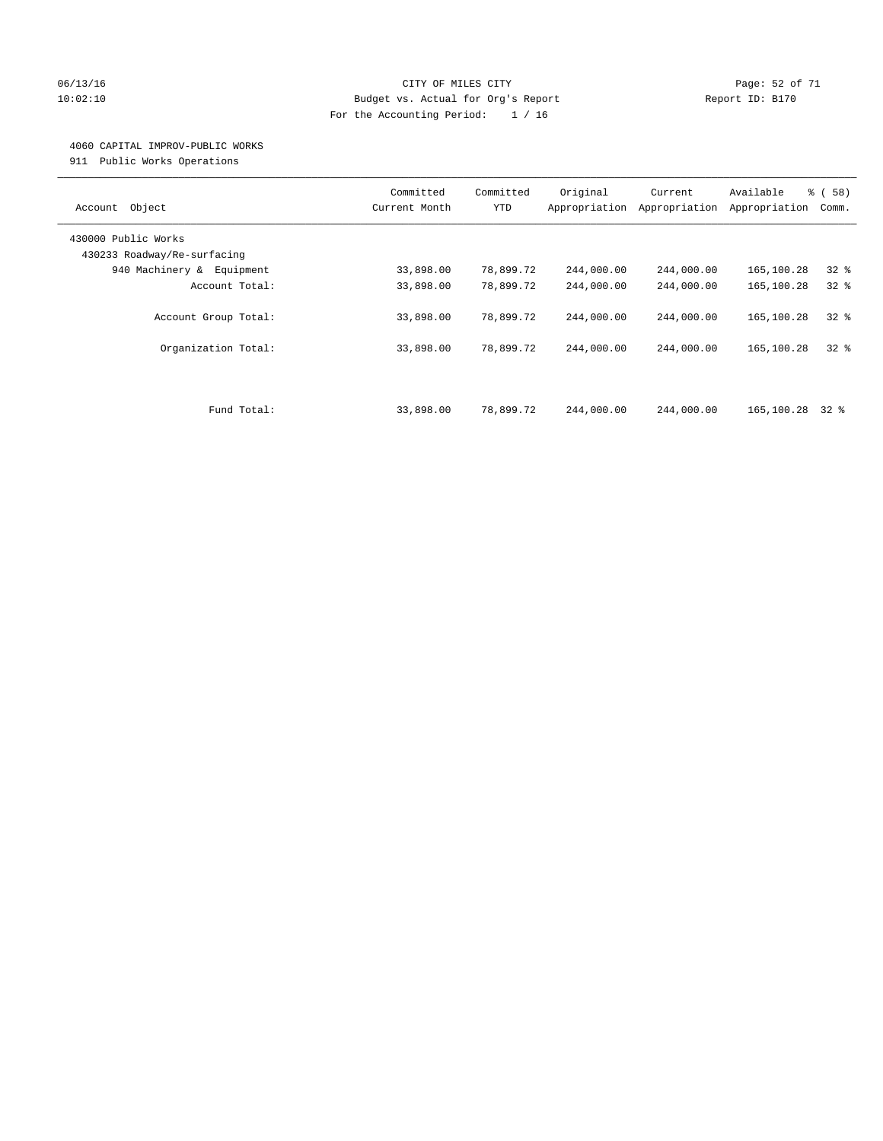### 06/13/16 Page: 52 of 71 10:02:10 Budget vs. Actual for Org's Report Changer Report ID: B170 For the Accounting Period: 1 / 16

#### 4060 CAPITAL IMPROV-PUBLIC WORKS

911 Public Works Operations

| Object<br>Account                                  | Committed<br>Current Month | Committed<br><b>YTD</b> | Original<br>Appropriation | Current<br>Appropriation | Available<br>Appropriation | % ( 58 )<br>Comm. |
|----------------------------------------------------|----------------------------|-------------------------|---------------------------|--------------------------|----------------------------|-------------------|
| 430000 Public Works<br>430233 Roadway/Re-surfacing |                            |                         |                           |                          |                            |                   |
| 940 Machinery & Equipment                          | 33,898.00                  | 78,899.72               | 244,000.00                | 244,000.00               | 165,100.28                 | $32$ $%$          |
| Account Total:                                     | 33,898.00                  | 78,899.72               | 244,000.00                | 244,000.00               | 165,100.28                 | $32$ $%$          |
| Account Group Total:                               | 33,898.00                  | 78,899.72               | 244,000.00                | 244,000.00               | 165,100.28                 | $32*$             |
| Organization Total:                                | 33,898.00                  | 78,899.72               | 244,000.00                | 244,000.00               | 165,100.28                 | $32*$             |
| Fund Total:                                        | 33,898.00                  | 78,899.72               | 244,000.00                | 244,000.00               | 165,100.28                 | 32 %              |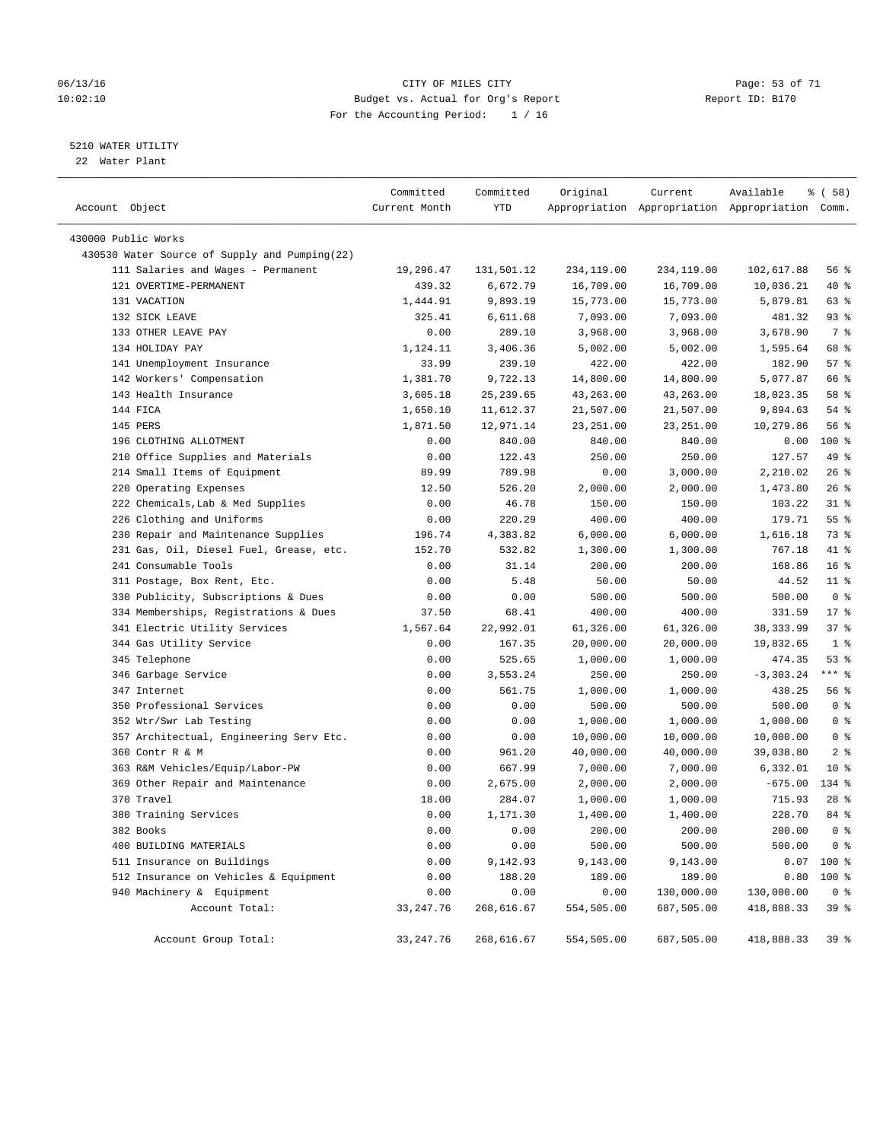### 06/13/16 Page: 53 of 71 10:02:10 Budget vs. Actual for Org's Report Changer Report ID: B170 For the Accounting Period: 1 / 16

### 5210 WATER UTILITY

22 Water Plant

| Account Object                                | Committed<br>Current Month | Committed<br>YTD | Original   | Current    | Available<br>Appropriation Appropriation Appropriation Comm. | 8 ( 58 )        |
|-----------------------------------------------|----------------------------|------------------|------------|------------|--------------------------------------------------------------|-----------------|
| 430000 Public Works                           |                            |                  |            |            |                                                              |                 |
| 430530 Water Source of Supply and Pumping(22) |                            |                  |            |            |                                                              |                 |
| 111 Salaries and Wages - Permanent            | 19,296.47                  | 131,501.12       | 234,119.00 | 234,119.00 | 102,617.88                                                   | 56%             |
| 121 OVERTIME-PERMANENT                        | 439.32                     | 6,672.79         | 16,709.00  | 16,709.00  | 10,036.21                                                    | 40 %            |
| 131 VACATION                                  | 1,444.91                   | 9,893.19         | 15,773.00  | 15,773.00  | 5,879.81                                                     | 63 %            |
| 132 SICK LEAVE                                | 325.41                     | 6,611.68         | 7,093.00   | 7,093.00   | 481.32                                                       | $93$ $%$        |
| 133 OTHER LEAVE PAY                           | 0.00                       | 289.10           | 3,968.00   | 3,968.00   | 3,678.90                                                     | 7 %             |
| 134 HOLIDAY PAY                               | 1,124.11                   | 3,406.36         | 5,002.00   | 5,002.00   | 1,595.64                                                     | 68 %            |
| 141 Unemployment Insurance                    | 33.99                      | 239.10           | 422.00     | 422.00     | 182.90                                                       | 57%             |
| 142 Workers' Compensation                     | 1,381.70                   | 9,722.13         | 14,800.00  | 14,800.00  | 5,077.87                                                     | 66 %            |
| 143 Health Insurance                          | 3,605.18                   | 25, 239.65       | 43,263.00  | 43,263.00  | 18,023.35                                                    | 58 %            |
| 144 FICA                                      | 1,650.10                   | 11,612.37        | 21,507.00  | 21,507.00  | 9,894.63                                                     | 54 %            |
| 145 PERS                                      | 1,871.50                   | 12,971.14        | 23, 251.00 | 23, 251.00 | 10,279.86                                                    | 56%             |
| 196 CLOTHING ALLOTMENT                        | 0.00                       | 840.00           | 840.00     | 840.00     | 0.00                                                         | 100 %           |
| 210 Office Supplies and Materials             | 0.00                       | 122.43           | 250.00     | 250.00     | 127.57                                                       | 49 %            |
| 214 Small Items of Equipment                  | 89.99                      | 789.98           | 0.00       | 3,000.00   | 2,210.02                                                     | 26%             |
| 220 Operating Expenses                        | 12.50                      | 526.20           | 2,000.00   | 2,000.00   | 1,473.80                                                     | 26%             |
| 222 Chemicals, Lab & Med Supplies             | 0.00                       | 46.78            | 150.00     | 150.00     | 103.22                                                       | $31$ %          |
| 226 Clothing and Uniforms                     | 0.00                       | 220.29           | 400.00     | 400.00     | 179.71                                                       | 55%             |
| 230 Repair and Maintenance Supplies           | 196.74                     | 4,383.82         | 6,000.00   | 6,000.00   | 1,616.18                                                     | 73 %            |
| 231 Gas, Oil, Diesel Fuel, Grease, etc.       | 152.70                     | 532.82           | 1,300.00   | 1,300.00   | 767.18                                                       | 41 %            |
| 241 Consumable Tools                          | 0.00                       | 31.14            | 200.00     | 200.00     | 168.86                                                       | 16 <sup>°</sup> |
| 311 Postage, Box Rent, Etc.                   | 0.00                       | 5.48             | 50.00      | 50.00      | 44.52                                                        | $11$ %          |
| 330 Publicity, Subscriptions & Dues           | 0.00                       | 0.00             | 500.00     | 500.00     | 500.00                                                       | 0 <sup>8</sup>  |
| 334 Memberships, Registrations & Dues         | 37.50                      | 68.41            | 400.00     | 400.00     | 331.59                                                       | $17*$           |
| 341 Electric Utility Services                 | 1,567.64                   | 22,992.01        | 61,326.00  | 61,326.00  | 38, 333.99                                                   | 37%             |
| 344 Gas Utility Service                       | 0.00                       | 167.35           | 20,000.00  | 20,000.00  | 19,832.65                                                    | 1 <sup>8</sup>  |
| 345 Telephone                                 | 0.00                       | 525.65           | 1,000.00   | 1,000.00   | 474.35                                                       | 53%             |
| 346 Garbage Service                           | 0.00                       | 3,553.24         | 250.00     | 250.00     | $-3,303.24$                                                  | *** %           |
| 347 Internet                                  | 0.00                       | 561.75           | 1,000.00   | 1,000.00   | 438.25                                                       | 56%             |
| 350 Professional Services                     | 0.00                       | 0.00             | 500.00     | 500.00     | 500.00                                                       | 0 <sup>8</sup>  |
| 352 Wtr/Swr Lab Testing                       | 0.00                       | 0.00             | 1,000.00   | 1,000.00   | 1,000.00                                                     | 0 <sup>8</sup>  |
| 357 Architectual, Engineering Serv Etc.       | 0.00                       | 0.00             | 10,000.00  | 10,000.00  | 10,000.00                                                    | 0 <sup>8</sup>  |
| 360 Contr R & M                               | 0.00                       | 961.20           | 40,000.00  | 40,000.00  | 39,038.80                                                    | 2 <sub>8</sub>  |
| 363 R&M Vehicles/Equip/Labor-PW               | 0.00                       | 667.99           | 7,000.00   | 7,000.00   | 6,332.01                                                     | $10*$           |
| 369 Other Repair and Maintenance              | 0.00                       | 2,675.00         | 2,000.00   | 2,000.00   | $-675.00$                                                    | 134 %           |
| 370 Travel                                    | 18.00                      | 284.07           | 1,000.00   | 1,000.00   | 715.93                                                       | $28$ %          |
| 380 Training Services                         | 0.00                       | 1,171.30         | 1,400.00   | 1,400.00   | 228.70                                                       | 84 %            |
| 382 Books                                     | 0.00                       | 0.00             | 200.00     | 200.00     | 200.00                                                       | 0 <sup>8</sup>  |
| 400 BUILDING MATERIALS                        | 0.00                       | 0.00             | 500.00     | 500.00     | 500.00                                                       | 0 <sup>°</sup>  |
| 511 Insurance on Buildings                    | 0.00                       | 9,142.93         | 9,143.00   | 9,143.00   | 0.07                                                         | 100 %           |
| 512 Insurance on Vehicles & Equipment         | 0.00                       | 188.20           | 189.00     | 189.00     | 0.80                                                         | $100*$          |
| 940 Machinery & Equipment                     | 0.00                       | 0.00             | 0.00       | 130,000.00 | 130,000.00                                                   | 0 <sup>8</sup>  |
| Account Total:                                | 33, 247. 76                | 268,616.67       | 554,505.00 | 687,505.00 | 418,888.33                                                   | 39 %            |
| Account Group Total:                          | 33, 247.76                 | 268,616.67       | 554,505.00 | 687,505.00 | 418,888.33                                                   | 39%             |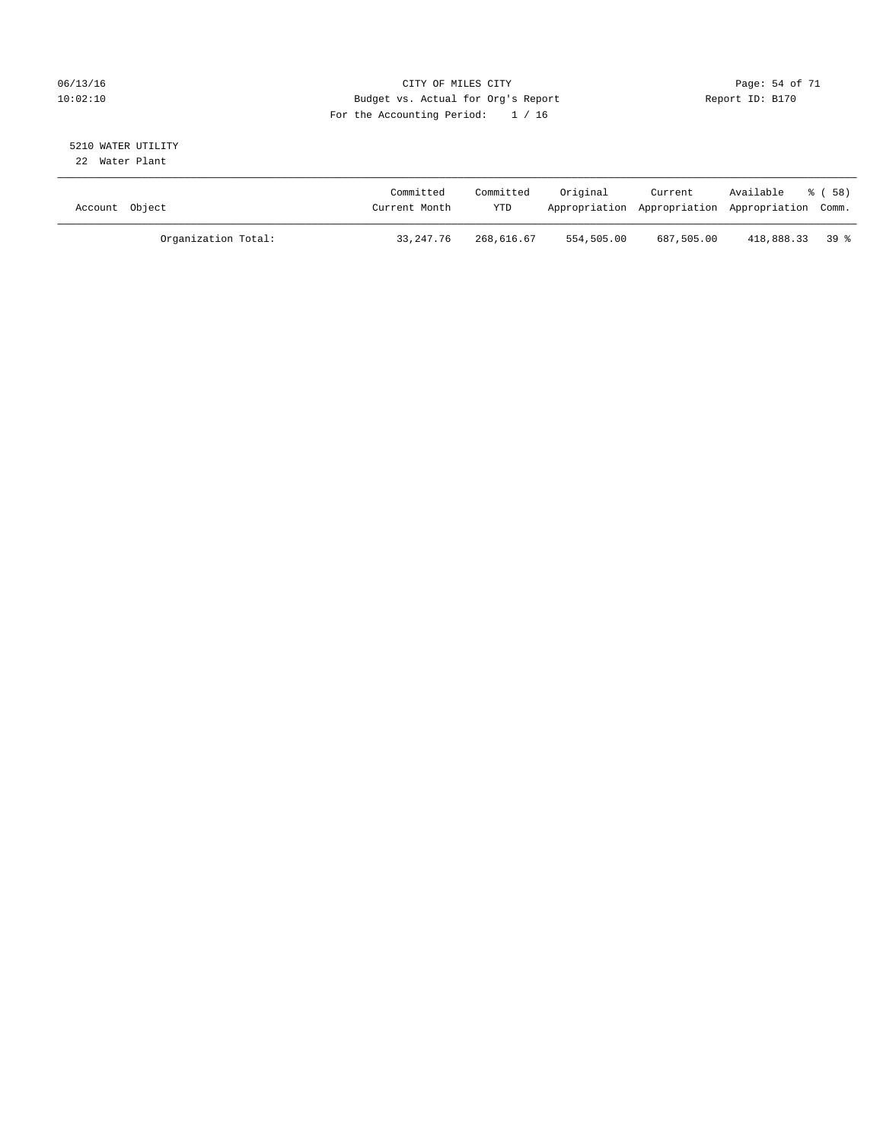### 06/13/16 Page: 54 of 71 10:02:10 Budget vs. Actual for Org's Report Changer Report ID: B170 For the Accounting Period: 1 / 16

#### 5210 WATER UTILITY 22 Water Plant

| Account Object |                     | Committed<br>Current Month | Committed<br><b>YTD</b> | Original   | Current    | Available<br>Appropriation Appropriation Appropriation Comm. | ී ( 58 ) |
|----------------|---------------------|----------------------------|-------------------------|------------|------------|--------------------------------------------------------------|----------|
|                | Organization Total: | 33,247.76                  | 268,616.67              | 554,505.00 | 687,505.00 | 418,888.33 39 %                                              |          |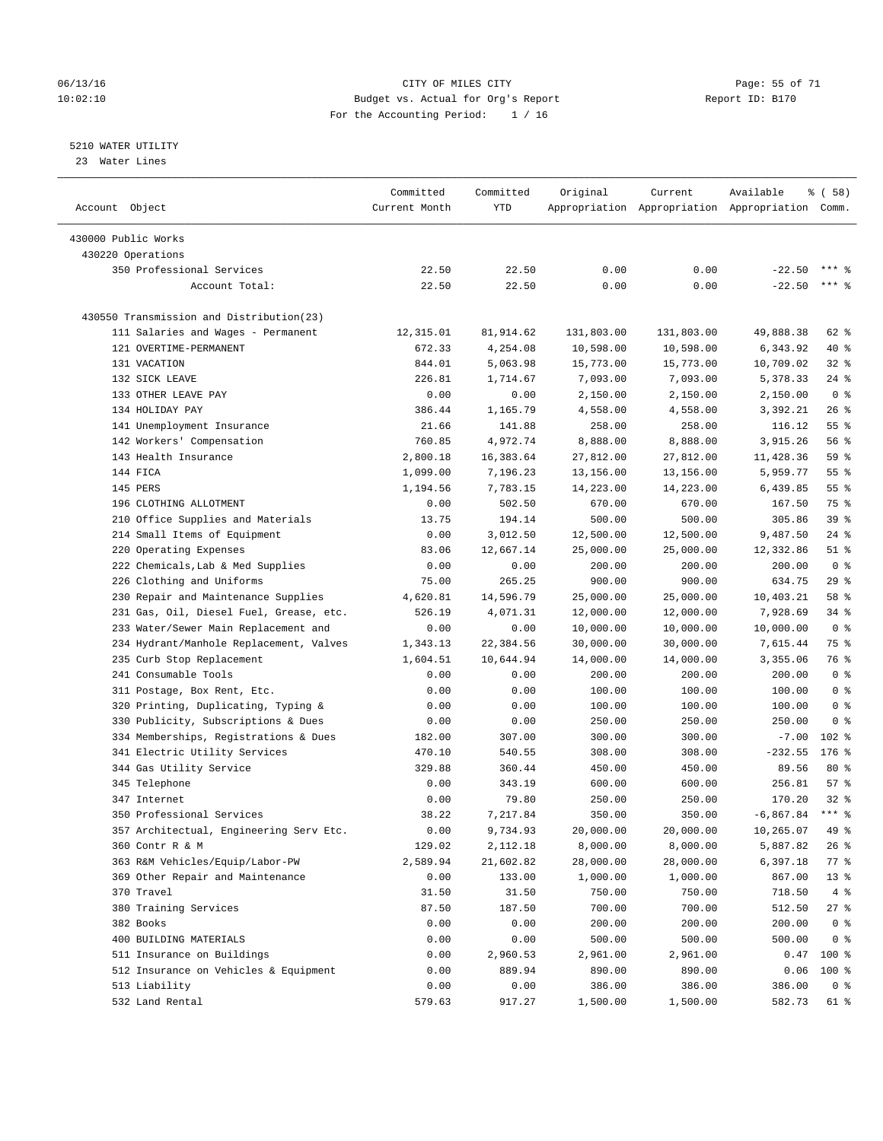### 06/13/16 Page: 55 of 71 10:02:10 Budget vs. Actual for Org's Report Changer Report ID: B170 For the Accounting Period: 1 / 16

————————————————————————————————————————————————————————————————————————————————————————————————————————————————————————————————————

### 5210 WATER UTILITY

23 Water Lines

|                                          | Committed     | Committed | Original   | Current                                         | Available          | 8 ( 58 )        |  |
|------------------------------------------|---------------|-----------|------------|-------------------------------------------------|--------------------|-----------------|--|
| Account Object                           | Current Month | YTD       |            | Appropriation Appropriation Appropriation Comm. |                    |                 |  |
|                                          |               |           |            |                                                 |                    |                 |  |
| 430000 Public Works                      |               |           |            |                                                 |                    |                 |  |
| 430220 Operations                        |               |           |            |                                                 |                    |                 |  |
| 350 Professional Services                | 22.50         | 22.50     | 0.00       | 0.00                                            | $-22.50$           | $***$ 2         |  |
| Account Total:                           | 22.50         | 22.50     | 0.00       | 0.00                                            | $-22.50$           | $***$ $%$       |  |
|                                          |               |           |            |                                                 |                    |                 |  |
| 430550 Transmission and Distribution(23) |               |           |            |                                                 |                    |                 |  |
| 111 Salaries and Wages - Permanent       | 12,315.01     | 81,914.62 | 131,803.00 | 131,803.00                                      | 49,888.38          | 62 %            |  |
| 121 OVERTIME-PERMANENT                   | 672.33        | 4,254.08  | 10,598.00  | 10,598.00                                       | 6,343.92           | $40*$           |  |
| 131 VACATION                             | 844.01        | 5,063.98  | 15,773.00  | 15,773.00                                       | 10,709.02          | $32$ $%$        |  |
| 132 SICK LEAVE                           | 226.81        | 1,714.67  | 7,093.00   | 7,093.00                                        | 5,378.33           | $24$ %          |  |
| 133 OTHER LEAVE PAY                      | 0.00          | 0.00      | 2,150.00   | 2,150.00                                        | 2,150.00           | 0 <sup>8</sup>  |  |
| 134 HOLIDAY PAY                          | 386.44        | 1,165.79  | 4,558.00   | 4,558.00                                        | 3,392.21           | $26$ %          |  |
| 141 Unemployment Insurance               | 21.66         | 141.88    | 258.00     | 258.00                                          | 116.12             | 55%             |  |
| 142 Workers' Compensation                | 760.85        | 4,972.74  | 8,888.00   | 8,888.00                                        | 3,915.26           | 56%             |  |
| 143 Health Insurance                     | 2,800.18      | 16,383.64 | 27,812.00  | 27,812.00                                       | 11,428.36          | 59 %            |  |
| 144 FICA                                 | 1,099.00      | 7,196.23  | 13,156.00  | 13,156.00                                       | 5,959.77           | 55 <sup>8</sup> |  |
| 145 PERS                                 | 1,194.56      | 7,783.15  | 14,223.00  | 14,223.00                                       | 6,439.85           | $55$ $%$        |  |
| 196 CLOTHING ALLOTMENT                   | 0.00          | 502.50    | 670.00     | 670.00                                          | 167.50             | 75 %            |  |
| 210 Office Supplies and Materials        | 13.75         | 194.14    | 500.00     | 500.00                                          | 305.86             | 39 %            |  |
| 214 Small Items of Equipment             | 0.00          | 3,012.50  | 12,500.00  | 12,500.00                                       | 9,487.50           | $24$ %          |  |
| 220 Operating Expenses                   | 83.06         | 12,667.14 | 25,000.00  | 25,000.00                                       | 12,332.86          | $51$ %          |  |
| 222 Chemicals, Lab & Med Supplies        | 0.00          | 0.00      | 200.00     | 200.00                                          | 200.00             | 0 <sup>8</sup>  |  |
| 226 Clothing and Uniforms                | 75.00         | 265.25    | 900.00     | 900.00                                          | 634.75             | 29%             |  |
| 230 Repair and Maintenance Supplies      | 4,620.81      | 14,596.79 | 25,000.00  | 25,000.00                                       | 10,403.21          | 58 %            |  |
| 231 Gas, Oil, Diesel Fuel, Grease, etc.  | 526.19        | 4,071.31  | 12,000.00  | 12,000.00                                       | 7,928.69           | $34$ $%$        |  |
| 233 Water/Sewer Main Replacement and     | 0.00          | 0.00      | 10,000.00  | 10,000.00                                       | 10,000.00          | 0 <sup>8</sup>  |  |
| 234 Hydrant/Manhole Replacement, Valves  | 1,343.13      | 22,384.56 | 30,000.00  | 30,000.00                                       | 7,615.44           | 75 %            |  |
| 235 Curb Stop Replacement                | 1,604.51      | 10,644.94 | 14,000.00  | 14,000.00                                       | 3,355.06           | 76 %            |  |
| 241 Consumable Tools                     | 0.00          | 0.00      | 200.00     | 200.00                                          | 200.00             | 0 <sup>8</sup>  |  |
| 311 Postage, Box Rent, Etc.              | 0.00          | 0.00      | 100.00     | 100.00                                          | 100.00             | 0 <sup>8</sup>  |  |
| 320 Printing, Duplicating, Typing &      | 0.00          | 0.00      | 100.00     | 100.00                                          | 100.00             | 0 <sup>8</sup>  |  |
| 330 Publicity, Subscriptions & Dues      | 0.00          | 0.00      | 250.00     | 250.00                                          | 250.00             | 0 <sup>8</sup>  |  |
| 334 Memberships, Registrations & Dues    | 182.00        | 307.00    | 300.00     | 300.00                                          | $-7.00$            | $102$ %         |  |
| 341 Electric Utility Services            | 470.10        | 540.55    | 308.00     | 308.00                                          | $-232.55$          | $176$ %         |  |
| 344 Gas Utility Service                  | 329.88        | 360.44    | 450.00     | 450.00                                          | 89.56              | $80*$           |  |
| 345 Telephone                            | 0.00          | 343.19    | 600.00     | 600.00                                          | 256.81             | 57%             |  |
| 347 Internet                             | 0.00          | 79.80     | 250.00     | 250.00                                          | 170.20             | $32$ $%$        |  |
| 350 Professional Services                | 38.22         | 7,217.84  | 350.00     | 350.00                                          | $-6,867.84$ *** \$ |                 |  |
| 357 Architectual, Engineering Serv Etc.  | 0.00          | 9,734.93  | 20,000.00  | 20,000.00                                       | 10,265.07          | $49$ %          |  |
| 360 Contr R & M                          | 129.02        | 2,112.18  | 8,000.00   | 8,000.00                                        | 5,887.82           | 26 %            |  |
| 363 R&M Vehicles/Equip/Labor-PW          | 2,589.94      | 21,602.82 | 28,000.00  | 28,000.00                                       | 6,397.18           | $77$ $%$        |  |
| 369 Other Repair and Maintenance         | 0.00          | 133.00    | 1,000.00   | 1,000.00                                        | 867.00             | 13 <sup>°</sup> |  |
| 370 Travel                               | 31.50         | 31.50     | 750.00     | 750.00                                          | 718.50             | 4%              |  |
| 380 Training Services                    | 87.50         | 187.50    | 700.00     | 700.00                                          | 512.50             | $27$ %          |  |
| 382 Books                                | 0.00          | 0.00      | 200.00     | 200.00                                          | 200.00             | 0 <sup>8</sup>  |  |
| 400 BUILDING MATERIALS                   | 0.00          | 0.00      | 500.00     | 500.00                                          | 500.00             | 0 <sup>8</sup>  |  |
| 511 Insurance on Buildings               | 0.00          | 2,960.53  | 2,961.00   | 2,961.00                                        | 0.47               | $100$ %         |  |
| 512 Insurance on Vehicles & Equipment    | 0.00          | 889.94    | 890.00     | 890.00                                          | 0.06               | 100 %           |  |
| 513 Liability                            | 0.00          | 0.00      | 386.00     | 386.00                                          | 386.00             | 0 <sup>8</sup>  |  |
| 532 Land Rental                          | 579.63        | 917.27    | 1,500.00   | 1,500.00                                        | 582.73             | 61 %            |  |
|                                          |               |           |            |                                                 |                    |                 |  |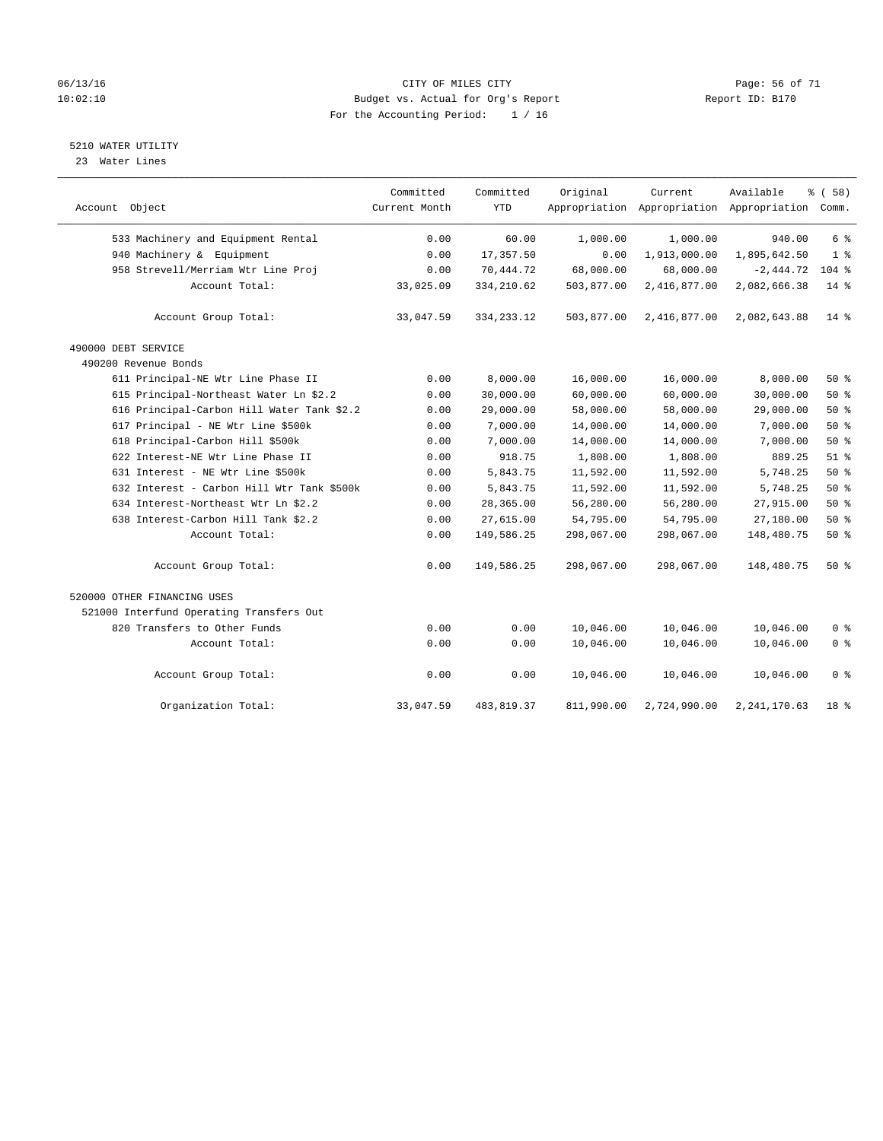### 06/13/16 CITY OF MILES CITY Page: 56 of 71 10:02:10 Budget vs. Actual for Org's Report Report ID: B170 For the Accounting Period: 1 / 16

### 5210 WATER UTILITY

23 Water Lines

| Account Object                             | Committed<br>Current Month | Committed<br><b>YTD</b> | Original   | Current      | Available<br>Appropriation Appropriation Appropriation Comm. | % (58)         |
|--------------------------------------------|----------------------------|-------------------------|------------|--------------|--------------------------------------------------------------|----------------|
| 533 Machinery and Equipment Rental         | 0.00                       | 60.00                   | 1,000.00   | 1,000.00     | 940.00                                                       | 6 <sup>°</sup> |
| 940 Machinery & Equipment                  | 0.00                       | 17,357.50               | 0.00       | 1,913,000.00 | 1,895,642.50                                                 | 1 <sup>8</sup> |
| 958 Strevell/Merriam Wtr Line Proj         | 0.00                       | 70,444.72               | 68,000.00  | 68,000.00    | $-2,444.72$                                                  | $104$ %        |
| Account Total:                             | 33,025.09                  | 334, 210.62             | 503,877.00 | 2,416,877.00 | 2,082,666.38                                                 | $14*$          |
| Account Group Total:                       | 33,047.59                  | 334, 233. 12            | 503,877.00 | 2,416,877.00 | 2,082,643.88                                                 | $14*$          |
| 490000 DEBT SERVICE                        |                            |                         |            |              |                                                              |                |
| 490200 Revenue Bonds                       |                            |                         |            |              |                                                              |                |
| 611 Principal-NE Wtr Line Phase II         | 0.00                       | 8,000.00                | 16,000.00  | 16,000.00    | 8,000.00                                                     | 50%            |
| 615 Principal-Northeast Water Ln \$2.2     | 0.00                       | 30,000.00               | 60,000.00  | 60,000.00    | 30,000.00                                                    | 50%            |
| 616 Principal-Carbon Hill Water Tank \$2.2 | 0.00                       | 29,000.00               | 58,000.00  | 58,000.00    | 29,000.00                                                    | $50*$          |
| 617 Principal - NE Wtr Line \$500k         | 0.00                       | 7,000.00                | 14,000.00  | 14,000.00    | 7,000.00                                                     | 50%            |
| 618 Principal-Carbon Hill \$500k           | 0.00                       | 7,000.00                | 14,000.00  | 14,000.00    | 7,000.00                                                     | 50%            |
| 622 Interest-NE Wtr Line Phase II          | 0.00                       | 918.75                  | 1,808.00   | 1,808.00     | 889.25                                                       | $51$ %         |
| 631 Interest - NE Wtr Line \$500k          | 0.00                       | 5,843.75                | 11,592.00  | 11,592.00    | 5,748.25                                                     | 50%            |
| 632 Interest - Carbon Hill Wtr Tank \$500k | 0.00                       | 5,843.75                | 11,592.00  | 11,592.00    | 5,748.25                                                     | 50%            |
| 634 Interest-Northeast Wtr Ln \$2.2        | 0.00                       | 28,365.00               | 56,280.00  | 56,280.00    | 27,915.00                                                    | 50%            |
| 638 Interest-Carbon Hill Tank \$2.2        | 0.00                       | 27,615.00               | 54,795.00  | 54,795.00    | 27,180.00                                                    | 50%            |
| Account Total:                             | 0.00                       | 149,586.25              | 298,067.00 | 298,067.00   | 148,480.75                                                   | $50*$          |
| Account Group Total:                       | 0.00                       | 149,586.25              | 298,067.00 | 298,067.00   | 148,480.75                                                   | 50%            |
| 520000 OTHER FINANCING USES                |                            |                         |            |              |                                                              |                |
| 521000 Interfund Operating Transfers Out   |                            |                         |            |              |                                                              |                |
| 820 Transfers to Other Funds               | 0.00                       | 0.00                    | 10,046.00  | 10,046.00    | 10,046.00                                                    | 0 <sup>8</sup> |
| Account Total:                             | 0.00                       | 0.00                    | 10,046.00  | 10,046.00    | 10,046.00                                                    | 0 <sup>8</sup> |
| Account Group Total:                       | 0.00                       | 0.00                    | 10,046.00  | 10,046.00    | 10,046.00                                                    | 0 <sup>8</sup> |
| Organization Total:                        | 33,047.59                  | 483,819.37              | 811,990.00 | 2,724,990.00 | 2, 241, 170.63                                               | 18 %           |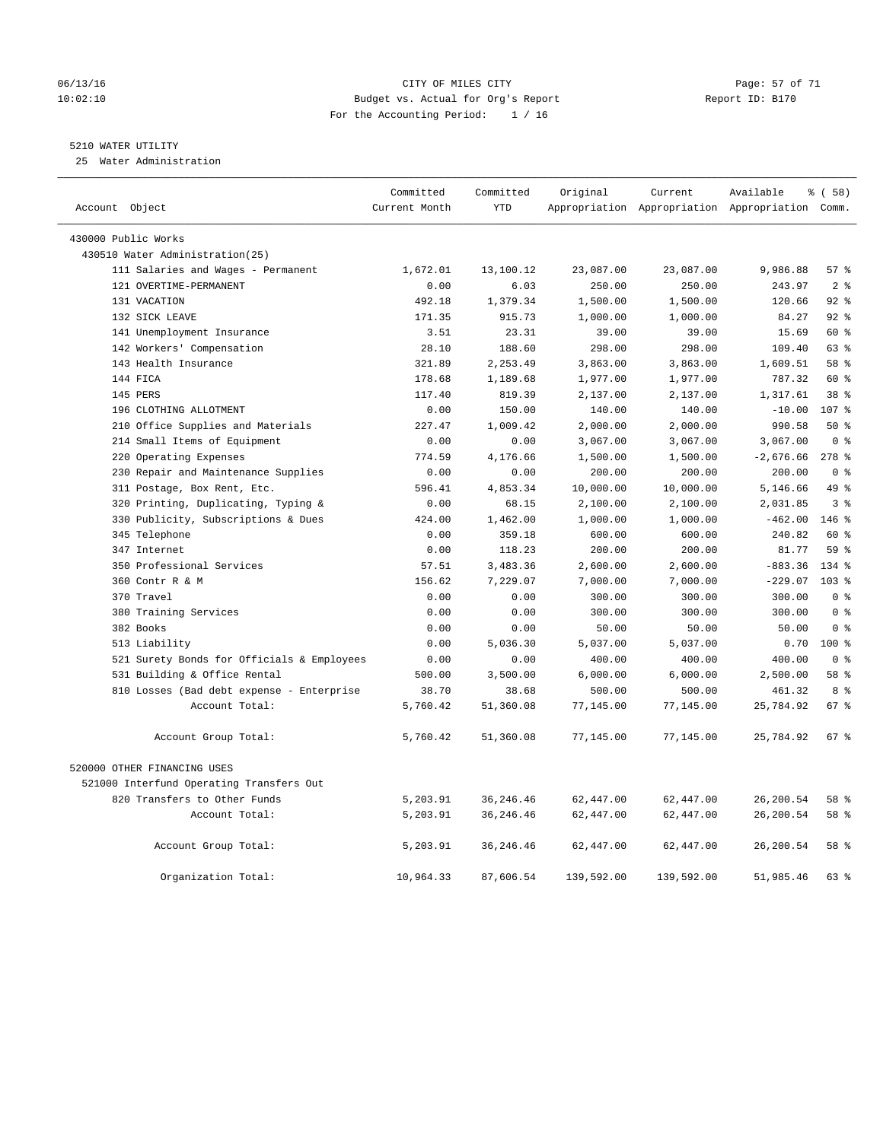### 06/13/16 Page: 57 of 71 10:02:10 Budget vs. Actual for Org's Report Report ID: B170 For the Accounting Period: 1 / 16

### 5210 WATER UTILITY

25 Water Administration

| Account Object                             | Committed<br>Current Month | Committed<br><b>YTD</b> | Original   | Current    | Available<br>Appropriation Appropriation Appropriation Comm. | % (58)             |
|--------------------------------------------|----------------------------|-------------------------|------------|------------|--------------------------------------------------------------|--------------------|
| 430000 Public Works                        |                            |                         |            |            |                                                              |                    |
| 430510 Water Administration(25)            |                            |                         |            |            |                                                              |                    |
| 111 Salaries and Wages - Permanent         | 1,672.01                   | 13,100.12               | 23,087.00  | 23,087.00  | 9,986.88                                                     | 57%                |
| 121 OVERTIME-PERMANENT                     | 0.00                       | 6.03                    | 250.00     | 250.00     | 243.97                                                       | 2 <sub>8</sub>     |
| 131 VACATION                               | 492.18                     | 1,379.34                | 1,500.00   | 1,500.00   | 120.66                                                       | $92$ $%$           |
| 132 SICK LEAVE                             | 171.35                     | 915.73                  | 1,000.00   | 1,000.00   | 84.27                                                        | $92$ $%$           |
| 141 Unemployment Insurance                 | 3.51                       | 23.31                   | 39.00      | 39.00      | 15.69                                                        | 60 %               |
| 142 Workers' Compensation                  | 28.10                      | 188.60                  | 298.00     | 298.00     | 109.40                                                       | 63 %               |
| 143 Health Insurance                       | 321.89                     | 2,253.49                | 3,863.00   | 3,863.00   | 1,609.51                                                     | 58 %               |
| 144 FICA                                   | 178.68                     | 1,189.68                | 1,977.00   | 1,977.00   | 787.32                                                       | 60 %               |
| 145 PERS                                   | 117.40                     | 819.39                  | 2,137.00   | 2,137.00   | 1,317.61                                                     | 38 %               |
| 196 CLOTHING ALLOTMENT                     | 0.00                       | 150.00                  | 140.00     | 140.00     | $-10.00$                                                     | 107 <sub>8</sub>   |
| 210 Office Supplies and Materials          | 227.47                     | 1,009.42                | 2,000.00   | 2,000.00   | 990.58                                                       | 50%                |
| 214 Small Items of Equipment               | 0.00                       | 0.00                    | 3,067.00   | 3,067.00   | 3,067.00                                                     | 0 <sup>8</sup>     |
| 220 Operating Expenses                     | 774.59                     | 4,176.66                | 1,500.00   | 1,500.00   | $-2,676.66$                                                  | $278$ %            |
| 230 Repair and Maintenance Supplies        | 0.00                       | 0.00                    | 200.00     | 200.00     | 200.00                                                       | 0 <sup>8</sup>     |
| 311 Postage, Box Rent, Etc.                | 596.41                     | 4,853.34                | 10,000.00  | 10,000.00  | 5,146.66                                                     | 49 %               |
| 320 Printing, Duplicating, Typing &        | 0.00                       | 68.15                   | 2,100.00   | 2,100.00   | 2,031.85                                                     | 3 <sup>°</sup>     |
| 330 Publicity, Subscriptions & Dues        | 424.00                     | 1,462.00                | 1,000.00   | 1,000.00   | $-462.00$                                                    | $146$ %            |
| 345 Telephone                              | 0.00                       | 359.18                  | 600.00     | 600.00     | 240.82                                                       | 60 %               |
| 347 Internet                               | 0.00                       | 118.23                  | 200.00     | 200.00     | 81.77                                                        | 59 <sub>8</sub>    |
| 350 Professional Services                  | 57.51                      | 3,483.36                | 2,600.00   | 2,600.00   | $-883.36$                                                    | $134$ %            |
| 360 Contr R & M                            | 156.62                     | 7,229.07                | 7,000.00   | 7,000.00   | $-229.07$                                                    | 103 <sub>8</sub>   |
| 370 Travel                                 | 0.00                       | 0.00                    | 300.00     | 300.00     | 300.00                                                       | 0 <sup>8</sup>     |
| 380 Training Services                      | 0.00                       | 0.00                    | 300.00     | 300.00     | 300.00                                                       | 0 <sup>8</sup>     |
| 382 Books                                  | 0.00                       | 0.00                    | 50.00      | 50.00      | 50.00                                                        | 0 <sup>8</sup>     |
| 513 Liability                              | 0.00                       | 5,036.30                | 5,037.00   | 5,037.00   | 0.70                                                         | $100*$             |
| 521 Surety Bonds for Officials & Employees | 0.00                       | 0.00                    | 400.00     | 400.00     | 400.00                                                       | 0 <sup>8</sup>     |
| 531 Building & Office Rental               | 500.00                     | 3,500.00                | 6,000.00   | 6,000.00   | 2,500.00                                                     | 58 %               |
| 810 Losses (Bad debt expense - Enterprise  | 38.70                      | 38.68                   | 500.00     | 500.00     | 461.32                                                       | 8 %                |
| Account Total:                             | 5,760.42                   | 51,360.08               | 77,145.00  | 77,145.00  | 25,784.92                                                    | 67 %               |
| Account Group Total:                       | 5,760.42                   | 51,360.08               | 77,145.00  | 77,145.00  | 25,784.92                                                    | $67$ $\frac{6}{3}$ |
| 520000 OTHER FINANCING USES                |                            |                         |            |            |                                                              |                    |
| 521000 Interfund Operating Transfers Out   |                            |                         |            |            |                                                              |                    |
| 820 Transfers to Other Funds               | 5,203.91                   | 36, 246.46              | 62,447.00  | 62,447.00  | 26,200.54                                                    | 58 %               |
| Account Total:                             | 5,203.91                   | 36, 246.46              | 62,447.00  | 62,447.00  | 26,200.54                                                    | 58 %               |
| Account Group Total:                       | 5,203.91                   | 36, 246.46              | 62,447.00  | 62,447.00  | 26,200.54                                                    | 58 %               |
| Organization Total:                        | 10,964.33                  | 87,606.54               | 139,592.00 | 139,592.00 | 51,985.46                                                    | 63%                |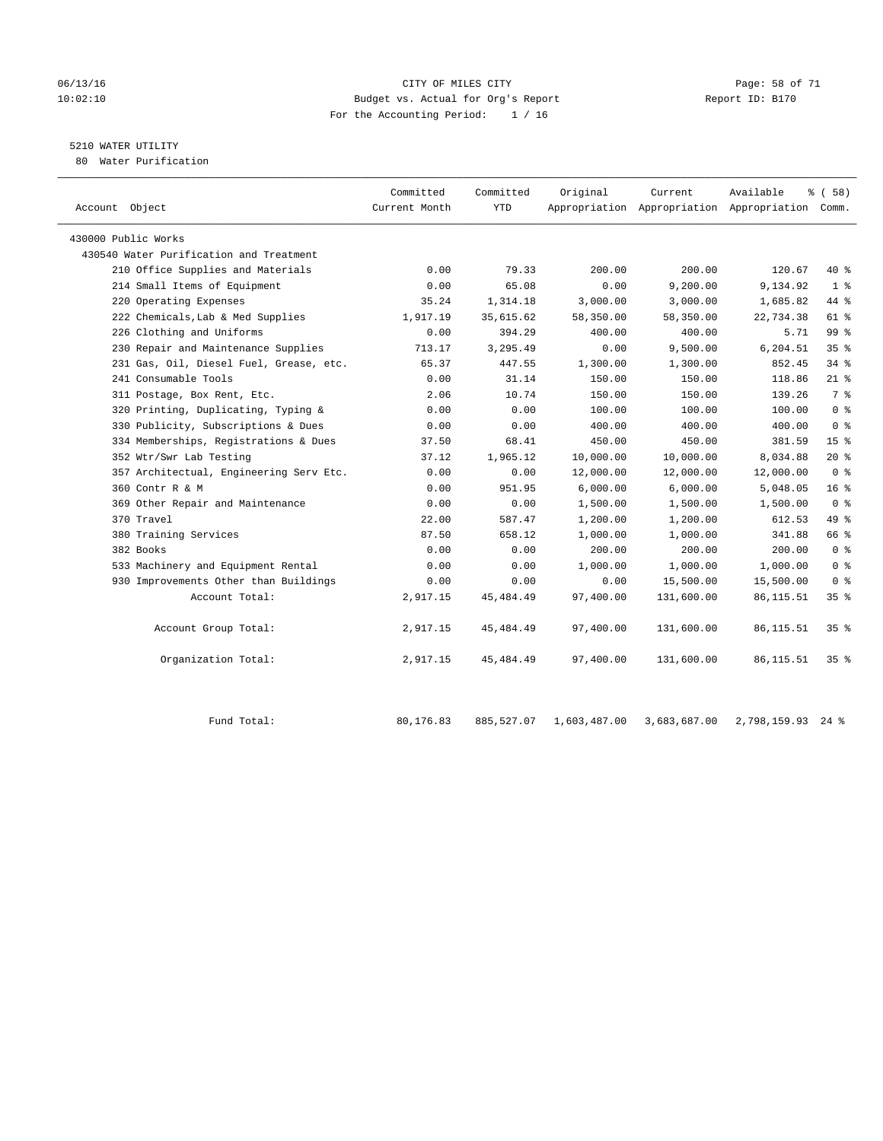### 06/13/16 Page: 58 of 71 10:02:10 Budget vs. Actual for Org's Report Report ID: B170 For the Accounting Period: 1 / 16

### 5210 WATER UTILITY

80 Water Purification

| Account Object                          | Committed<br>Current Month | Committed<br>YTD | Original  | Current    | Available<br>Appropriation Appropriation Appropriation Comm. | % (58)          |
|-----------------------------------------|----------------------------|------------------|-----------|------------|--------------------------------------------------------------|-----------------|
| 430000 Public Works                     |                            |                  |           |            |                                                              |                 |
| 430540 Water Purification and Treatment |                            |                  |           |            |                                                              |                 |
| 210 Office Supplies and Materials       | 0.00                       | 79.33            | 200.00    | 200.00     | 120.67                                                       | 40 %            |
| 214 Small Items of Equipment            | 0.00                       | 65.08            | 0.00      | 9,200.00   | 9,134.92                                                     | 1 <sup>8</sup>  |
| 220 Operating Expenses                  | 35.24                      | 1,314.18         | 3,000.00  | 3,000.00   | 1,685.82                                                     | 44 %            |
| 222 Chemicals, Lab & Med Supplies       | 1,917.19                   | 35,615.62        | 58,350.00 | 58,350.00  | 22,734.38                                                    | 61 %            |
| 226 Clothing and Uniforms               | 0.00                       | 394.29           | 400.00    | 400.00     | 5.71                                                         | 99 <sup>8</sup> |
| 230 Repair and Maintenance Supplies     | 713.17                     | 3,295.49         | 0.00      | 9,500.00   | 6,204.51                                                     | 35%             |
| 231 Gas, Oil, Diesel Fuel, Grease, etc. | 65.37                      | 447.55           | 1,300.00  | 1,300.00   | 852.45                                                       | $34$ $%$        |
| 241 Consumable Tools                    | 0.00                       | 31.14            | 150.00    | 150.00     | 118.86                                                       | $21$ %          |
| 311 Postage, Box Rent, Etc.             | 2.06                       | 10.74            | 150.00    | 150.00     | 139.26                                                       | 7 %             |
| 320 Printing, Duplicating, Typing &     | 0.00                       | 0.00             | 100.00    | 100.00     | 100.00                                                       | 0 <sup>8</sup>  |
| 330 Publicity, Subscriptions & Dues     | 0.00                       | 0.00             | 400.00    | 400.00     | 400.00                                                       | 0 <sup>8</sup>  |
| 334 Memberships, Registrations & Dues   | 37.50                      | 68.41            | 450.00    | 450.00     | 381.59                                                       | 15 <sup>°</sup> |
| 352 Wtr/Swr Lab Testing                 | 37.12                      | 1,965.12         | 10,000.00 | 10,000.00  | 8,034.88                                                     | $20*$           |
| 357 Architectual, Engineering Serv Etc. | 0.00                       | 0.00             | 12,000.00 | 12,000.00  | 12,000.00                                                    | 0 <sup>8</sup>  |
| 360 Contr R & M                         | 0.00                       | 951.95           | 6,000.00  | 6,000.00   | 5,048.05                                                     | 16 <sup>8</sup> |
| 369 Other Repair and Maintenance        | 0.00                       | 0.00             | 1,500.00  | 1,500.00   | 1,500.00                                                     | 0 <sup>8</sup>  |
| 370 Travel                              | 22.00                      | 587.47           | 1,200.00  | 1,200.00   | 612.53                                                       | 49 %            |
| 380 Training Services                   | 87.50                      | 658.12           | 1,000.00  | 1,000.00   | 341.88                                                       | 66 %            |
| 382 Books                               | 0.00                       | 0.00             | 200.00    | 200.00     | 200.00                                                       | 0 <sup>8</sup>  |
| 533 Machinery and Equipment Rental      | 0.00                       | 0.00             | 1,000.00  | 1,000.00   | 1,000.00                                                     | 0 <sup>8</sup>  |
| 930 Improvements Other than Buildings   | 0.00                       | 0.00             | 0.00      | 15,500.00  | 15,500.00                                                    | 0 <sup>8</sup>  |
| Account Total:                          | 2,917.15                   | 45, 484. 49      | 97,400.00 | 131,600.00 | 86, 115.51                                                   | 35 <sup>8</sup> |
| Account Group Total:                    | 2,917.15                   | 45, 484. 49      | 97,400.00 | 131,600.00 | 86, 115.51                                                   | 35 <sup>8</sup> |
| Organization Total:                     | 2,917.15                   | 45, 484. 49      | 97,400.00 | 131,600.00 | 86, 115.51                                                   | 35 <sup>8</sup> |
|                                         |                            |                  |           |            |                                                              |                 |

Fund Total: 80,176.83 885,527.07 1,603,487.00 3,683,687.00 2,798,159.93 24 %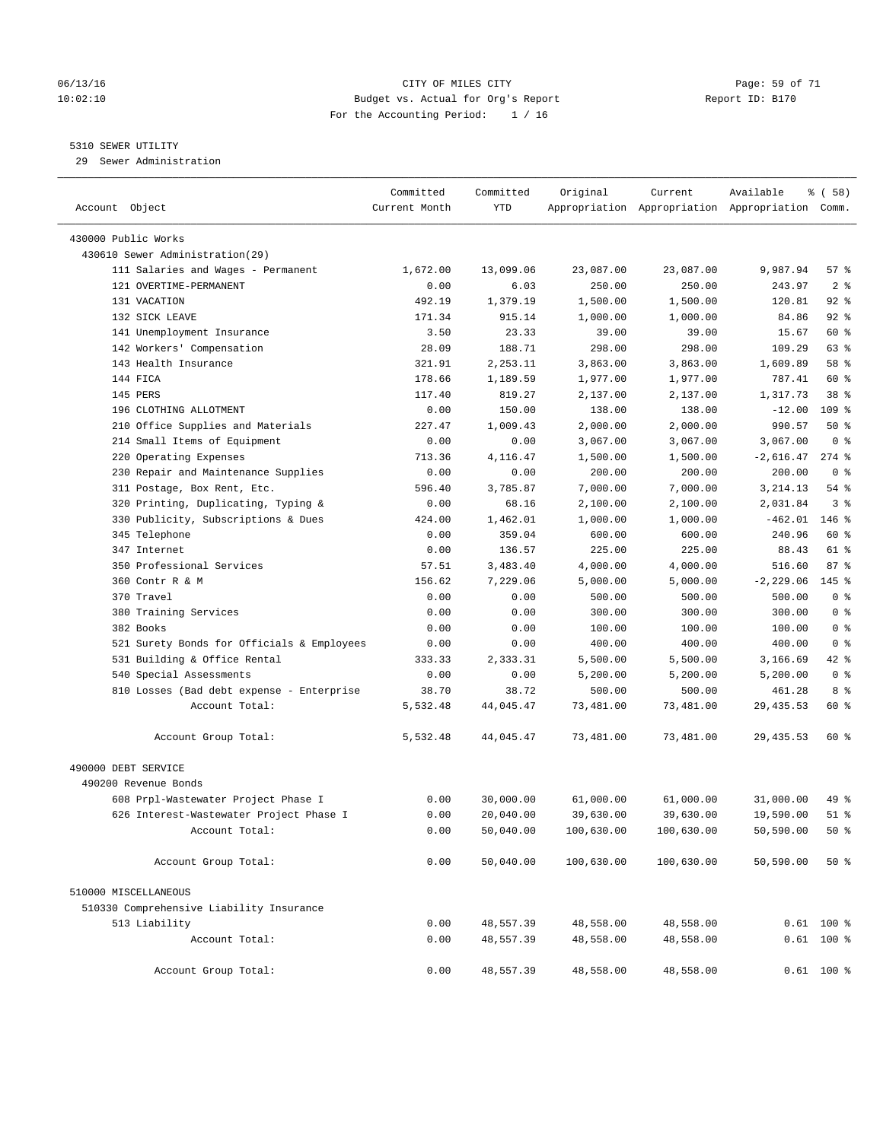### 06/13/16 Page: 59 of 71 10:02:10 Budget vs. Actual for Org's Report Report ID: B170 For the Accounting Period: 1 / 16

————————————————————————————————————————————————————————————————————————————————————————————————————————————————————————————————————

### 5310 SEWER UTILITY

29 Sewer Administration

|                                            | Committed     | Committed | Original   | Current                                         | Available    | 8 ( 58 )        |
|--------------------------------------------|---------------|-----------|------------|-------------------------------------------------|--------------|-----------------|
| Account Object                             | Current Month | YTD       |            | Appropriation Appropriation Appropriation Comm. |              |                 |
|                                            |               |           |            |                                                 |              |                 |
| 430000 Public Works                        |               |           |            |                                                 |              |                 |
| 430610 Sewer Administration(29)            |               |           |            |                                                 |              |                 |
| 111 Salaries and Wages - Permanent         | 1,672.00      | 13,099.06 | 23,087.00  | 23,087.00                                       | 9,987.94     | 57 %            |
| 121 OVERTIME-PERMANENT                     | 0.00          | 6.03      | 250.00     | 250.00                                          | 243.97       | 2 <sup>8</sup>  |
| 131 VACATION                               | 492.19        | 1,379.19  | 1,500.00   | 1,500.00                                        | 120.81       | $92$ %          |
| 132 SICK LEAVE                             | 171.34        | 915.14    | 1,000.00   | 1,000.00                                        | 84.86        | $92$ $%$        |
| 141 Unemployment Insurance                 | 3.50          | 23.33     | 39.00      | 39.00                                           | 15.67        | 60 %            |
| 142 Workers' Compensation                  | 28.09         | 188.71    | 298.00     | 298.00                                          | 109.29       | 63 %            |
| 143 Health Insurance                       | 321.91        | 2,253.11  | 3,863.00   | 3,863.00                                        | 1,609.89     | 58 %            |
| 144 FICA                                   | 178.66        | 1,189.59  | 1,977.00   | 1,977.00                                        | 787.41       | 60 %            |
| 145 PERS                                   | 117.40        | 819.27    | 2,137.00   | 2,137.00                                        | 1,317.73     | 38 <sup>8</sup> |
| 196 CLOTHING ALLOTMENT                     | 0.00          | 150.00    | 138.00     | 138.00                                          | $-12.00$     | $109$ %         |
| 210 Office Supplies and Materials          | 227.47        | 1,009.43  | 2,000.00   | 2,000.00                                        | 990.57       | 50%             |
| 214 Small Items of Equipment               | 0.00          | 0.00      | 3,067.00   | 3,067.00                                        | 3,067.00     | 0 <sup>8</sup>  |
| 220 Operating Expenses                     | 713.36        | 4,116.47  | 1,500.00   | 1,500.00                                        | $-2,616.47$  | $274$ $\approx$ |
| 230 Repair and Maintenance Supplies        | 0.00          | 0.00      | 200.00     | 200.00                                          | 200.00       | 0 <sup>8</sup>  |
| 311 Postage, Box Rent, Etc.                | 596.40        | 3,785.87  | 7,000.00   | 7,000.00                                        | 3,214.13     | $54$ %          |
| 320 Printing, Duplicating, Typing &        | 0.00          | 68.16     | 2,100.00   | 2,100.00                                        | 2,031.84     | 3 <sup>°</sup>  |
| 330 Publicity, Subscriptions & Dues        | 424.00        | 1,462.01  | 1,000.00   | 1,000.00                                        | $-462.01$    | $146$ %         |
| 345 Telephone                              | 0.00          | 359.04    | 600.00     | 600.00                                          | 240.96       | 60 %            |
| 347 Internet                               | 0.00          | 136.57    | 225.00     | 225.00                                          | 88.43        | 61 %            |
| 350 Professional Services                  | 57.51         | 3,483.40  | 4,000.00   | 4,000.00                                        | 516.60       | 87%             |
| 360 Contr R & M                            | 156.62        | 7,229.06  | 5,000.00   | 5,000.00                                        | $-2, 229.06$ | $145$ %         |
| 370 Travel                                 | 0.00          | 0.00      | 500.00     | 500.00                                          | 500.00       | 0 <sup>8</sup>  |
| 380 Training Services                      | 0.00          | 0.00      | 300.00     | 300.00                                          | 300.00       | 0 <sup>8</sup>  |
| 382 Books                                  | 0.00          | 0.00      | 100.00     | 100.00                                          | 100.00       | 0 <sup>8</sup>  |
| 521 Surety Bonds for Officials & Employees | 0.00          | 0.00      | 400.00     | 400.00                                          | 400.00       | 0 <sup>8</sup>  |
| 531 Building & Office Rental               | 333.33        | 2,333.31  | 5,500.00   | 5,500.00                                        | 3,166.69     | 42 %            |
| 540 Special Assessments                    | 0.00          | 0.00      | 5,200.00   | 5,200.00                                        | 5,200.00     | 0 <sup>8</sup>  |
| 810 Losses (Bad debt expense - Enterprise  | 38.70         | 38.72     | 500.00     | 500.00                                          | 461.28       | 8 %             |
| Account Total:                             | 5,532.48      | 44,045.47 | 73,481.00  | 73,481.00                                       | 29, 435.53   | 60 %            |
| Account Group Total:                       | 5,532.48      | 44,045.47 | 73,481.00  | 73,481.00                                       | 29, 435.53   | 60 %            |
| 490000 DEBT SERVICE                        |               |           |            |                                                 |              |                 |
| 490200 Revenue Bonds                       |               |           |            |                                                 |              |                 |
| 608 Prpl-Wastewater Project Phase I        | 0.00          | 30,000.00 | 61,000.00  | 61,000.00                                       | 31,000.00    | 49 %            |
| 626 Interest-Wastewater Project Phase I    | 0.00          | 20,040.00 | 39,630.00  | 39,630.00                                       | 19,590.00    | 51 %            |
| Account Total:                             | 0.00          | 50,040.00 | 100,630.00 | 100,630.00                                      | 50,590.00    | 50%             |
| Account Group Total:                       | 0.00          | 50,040.00 | 100,630.00 | 100,630.00                                      | 50,590.00    | $50*$           |
| 510000 MISCELLANEOUS                       |               |           |            |                                                 |              |                 |
| 510330 Comprehensive Liability Insurance   |               |           |            |                                                 |              |                 |
| 513 Liability                              | 0.00          | 48,557.39 | 48,558.00  | 48,558.00                                       |              | $0.61$ 100 %    |
| Account Total:                             | 0.00          | 48,557.39 | 48,558.00  | 48,558.00                                       |              | $0.61$ 100 %    |
| Account Group Total:                       | 0.00          | 48,557.39 | 48,558.00  | 48,558.00                                       |              | $0.61$ 100 %    |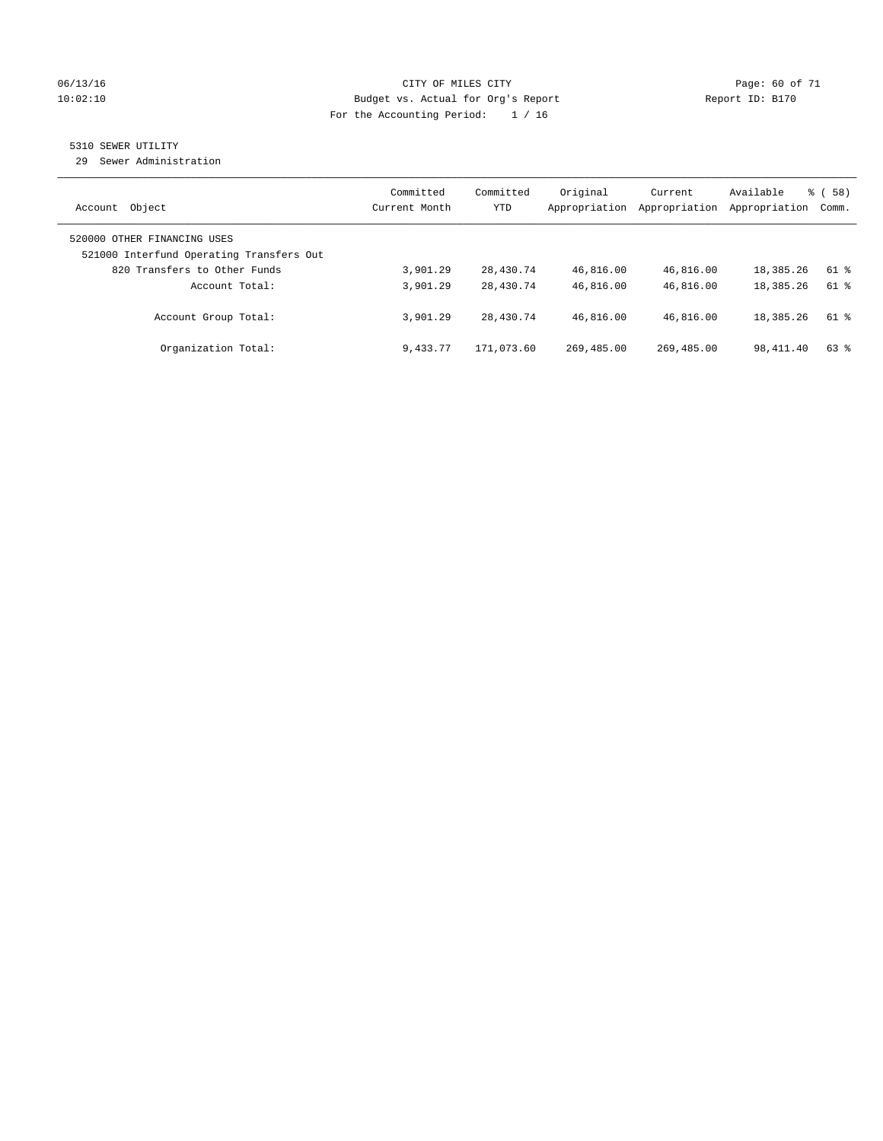### 06/13/16 CITY OF MILES CITY Page: 60 of 71 10:02:10 Budget vs. Actual for Org's Report Changer Report ID: B170 For the Accounting Period: 1 / 16

### 5310 SEWER UTILITY

29 Sewer Administration

| Object<br>Account                                                       | Committed<br>Current Month | Committed<br>YTD | Original<br>Appropriation | Current<br>Appropriation | Available<br>Appropriation | 58)<br>ී (<br>Comm. |
|-------------------------------------------------------------------------|----------------------------|------------------|---------------------------|--------------------------|----------------------------|---------------------|
| 520000 OTHER FINANCING USES<br>521000 Interfund Operating Transfers Out |                            |                  |                           |                          |                            |                     |
| 820 Transfers to Other Funds                                            | 3,901.29                   | 28,430.74        | 46,816.00                 | 46,816.00                | 18,385.26                  | 61 %                |
| Account Total:                                                          | 3,901.29                   | 28,430.74        | 46,816.00                 | 46,816.00                | 18,385.26                  | 61 %                |
| Account Group Total:                                                    | 3,901.29                   | 28,430.74        | 46,816.00                 | 46,816.00                | 18,385.26                  | 61 %                |
| Organization Total:                                                     | 9,433.77                   | 171,073.60       | 269,485.00                | 269,485.00               | 98,411.40                  | $63$ $%$            |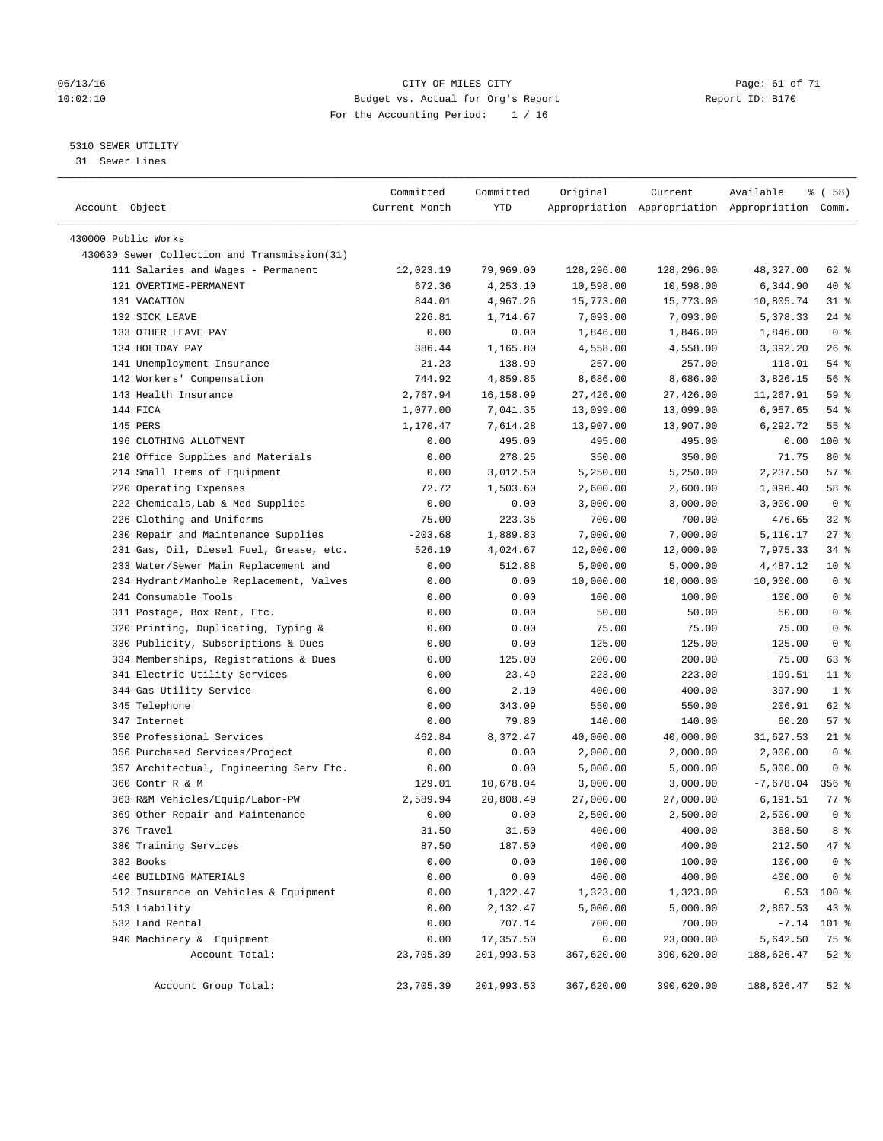### 06/13/16 Page: 61 of 71 10:02:10 Budget vs. Actual for Org's Report Changer Report ID: B170 For the Accounting Period: 1 / 16

————————————————————————————————————————————————————————————————————————————————————————————————————————————————————————————————————

### 5310 SEWER UTILITY

31 Sewer Lines

|                                              | Committed     | Committed  | Original   | Current    | Available                                       | % ( 58 )        |
|----------------------------------------------|---------------|------------|------------|------------|-------------------------------------------------|-----------------|
| Account Object                               | Current Month | YTD        |            |            | Appropriation Appropriation Appropriation Comm. |                 |
| 430000 Public Works                          |               |            |            |            |                                                 |                 |
| 430630 Sewer Collection and Transmission(31) |               |            |            |            |                                                 |                 |
| 111 Salaries and Wages - Permanent           | 12,023.19     | 79,969.00  | 128,296.00 | 128,296.00 | 48,327.00                                       | 62 %            |
| 121 OVERTIME-PERMANENT                       | 672.36        | 4,253.10   | 10,598.00  | 10,598.00  | 6,344.90                                        | 40 %            |
| 131 VACATION                                 | 844.01        | 4,967.26   | 15,773.00  | 15,773.00  | 10,805.74                                       | $31$ %          |
| 132 SICK LEAVE                               | 226.81        | 1,714.67   | 7,093.00   | 7,093.00   | 5,378.33                                        | $24$ %          |
| 133 OTHER LEAVE PAY                          | 0.00          | 0.00       | 1,846.00   | 1,846.00   | 1,846.00                                        | 0 <sup>8</sup>  |
| 134 HOLIDAY PAY                              | 386.44        | 1,165.80   | 4,558.00   | 4,558.00   | 3,392.20                                        | $26$ %          |
| 141 Unemployment Insurance                   | 21.23         | 138.99     | 257.00     | 257.00     | 118.01                                          | $54$ %          |
| 142 Workers' Compensation                    | 744.92        | 4,859.85   | 8,686.00   | 8,686.00   | 3,826.15                                        | 56%             |
| 143 Health Insurance                         | 2,767.94      | 16,158.09  | 27,426.00  | 27,426.00  | 11,267.91                                       | 59 %            |
| 144 FICA                                     | 1,077.00      | 7,041.35   | 13,099.00  | 13,099.00  | 6,057.65                                        | $54$ %          |
| 145 PERS                                     | 1,170.47      | 7,614.28   | 13,907.00  | 13,907.00  | 6,292.72                                        | 55 <sup>8</sup> |
| 196 CLOTHING ALLOTMENT                       | 0.00          | 495.00     | 495.00     | 495.00     | 0.00                                            | 100 %           |
| 210 Office Supplies and Materials            | 0.00          | 278.25     | 350.00     | 350.00     | 71.75                                           | 80 %            |
| 214 Small Items of Equipment                 | 0.00          | 3,012.50   | 5,250.00   | 5,250.00   | 2,237.50                                        | 57%             |
| 220 Operating Expenses                       | 72.72         | 1,503.60   | 2,600.00   | 2,600.00   | 1,096.40                                        | 58 %            |
| 222 Chemicals, Lab & Med Supplies            | 0.00          | 0.00       | 3,000.00   | 3,000.00   | 3,000.00                                        | 0 <sup>8</sup>  |
| 226 Clothing and Uniforms                    | 75.00         | 223.35     | 700.00     | 700.00     | 476.65                                          | $32$ $%$        |
| 230 Repair and Maintenance Supplies          | $-203.68$     | 1,889.83   | 7,000.00   | 7,000.00   | 5,110.17                                        | $27$ %          |
| 231 Gas, Oil, Diesel Fuel, Grease, etc.      | 526.19        | 4,024.67   | 12,000.00  | 12,000.00  | 7,975.33                                        | $34$ %          |
| 233 Water/Sewer Main Replacement and         | 0.00          | 512.88     | 5,000.00   | 5,000.00   | 4,487.12                                        | $10*$           |
| 234 Hydrant/Manhole Replacement, Valves      | 0.00          | 0.00       | 10,000.00  | 10,000.00  | 10,000.00                                       | 0 <sup>8</sup>  |
| 241 Consumable Tools                         | 0.00          | 0.00       | 100.00     | 100.00     | 100.00                                          | 0 <sup>8</sup>  |
| 311 Postage, Box Rent, Etc.                  | 0.00          | 0.00       | 50.00      | 50.00      | 50.00                                           | 0 <sup>8</sup>  |
| 320 Printing, Duplicating, Typing &          | 0.00          | 0.00       | 75.00      | 75.00      | 75.00                                           | 0 <sup>8</sup>  |
| 330 Publicity, Subscriptions & Dues          | 0.00          | 0.00       | 125.00     | 125.00     | 125.00                                          | 0 <sup>8</sup>  |
| 334 Memberships, Registrations & Dues        | 0.00          | 125.00     | 200.00     | 200.00     | 75.00                                           | 63 %            |
| 341 Electric Utility Services                | 0.00          | 23.49      | 223.00     | 223.00     | 199.51                                          | $11$ %          |
| 344 Gas Utility Service                      | 0.00          | 2.10       | 400.00     | 400.00     | 397.90                                          | 1 <sup>8</sup>  |
| 345 Telephone                                | 0.00          | 343.09     | 550.00     | 550.00     | 206.91                                          | 62 %            |
| 347 Internet                                 | 0.00          | 79.80      | 140.00     | 140.00     | 60.20                                           | 57%             |
| 350 Professional Services                    | 462.84        | 8,372.47   | 40,000.00  | 40,000.00  | 31,627.53                                       | $21$ %          |
| 356 Purchased Services/Project               | 0.00          | 0.00       | 2,000.00   | 2,000.00   | 2,000.00                                        | 0 <sup>8</sup>  |
| 357 Architectual, Engineering Serv Etc.      | 0.00          | 0.00       | 5,000.00   | 5,000.00   | 5,000.00                                        | 0 <sup>8</sup>  |
| 360 Contr R & M                              | 129.01        | 10,678.04  | 3,000.00   | 3,000.00   | $-7,678.04$                                     | $356$ $%$       |
| 363 R&M Vehicles/Equip/Labor-PW              | 2,589.94      | 20,808.49  | 27,000.00  | 27,000.00  | 6,191.51                                        | 77 %            |
| 369 Other Repair and Maintenance             | 0.00          | 0.00       | 2,500.00   | 2,500.00   | 2,500.00                                        | 0 <sup>8</sup>  |
| 370 Travel                                   | 31.50         | 31.50      | 400.00     | 400.00     | 368.50                                          | 8 %             |
| 380 Training Services                        | 87.50         | 187.50     | 400.00     | 400.00     | 212.50                                          | 47 %            |
| 382 Books                                    | 0.00          | 0.00       | 100.00     | 100.00     | 100.00                                          | 0 <sup>°</sup>  |
| 400 BUILDING MATERIALS                       | 0.00          | 0.00       | 400.00     | 400.00     | 400.00                                          | 0 <sup>8</sup>  |
| 512 Insurance on Vehicles & Equipment        | 0.00          | 1,322.47   | 1,323.00   | 1,323.00   | 0.53                                            | 100 %           |
| 513 Liability                                | 0.00          | 2,132.47   | 5,000.00   | 5,000.00   | 2,867.53                                        | 43 %            |
| 532 Land Rental                              | 0.00          | 707.14     | 700.00     | 700.00     | $-7.14$                                         | 101 %           |
| 940 Machinery & Equipment                    | 0.00          | 17,357.50  | 0.00       | 23,000.00  | 5,642.50                                        | 75 %            |
| Account Total:                               | 23,705.39     | 201,993.53 | 367,620.00 | 390,620.00 | 188,626.47                                      | $52$ %          |
| Account Group Total:                         | 23,705.39     | 201,993.53 | 367,620.00 | 390,620.00 | 188,626.47                                      | $52$ $%$        |
|                                              |               |            |            |            |                                                 |                 |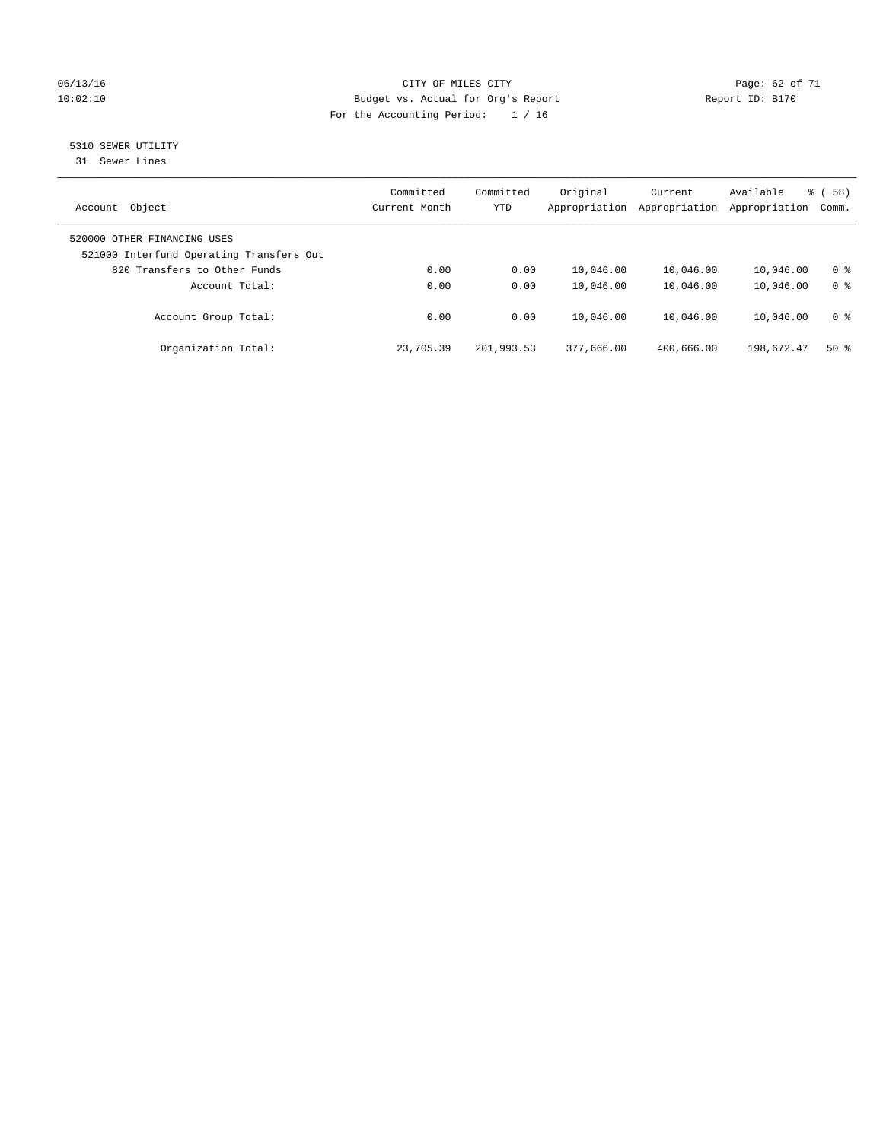### 06/13/16 Page: 62 of 71 10:02:10 Budget vs. Actual for Org's Report Changer Report ID: B170 For the Accounting Period: 1 / 16

## 5310 SEWER UTILITY

31 Sewer Lines

| Object<br>Account                                                       | Committed<br>Current Month | Committed<br><b>YTD</b> | Original<br>Appropriation | Current<br>Appropriation | Available<br>Appropriation | 58)<br>ී (<br>Comm. |
|-------------------------------------------------------------------------|----------------------------|-------------------------|---------------------------|--------------------------|----------------------------|---------------------|
| 520000 OTHER FINANCING USES<br>521000 Interfund Operating Transfers Out |                            |                         |                           |                          |                            |                     |
| 820 Transfers to Other Funds                                            | 0.00                       | 0.00                    | 10,046.00                 | 10,046.00                | 10,046.00                  | 0 %                 |
| Account Total:                                                          | 0.00                       | 0.00                    | 10,046.00                 | 10,046.00                | 10,046.00                  | 0 <sup>8</sup>      |
| Account Group Total:                                                    | 0.00                       | 0.00                    | 10,046.00                 | 10,046.00                | 10,046.00                  | 0 <sup>8</sup>      |
| Organization Total:                                                     | 23,705.39                  | 201,993.53              | 377,666.00                | 400,666.00               | 198,672.47                 | $50*$               |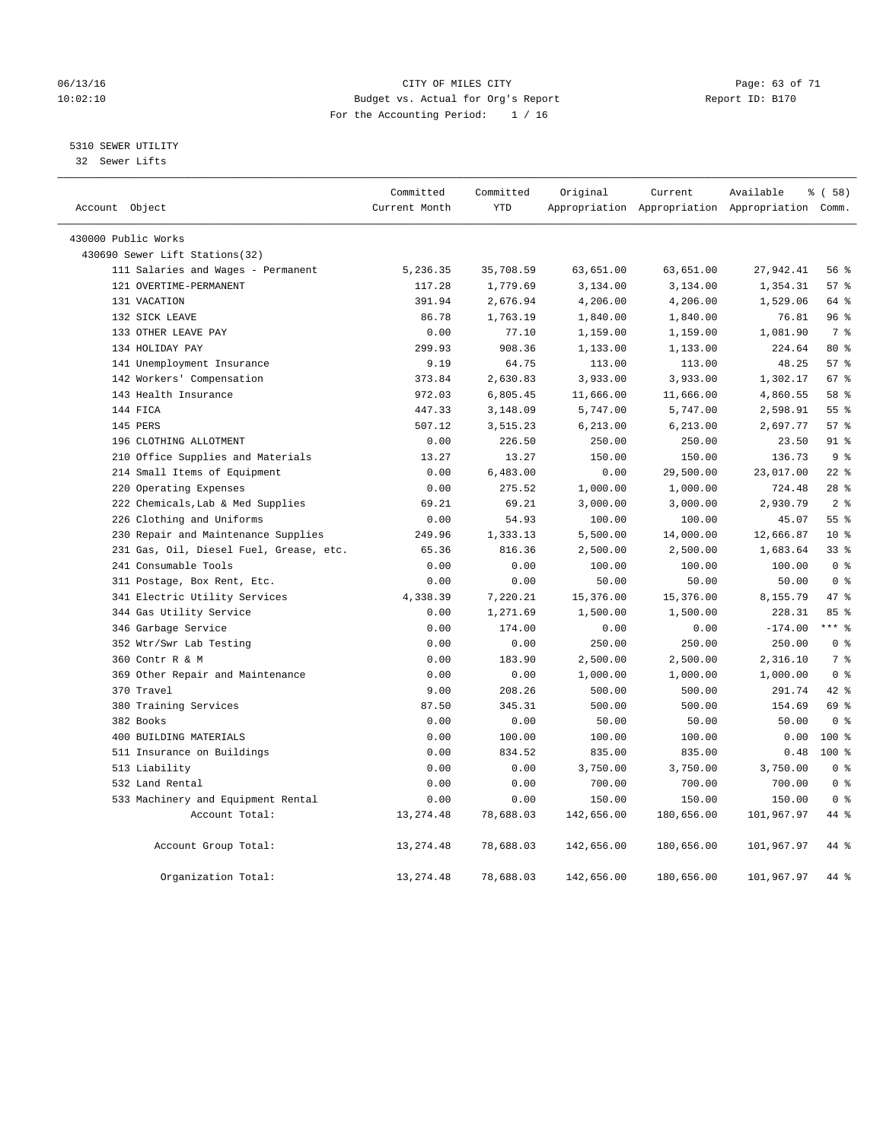### 06/13/16 Page: 63 of 71 10:02:10 Budget vs. Actual for Org's Report Changer Report ID: B170 For the Accounting Period: 1 / 16

5310 SEWER UTILITY

32 Sewer Lifts

| Account Object |                                         | Committed<br>Current Month | Committed<br><b>YTD</b> | Original   | Current    | Available<br>Appropriation Appropriation Appropriation Comm. | 8 ( 58 )        |  |
|----------------|-----------------------------------------|----------------------------|-------------------------|------------|------------|--------------------------------------------------------------|-----------------|--|
|                | 430000 Public Works                     |                            |                         |            |            |                                                              |                 |  |
|                | 430690 Sewer Lift Stations(32)          |                            |                         |            |            |                                                              |                 |  |
|                | 111 Salaries and Wages - Permanent      | 5,236.35                   | 35,708.59               | 63,651.00  | 63,651.00  | 27,942.41                                                    | 56 %            |  |
|                | 121 OVERTIME-PERMANENT                  | 117.28                     | 1,779.69                | 3,134.00   | 3,134.00   | 1,354.31                                                     | 57%             |  |
|                | 131 VACATION                            | 391.94                     | 2,676.94                | 4,206.00   | 4,206.00   | 1,529.06                                                     | 64 %            |  |
|                | 132 SICK LEAVE                          | 86.78                      | 1,763.19                | 1,840.00   | 1,840.00   | 76.81                                                        | 96%             |  |
|                | 133 OTHER LEAVE PAY                     | 0.00                       | 77.10                   | 1,159.00   | 1,159.00   | 1,081.90                                                     | 7 <sup>°</sup>  |  |
|                | 134 HOLIDAY PAY                         | 299.93                     | 908.36                  | 1,133.00   | 1,133.00   | 224.64                                                       | $80*$           |  |
|                | 141 Unemployment Insurance              | 9.19                       | 64.75                   | 113.00     | 113.00     | 48.25                                                        | 57%             |  |
|                | 142 Workers' Compensation               | 373.84                     | 2,630.83                | 3,933.00   | 3,933.00   | 1,302.17                                                     | 67 <sup>8</sup> |  |
|                | 143 Health Insurance                    | 972.03                     | 6,805.45                | 11,666.00  | 11,666.00  | 4,860.55                                                     | 58 %            |  |
|                | 144 FICA                                | 447.33                     | 3,148.09                | 5,747.00   | 5,747.00   | 2,598.91                                                     | 55%             |  |
|                | 145 PERS                                | 507.12                     | 3,515.23                | 6,213.00   | 6, 213.00  | 2,697.77                                                     | 57%             |  |
|                | 196 CLOTHING ALLOTMENT                  | 0.00                       | 226.50                  | 250.00     | 250.00     | 23.50                                                        | $91$ $%$        |  |
|                | 210 Office Supplies and Materials       | 13.27                      | 13.27                   | 150.00     | 150.00     | 136.73                                                       | 9 <sup>°</sup>  |  |
|                | 214 Small Items of Equipment            | 0.00                       | 6,483.00                | 0.00       | 29,500.00  | 23,017.00                                                    | $22$ $%$        |  |
|                | 220 Operating Expenses                  | 0.00                       | 275.52                  | 1,000.00   | 1,000.00   | 724.48                                                       | $28$ %          |  |
|                | 222 Chemicals, Lab & Med Supplies       | 69.21                      | 69.21                   | 3,000.00   | 3,000.00   | 2,930.79                                                     | 2 <sup>°</sup>  |  |
|                | 226 Clothing and Uniforms               | 0.00                       | 54.93                   | 100.00     | 100.00     | 45.07                                                        | 55 <sup>8</sup> |  |
|                | 230 Repair and Maintenance Supplies     | 249.96                     | 1,333.13                | 5,500.00   | 14,000.00  | 12,666.87                                                    | 10 <sup>°</sup> |  |
|                | 231 Gas, Oil, Diesel Fuel, Grease, etc. | 65.36                      | 816.36                  | 2,500.00   | 2,500.00   | 1,683.64                                                     | 33 <sup>8</sup> |  |
|                | 241 Consumable Tools                    | 0.00                       | 0.00                    | 100.00     | 100.00     | 100.00                                                       | 0 <sup>8</sup>  |  |
|                | 311 Postage, Box Rent, Etc.             | 0.00                       | 0.00                    | 50.00      | 50.00      | 50.00                                                        | 0 <sup>8</sup>  |  |
|                | 341 Electric Utility Services           | 4,338.39                   | 7,220.21                | 15,376.00  | 15,376.00  | 8,155.79                                                     | 47 %            |  |
|                | 344 Gas Utility Service                 | 0.00                       | 1,271.69                | 1,500.00   | 1,500.00   | 228.31                                                       | 85 %            |  |
|                | 346 Garbage Service                     | 0.00                       | 174.00                  | 0.00       | 0.00       | $-174.00$                                                    | $***$ $%$       |  |
|                | 352 Wtr/Swr Lab Testing                 | 0.00                       | 0.00                    | 250.00     | 250.00     | 250.00                                                       | 0 <sup>8</sup>  |  |
|                | 360 Contr R & M                         | 0.00                       | 183.90                  | 2,500.00   | 2,500.00   | 2,316.10                                                     | 7 <sup>°</sup>  |  |
|                | 369 Other Repair and Maintenance        | 0.00                       | 0.00                    | 1,000.00   | 1,000.00   | 1,000.00                                                     | 0 <sup>8</sup>  |  |
|                | 370 Travel                              | 9.00                       | 208.26                  | 500.00     | 500.00     | 291.74                                                       | 42 %            |  |
|                | 380 Training Services                   | 87.50                      | 345.31                  | 500.00     | 500.00     | 154.69                                                       | 69 %            |  |
|                | 382 Books                               | 0.00                       | 0.00                    | 50.00      | 50.00      | 50.00                                                        | 0 <sup>8</sup>  |  |
|                | 400 BUILDING MATERIALS                  | 0.00                       | 100.00                  | 100.00     | 100.00     | 0.00                                                         | $100*$          |  |
|                | 511 Insurance on Buildings              | 0.00                       | 834.52                  | 835.00     | 835.00     | 0.48                                                         | $100*$          |  |
|                | 513 Liability                           | 0.00                       | 0.00                    | 3,750.00   | 3,750.00   | 3,750.00                                                     | 0 <sup>8</sup>  |  |
|                | 532 Land Rental                         | 0.00                       | 0.00                    | 700.00     | 700.00     | 700.00                                                       | 0 <sup>8</sup>  |  |
|                | 533 Machinery and Equipment Rental      | 0.00                       | 0.00                    | 150.00     | 150.00     | 150.00                                                       | 0 <sup>8</sup>  |  |
|                | Account Total:                          | 13, 274.48                 | 78,688.03               | 142,656.00 | 180,656.00 | 101,967.97                                                   | 44 %            |  |
|                | Account Group Total:                    | 13, 274.48                 | 78,688.03               | 142,656.00 | 180,656.00 | 101,967.97                                                   | 44 %            |  |
|                | Organization Total:                     | 13, 274.48                 | 78,688.03               | 142,656.00 | 180,656.00 | 101,967.97                                                   | 44 %            |  |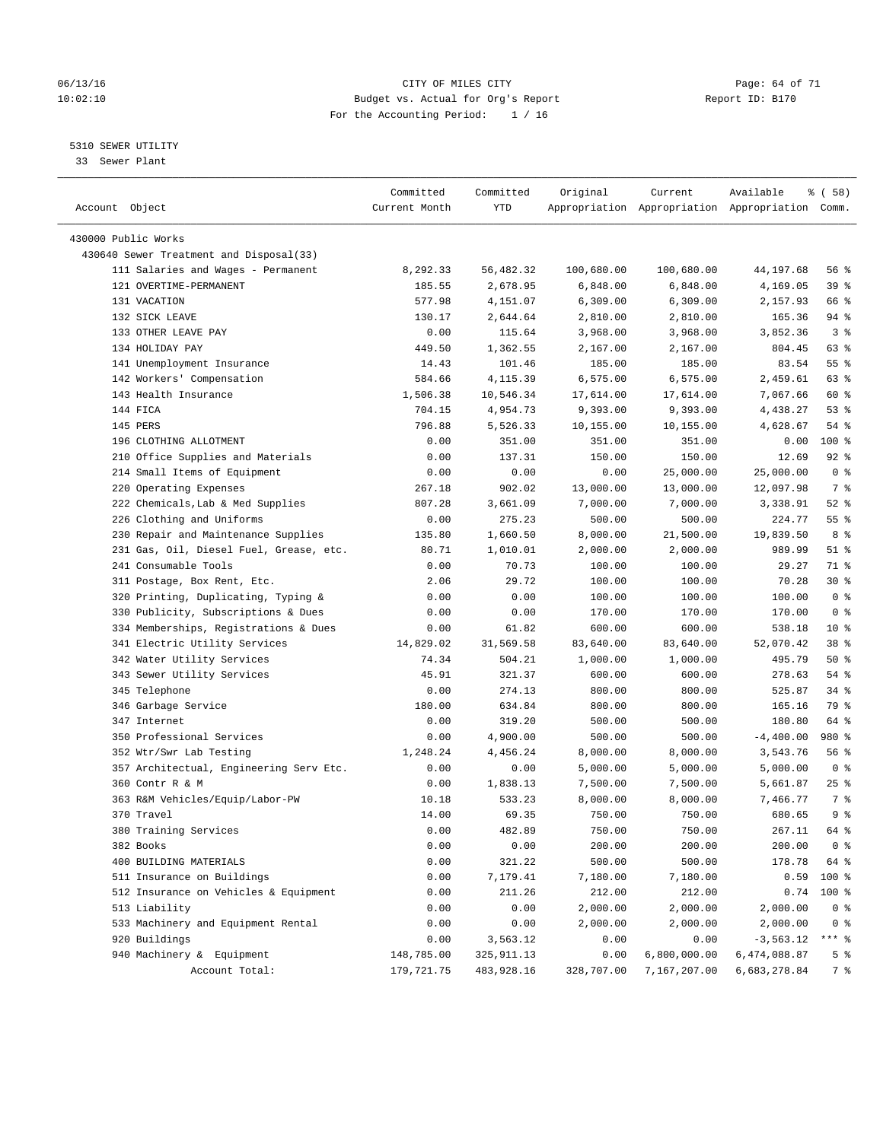### 06/13/16 Page: 64 of 71 10:02:10 Budget vs. Actual for Org's Report Report ID: B170 For the Accounting Period: 1 / 16

————————————————————————————————————————————————————————————————————————————————————————————————————————————————————————————————————

### 5310 SEWER UTILITY

33 Sewer Plant

|                                         | Committed     | Committed   | Original              | Current                                         | Available    | % ( 58 )           |
|-----------------------------------------|---------------|-------------|-----------------------|-------------------------------------------------|--------------|--------------------|
| Account Object                          | Current Month | YTD         |                       | Appropriation Appropriation Appropriation Comm. |              |                    |
| 430000 Public Works                     |               |             |                       |                                                 |              |                    |
| 430640 Sewer Treatment and Disposal(33) |               |             |                       |                                                 |              |                    |
| 111 Salaries and Wages - Permanent      | 8,292.33      | 56,482.32   | 100,680.00            | 100,680.00                                      | 44,197.68    | 56 %               |
| 121 OVERTIME-PERMANENT                  | 185.55        | 2,678.95    | 6,848.00              | 6,848.00                                        | 4,169.05     | 39%                |
| 131 VACATION                            | 577.98        | 4,151.07    | 6,309.00              | 6,309.00                                        | 2,157.93     | 66 %               |
| 132 SICK LEAVE                          | 130.17        | 2,644.64    |                       |                                                 | 165.36       | 94 %               |
| 133 OTHER LEAVE PAY                     | 0.00          | 115.64      | 2,810.00<br>3,968.00  | 2,810.00                                        | 3,852.36     | 3%                 |
| 134 HOLIDAY PAY                         | 449.50        | 1,362.55    | 2,167.00              | 3,968.00<br>2,167.00                            | 804.45       | 63 %               |
| 141 Unemployment Insurance              | 14.43         | 101.46      | 185.00                | 185.00                                          | 83.54        | $55$ $\frac{6}{3}$ |
| 142 Workers' Compensation               | 584.66        | 4,115.39    | 6,575.00              | 6,575.00                                        | 2,459.61     | 63 %               |
| 143 Health Insurance                    |               | 10,546.34   |                       |                                                 |              | 60 %               |
| 144 FICA                                | 1,506.38      | 4,954.73    | 17,614.00<br>9,393.00 | 17,614.00                                       | 7,067.66     | 53%                |
|                                         | 704.15        |             |                       | 9,393.00                                        | 4,438.27     |                    |
| 145 PERS<br>196 CLOTHING ALLOTMENT      | 796.88        | 5,526.33    | 10,155.00             | 10,155.00                                       | 4,628.67     | $54$ %<br>$100*$   |
|                                         | 0.00          | 351.00      | 351.00                | 351.00                                          | 0.00         |                    |
| 210 Office Supplies and Materials       | 0.00          | 137.31      | 150.00                | 150.00                                          | 12.69        | $92$ $%$           |
| 214 Small Items of Equipment            | 0.00          | 0.00        | 0.00                  | 25,000.00                                       | 25,000.00    | 0 <sup>8</sup>     |
| 220 Operating Expenses                  | 267.18        | 902.02      | 13,000.00             | 13,000.00                                       | 12,097.98    | 7 %                |
| 222 Chemicals, Lab & Med Supplies       | 807.28        | 3,661.09    | 7,000.00              | 7,000.00                                        | 3,338.91     | $52$ $%$           |
| 226 Clothing and Uniforms               | 0.00          | 275.23      | 500.00                | 500.00                                          | 224.77       | $55$ $%$           |
| 230 Repair and Maintenance Supplies     | 135.80        | 1,660.50    | 8,000.00              | 21,500.00                                       | 19,839.50    | 8 %                |
| 231 Gas, Oil, Diesel Fuel, Grease, etc. | 80.71         | 1,010.01    | 2,000.00              | 2,000.00                                        | 989.99       | $51$ %             |
| 241 Consumable Tools                    | 0.00          | 70.73       | 100.00                | 100.00                                          | 29.27        | 71 %               |
| 311 Postage, Box Rent, Etc.             | 2.06          | 29.72       | 100.00                | 100.00                                          | 70.28        | $30*$              |
| 320 Printing, Duplicating, Typing &     | 0.00          | 0.00        | 100.00                | 100.00                                          | 100.00       | 0 <sup>8</sup>     |
| 330 Publicity, Subscriptions & Dues     | 0.00          | 0.00        | 170.00                | 170.00                                          | 170.00       | 0 <sup>8</sup>     |
| 334 Memberships, Registrations & Dues   | 0.00          | 61.82       | 600.00                | 600.00                                          | 538.18       | $10*$              |
| 341 Electric Utility Services           | 14,829.02     | 31,569.58   | 83,640.00             | 83,640.00                                       | 52,070.42    | 38 %               |
| 342 Water Utility Services              | 74.34         | 504.21      | 1,000.00              | 1,000.00                                        | 495.79       | 50%                |
| 343 Sewer Utility Services              | 45.91         | 321.37      | 600.00                | 600.00                                          | 278.63       | $54$ %             |
| 345 Telephone                           | 0.00          | 274.13      | 800.00                | 800.00                                          | 525.87       | $34$ $%$           |
| 346 Garbage Service                     | 180.00        | 634.84      | 800.00                | 800.00                                          | 165.16       | 79 %               |
| 347 Internet                            | 0.00          | 319.20      | 500.00                | 500.00                                          | 180.80       | 64 %               |
| 350 Professional Services               | 0.00          | 4,900.00    | 500.00                | 500.00                                          | $-4,400.00$  | 980 %              |
| 352 Wtr/Swr Lab Testing                 | 1,248.24      | 4,456.24    | 8,000.00              | 8,000.00                                        | 3,543.76     | 56%                |
| 357 Architectual, Engineering Serv Etc. | 0.00          | 0.00        | 5,000.00              | 5,000.00                                        | 5,000.00     | 0 <sup>8</sup>     |
| 360 Contr R & M                         | 0.00          | 1,838.13    | 7,500.00              | 7,500.00                                        | 5,661.87     | $25$ %             |
| 363 R&M Vehicles/Equip/Labor-PW         | 10.18         | 533.23      | 8,000.00              | 8,000.00                                        | 7,466.77     | 7 %                |
| 370 Travel                              | 14.00         | 69.35       | 750.00                | 750.00                                          | 680.65       | 9%                 |
| 380 Training Services                   | 0.00          | 482.89      | 750.00                | 750.00                                          | 267.11       | 64 %               |
| 382 Books                               | 0.00          | 0.00        | 200.00                | 200.00                                          | 200.00       | 0 <sup>8</sup>     |
| 400 BUILDING MATERIALS                  | 0.00          | 321.22      | 500.00                | 500.00                                          | 178.78       | 64 %               |
| 511 Insurance on Buildings              | 0.00          | 7,179.41    | 7,180.00              | 7,180.00                                        | 0.59         | 100 %              |
| 512 Insurance on Vehicles & Equipment   | 0.00          | 211.26      | 212.00                | 212.00                                          | 0.74         | $100$ %            |
| 513 Liability                           | 0.00          | 0.00        | 2,000.00              | 2,000.00                                        | 2,000.00     | $0$ %              |
| 533 Machinery and Equipment Rental      | 0.00          | 0.00        | 2,000.00              | 2,000.00                                        | 2,000.00     | 0 <sup>8</sup>     |
| 920 Buildings                           | 0.00          | 3,563.12    | 0.00                  | 0.00                                            | $-3,563.12$  | $***$ $8$          |
| 940 Machinery & Equipment               | 148,785.00    | 325, 911.13 | 0.00                  | 6,800,000.00                                    | 6,474,088.87 | 5 %                |
| Account Total:                          | 179,721.75    | 483,928.16  | 328,707.00            | 7,167,207.00                                    | 6,683,278.84 | 7 %                |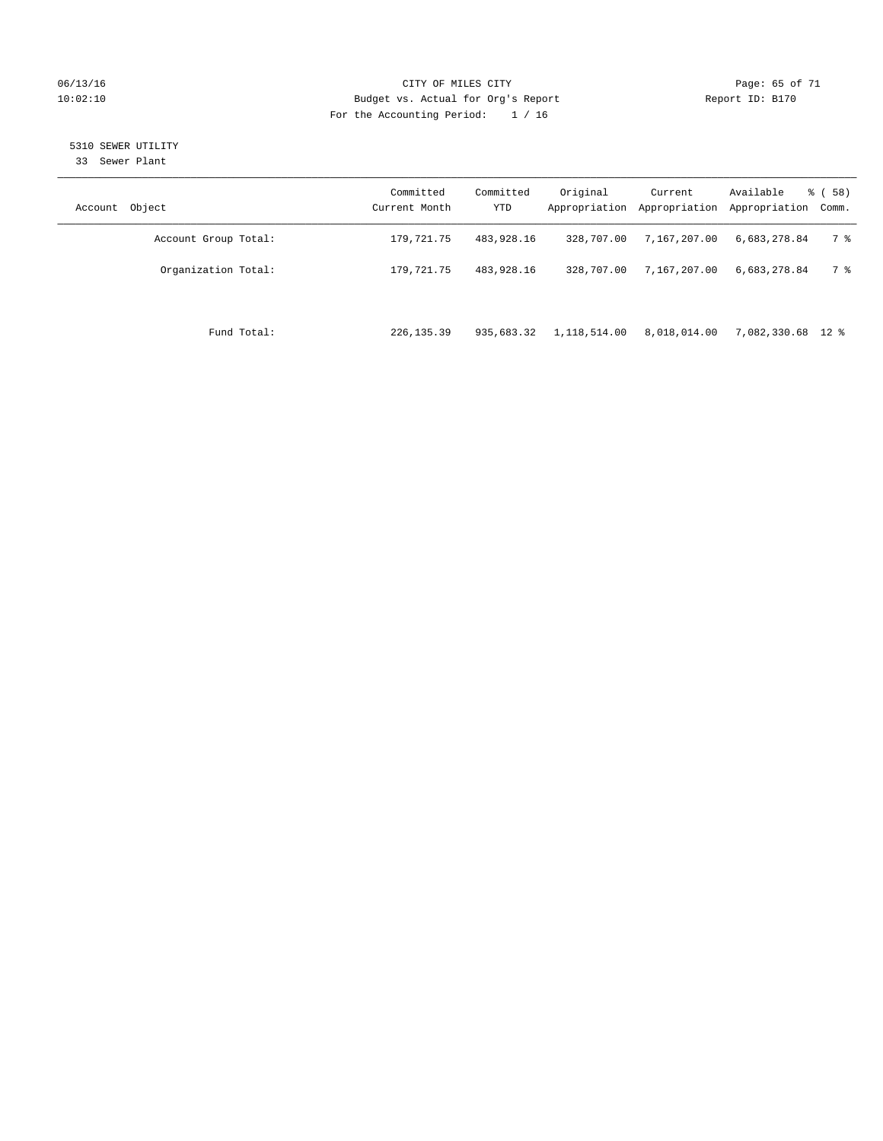### 06/13/16 Page: 65 of 71 10:02:10 Budget vs. Actual for Org's Report Changer Report ID: B170 For the Accounting Period: 1 / 16

### 5310 SEWER UTILITY

33 Sewer Plant

| Account Object       | Committed<br>Current Month | Committed<br><b>YTD</b> | Original<br>Appropriation | Current<br>Appropriation | Available<br>Appropriation | % ( 58 )<br>Comm. |
|----------------------|----------------------------|-------------------------|---------------------------|--------------------------|----------------------------|-------------------|
| Account Group Total: | 179,721.75                 | 483,928.16              | 328,707.00                | 7,167,207.00             | 6.683.278.84               | 7 %               |
| Organization Total:  | 179,721.75                 | 483,928.16              | 328,707.00                | 7,167,207.00             | 6,683,278.84               | 7 %               |
| Fund Total:          | 226, 135.39                | 935,683.32              | 1,118,514.00              | 8,018,014.00             | 7,082,330.68 12 %          |                   |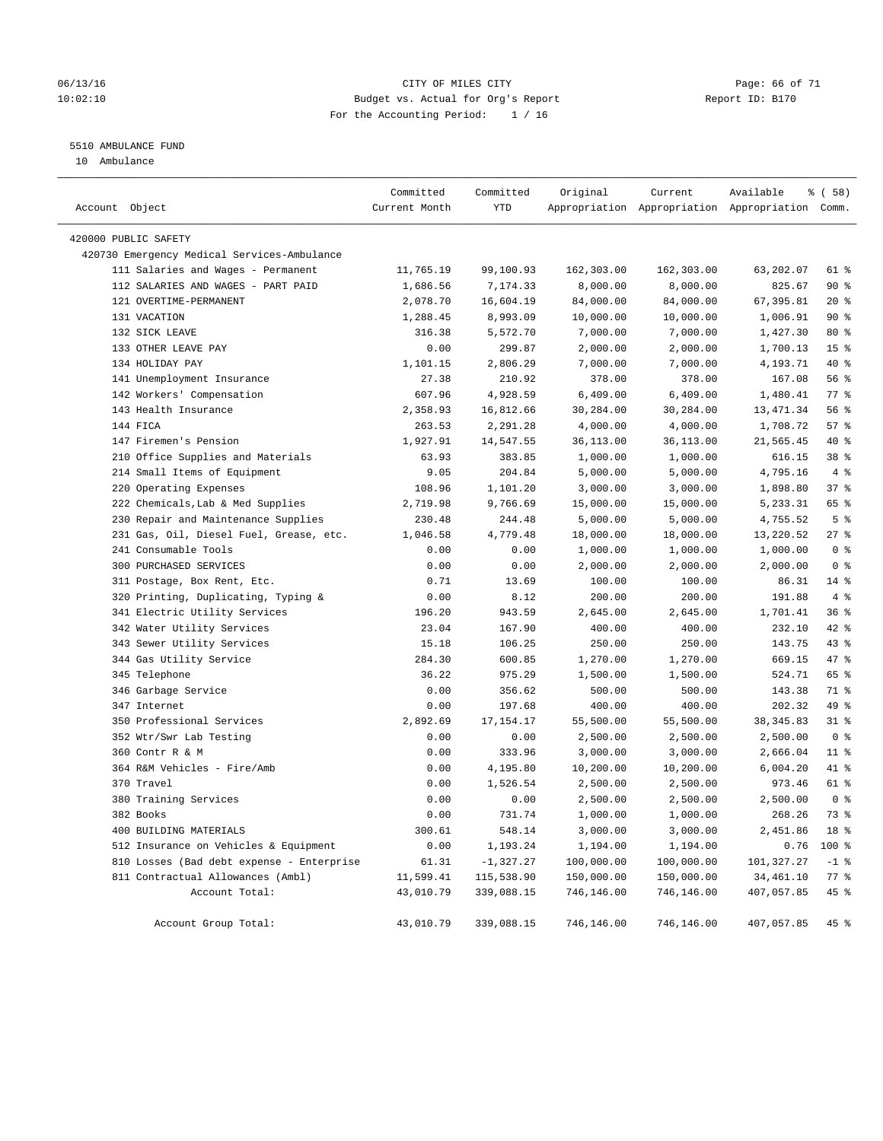### 06/13/16 CITY OF MILES CITY Page: 66 of 71 10:02:10 Budget vs. Actual for Org's Report Changer Report ID: B170 For the Accounting Period: 1 / 16

### 5510 AMBULANCE FUND

10 Ambulance

| Account Object |                                             | Committed<br>Current Month | Committed<br>YTD | Original   | Current    | Available<br>Appropriation Appropriation Appropriation Comm. | 8 ( 58 )        |
|----------------|---------------------------------------------|----------------------------|------------------|------------|------------|--------------------------------------------------------------|-----------------|
|                | 420000 PUBLIC SAFETY                        |                            |                  |            |            |                                                              |                 |
|                | 420730 Emergency Medical Services-Ambulance |                            |                  |            |            |                                                              |                 |
|                | 111 Salaries and Wages - Permanent          | 11,765.19                  | 99,100.93        | 162,303.00 | 162,303.00 | 63,202.07                                                    | 61 %            |
|                | 112 SALARIES AND WAGES - PART PAID          | 1,686.56                   | 7,174.33         | 8,000.00   | 8,000.00   | 825.67                                                       | 90%             |
|                | 121 OVERTIME-PERMANENT                      | 2,078.70                   | 16,604.19        | 84,000.00  | 84,000.00  | 67,395.81                                                    | $20*$           |
|                | 131 VACATION                                | 1,288.45                   | 8,993.09         | 10,000.00  | 10,000.00  | 1,006.91                                                     | 90%             |
|                | 132 SICK LEAVE                              | 316.38                     | 5,572.70         | 7,000.00   | 7,000.00   | 1,427.30                                                     | 80 %            |
|                | 133 OTHER LEAVE PAY                         | 0.00                       | 299.87           | 2,000.00   | 2,000.00   | 1,700.13                                                     | 15 <sup>°</sup> |
|                | 134 HOLIDAY PAY                             | 1,101.15                   | 2,806.29         | 7,000.00   | 7,000.00   | 4,193.71                                                     | 40 %            |
|                | 141 Unemployment Insurance                  | 27.38                      | 210.92           | 378.00     | 378.00     | 167.08                                                       | 56%             |
|                | 142 Workers' Compensation                   | 607.96                     | 4,928.59         | 6,409.00   | 6,409.00   | 1,480.41                                                     | 77%             |
|                | 143 Health Insurance                        | 2,358.93                   | 16,812.66        | 30,284.00  | 30,284.00  | 13, 471.34                                                   | 56%             |
|                | 144 FICA                                    | 263.53                     | 2,291.28         | 4,000.00   | 4,000.00   | 1,708.72                                                     | 57%             |
|                | 147 Firemen's Pension                       | 1,927.91                   | 14,547.55        | 36,113.00  | 36,113.00  | 21,565.45                                                    | 40 %            |
|                | 210 Office Supplies and Materials           | 63.93                      | 383.85           | 1,000.00   | 1,000.00   | 616.15                                                       | 38 %            |
|                | 214 Small Items of Equipment                | 9.05                       | 204.84           | 5,000.00   | 5,000.00   | 4,795.16                                                     | 4%              |
|                | 220 Operating Expenses                      | 108.96                     | 1,101.20         | 3,000.00   | 3,000.00   | 1,898.80                                                     | 37%             |
|                | 222 Chemicals, Lab & Med Supplies           | 2,719.98                   | 9,766.69         | 15,000.00  | 15,000.00  | 5,233.31                                                     | 65 %            |
|                | 230 Repair and Maintenance Supplies         | 230.48                     | 244.48           | 5,000.00   | 5,000.00   | 4,755.52                                                     | 5 <sup>°</sup>  |
|                | 231 Gas, Oil, Diesel Fuel, Grease, etc.     | 1,046.58                   | 4,779.48         | 18,000.00  | 18,000.00  | 13,220.52                                                    | 27%             |
|                | 241 Consumable Tools                        | 0.00                       | 0.00             | 1,000.00   | 1,000.00   | 1,000.00                                                     | 0 <sup>8</sup>  |
|                | 300 PURCHASED SERVICES                      | 0.00                       | 0.00             | 2,000.00   | 2,000.00   | 2,000.00                                                     | 0 <sup>8</sup>  |
|                | 311 Postage, Box Rent, Etc.                 | 0.71                       | 13.69            | 100.00     | 100.00     | 86.31                                                        | $14*$           |
|                | 320 Printing, Duplicating, Typing &         | 0.00                       | 8.12             | 200.00     | 200.00     | 191.88                                                       | 4%              |
|                | 341 Electric Utility Services               | 196.20                     | 943.59           | 2,645.00   | 2,645.00   | 1,701.41                                                     | 36%             |
|                | 342 Water Utility Services                  | 23.04                      | 167.90           | 400.00     | 400.00     | 232.10                                                       | 42 %            |
|                | 343 Sewer Utility Services                  | 15.18                      | 106.25           | 250.00     | 250.00     | 143.75                                                       | 43 %            |
|                | 344 Gas Utility Service                     | 284.30                     | 600.85           | 1,270.00   | 1,270.00   | 669.15                                                       | 47 %            |
|                | 345 Telephone                               | 36.22                      | 975.29           | 1,500.00   | 1,500.00   | 524.71                                                       | 65 %            |
|                | 346 Garbage Service                         | 0.00                       | 356.62           | 500.00     | 500.00     | 143.38                                                       | 71 %            |
|                | 347 Internet                                | 0.00                       | 197.68           | 400.00     | 400.00     | 202.32                                                       | 49 %            |
|                | 350 Professional Services                   | 2,892.69                   | 17, 154. 17      | 55,500.00  | 55,500.00  | 38, 345.83                                                   | $31$ %          |
|                | 352 Wtr/Swr Lab Testing                     | 0.00                       | 0.00             | 2,500.00   | 2,500.00   | 2,500.00                                                     | 0 <sup>8</sup>  |
|                | 360 Contr R & M                             | 0.00                       | 333.96           | 3,000.00   | 3,000.00   | 2,666.04                                                     | $11$ %          |
|                | 364 R&M Vehicles - Fire/Amb                 | 0.00                       | 4,195.80         | 10,200.00  | 10,200.00  | 6,004.20                                                     | 41 %            |
|                | 370 Travel                                  | 0.00                       | 1,526.54         | 2,500.00   | 2,500.00   | 973.46                                                       | 61 %            |
|                | 380 Training Services                       | 0.00                       | 0.00             | 2,500.00   | 2,500.00   | 2,500.00                                                     | 0 <sup>8</sup>  |
|                | 382 Books                                   | 0.00                       | 731.74           | 1,000.00   | 1,000.00   | 268.26                                                       | 73 %            |
|                | 400 BUILDING MATERIALS                      | 300.61                     | 548.14           | 3,000.00   | 3,000.00   | 2,451.86                                                     | 18 %            |
|                | 512 Insurance on Vehicles & Equipment       | 0.00                       | 1,193.24         | 1,194.00   | 1,194.00   | 0.76                                                         | 100 %           |
|                | 810 Losses (Bad debt expense - Enterprise   | 61.31                      | $-1,327.27$      | 100,000.00 | 100,000.00 | 101,327.27                                                   | $-1$ %          |
|                | 811 Contractual Allowances (Ambl)           | 11,599.41                  | 115,538.90       | 150,000.00 | 150,000.00 | 34,461.10                                                    | $77$ $%$        |
|                | Account Total:                              | 43,010.79                  | 339,088.15       | 746,146.00 | 746,146.00 | 407,057.85                                                   | 45 %            |
|                |                                             |                            |                  |            |            |                                                              |                 |
|                | Account Group Total:                        | 43,010.79                  | 339,088.15       | 746,146.00 | 746,146.00 | 407,057.85                                                   | 45 %            |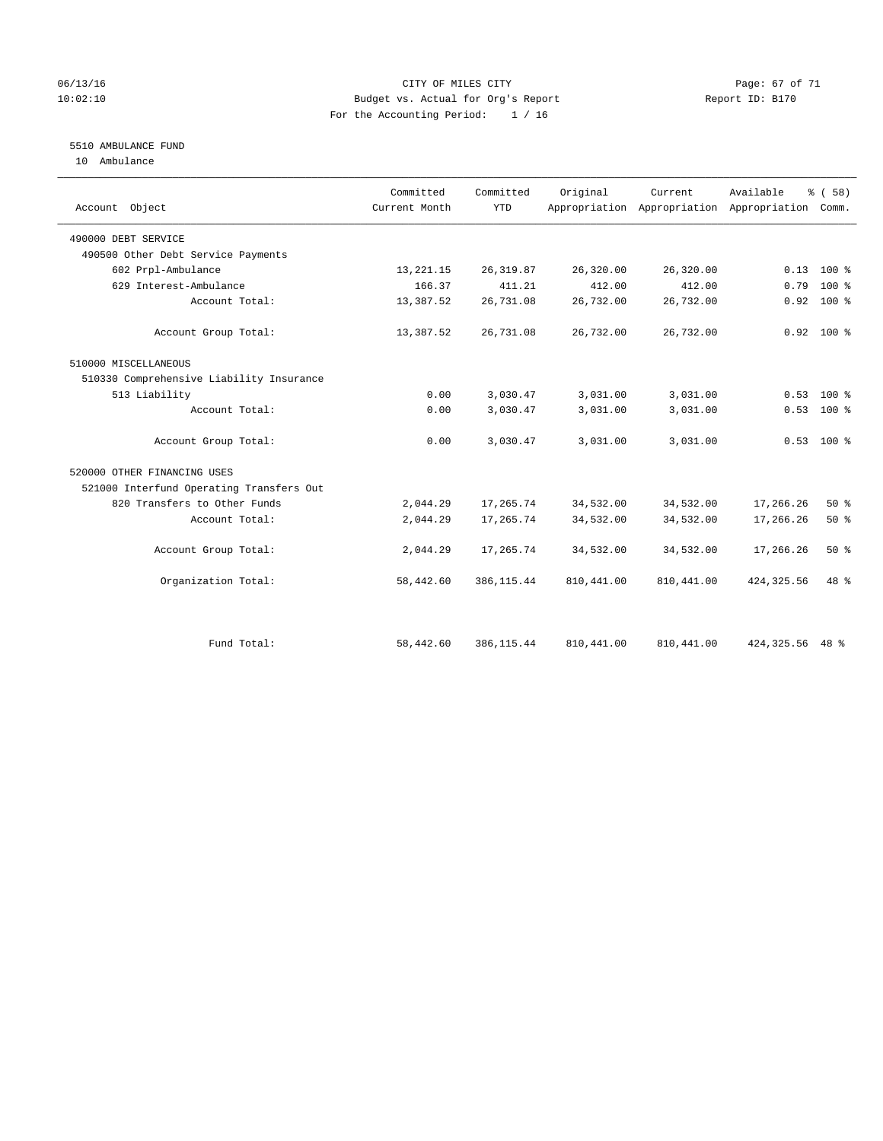### 06/13/16 Page: 67 of 71 10:02:10 Budget vs. Actual for Org's Report Changer Report ID: B170 For the Accounting Period: 1 / 16

### 5510 AMBULANCE FUND

10 Ambulance

| Account Object                           | Committed<br>Current Month | Committed<br><b>YTD</b> | Original   | Current<br>Appropriation Appropriation Appropriation Comm. | Available         | % (58)       |
|------------------------------------------|----------------------------|-------------------------|------------|------------------------------------------------------------|-------------------|--------------|
| 490000 DEBT SERVICE                      |                            |                         |            |                                                            |                   |              |
| 490500 Other Debt Service Payments       |                            |                         |            |                                                            |                   |              |
| 602 Prpl-Ambulance                       | 13,221.15                  | 26, 319.87              | 26,320.00  | 26,320.00                                                  |                   | $0.13$ 100 % |
| 629 Interest-Ambulance                   | 166.37                     | 411.21                  | 412.00     | 412.00                                                     | 0.79              | $100*$       |
| Account Total:                           | 13,387.52                  | 26,731.08               | 26,732.00  | 26,732.00                                                  | 0.92              | 100 %        |
| Account Group Total:                     | 13,387.52                  | 26,731.08               | 26,732.00  | 26,732.00                                                  |                   | $0.92$ 100 % |
| 510000 MISCELLANEOUS                     |                            |                         |            |                                                            |                   |              |
| 510330 Comprehensive Liability Insurance |                            |                         |            |                                                            |                   |              |
| 513 Liability                            | 0.00                       | 3,030.47                | 3,031.00   | 3,031.00                                                   | 0.53              | $100*$       |
| Account Total:                           | 0.00                       | 3,030.47                | 3,031.00   | 3,031.00                                                   | 0.53              | $100*$       |
| Account Group Total:                     | 0.00                       | 3,030.47                | 3,031.00   | 3,031.00                                                   |                   | $0.53$ 100 % |
| 520000 OTHER FINANCING USES              |                            |                         |            |                                                            |                   |              |
| 521000 Interfund Operating Transfers Out |                            |                         |            |                                                            |                   |              |
| 820 Transfers to Other Funds             | 2,044.29                   | 17,265.74               | 34,532.00  | 34,532.00                                                  | 17,266.26         | 50%          |
| Account Total:                           | 2,044.29                   | 17,265.74               | 34,532.00  | 34,532.00                                                  | 17,266.26         | 50%          |
| Account Group Total:                     | 2,044.29                   | 17,265.74               | 34,532.00  | 34,532.00                                                  | 17,266.26         | 50%          |
| Organization Total:                      | 58,442.60                  | 386, 115.44             | 810,441.00 | 810,441.00                                                 | 424, 325.56       | 48 %         |
|                                          |                            |                         |            |                                                            |                   |              |
| Fund Total:                              | 58,442.60                  | 386, 115.44             | 810,441.00 | 810, 441.00                                                | 424, 325. 56 48 % |              |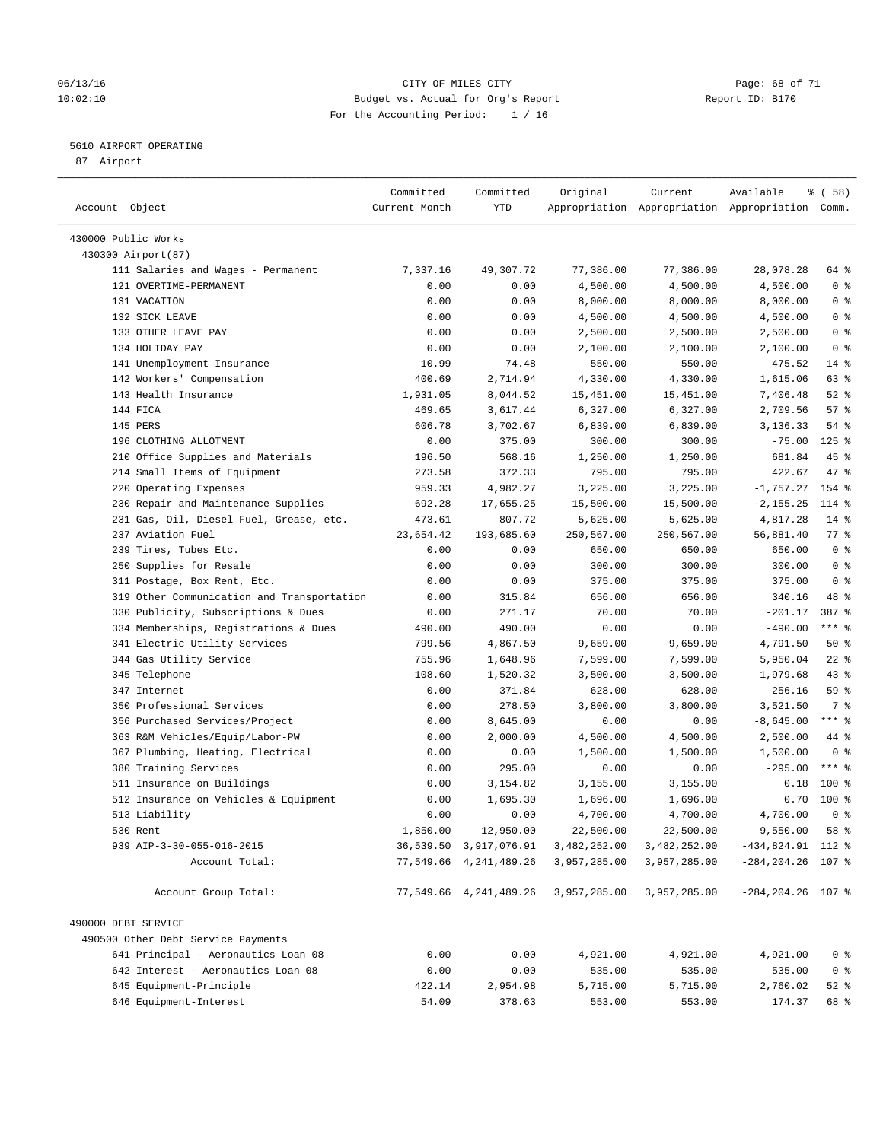### 06/13/16 CITY OF MILES CITY Page: 68 of 71 10:02:10 Budget vs. Actual for Org's Report Changer Report ID: B170 For the Accounting Period: 1 / 16

————————————————————————————————————————————————————————————————————————————————————————————————————————————————————————————————————

### 5610 AIRPORT OPERATING

87 Airport

|                                                                      | Committed        | Committed              | Original             | Current                                         | Available               | 8 ( 58 )                         |
|----------------------------------------------------------------------|------------------|------------------------|----------------------|-------------------------------------------------|-------------------------|----------------------------------|
| Account Object                                                       | Current Month    | YTD                    |                      | Appropriation Appropriation Appropriation Comm. |                         |                                  |
|                                                                      |                  |                        |                      |                                                 |                         |                                  |
| 430000 Public Works                                                  |                  |                        |                      |                                                 |                         |                                  |
| 430300 Airport (87)                                                  |                  |                        |                      |                                                 |                         |                                  |
| 111 Salaries and Wages - Permanent                                   | 7,337.16         | 49,307.72              | 77,386.00            | 77,386.00                                       | 28,078.28               | 64 %                             |
| 121 OVERTIME-PERMANENT                                               | 0.00             | 0.00                   | 4,500.00             | 4,500.00                                        | 4,500.00                | 0 <sup>8</sup>                   |
| 131 VACATION                                                         | 0.00             | 0.00                   | 8,000.00             | 8,000.00                                        | 8,000.00                | 0 <sup>8</sup>                   |
| 132 SICK LEAVE                                                       | 0.00             | 0.00                   | 4,500.00             | 4,500.00                                        | 4,500.00                | 0 <sup>8</sup>                   |
| 133 OTHER LEAVE PAY<br>134 HOLIDAY PAY                               | 0.00             | 0.00                   | 2,500.00             | 2,500.00<br>2,100.00                            | 2,500.00                | 0 <sup>8</sup><br>0 <sup>8</sup> |
| 141 Unemployment Insurance                                           | 0.00             | 0.00<br>74.48          | 2,100.00<br>550.00   | 550.00                                          | 2,100.00<br>475.52      | $14$ %                           |
|                                                                      | 10.99<br>400.69  | 2,714.94               |                      | 4,330.00                                        |                         | 63 %                             |
| 142 Workers' Compensation<br>143 Health Insurance                    |                  |                        | 4,330.00             |                                                 | 1,615.06                |                                  |
|                                                                      | 1,931.05         | 8,044.52               | 15,451.00            | 15,451.00                                       | 7,406.48                | $52$ $%$<br>57%                  |
| 144 FICA                                                             | 469.65           | 3,617.44               | 6,327.00             | 6,327.00                                        | 2,709.56                |                                  |
| 145 PERS<br>196 CLOTHING ALLOTMENT                                   | 606.78           | 3,702.67               | 6,839.00             | 6,839.00                                        | 3,136.33<br>$-75.00$    | $54$ %<br>$125$ %                |
|                                                                      | 0.00             | 375.00                 | 300.00               | 300.00                                          |                         |                                  |
| 210 Office Supplies and Materials                                    | 196.50<br>273.58 | 568.16                 | 1,250.00             | 1,250.00                                        | 681.84                  | 45 %<br>47 %                     |
| 214 Small Items of Equipment                                         |                  | 372.33                 | 795.00               | 795.00                                          | 422.67                  | 154 %                            |
| 220 Operating Expenses                                               | 959.33           | 4,982.27               | 3,225.00             | 3,225.00                                        | $-1,757.27$             |                                  |
| 230 Repair and Maintenance Supplies                                  | 692.28           | 17,655.25              | 15,500.00            | 15,500.00                                       | $-2, 155.25$            | 114 %                            |
| 231 Gas, Oil, Diesel Fuel, Grease, etc.                              | 473.61           | 807.72                 | 5,625.00             | 5,625.00                                        | 4,817.28                | $14$ %                           |
| 237 Aviation Fuel                                                    | 23,654.42        | 193,685.60             | 250,567.00           | 250,567.00                                      | 56,881.40               | $77$ $%$                         |
| 239 Tires, Tubes Etc.                                                | 0.00             | 0.00                   | 650.00               | 650.00                                          | 650.00                  | 0 <sup>8</sup>                   |
| 250 Supplies for Resale                                              | 0.00             | 0.00                   | 300.00               | 300.00                                          | 300.00                  | 0 <sup>8</sup>                   |
| 311 Postage, Box Rent, Etc.                                          | 0.00             | 0.00                   | 375.00               | 375.00                                          | 375.00                  | 0 <sup>8</sup><br>48 %           |
| 319 Other Communication and Transportation                           | 0.00             | 315.84                 | 656.00               | 656.00                                          | 340.16                  |                                  |
| 330 Publicity, Subscriptions & Dues                                  | 0.00             | 271.17                 | 70.00                | 70.00                                           | $-201.17$               | 387 %<br>$***$ $_{8}$            |
| 334 Memberships, Registrations & Dues                                | 490.00           | 490.00                 | 0.00                 | 0.00                                            | $-490.00$               |                                  |
| 341 Electric Utility Services                                        | 799.56           | 4,867.50               | 9,659.00             | 9,659.00                                        | 4,791.50                | 50%                              |
| 344 Gas Utility Service<br>345 Telephone                             | 755.96           | 1,648.96               | 7,599.00             | 7,599.00                                        | 5,950.04                | $22$ %<br>43 %                   |
| 347 Internet                                                         | 108.60           | 1,520.32<br>371.84     | 3,500.00             | 3,500.00                                        | 1,979.68<br>256.16      | 59 %                             |
| 350 Professional Services                                            | 0.00             | 278.50                 | 628.00               | 628.00                                          |                         | 7 %                              |
| 356 Purchased Services/Project                                       | 0.00             | 8,645.00               | 3,800.00             | 3,800.00                                        | 3,521.50<br>$-8,645.00$ | $***$ $-$                        |
|                                                                      | 0.00             |                        | 0.00                 | 0.00                                            | 2,500.00                | 44 %                             |
| 363 R&M Vehicles/Equip/Labor-PW<br>367 Plumbing, Heating, Electrical | 0.00<br>0.00     | 2,000.00<br>0.00       | 4,500.00<br>1,500.00 | 4,500.00<br>1,500.00                            | 1,500.00                | 0 <sup>8</sup>                   |
| 380 Training Services                                                | 0.00             | 295.00                 | 0.00                 | 0.00                                            | $-295.00$               | $***$ $_{8}$                     |
| 511 Insurance on Buildings                                           | 0.00             | 3,154.82               | 3,155.00             | 3,155.00                                        | 0.18                    | $100$ %                          |
| 512 Insurance on Vehicles & Equipment                                | 0.00             | 1,695.30               | 1,696.00             | 1,696.00                                        | 0.70                    | 100 %                            |
| 513 Liability                                                        | 0.00             | 0.00                   | 4,700.00             | 4,700.00                                        | 4,700.00                | 0 <sup>8</sup>                   |
| 530 Rent                                                             | 1,850.00         | 12,950.00              | 22,500.00            | 22,500.00                                       | 9,550.00                | 58 %                             |
| 939 AIP-3-30-055-016-2015                                            |                  | 36,539.50 3,917,076.91 | 3,482,252.00         | 3,482,252.00                                    | $-434,824.91$ 112 %     |                                  |
| Account Total:                                                       |                  | 77,549.66 4,241,489.26 | 3,957,285.00         | 3,957,285.00                                    | $-284, 204.26$ 107 %    |                                  |
|                                                                      |                  |                        |                      |                                                 |                         |                                  |
| Account Group Total:                                                 |                  | 77,549.66 4,241,489.26 | 3,957,285.00         | 3,957,285.00                                    | $-284, 204.26$ 107 %    |                                  |
| 490000 DEBT SERVICE                                                  |                  |                        |                      |                                                 |                         |                                  |
| 490500 Other Debt Service Payments                                   |                  |                        |                      |                                                 |                         |                                  |
| 641 Principal - Aeronautics Loan 08                                  | 0.00             | 0.00                   | 4,921.00             | 4,921.00                                        | 4,921.00                | 0 <sup>8</sup>                   |
| 642 Interest - Aeronautics Loan 08                                   | 0.00             | 0.00                   | 535.00               | 535.00                                          | 535.00                  | 0 <sup>8</sup>                   |
| 645 Equipment-Principle                                              | 422.14           | 2,954.98               | 5,715.00             | 5,715.00                                        | 2,760.02                | $52$ $%$                         |
| 646 Equipment-Interest                                               | 54.09            | 378.63                 | 553.00               | 553.00                                          | 174.37                  | 68 %                             |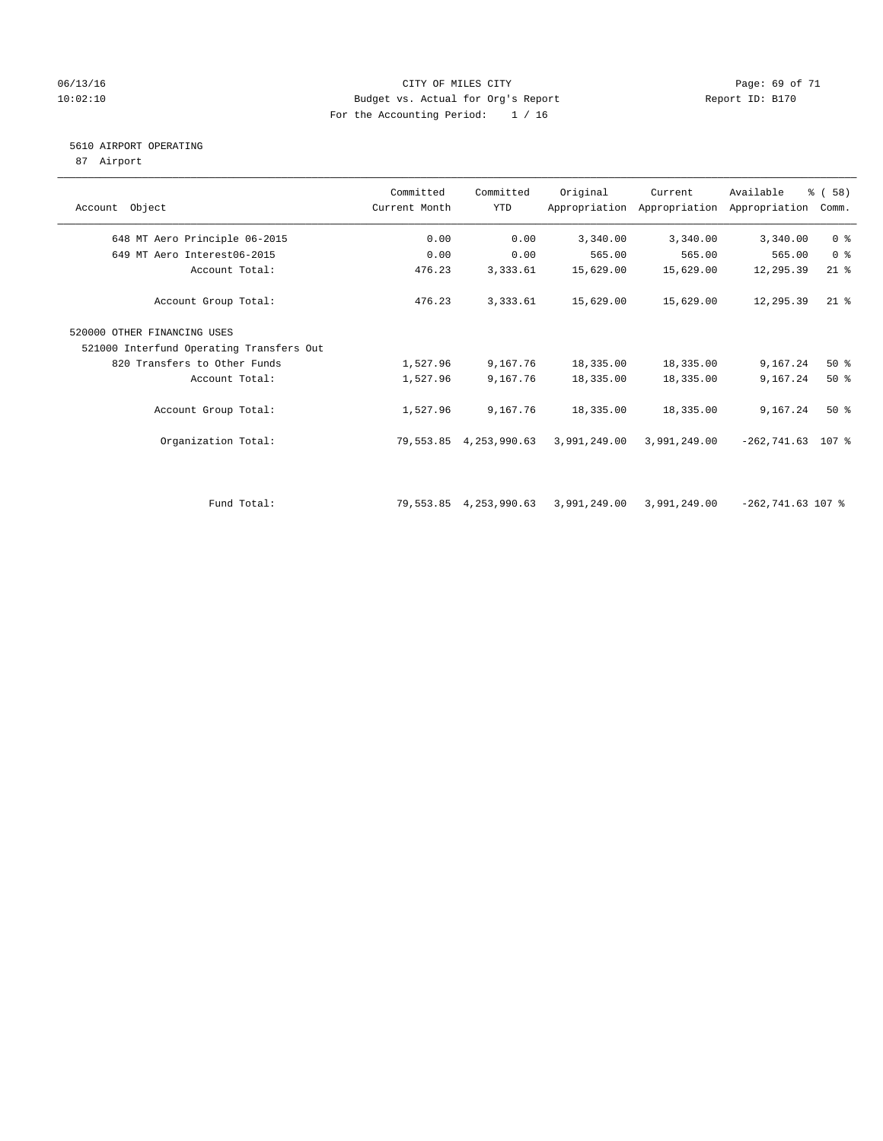### 06/13/16 Page: 69 of 71 10:02:10 Budget vs. Actual for Org's Report Report ID: B170 For the Accounting Period: 1 / 16

### 5610 AIRPORT OPERATING

87 Airport

| Object<br>Account                        | Committed<br>Current Month | Committed<br><b>YTD</b> | Original     | Current<br>Appropriation Appropriation | Available<br>Appropriation | % ( 58 )<br>Comm. |
|------------------------------------------|----------------------------|-------------------------|--------------|----------------------------------------|----------------------------|-------------------|
| 648 MT Aero Principle 06-2015            | 0.00                       | 0.00                    | 3,340.00     | 3,340.00                               | 3,340.00                   | 0 <sup>8</sup>    |
| 649 MT Aero Interest06-2015              | 0.00                       | 0.00                    | 565.00       | 565.00                                 | 565.00                     | 0 <sup>8</sup>    |
| Account Total:                           | 476.23                     | 3,333.61                | 15,629.00    | 15,629.00                              | 12,295.39                  | $21$ %            |
| Account Group Total:                     | 476.23                     | 3,333.61                | 15,629.00    | 15,629.00                              | 12,295.39                  | $21$ %            |
| 520000 OTHER FINANCING USES              |                            |                         |              |                                        |                            |                   |
| 521000 Interfund Operating Transfers Out |                            |                         |              |                                        |                            |                   |
| 820 Transfers to Other Funds             | 1,527.96                   | 9,167.76                | 18,335.00    | 18,335.00                              | 9,167.24                   | 50%               |
| Account Total:                           | 1,527.96                   | 9,167.76                | 18,335.00    | 18,335.00                              | 9,167.24                   | 50%               |
| Account Group Total:                     | 1,527.96                   | 9,167.76                | 18,335.00    | 18,335.00                              | 9,167.24                   | $50*$             |
| Organization Total:                      | 79,553.85                  | 4,253,990.63            | 3,991,249.00 | 3,991,249.00                           | $-262,741.63$              | $107$ %           |
|                                          |                            |                         |              |                                        |                            |                   |

Fund Total: 79,553.85 4,253,990.63 3,991,249.00 3,991,249.00 -262,741.63 107 %